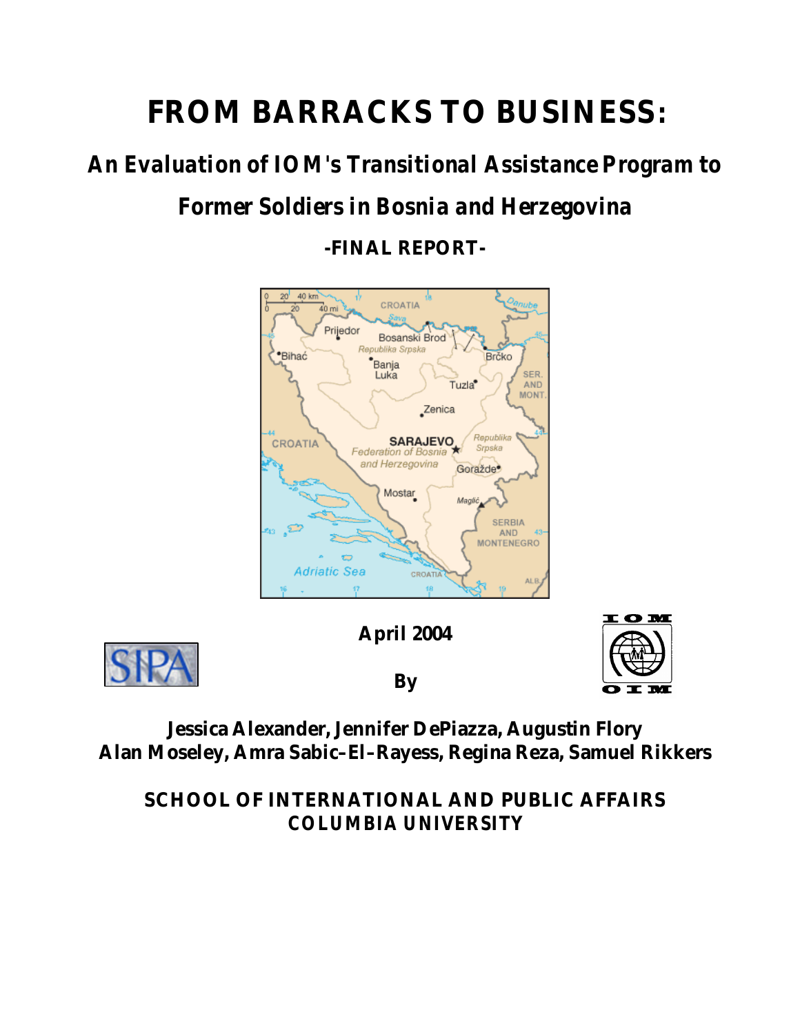# **FROM BARRACKS TO BUSINESS:**

# *An Evaluation of IOM's Transitional Assistance Program to Former Soldiers in Bosnia and Herzegovina*

**-FINAL REPORT-**





## **April 2004 By**



## **Jessica Alexander, Jennifer DePiazza, Augustin Flory Alan Moseley, Amra Sabic–El–Rayess, Regina Reza, Samuel Rikkers**

**SCHOOL OF INTERNATIONAL AND PUBLIC AFFAIRS** *COLUMBIA UNIVERSITY*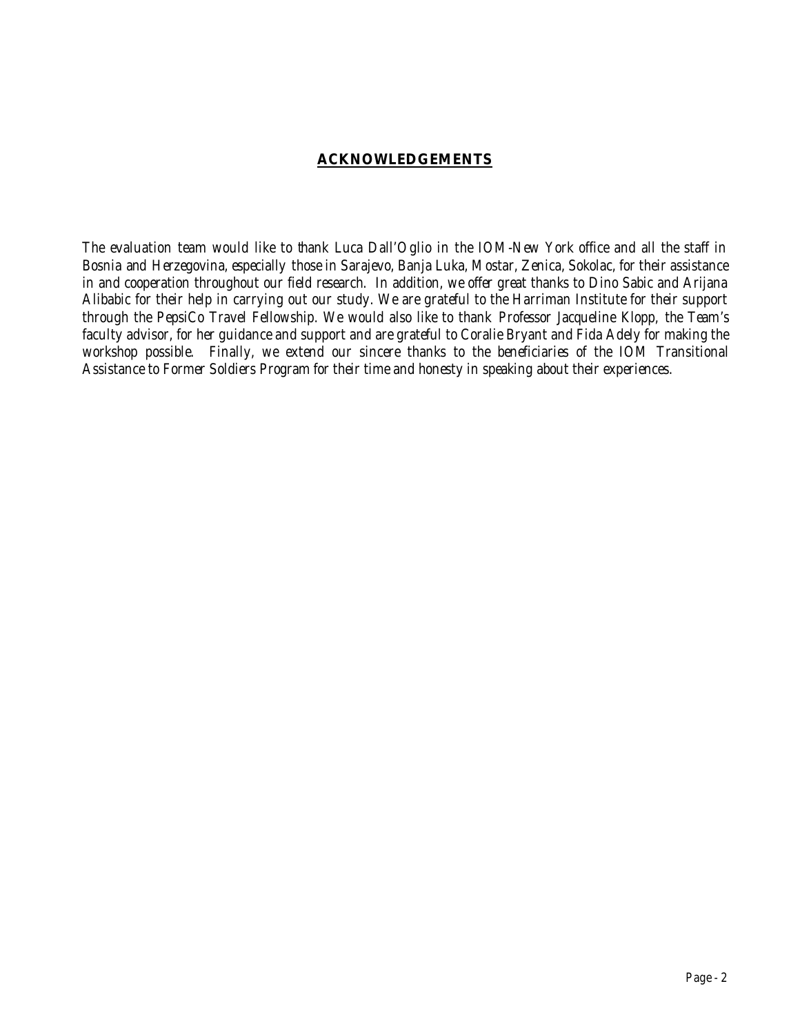### **ACKNOWLEDGEMENTS**

*The evaluation team would like to thank Luca Dall'Oglio in the IOM-New York office and all the staff in Bosnia and Herzegovina, especially those in Sarajevo, Banja Luka, Mostar, Zenica, Sokolac, for their assistance in and cooperation throughout our field research. In addition, we offer great thanks to Dino Sabic and Arijana Alibabic for their help in carrying out our study. We are grateful to the Harriman Institute for their support through the PepsiCo Travel Fellowship. We would also like to thank Professor Jacqueline Klopp, the Team's*  faculty advisor, for her guidance and support and are grateful to Coralie Bryant and Fida Adely for making the *workshop possible. Finally, we extend our sincere thanks to the beneficiaries of the IOM Transitional Assistance to Former Soldiers Program for their time and honesty in speaking about their experiences.*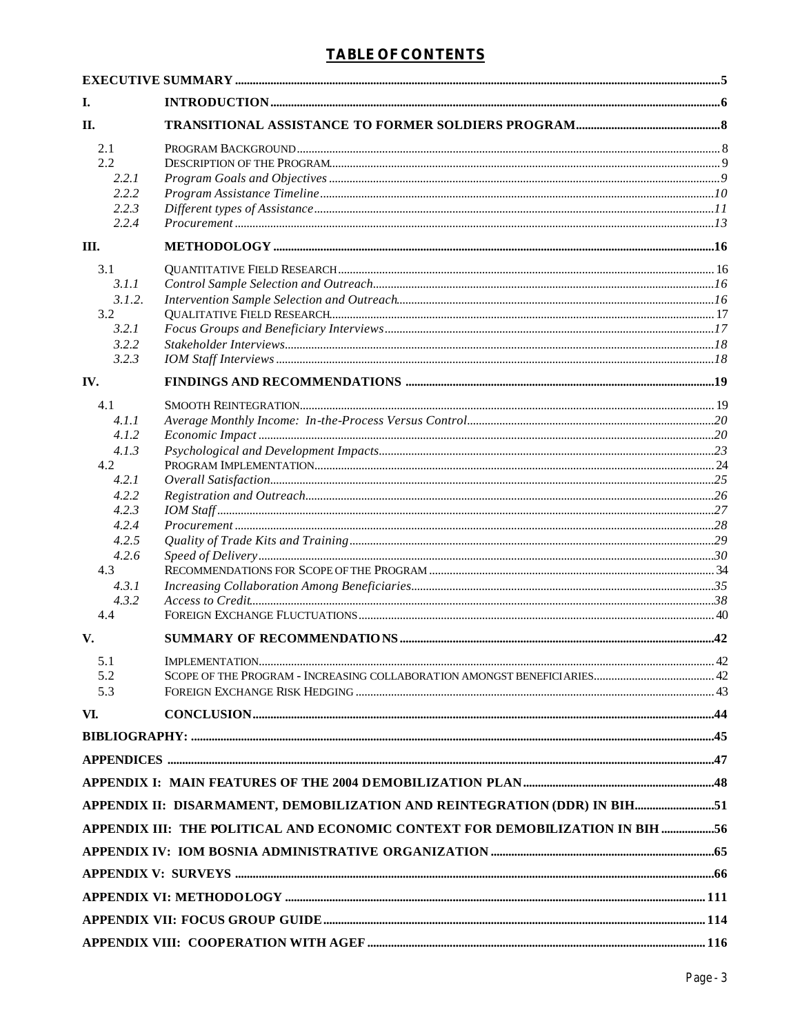| I.             |                                                                                                                                                                                                                                                                                                                                                                                                                                                                                     |  |
|----------------|-------------------------------------------------------------------------------------------------------------------------------------------------------------------------------------------------------------------------------------------------------------------------------------------------------------------------------------------------------------------------------------------------------------------------------------------------------------------------------------|--|
| П.             |                                                                                                                                                                                                                                                                                                                                                                                                                                                                                     |  |
| 2.1            |                                                                                                                                                                                                                                                                                                                                                                                                                                                                                     |  |
| 2.2            |                                                                                                                                                                                                                                                                                                                                                                                                                                                                                     |  |
| 2.2.1          |                                                                                                                                                                                                                                                                                                                                                                                                                                                                                     |  |
| 2.2.2          |                                                                                                                                                                                                                                                                                                                                                                                                                                                                                     |  |
| 2.2.3<br>2.2.4 |                                                                                                                                                                                                                                                                                                                                                                                                                                                                                     |  |
| Ш.             |                                                                                                                                                                                                                                                                                                                                                                                                                                                                                     |  |
| 3.1            |                                                                                                                                                                                                                                                                                                                                                                                                                                                                                     |  |
| 3.1.1          |                                                                                                                                                                                                                                                                                                                                                                                                                                                                                     |  |
| 3.1.2.         |                                                                                                                                                                                                                                                                                                                                                                                                                                                                                     |  |
| 3.2            |                                                                                                                                                                                                                                                                                                                                                                                                                                                                                     |  |
| 3.2.1<br>3.2.2 |                                                                                                                                                                                                                                                                                                                                                                                                                                                                                     |  |
| 3.2.3          |                                                                                                                                                                                                                                                                                                                                                                                                                                                                                     |  |
| IV.            |                                                                                                                                                                                                                                                                                                                                                                                                                                                                                     |  |
| 4.1            |                                                                                                                                                                                                                                                                                                                                                                                                                                                                                     |  |
| 4.1.1          |                                                                                                                                                                                                                                                                                                                                                                                                                                                                                     |  |
| 4.1.2          |                                                                                                                                                                                                                                                                                                                                                                                                                                                                                     |  |
| 4.1.3          |                                                                                                                                                                                                                                                                                                                                                                                                                                                                                     |  |
| 4.2            |                                                                                                                                                                                                                                                                                                                                                                                                                                                                                     |  |
| 4.2.1          |                                                                                                                                                                                                                                                                                                                                                                                                                                                                                     |  |
| 4.2.2<br>4.2.3 |                                                                                                                                                                                                                                                                                                                                                                                                                                                                                     |  |
| 4.2.4          |                                                                                                                                                                                                                                                                                                                                                                                                                                                                                     |  |
| 4.2.5          |                                                                                                                                                                                                                                                                                                                                                                                                                                                                                     |  |
| 4.2.6          |                                                                                                                                                                                                                                                                                                                                                                                                                                                                                     |  |
| 4.3            |                                                                                                                                                                                                                                                                                                                                                                                                                                                                                     |  |
| 4.3.1          |                                                                                                                                                                                                                                                                                                                                                                                                                                                                                     |  |
| 4.3.2<br>4.4   |                                                                                                                                                                                                                                                                                                                                                                                                                                                                                     |  |
| V.             |                                                                                                                                                                                                                                                                                                                                                                                                                                                                                     |  |
| 5.1            |                                                                                                                                                                                                                                                                                                                                                                                                                                                                                     |  |
| 5.2            |                                                                                                                                                                                                                                                                                                                                                                                                                                                                                     |  |
| 5.3            |                                                                                                                                                                                                                                                                                                                                                                                                                                                                                     |  |
| VI.            | $\textbf{CONCLUSION} \textcolor{red}{.} \textbf{} \textcolor{red}{.} \textbf{} \textcolor{red}{.} \textbf{} \textcolor{red}{.} \textbf{} \textcolor{red}{.} \textbf{} \textcolor{red}{.} \textbf{} \textcolor{red}{.} \textbf{} \textcolor{red}{.} \textbf{} \textcolor{red}{.} \textbf{} \textcolor{red}{.} \textbf{} \textcolor{red}{.} \textbf{} \textcolor{red}{.} \textbf{} \textcolor{red}{.} \textbf{} \textcolor{red}{.} \textbf{} \textcolor{red}{.} \textbf{} \textcolor$ |  |
|                |                                                                                                                                                                                                                                                                                                                                                                                                                                                                                     |  |
|                |                                                                                                                                                                                                                                                                                                                                                                                                                                                                                     |  |
|                |                                                                                                                                                                                                                                                                                                                                                                                                                                                                                     |  |
|                | APPENDIX II: DISARMAMENT, DEMOBILIZATION AND REINTEGRATION (DDR) IN BIH51                                                                                                                                                                                                                                                                                                                                                                                                           |  |
|                | APPENDIX III: THE POLITICAL AND ECONOMIC CONTEXT FOR DEMOBILIZATION IN BIH 56                                                                                                                                                                                                                                                                                                                                                                                                       |  |
|                |                                                                                                                                                                                                                                                                                                                                                                                                                                                                                     |  |
|                |                                                                                                                                                                                                                                                                                                                                                                                                                                                                                     |  |
|                |                                                                                                                                                                                                                                                                                                                                                                                                                                                                                     |  |
|                |                                                                                                                                                                                                                                                                                                                                                                                                                                                                                     |  |
|                |                                                                                                                                                                                                                                                                                                                                                                                                                                                                                     |  |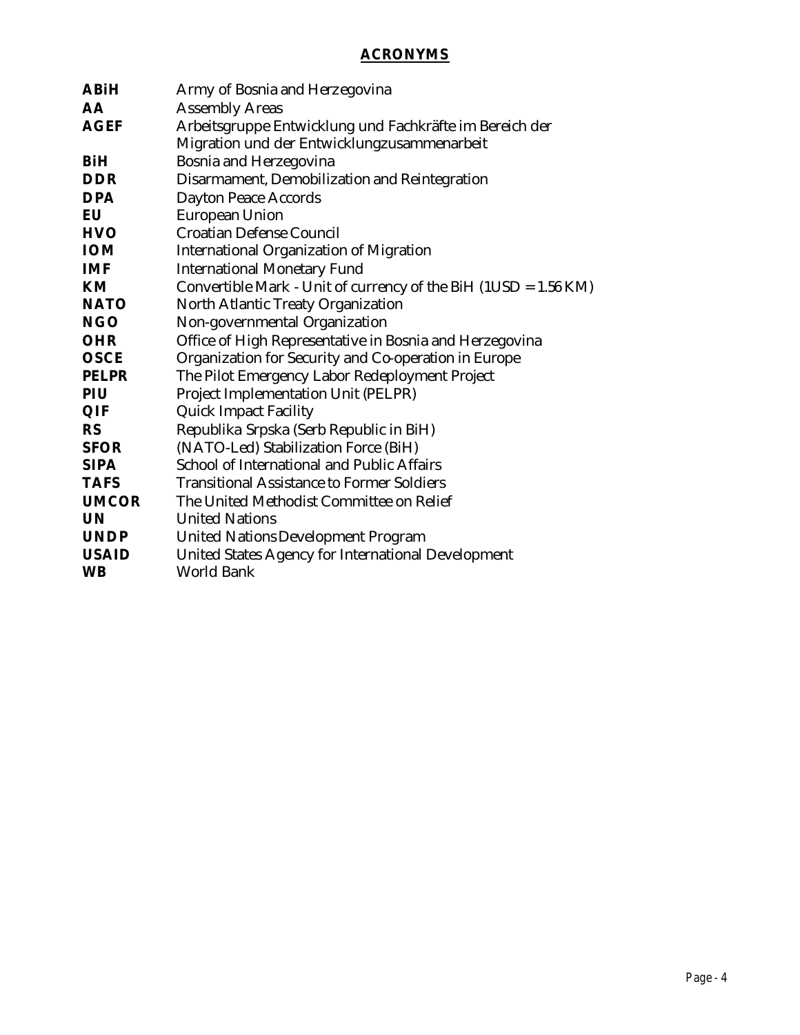## **ACRONYMS**

| <b>ABiH</b>  | Army of Bosnia and Herzegovina                                  |
|--------------|-----------------------------------------------------------------|
| <b>AA</b>    | <b>Assembly Areas</b>                                           |
| <b>AGEF</b>  | Arbeitsgruppe Entwicklung und Fachkräfte im Bereich der         |
|              | Migration und der Entwicklungzusammenarbeit                     |
| <b>BiH</b>   | Bosnia and Herzegovina                                          |
| <b>DDR</b>   | Disarmament, Demobilization and Reintegration                   |
| <b>DPA</b>   | <b>Dayton Peace Accords</b>                                     |
| EU           | <b>European Union</b>                                           |
| <b>HVO</b>   | <b>Croatian Defense Council</b>                                 |
| <b>IOM</b>   | <b>International Organization of Migration</b>                  |
| <b>IMF</b>   | <b>International Monetary Fund</b>                              |
| KM           | Convertible Mark - Unit of currency of the BiH (1USD = 1.56 KM) |
| <b>NATO</b>  | North Atlantic Treaty Organization                              |
| <b>NGO</b>   | Non-governmental Organization                                   |
| <b>OHR</b>   | Office of High Representative in Bosnia and Herzegovina         |
| <b>OSCE</b>  | Organization for Security and Co-operation in Europe            |
| <b>PELPR</b> | The Pilot Emergency Labor Redeployment Project                  |
| PIU          | Project Implementation Unit (PELPR)                             |
| QIF          | <b>Quick Impact Facility</b>                                    |
| <b>RS</b>    | Republika Srpska (Serb Republic in BiH)                         |
| <b>SFOR</b>  | (NATO-Led) Stabilization Force (BiH)                            |
| <b>SIPA</b>  | School of International and Public Affairs                      |
| <b>TAFS</b>  | <b>Transitional Assistance to Former Soldiers</b>               |
| <b>UMCOR</b> | The United Methodist Committee on Relief                        |
| <b>UN</b>    | <b>United Nations</b>                                           |
| <b>UNDP</b>  | <b>United Nations Development Program</b>                       |
| <b>USAID</b> | United States Agency for International Development              |
| <b>WB</b>    | <b>World Bank</b>                                               |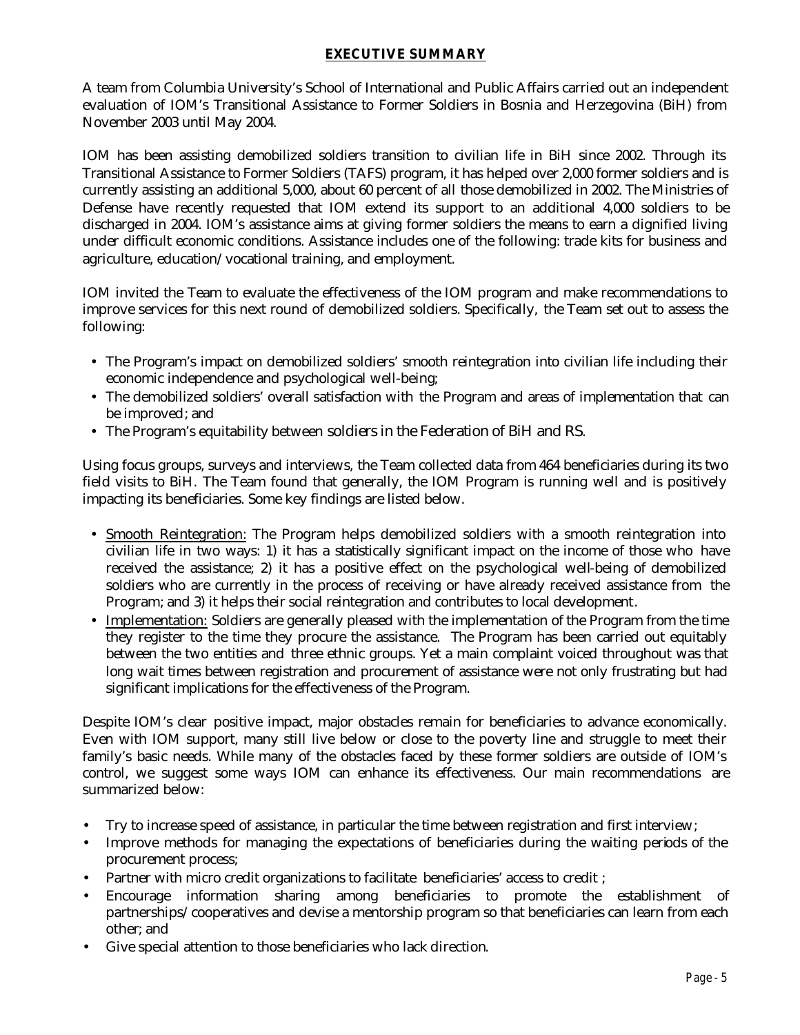## **EXECUTIVE SUMMARY**

A team from Columbia University's School of International and Public Affairs carried out an independent evaluation of IOM's Transitional Assistance to Former Soldiers in Bosnia and Herzegovina (BiH) from November 2003 until May 2004.

IOM has been assisting demobilized soldiers transition to civilian life in BiH since 2002. Through its Transitional Assistance to Former Soldiers (TAFS) program, it has helped over 2,000 former soldiers and is currently assisting an additional 5,000, about 60 percent of all those demobilized in 2002. The Ministries of Defense have recently requested that IOM extend its support to an additional 4,000 soldiers to be discharged in 2004. IOM's assistance aims at giving former soldiers the means to earn a dignified living under difficult economic conditions. Assistance includes one of the following: trade kits for business and agriculture, education/vocational training, and employment.

IOM invited the Team to evaluate the effectiveness of the IOM program and make recommendations to improve services for this next round of demobilized soldiers. Specifically, the Team set out to assess the following:

- The Program's impact on demobilized soldiers' smooth reintegration into civilian life including their economic independence and psychological well-being;
- The demobilized soldiers' overall satisfaction with the Program and areas of implementation that can be improved; and
- The Program's equitability between soldiers in the Federation of BiH and RS.

Using focus groups, surveys and interviews, the Team collected data from 464 beneficiaries during its two field visits to BiH. The Team found that generally, the IOM Program is running well and is positively impacting its beneficiaries. Some key findings are listed below.

- Smooth Reintegration: The Program helps demobilized soldiers with a smooth reintegration into civilian life in two ways: 1) it has a statistically significant impact on the income of those who have received the assistance; 2) it has a positive effect on the psychological well-being of demobilized soldiers who are currently in the process of receiving or have already received assistance from the Program; and 3) it helps their social reintegration and contributes to local development.
- Implementation: Soldiers are generally pleased with the implementation of the Program from the time they register to the time they procure the assistance. The Program has been carried out equitably between the two entities and three ethnic groups. Yet a main complaint voiced throughout was that long wait times between registration and procurement of assistance were not only frustrating but had significant implications for the effectiveness of the Program.

Despite IOM's clear positive impact, major obstacles remain for beneficiaries to advance economically. Even with IOM support, many still live below or close to the poverty line and struggle to meet their family's basic needs. While many of the obstacles faced by these former soldiers are outside of IOM's control, we suggest some ways IOM can enhance its effectiveness. Our main recommendations are summarized below:

- Try to increase speed of assistance, in particular the time between registration and first interview;
- Improve methods for managing the expectations of beneficiaries during the waiting periods of the procurement process;
- Partner with micro credit organizations to facilitate beneficiaries' access to credit ;
- Encourage information sharing among beneficiaries to promote the establishment of partnerships/cooperatives and devise a mentorship program so that beneficiaries can learn from each other; and
- Give special attention to those beneficiaries who lack direction.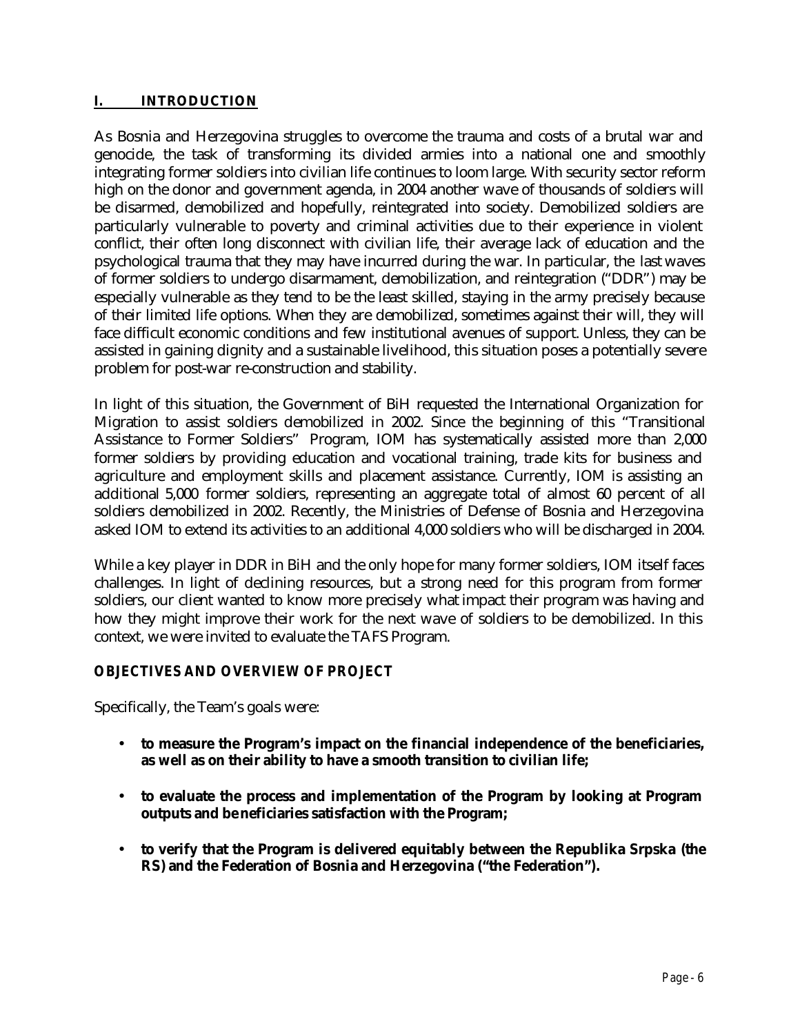## **I. INTRODUCTION**

As Bosnia and Herzegovina struggles to overcome the trauma and costs of a brutal war and genocide, the task of transforming its divided armies into a national one and smoothly integrating former soldiers into civilian life continues to loom large. With security sector reform high on the donor and government agenda, in 2004 another wave of thousands of soldiers will be disarmed, demobilized and hopefully, reintegrated into society. Demobilized soldiers are particularly vulnerable to poverty and criminal activities due to their experience in violent conflict, their often long disconnect with civilian life, their average lack of education and the psychological trauma that they may have incurred during the war. In particular, the last waves of former soldiers to undergo disarmament, demobilization, and reintegration ("DDR") may be especially vulnerable as they tend to be the least skilled, staying in the army precisely because of their limited life options. When they are demobilized, sometimes against their will, they will face difficult economic conditions and few institutional avenues of support. Unless, they can be assisted in gaining dignity and a sustainable livelihood, this situation poses a potentially severe problem for post-war re-construction and stability.

In light of this situation, the Government of BiH requested the International Organization for Migration to assist soldiers demobilized in 2002. Since the beginning of this "Transitional Assistance to Former Soldiers" Program, IOM has systematically assisted more than 2,000 former soldiers by providing education and vocational training, trade kits for business and agriculture and employment skills and placement assistance. Currently, IOM is assisting an additional 5,000 former soldiers, representing an aggregate total of almost 60 percent of all soldiers demobilized in 2002. Recently, the Ministries of Defense of Bosnia and Herzegovina asked IOM to extend its activities to an additional 4,000 soldiers who will be discharged in 2004.

While a key player in DDR in BiH and the only hope for many former soldiers, IOM itself faces challenges. In light of declining resources, but a strong need for this program from former soldiers, our client wanted to know more precisely what impact their program was having and how they might improve their work for the next wave of soldiers to be demobilized. In this context, we were invited to evaluate the TAFS Program.

## *OBJECTIVES AND OVERVIEW OF PROJECT*

Specifically, the Team's goals were:

- **to measure the Program's impact on the financial independence of the beneficiaries, as well as on their ability to have a smooth transition to civilian life;**
- **to evaluate the process and implementation of the Program by looking at Program outputs and beneficiaries satisfaction with the Program;**
- **to verify that the Program is delivered equitably between the Republika Srpska (the RS) and the Federation of Bosnia and Herzegovina ("the Federation").**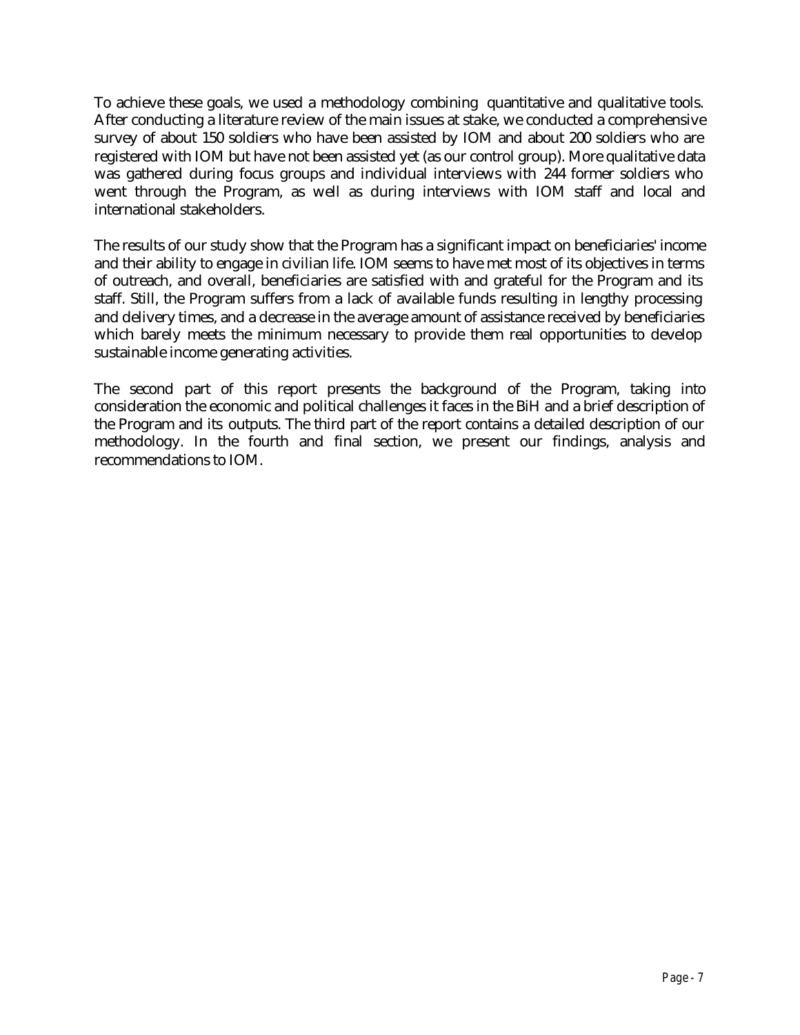To achieve these goals, we used a methodology combining quantitative and qualitative tools. After conducting a literature review of the main issues at stake, we conducted a comprehensive survey of about 150 soldiers who have been assisted by IOM and about 200 soldiers who are registered with IOM but have not been assisted yet (as our control group). More qualitative data was gathered during focus groups and individual interviews with 244 former soldiers who went through the Program, as well as during interviews with IOM staff and local and international stakeholders.

The results of our study show that the Program has a significant impact on beneficiaries' income and their ability to engage in civilian life. IOM seems to have met most of its objectives in terms of outreach, and overall, beneficiaries are satisfied with and grateful for the Program and its staff. Still, the Program suffers from a lack of available funds resulting in lengthy processing and delivery times, and a decrease in the average amount of assistance received by beneficiaries which barely meets the minimum necessary to provide them real opportunities to develop sustainable income generating activities.

The second part of this report presents the background of the Program, taking into consideration the economic and political challenges it faces in the BiH and a brief description of the Program and its outputs. The third part of the report contains a detailed description of our methodology. In the fourth and final section, we present our findings, analysis and recommendations to IOM.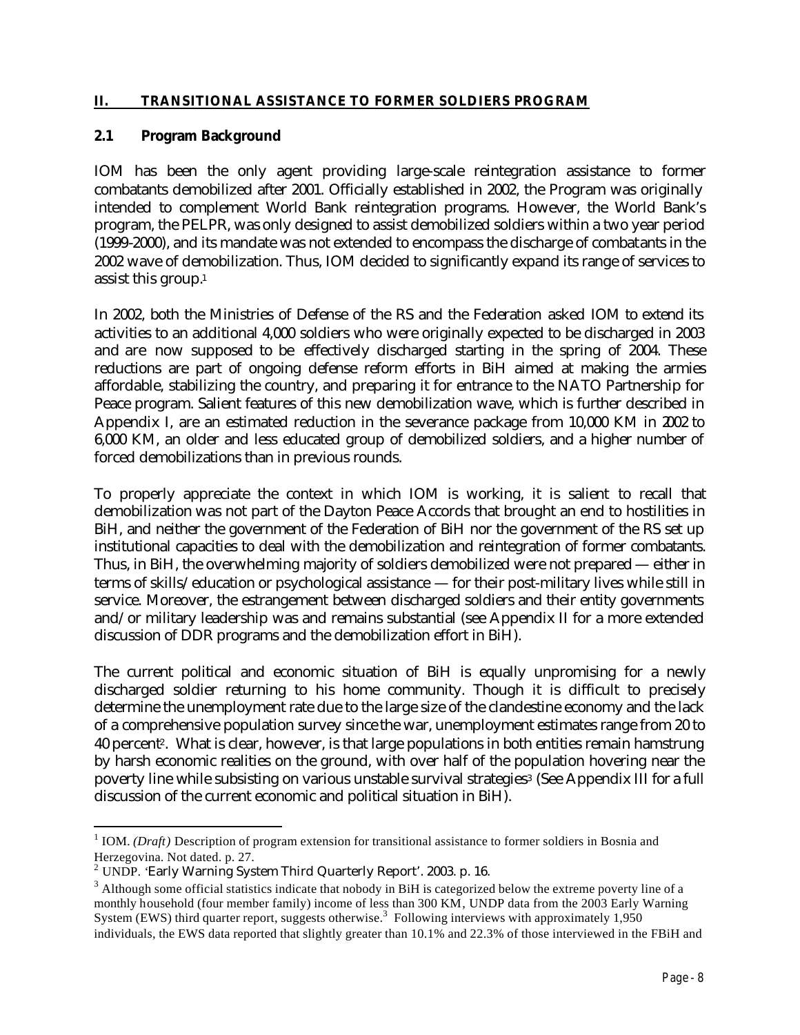#### **II. TRANSITIONAL ASSISTANCE TO FORMER SOLDIERS PROGRAM**

#### **2.1 Program Background**

IOM has been the only agent providing large-scale reintegration assistance to former combatants demobilized after 2001. Officially established in 2002, the Program was originally intended to complement World Bank reintegration programs. However, the World Bank's program, the PELPR, was only designed to assist demobilized soldiers within a two year period (1999-2000), and its mandate was not extended to encompass the discharge of combatants in the 2002 wave of demobilization. Thus, IOM decided to significantly expand its range of services to assist this group.<sup>1</sup>

In 2002, both the Ministries of Defense of the RS and the Federation asked IOM to extend its activities to an additional 4,000 soldiers who were originally expected to be discharged in 2003 and are now supposed to be effectively discharged starting in the spring of 2004. These reductions are part of ongoing defense reform efforts in BiH aimed at making the armies affordable, stabilizing the country, and preparing it for entrance to the NATO Partnership for Peace program. Salient features of this new demobilization wave, which is further described in Appendix I, are an estimated reduction in the severance package from 10,000 KM in 2002 to 6,000 KM, an older and less educated group of demobilized soldiers, and a higher number of forced demobilizations than in previous rounds.

To properly appreciate the context in which IOM is working, it is salient to recall that demobilization was not part of the Dayton Peace Accords that brought an end to hostilities in BiH, and neither the government of the Federation of BiH nor the government of the RS set up institutional capacities to deal with the demobilization and reintegration of former combatants. Thus, in BiH, the overwhelming majority of soldiers demobilized were not prepared — either in terms of skills/education or psychological assistance — for their post-military lives while still in service. Moreover, the estrangement between discharged soldiers and their entity governments and/or military leadership was and remains substantial (see Appendix II for a more extended discussion of DDR programs and the demobilization effort in BiH).

The current political and economic situation of BiH is equally unpromising for a newly discharged soldier returning to his home community. Though it is difficult to precisely determine the unemployment rate due to the large size of the clandestine economy and the lack of a comprehensive population survey since the war, unemployment estimates range from 20 to 40 percent2. What is clear, however, is that large populations in both entities remain hamstrung by harsh economic realities on the ground, with over half of the population hovering near the poverty line while subsisting on various unstable survival strategies3 (See Appendix III for a full discussion of the current economic and political situation in BiH).

<sup>&</sup>lt;sup>1</sup> IOM. *(Draft)* Description of program extension for transitional assistance to former soldiers in Bosnia and Herzegovina. Not dated. p. 27.

 $2$  UNDP. 'Early Warning System Third Quarterly Report'. 2003. p. 16.

 $3$  Although some official statistics indicate that nobody in BiH is categorized below the extreme poverty line of a monthly household (four member family) income of less than 300 KM*,* UNDP data from the 2003 Early Warning System (EWS) third quarter report, suggests otherwise.<sup>3</sup> Following interviews with approximately 1,950 individuals, the EWS data reported that slightly greater than 10.1% and 22.3% of those interviewed in the FBiH and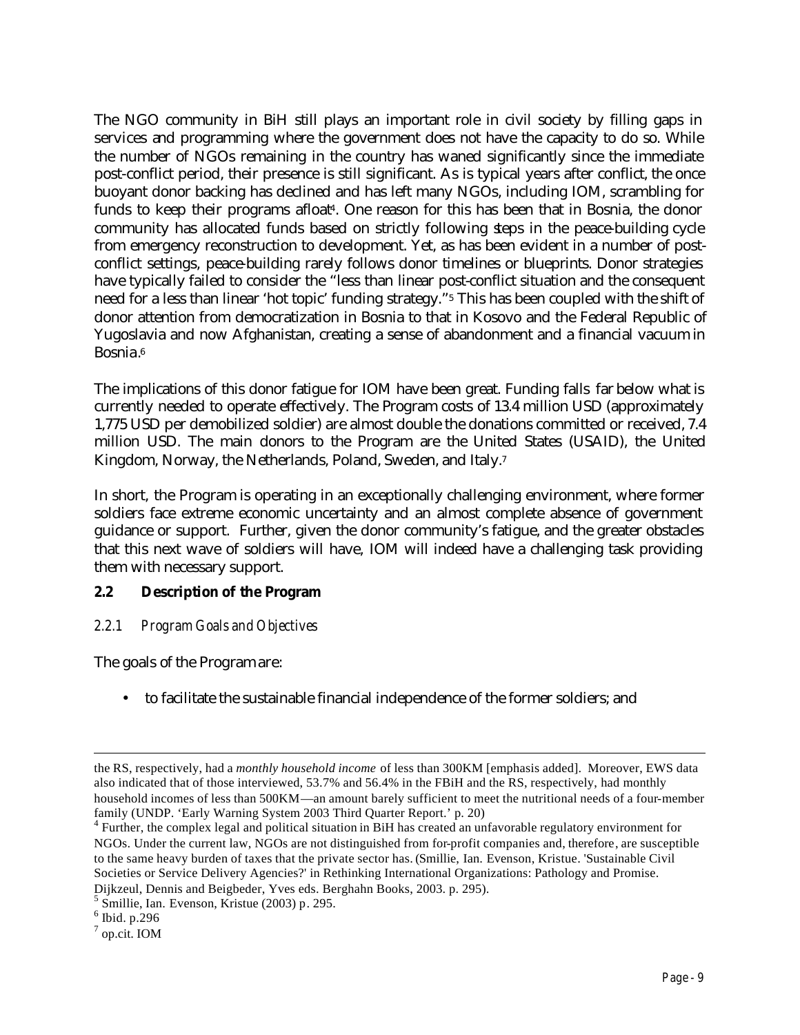The NGO community in BiH still plays an important role in civil society by filling gaps in services and programming where the government does not have the capacity to do so. While the number of NGOs remaining in the country has waned significantly since the immediate post-conflict period, their presence is still significant. As is typical years after conflict, the once buoyant donor backing has declined and has left many NGOs, including IOM, scrambling for funds to keep their programs afloat4. One reason for this has been that in Bosnia, the donor community has allocated funds based on strictly following steps in the peace-building cycle from emergency reconstruction to development. Yet, as has been evident in a number of postconflict settings, peace-building rarely follows donor timelines or blueprints. Donor strategies have typically failed to consider the "less than linear post-conflict situation and the consequent need for a less than linear 'hot topic' funding strategy."5 This has been coupled with the shift of donor attention from democratization in Bosnia to that in Kosovo and the Federal Republic of Yugoslavia and now Afghanistan, creating a sense of abandonment and a financial vacuum in Bosnia. 6

The implications of this donor fatigue for IOM have been great. Funding falls far below what is currently needed to operate effectively. The Program costs of 13.4 million USD (approximately 1,775 USD per demobilized soldier) are almost double the donations committed or received, 7.4 million USD. The main donors to the Program are the United States (USAID), the United Kingdom, Norway, the Netherlands, Poland, Sweden, and Italy.<sup>7</sup>

In short, the Program is operating in an exceptionally challenging environment, where former soldiers face extreme economic uncertainty and an almost complete absence of government guidance or support. Further, given the donor community's fatigue, and the greater obstacles that this next wave of soldiers will have, IOM will indeed have a challenging task providing them with necessary support.

## **2.2 Description of the Program**

## *2.2.1 Program Goals and Objectives*

The goals of the Program are:

• to facilitate the sustainable financial independence of the former soldiers; and

the RS, respectively, had a *monthly household income* of less than 300KM [emphasis added]. Moreover, EWS data also indicated that of those interviewed, 53.7% and 56.4% in the FBiH and the RS, respectively, had monthly household incomes of less than 500KM—an amount barely sufficient to meet the nutritional needs of a four-member family (UNDP. 'Early Warning System 2003 Third Quarter Report.' p. 20)

<sup>&</sup>lt;sup>4</sup> Further, the complex legal and political situation in BiH has created an unfavorable regulatory environment for NGOs. Under the current law, NGOs are not distinguished from for-profit companies and, therefore, are susceptible to the same heavy burden of taxes that the private sector has. (Smillie, Ian. Evenson, Kristue. 'Sustainable Civil Societies or Service Delivery Agencies?' in Rethinking International Organizations: Pathology and Promise. Dijkzeul, Dennis and Beigbeder, Yves eds. Berghahn Books, 2003. p. 295).

<sup>5</sup> Smillie, Ian. Evenson, Kristue (2003) p. 295.

 $<sup>6</sup>$  Ibid. p.296</sup>

<sup>7</sup> op.cit. IOM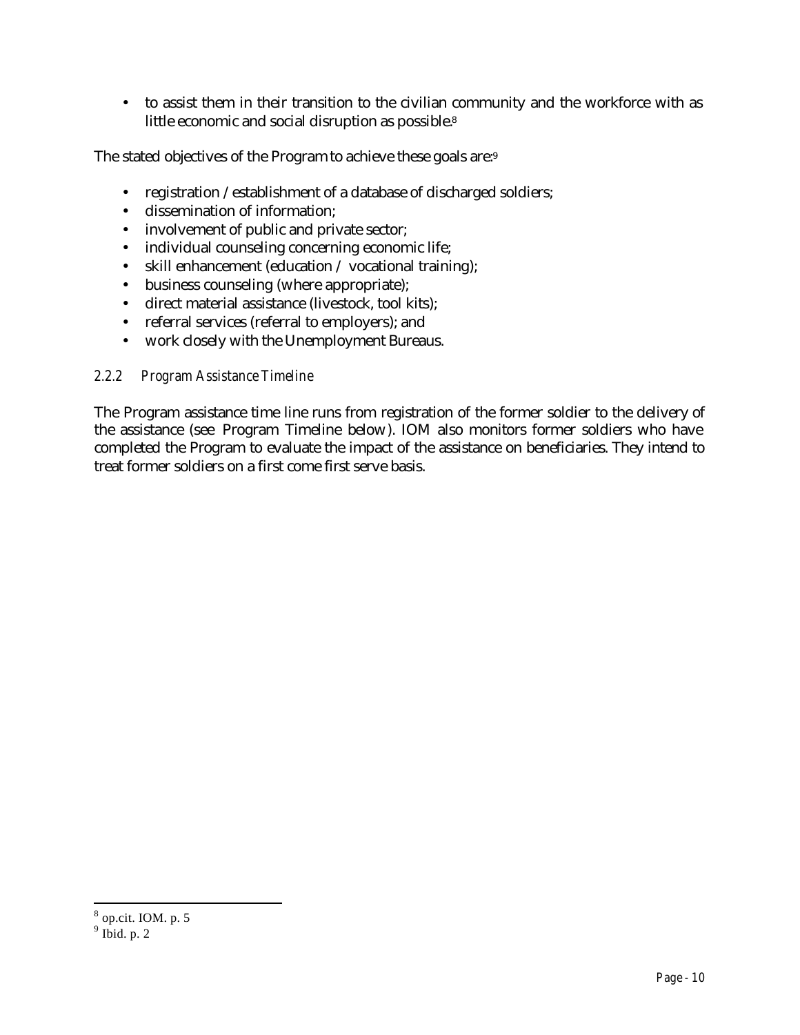• to assist them in their transition to the civilian community and the workforce with as little economic and social disruption as possible.<sup>8</sup>

The stated objectives of the Program to achieve these goals are:<sup>9</sup>

- registration / establishment of a database of discharged soldiers;
- dissemination of information;
- involvement of public and private sector;
- individual counseling concerning economic life;
- skill enhancement (education / vocational training);
- business counseling (where appropriate);
- direct material assistance (livestock, tool kits);
- referral services (referral to employers); and
- work closely with the Unemployment Bureaus.

## *2.2.2 Program Assistance Timeline*

The Program assistance time line runs from registration of the former soldier to the delivery of the assistance (see Program Timeline below). IOM also monitors former soldiers who have completed the Program to evaluate the impact of the assistance on beneficiaries. They intend to treat former soldiers on a first come first serve basis.

<sup>8</sup> op.cit. IOM. p. 5

 $9$  Ibid. p. 2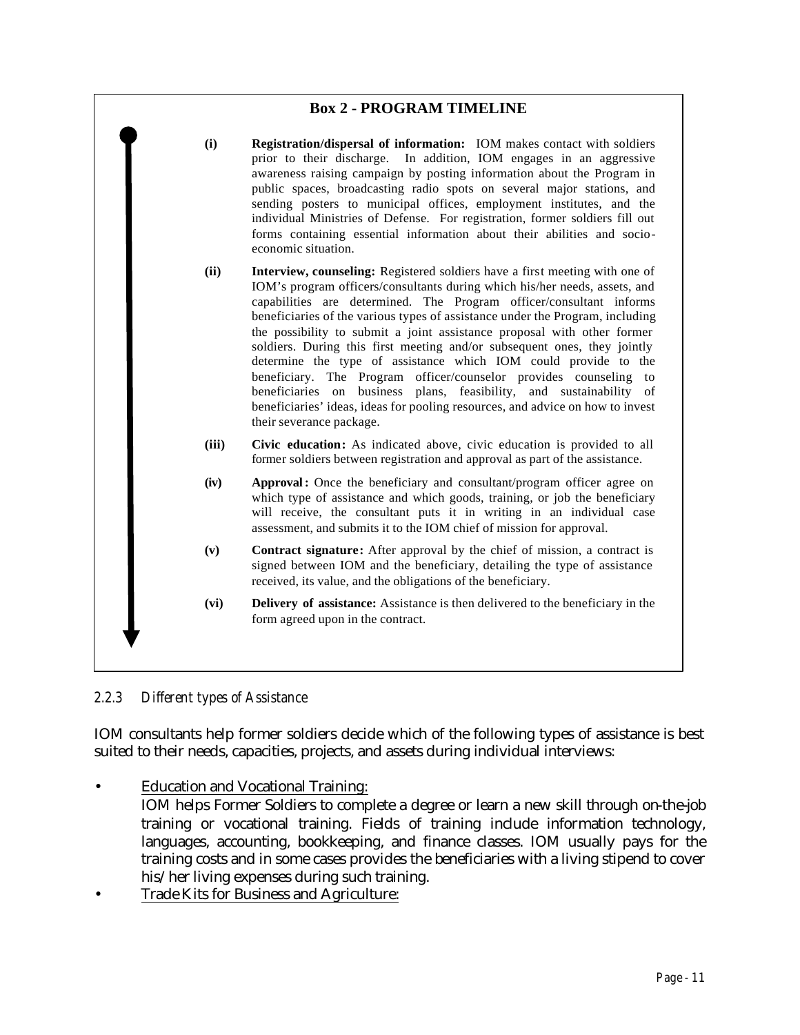## **Box 2 - PROGRAM TIMELINE**



*2.2.3 Different types of Assistance*

IOM consultants help former soldiers decide which of the following types of assistance is best suited to their needs, capacities, projects, and assets during individual interviews:

• Education and Vocational Training:

IOM helps Former Soldiers to complete a degree or learn a new skill through on-the-job training or vocational training. Fields of training include information technology, languages, accounting, bookkeeping, and finance classes. IOM usually pays for the training costs and in some cases provides the beneficiaries with a living stipend to cover his/her living expenses during such training.

• Trade Kits for Business and Agriculture: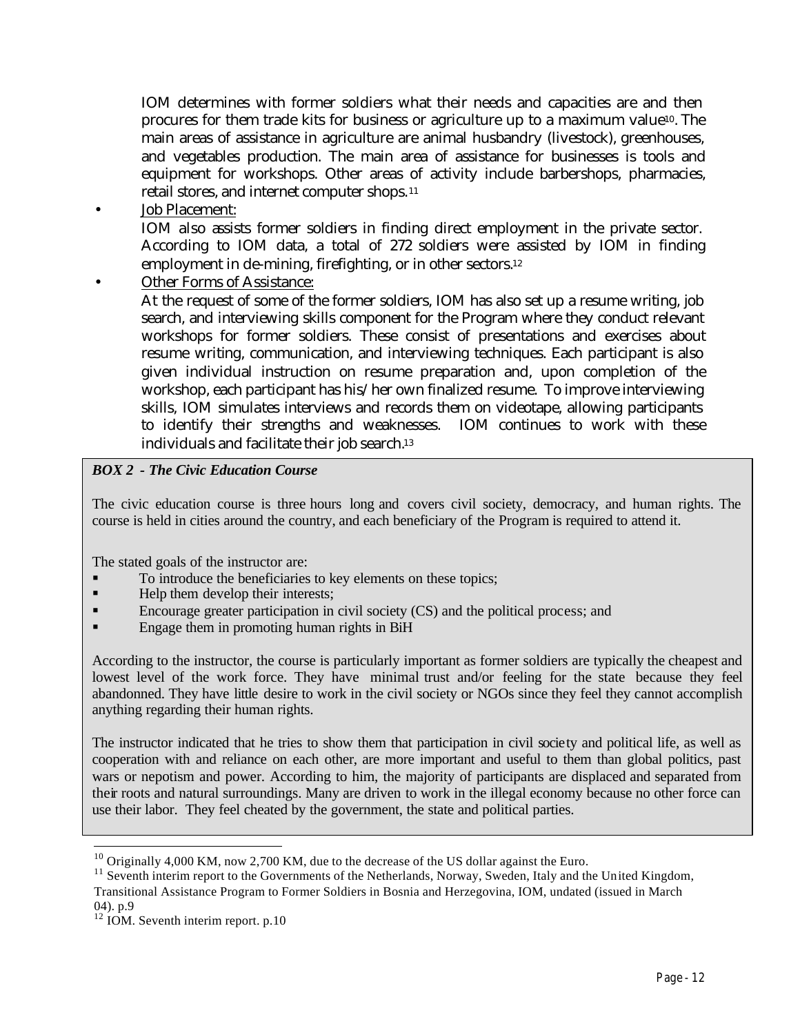IOM determines with former soldiers what their needs and capacities are and then procures for them trade kits for business or agriculture up to a maximum value10. The main areas of assistance in agriculture are animal husbandry (livestock), greenhouses, and vegetables production. The main area of assistance for businesses is tools and equipment for workshops. Other areas of activity include barbershops, pharmacies, retail stores, and internet computer shops.<sup>11</sup>

• Job Placement:

IOM also assists former soldiers in finding direct employment in the private sector. According to IOM data, a total of 272 soldiers were assisted by IOM in finding employment in de-mining, firefighting, or in other sectors. 12

Other Forms of Assistance:

At the request of some of the former soldiers, IOM has also set up a resume writing, job search, and interviewing skills component for the Program where they conduct relevant workshops for former soldiers. These consist of presentations and exercises about resume writing, communication, and interviewing techniques. Each participant is also given individual instruction on resume preparation and, upon completion of the workshop, each participant has his/her own finalized resume. To improve interviewing skills, IOM simulates interviews and records them on videotape, allowing participants to identify their strengths and weaknesses. IOM continues to work with these individuals and facilitate their job search.<sup>13</sup>

### *BOX 2 - The Civic Education Course*

The civic education course is three hours long and covers civil society, democracy, and human rights. The course is held in cities around the country, and each beneficiary of the Program is required to attend it.

The stated goals of the instructor are:

- ß To introduce the beneficiaries to key elements on these topics;
- Help them develop their interests;
- ß Encourage greater participation in civil society (CS) and the political process; and
- **Engage them in promoting human rights in BiH**

According to the instructor, the course is particularly important as former soldiers are typically the cheapest and lowest level of the work force. They have minimal trust and/or feeling for the state because they feel abandonned. They have little desire to work in the civil society or NGOs since they feel they cannot accomplish anything regarding their human rights.

The instructor indicated that he tries to show them that participation in civil society and political life, as well as cooperation with and reliance on each other, are more important and useful to them than global politics, past wars or nepotism and power. According to him, the majority of participants are displaced and separated from their roots and natural surroundings. Many are driven to work in the illegal economy because no other force can use their labor. They feel cheated by the government, the state and political parties.

 $10$  Originally 4,000 KM, now 2,700 KM, due to the decrease of the US dollar against the Euro.

<sup>&</sup>lt;sup>11</sup> Seventh interim report to the Governments of the Netherlands, Norway, Sweden, Italy and the United Kingdom, Transitional Assistance Program to Former Soldiers in Bosnia and Herzegovina, IOM, undated (issued in March 04). p.9

 $12$  IOM. Seventh interim report. p.10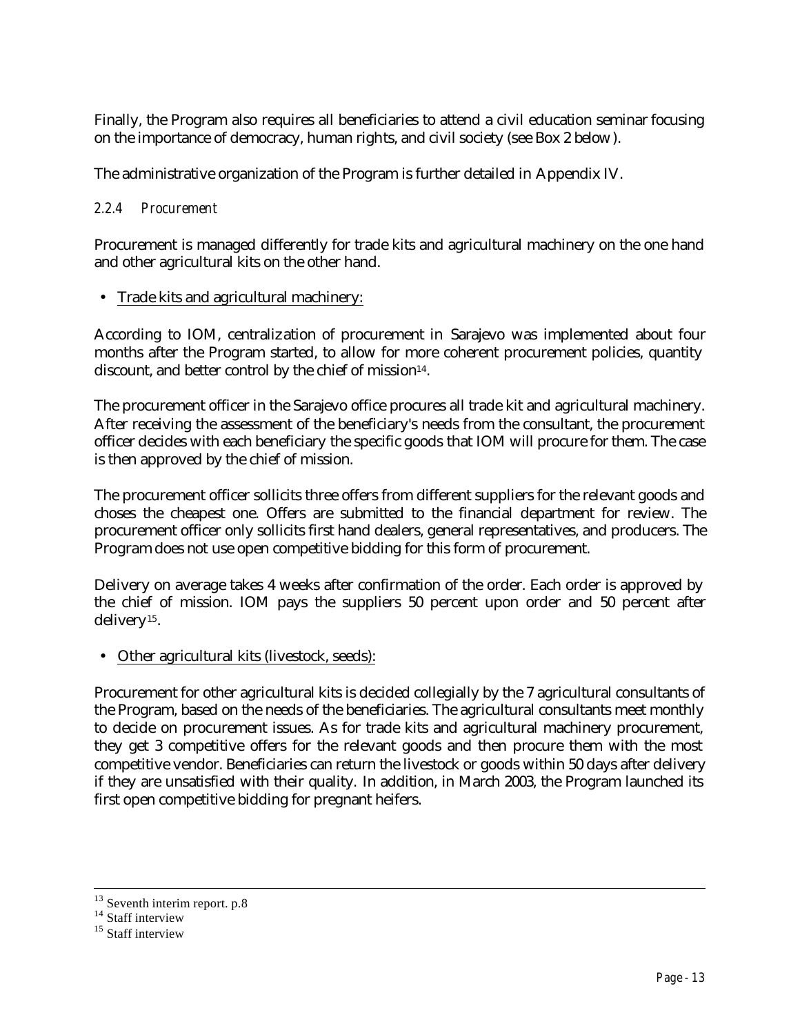Finally, the Program also requires all beneficiaries to attend a civil education seminar focusing on the importance of democracy, human rights, and civil society (see Box 2 below).

The administrative organization of the Program is further detailed in Appendix IV.

## *2.2.4 Procurement*

Procurement is managed differently for trade kits and agricultural machinery on the one hand and other agricultural kits on the other hand.

• Trade kits and agricultural machinery:

According to IOM, centralization of procurement in Sarajevo was implemented about four months after the Program started, to allow for more coherent procurement policies, quantity discount, and better control by the chief of mission<sup>14</sup>.

The procurement officer in the Sarajevo office procures all trade kit and agricultural machinery. After receiving the assessment of the beneficiary's needs from the consultant, the procurement officer decides with each beneficiary the specific goods that IOM will procure for them. The case is then approved by the chief of mission.

The procurement officer sollicits three offers from different suppliers for the relevant goods and choses the cheapest one. Offers are submitted to the financial department for review. The procurement officer only sollicits first hand dealers, general representatives, and producers. The Program does not use open competitive bidding for this form of procurement.

Delivery on average takes 4 weeks after confirmation of the order. Each order is approved by the chief of mission. IOM pays the suppliers 50 percent upon order and 50 percent after delivery15.

• Other agricultural kits (livestock, seeds):

Procurement for other agricultural kits is decided collegially by the 7 agricultural consultants of the Program, based on the needs of the beneficiaries. The agricultural consultants meet monthly to decide on procurement issues. As for trade kits and agricultural machinery procurement, they get 3 competitive offers for the relevant goods and then procure them with the most competitive vendor. Beneficiaries can return the livestock or goods within 50 days after delivery if they are unsatisfied with their quality. In addition, in March 2003, the Program launched its first open competitive bidding for pregnant heifers.

 $13$  Seventh interim report. p.8

 $14$  Staff interview

<sup>&</sup>lt;sup>15</sup> Staff interview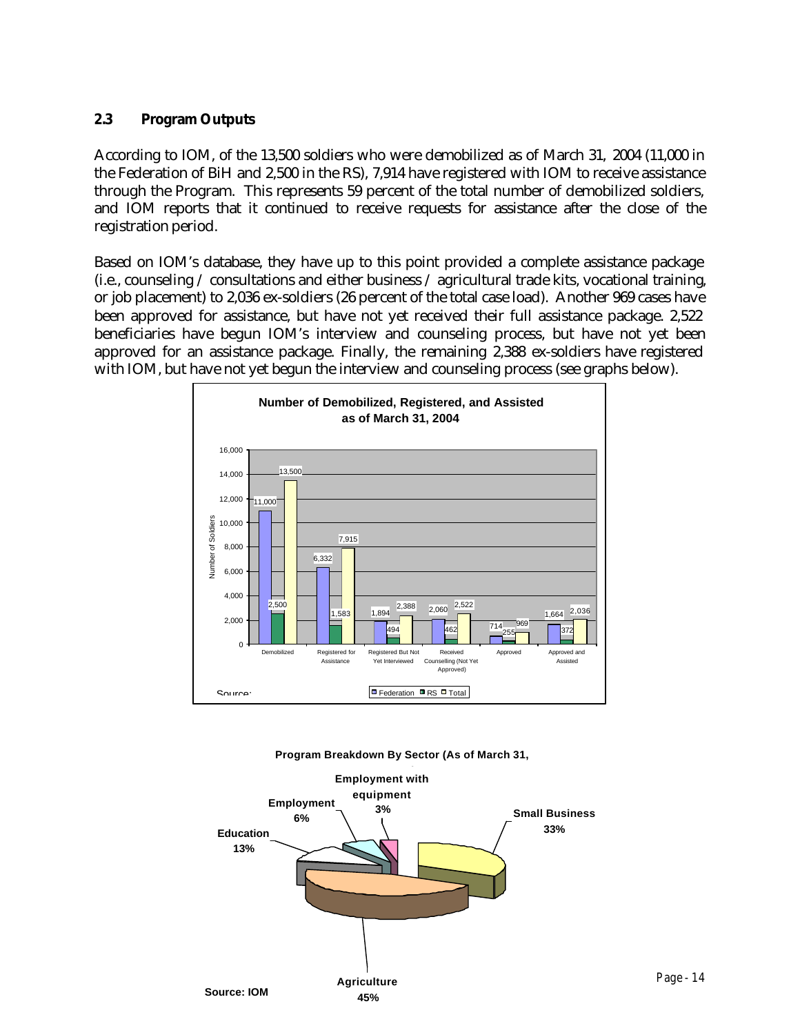## **2.3 Program Outputs**

According to IOM, of the 13,500 soldiers who were demobilized as of March 31, 2004 (11,000 in the Federation of BiH and 2,500 in the RS), 7,914 have registered with IOM to receive assistance through the Program. This represents 59 percent of the total number of demobilized soldiers, and IOM reports that it continued to receive requests for assistance after the close of the registration period.

Based on IOM's database, they have up to this point provided a complete assistance package (i.e., counseling / consultations and either business / agricultural trade kits, vocational training, or job placement) to 2,036 ex-soldiers (26 percent of the total case load). Another 969 cases have been approved for assistance, but have not yet received their full assistance package. 2,522 beneficiaries have begun IOM's interview and counseling process, but have not yet been approved for an assistance package. Finally, the remaining 2,388 ex-soldiers have registered with IOM, but have not yet begun the interview and counseling process (see graphs below).



**Program Breakdown By Sector (As of March 31,** 

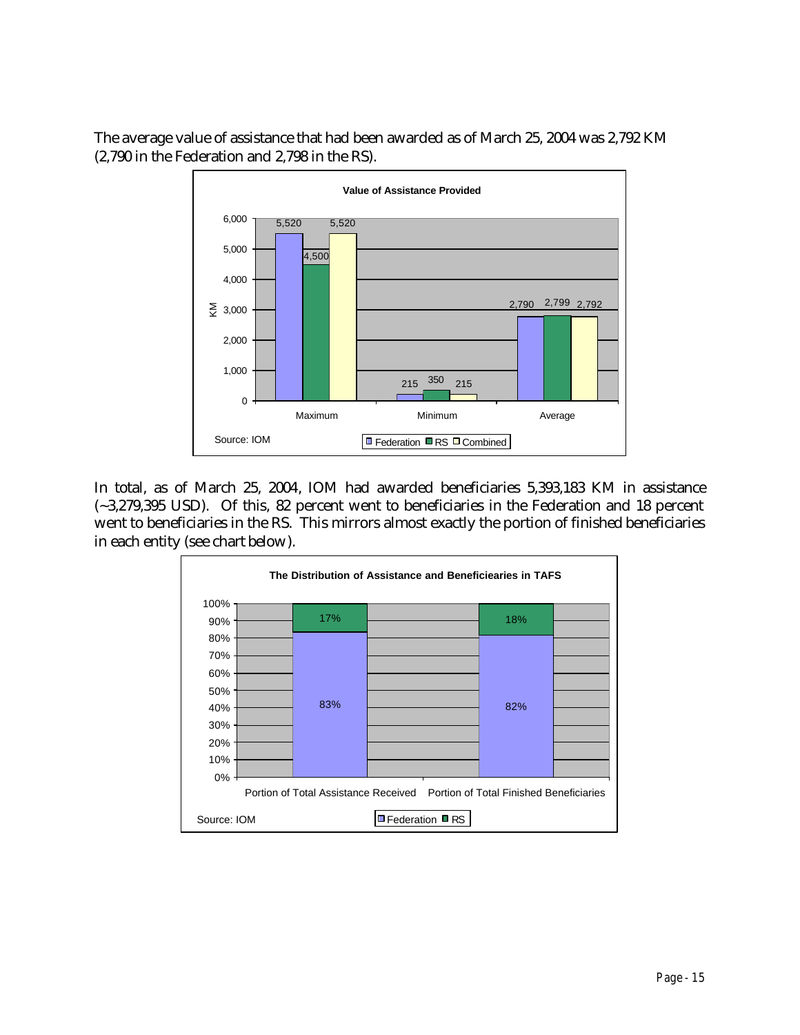The average value of assistance that had been awarded as of March 25, 2004 was 2,792 KM (2,790 in the Federation and 2,798 in the RS).



In total, as of March 25, 2004, IOM had awarded beneficiaries 5,393,183 KM in assistance (~3,279,395 USD). Of this, 82 percent went to beneficiaries in the Federation and 18 percent went to beneficiaries in the RS. This mirrors almost exactly the portion of finished beneficiaries in each entity (see chart below).

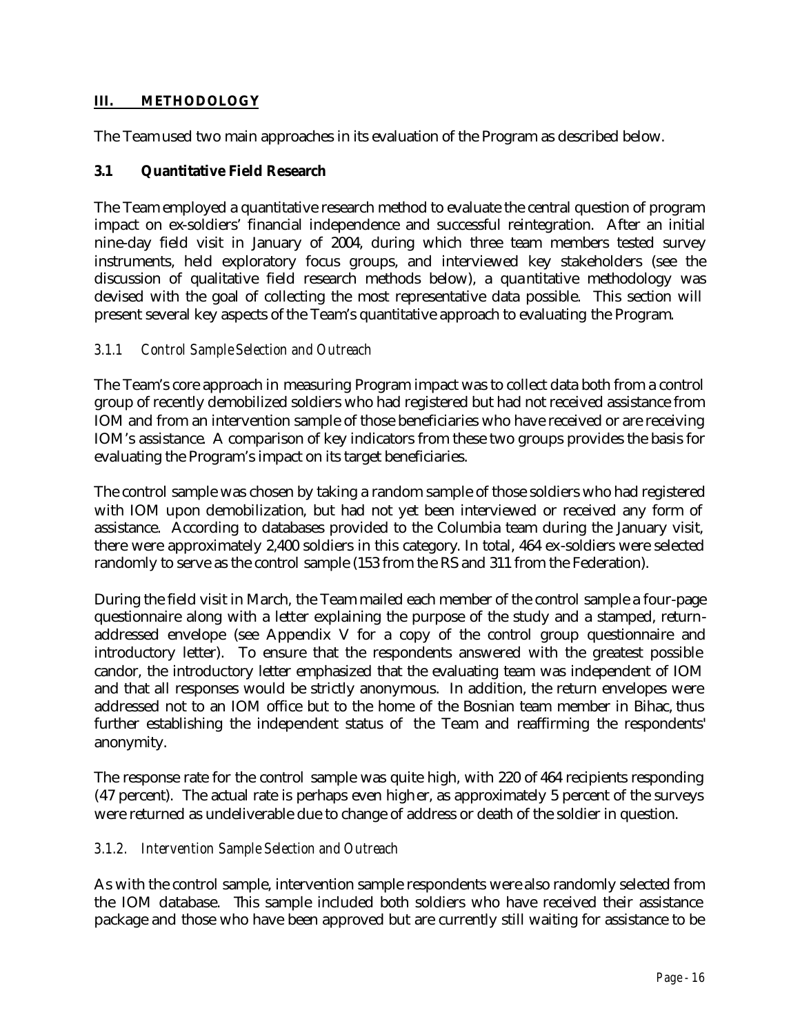## **III. METHODOLOGY**

The Team used two main approaches in its evaluation of the Program as described below.

## **3.1 Quantitative Field Research**

The Team employed a quantitative research method to evaluate the central question of program impact on ex-soldiers' financial independence and successful reintegration. After an initial nine-day field visit in January of 2004, during which three team members tested survey instruments, held exploratory focus groups, and interviewed key stakeholders (see the discussion of qualitative field research methods below), a quantitative methodology was devised with the goal of collecting the most representative data possible. This section will present several key aspects of the Team's quantitative approach to evaluating the Program.

### *3.1.1 Control Sample Selection and Outreach*

The Team's core approach in measuring Program impact was to collect data both from a control group of recently demobilized soldiers who had registered but had not received assistance from IOM and from an intervention sample of those beneficiaries who have received or are receiving IOM's assistance. A comparison of key indicators from these two groups provides the basis for evaluating the Program's impact on its target beneficiaries.

The control sample was chosen by taking a random sample of those soldiers who had registered with IOM upon demobilization, but had not yet been interviewed or received any form of assistance. According to databases provided to the Columbia team during the January visit, there were approximately 2,400 soldiers in this category. In total, 464 ex-soldiers were selected randomly to serve as the control sample (153 from the RS and 311 from the Federation).

During the field visit in March, the Team mailed each member of the control sample a four-page questionnaire along with a letter explaining the purpose of the study and a stamped, returnaddressed envelope (see Appendix V for a copy of the control group questionnaire and introductory letter). To ensure that the respondents answered with the greatest possible candor, the introductory letter emphasized that the evaluating team was independent of IOM and that all responses would be strictly anonymous. In addition, the return envelopes were addressed not to an IOM office but to the home of the Bosnian team member in Bihac, thus further establishing the independent status of the Team and reaffirming the respondents' anonymity.

The response rate for the control sample was quite high, with 220 of 464 recipients responding (47 percent). The actual rate is perhaps even higher, as approximately 5 percent of the surveys were returned as undeliverable due to change of address or death of the soldier in question.

### *3.1.2. Intervention Sample Selection and Outreach*

As with the control sample, intervention sample respondents were also randomly selected from the IOM database. This sample included both soldiers who have received their assistance package and those who have been approved but are currently still waiting for assistance to be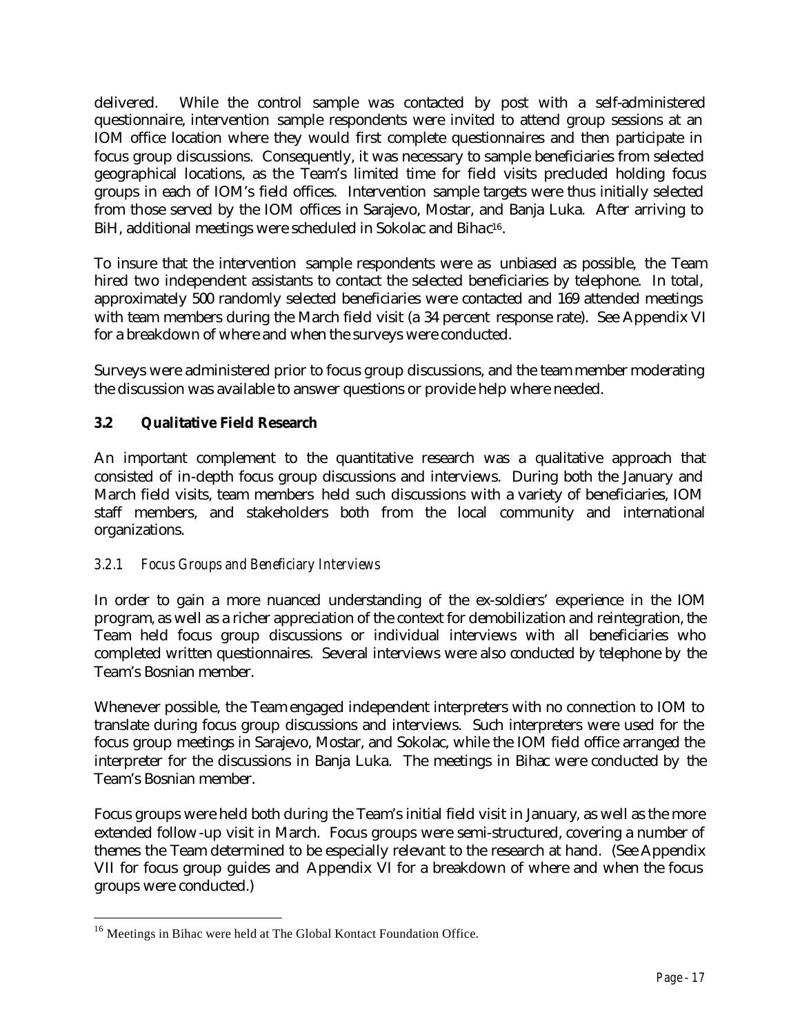delivered. While the control sample was contacted by post with a self-administered questionnaire, intervention sample respondents were invited to attend group sessions at an IOM office location where they would first complete questionnaires and then participate in focus group discussions. Consequently, it was necessary to sample beneficiaries from selected geographical locations, as the Team's limited time for field visits precluded holding focus groups in each of IOM's field offices. Intervention sample targets were thus initially selected from those served by the IOM offices in Sarajevo, Mostar, and Banja Luka. After arriving to BiH, additional meetings were scheduled in Sokolac and Bihac<sup>16</sup>.

To insure that the intervention sample respondents were as unbiased as possible, the Team hired two independent assistants to contact the selected beneficiaries by telephone. In total, approximately 500 randomly selected beneficiaries were contacted and 169 attended meetings with team members during the March field visit (a 34 percent response rate). See Appendix VI for a breakdown of where and when the surveys were conducted.

Surveys were administered prior to focus group discussions, and the team member moderating the discussion was available to answer questions or provide help where needed.

## **3.2 Qualitative Field Research**

An important complement to the quantitative research was a qualitative approach that consisted of in-depth focus group discussions and interviews. During both the January and March field visits, team members held such discussions with a variety of beneficiaries, IOM staff members, and stakeholders both from the local community and international organizations.

## *3.2.1 Focus Groups and Beneficiary Interviews*

In order to gain a more nuanced understanding of the ex-soldiers' experience in the IOM program, as well as a richer appreciation of the context for demobilization and reintegration, the Team held focus group discussions or individual interviews with all beneficiaries who completed written questionnaires. Several interviews were also conducted by telephone by the Team's Bosnian member.

Whenever possible, the Team engaged independent interpreters with no connection to IOM to translate during focus group discussions and interviews. Such interpreters were used for the focus group meetings in Sarajevo, Mostar, and Sokolac, while the IOM field office arranged the interpreter for the discussions in Banja Luka. The meetings in Bihac were conducted by the Team's Bosnian member.

Focus groups were held both during the Team's initial field visit in January, as well as the more extended follow-up visit in March. Focus groups were semi-structured, covering a number of themes the Team determined to be especially relevant to the research at hand. (See Appendix VII for focus group guides and Appendix VI for a breakdown of where and when the focus groups were conducted.)

<sup>&</sup>lt;sup>16</sup> Meetings in Bihac were held at The Global Kontact Foundation Office.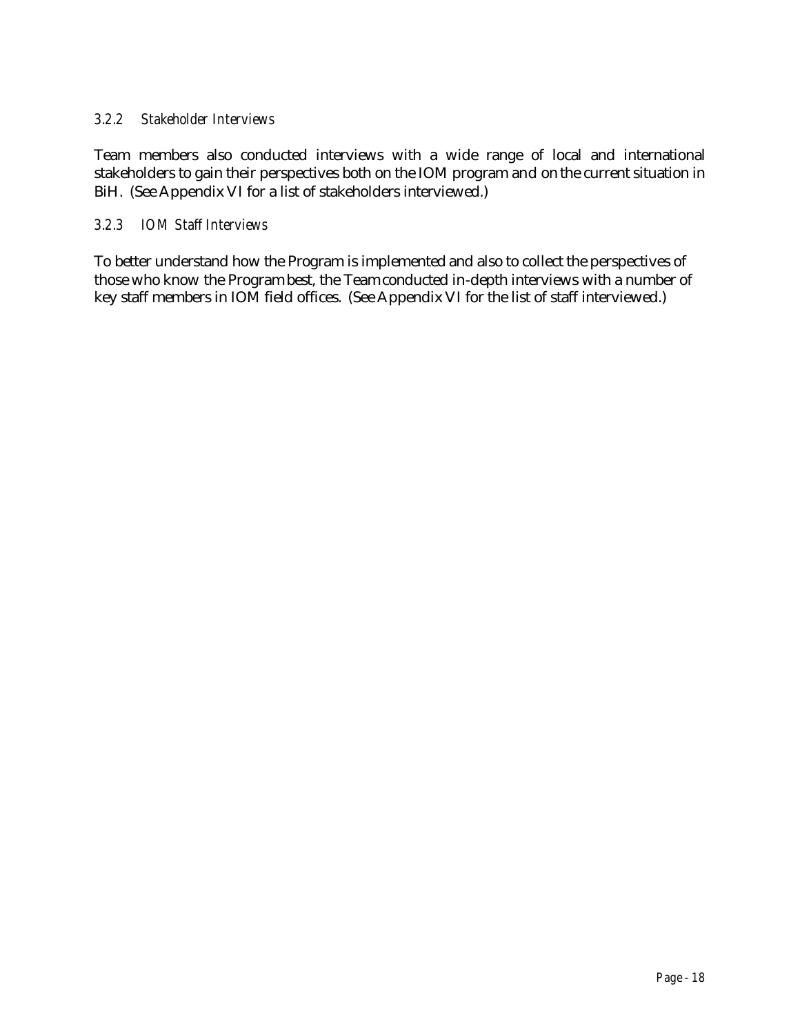## *3.2.2 Stakeholder Interviews*

Team members also conducted interviews with a wide range of local and international stakeholders to gain their perspectives both on the IOM program and on the current situation in BiH. (See Appendix VI for a list of stakeholders interviewed.)

## *3.2.3 IOM Staff Interviews*

To better understand how the Program is implemented and also to collect the perspectives of those who know the Program best, the Team conducted in-depth interviews with a number of key staff members in IOM field offices. (See Appendix VI for the list of staff interviewed.)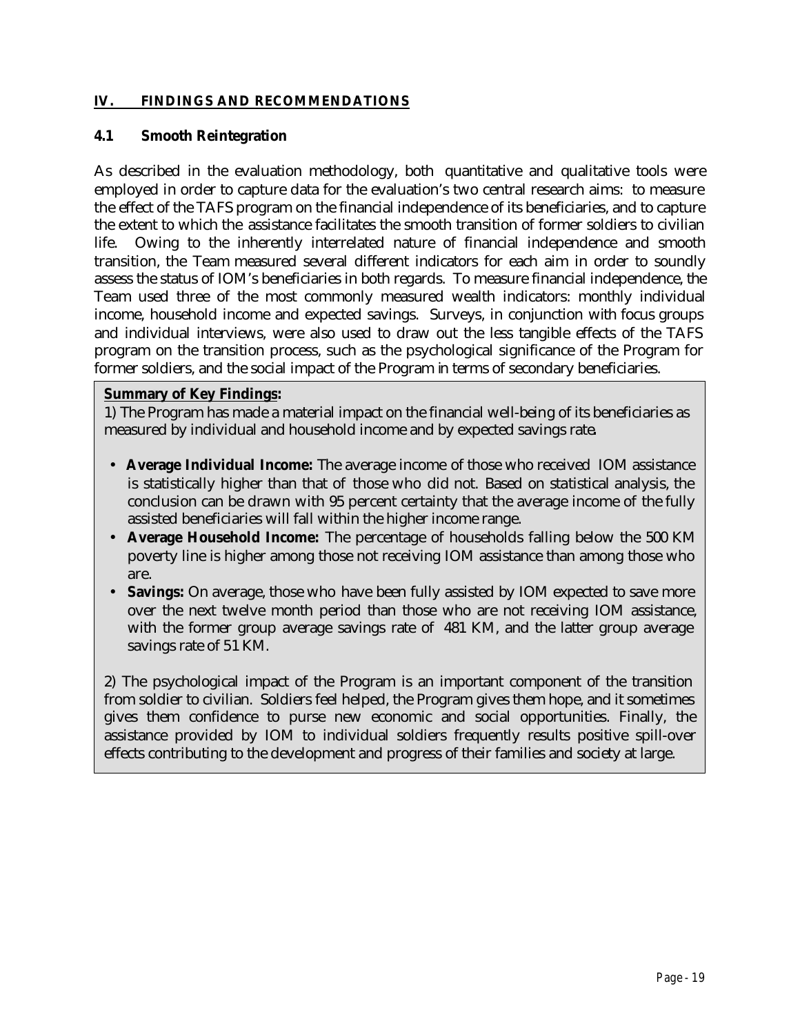### **IV. FINDINGS AND RECOMMENDATIONS**

#### **4.1 Smooth Reintegration**

As described in the evaluation methodology, both quantitative and qualitative tools were employed in order to capture data for the evaluation's two central research aims: to measure the effect of the TAFS program on the financial independence of its beneficiaries, and to capture the extent to which the assistance facilitates the smooth transition of former soldiers to civilian life. Owing to the inherently interrelated nature of financial independence and smooth transition, the Team measured several different indicators for each aim in order to soundly assess the status of IOM's beneficiaries in both regards. To measure financial independence, the Team used three of the most commonly measured wealth indicators: monthly individual income, household income and expected savings. Surveys, in conjunction with focus groups and individual interviews, were also used to draw out the less tangible effects of the TAFS program on the transition process, such as the psychological significance of the Program for former soldiers, and the social impact of the Program in terms of secondary beneficiaries.

#### **Summary of Key Findings:**

1) The Program has made a material impact on the financial well-being of its beneficiaries as measured by individual and household income and by expected savings rate*.*

- • **Average Individual Income:** The average income of those who received IOM assistance is statistically higher than that of those who did not. Based on statistical analysis, the conclusion can be drawn with 95 percent certainty that the average income of the fully assisted beneficiaries will fall within the higher income range.
- **Average Household Income:** The percentage of households falling below the 500 KM poverty line is higher among those not receiving IOM assistance than among those who are.
- **Savings:** On average, those who have been fully assisted by IOM expected to save more over the next twelve month period than those who are not receiving IOM assistance, with the former group average savings rate of 481 KM, and the latter group average savings rate of 51 KM.

2) The psychological impact of the Program is an important component of the transition from soldier to civilian. Soldiers feel helped, the Program gives them hope, and it sometimes gives them confidence to purse new economic and social opportunities. Finally, the assistance provided by IOM to individual soldiers frequently results positive spill-over effects contributing to the development and progress of their families and society at large.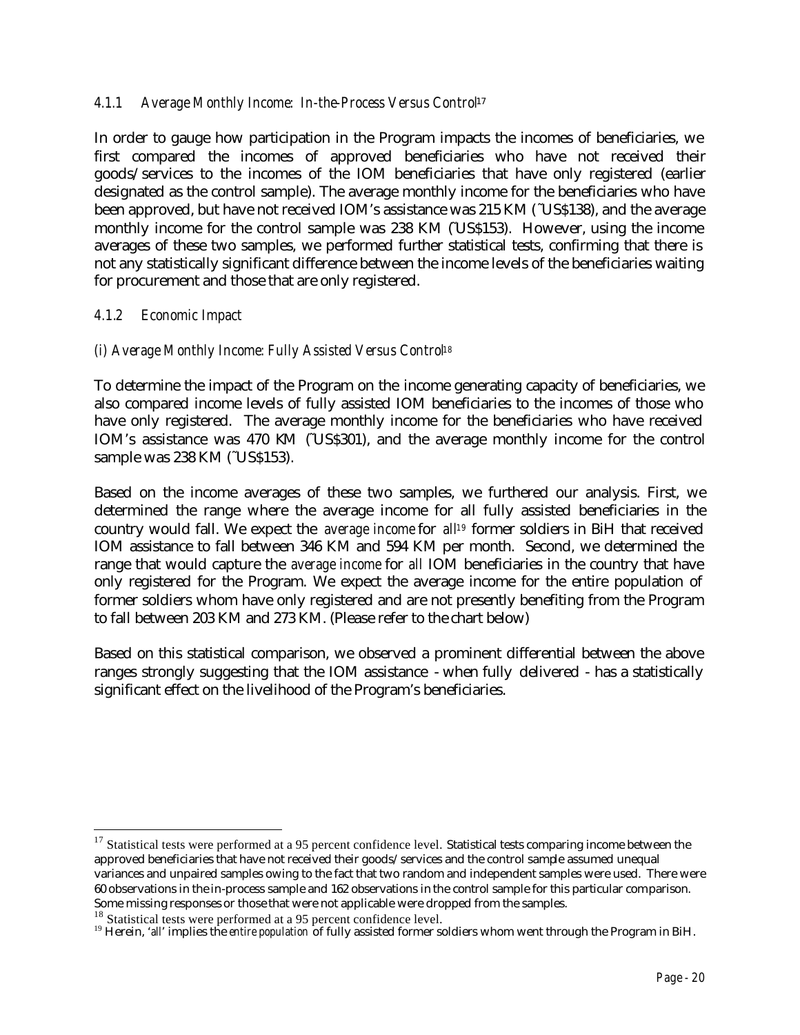### *4.1.1 Average Monthly Income: In-the-Process Versus Control*<sup>17</sup>

In order to gauge how participation in the Program impacts the incomes of beneficiaries, we first compared the incomes of approved beneficiaries who have not received their goods/services to the incomes of the IOM beneficiaries that have only registered (earlier designated as the control sample). The average monthly income for the beneficiaries who have been approved, but have not received IOM's assistance was 215 KM (˜US\$138), and the average monthly income for the control sample was 238 KM (US\$153). However, using the income averages of these two samples, we performed further statistical tests, confirming that there is not any statistically significant difference between the income levels of the beneficiaries waiting for procurement and those that are only registered.

#### *4.1.2 Economic Impact*

 $\overline{a}$ 

### *(i) Average Monthly Income: Fully Assisted Versus Control<sup>18</sup>*

To determine the impact of the Program on the income generating capacity of beneficiaries, we also compared income levels of fully assisted IOM beneficiaries to the incomes of those who have only registered. The average monthly income for the beneficiaries who have received IOM's assistance was 470 KM (°US\$301), and the average monthly income for the control sample was 238 KM (~US\$153).

Based on the income averages of these two samples, we furthered our analysis. First, we determined the range where the average income for all fully assisted beneficiaries in the country would fall. We expect the *average income* for *all19* former soldiers in BiH that received IOM assistance to fall between 346 KM and 594 KM per month. Second, we determined the range that would capture the *average income* for *all* IOM beneficiaries in the country that have only registered for the Program. We expect the average income for the entire population of former soldiers whom have only registered and are not presently benefiting from the Program to fall between 203 KM and 273 KM. (Please refer to the chart below)

Based on this statistical comparison, we observed a prominent differential between the above ranges strongly suggesting that the IOM assistance - when fully delivered - has a statistically significant effect on the livelihood of the Program's beneficiaries.

<sup>&</sup>lt;sup>17</sup> Statistical tests were performed at a 95 percent confidence level. Statistical tests comparing income between the approved beneficiaries that have not received their goods/services and the control sample assumed unequal variances and unpaired samples owing to the fact that two random and independent samples were used. There were 60 observations in the in-process sample and 162 observations in the control sample for this particular comparison. Some missing responses or those that were not applicable were dropped from the samples.

<sup>&</sup>lt;sup>18</sup> Statistical tests were performed at a 95 percent confidence level.

<sup>19</sup> Herein, '*all*' implies the *entire population* of fully assisted former soldiers whom went through the Program in BiH.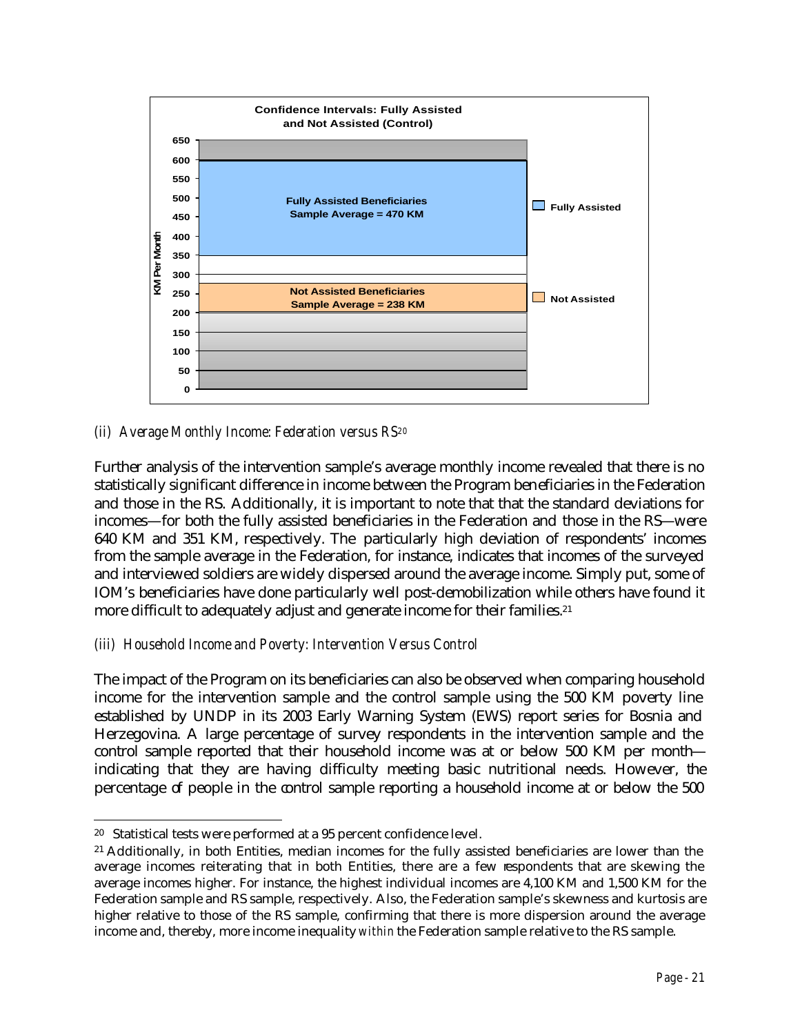

## *(ii) Average Monthly Income: Federation versus RS<sup>20</sup>*

Further analysis of the intervention sample's average monthly income revealed that there is no statistically significant difference in income between the Program beneficiaries in the Federation and those in the RS. Additionally, it is important to note that that the standard deviations for incomes—for both the fully assisted beneficiaries in the Federation and those in the RS—were 640 KM and 351 KM, respectively. The particularly high deviation of respondents' incomes from the sample average in the Federation, for instance, indicates that incomes of the surveyed and interviewed soldiers are widely dispersed around the average income. Simply put, some of IOM's beneficiaries have done particularly well post-demobilization while others have found it more difficult to adequately adjust and generate income for their families.<sup>21</sup>

## *(iii) Household Income and Poverty: Intervention Versus Control*

The impact of the Program on its beneficiaries can also be observed when comparing household income for the intervention sample and the control sample using the 500 KM poverty line established by UNDP in its 2003 Early Warning System (EWS) report series for Bosnia and Herzegovina. A large percentage of survey respondents in the intervention sample and the control sample reported that their household income was at or below 500 KM per month indicating that they are having difficulty meeting basic nutritional needs. However, the percentage of people in the control sample reporting a household income at or below the 500

 $\overline{a}$ <sup>20</sup> Statistical tests were performed at a 95 percent confidence level.

<sup>21</sup> Additionally, in both Entities, median incomes for the fully assisted beneficiaries are lower than the average incomes reiterating that in both Entities, there are a few respondents that are skewing the average incomes higher. For instance, the highest individual incomes are 4,100 KM and 1,500 KM for the Federation sample and RS sample, respectively. Also, the Federation sample's skewness and kurtosis are higher relative to those of the RS sample, confirming that there is more dispersion around the average income and, thereby, more income inequality *within* the Federation sample relative to the RS sample.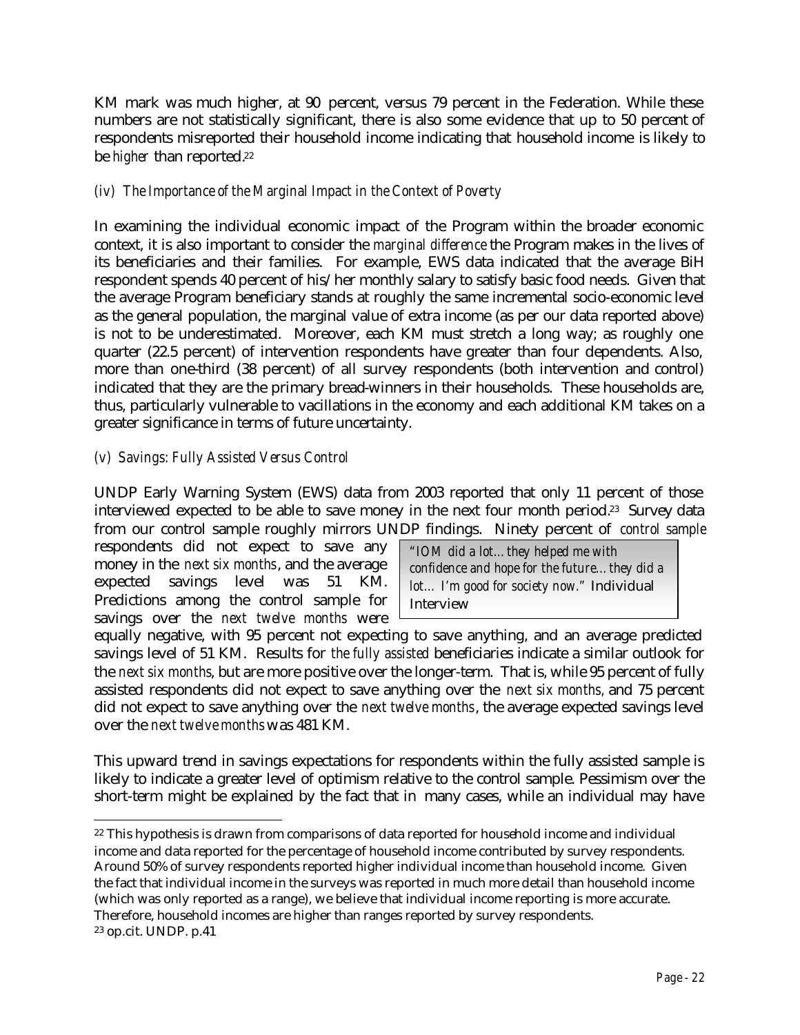KM mark was much higher, at 90 percent, versus 79 percent in the Federation. While these numbers are not statistically significant, there is also some evidence that up to 50 percent of respondents misreported their household income indicating that household income is likely to be *higher* than reported.<sup>22</sup>

## *(iv) The Importance of the Marginal Impact in the Context of Poverty*

In examining the individual economic impact of the Program within the broader economic context, it is also important to consider the *marginal difference* the Program makes in the lives of its beneficiaries and their families. For example, EWS data indicated that the average BiH respondent spends 40 percent of his/her monthly salary to satisfy basic food needs. Given that the average Program beneficiary stands at roughly the same incremental socio-economic level as the general population, the marginal value of extra income (as per our data reported above) is not to be underestimated. Moreover, each KM must stretch a long way; as roughly one quarter (22.5 percent) of intervention respondents have greater than four dependents. Also, more than one-third (38 percent) of all survey respondents (both intervention and control) indicated that they are the primary bread-winners in their households. These households are, thus, particularly vulnerable to vacillations in the economy and each additional KM takes on a greater significance in terms of future uncertainty.

## *(v) Savings: Fully Assisted Versus Control*

UNDP Early Warning System (EWS) data from 2003 reported that only 11 percent of those interviewed expected to be able to save money in the next four month period.23 Survey data from our control sample roughly mirrors UNDP findings. Ninety percent of *control sample*

respondents did not expect to save any money in the *next six months*, and the average expected savings level was 51 KM. Predictions among the control sample for savings over the *next twelve months* were

*"IOM did a lot…they helped me with confidence and hope for the future…they did a lot… I'm good for society now."* Individual Interview

equally negative, with 95 percent not expecting to save anything, and an average predicted savings level of 51 KM. Results for *the fully assisted* beneficiaries indicate a similar outlook for the *next six months*, but are more positive over the longer-term. That is, while 95 percent of fully assisted respondents did not expect to save anything over the *next six months,* and 75 percent did not expect to save anything over the *next twelve months*, the average expected savings level over the *next twelve months* was 481 KM.

This upward trend in savings expectations for respondents within the fully assisted sample is likely to indicate a greater level of optimism relative to the control sample. Pessimism over the short-term might be explained by the fact that in many cases, while an individual may have

 $\overline{a}$ <sup>22</sup> This hypothesis is drawn from comparisons of data reported for household income and individual income and data reported for the percentage of household income contributed by survey respondents. Around 50% of survey respondents reported higher individual income than household income. Given the fact that individual income in the surveys was reported in much more detail than household income (which was only reported as a range), we believe that individual income reporting is more accurate. Therefore, household incomes are higher than ranges reported by survey respondents. <sup>23</sup> op.cit. UNDP. p.41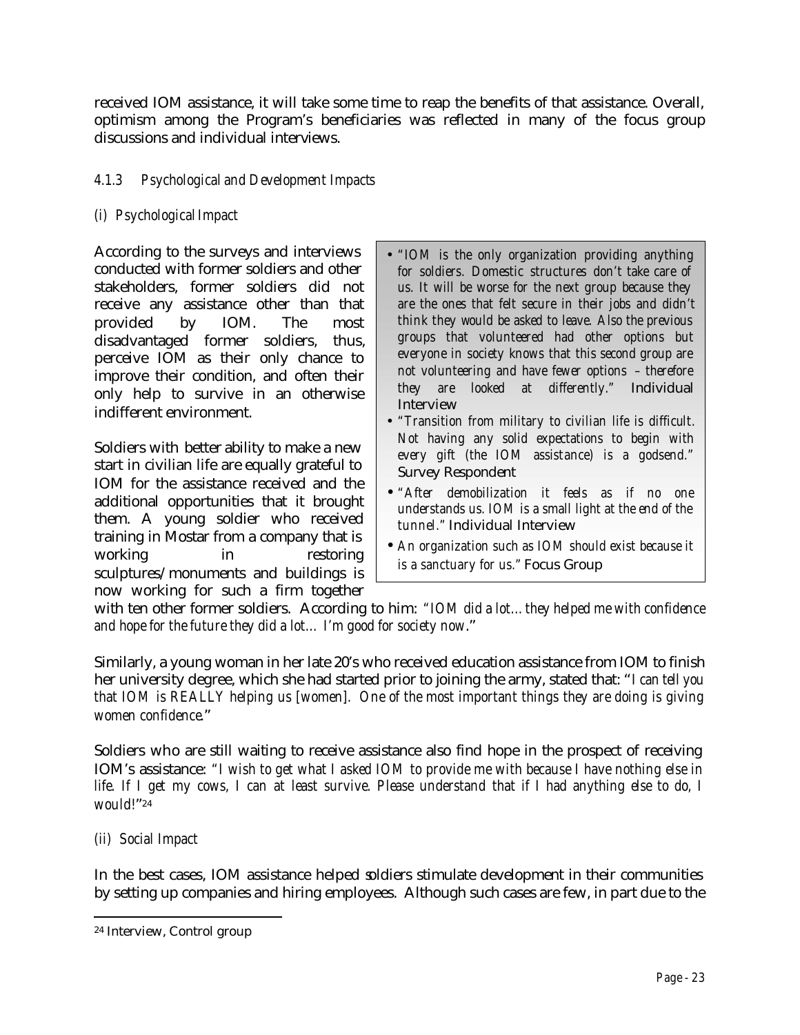received IOM assistance, it will take some time to reap the benefits of that assistance. Overall, optimism among the Program's beneficiaries was reflected in many of the focus group discussions and individual interviews.

## *4.1.3 Psychological and Development Impacts*

## *(i) Psychological Impact*

According to the surveys and interviews conducted with former soldiers and other stakeholders, former soldiers did not receive any assistance other than that provided by IOM. The most disadvantaged former soldiers, thus, perceive IOM as their only chance to improve their condition, and often their only help to survive in an otherwise indifferent environment.

Soldiers with better ability to make a new start in civilian life are equally grateful to IOM for the assistance received and the additional opportunities that it brought them. A young soldier who received training in Mostar from a company that is working in restoring sculptures/monuments and buildings is now working for such a firm together

- *"IOM is the only organization providing anything for soldiers. Domestic structures don't take care of us. It will be worse for the next group because they are the ones that felt secure in their jobs and didn't think they would be asked to leave. Also the previous groups that volunteered had other options but everyone in society knows that this second group are not volunteering and have fewer options – therefore they are looked at differently."* Individual Interview
- *"Transition from military to civilian life is difficult. Not having any solid expectations to begin with every gift (the IOM assistance) is a godsend."* Survey Respondent
- *"After demobilization it feels as if no one understands us. IOM is a small light at the end of the tunnel."* Individual Interview
- *An organization such as IOM should exist because it is a sanctuary for us."* Focus Group

with ten other former soldiers. According to him: *"IOM did a lot…they helped me with confidence and hope for the future they did a lot… I'm good for society now*."

Similarly, a young woman in her late 20's who received education assistance from IOM to finish her university degree, which she had started prior to joining the army, stated that: "*I can tell you that IOM is REALLY helping us [women]. One of the most important things they are doing is giving women confidence*."

Soldiers who are still waiting to receive assistance also find hope in the prospect of receiving IOM's assistance: *"I wish to get what I asked IOM to provide me with because I have nothing else in life. If I get my cows, I can at least survive. Please understand that if I had anything else to do, I would!*"<sup>24</sup>

## *(ii) Social Impact*

 $\overline{a}$ 

In the best cases, IOM assistance helped soldiers stimulate development in their communities by setting up companies and hiring employees. Although such cases are few, in part due to the

<sup>24</sup> Interview, Control group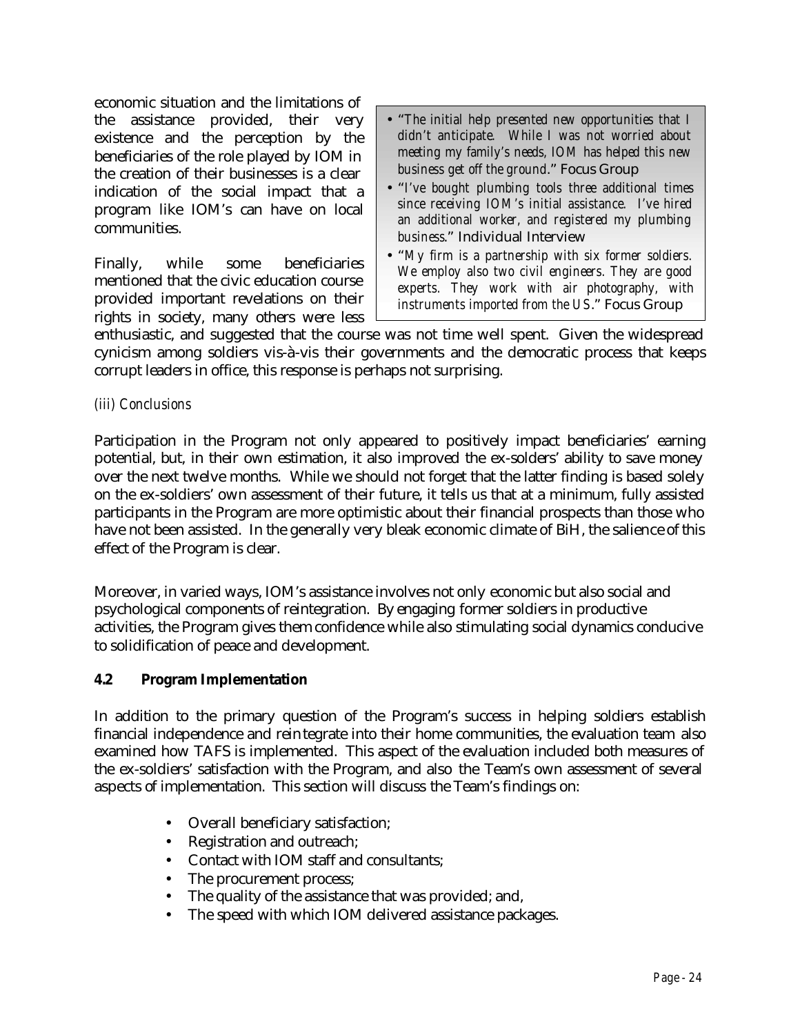economic situation and the limitations of the assistance provided, their very existence and the perception by the beneficiaries of the role played by IOM in the creation of their businesses is a clear indication of the social impact that a program like IOM's can have on local communities.

Finally, while some beneficiaries mentioned that the civic education course provided important revelations on their rights in society, many others were less

- "*The initial help presented new opportunities that I didn't anticipate. While I was not worried about meeting my family's needs, IOM has helped this new business get off the ground*." Focus Group
- "*I've bought plumbing tools three additional times since receiving IOM's initial assistance. I've hired an additional worker, and registered my plumbing business*." Individual Interview
- "*My firm is a partnership with six former soldiers. We employ also two civil engineers. They are good experts. They work with air photography, with instruments imported from the US*." Focus Group

enthusiastic, and suggested that the course was not time well spent. Given the widespread cynicism among soldiers vis-à-vis their governments and the democratic process that keeps corrupt leaders in office, this response is perhaps not surprising.

## *(iii) Conclusions*

Participation in the Program not only appeared to positively impact beneficiaries' earning potential, but, in their own estimation, it also improved the ex-solders' ability to save money over the next twelve months. While we should not forget that the latter finding is based solely on the ex-soldiers' own assessment of their future, it tells us that at a minimum, fully assisted participants in the Program are more optimistic about their financial prospects than those who have not been assisted. In the generally very bleak economic climate of BiH, the salience of this effect of the Program is clear.

Moreover, in varied ways, IOM's assistance involves not only economic but also social and psychological components of reintegration. By engaging former soldiers in productive activities, the Program gives them confidence while also stimulating social dynamics conducive to solidification of peace and development.

### **4.2 Program Implementation**

In addition to the primary question of the Program's success in helping soldiers establish financial independence and reintegrate into their home communities, the evaluation team also examined how TAFS is implemented. This aspect of the evaluation included both measures of the ex-soldiers' satisfaction with the Program, and also the Team's own assessment of several aspects of implementation. This section will discuss the Team's findings on:

- Overall beneficiary satisfaction;
- Registration and outreach;
- Contact with IOM staff and consultants;
- The procurement process;
- The quality of the assistance that was provided; and,
- The speed with which IOM delivered assistance packages.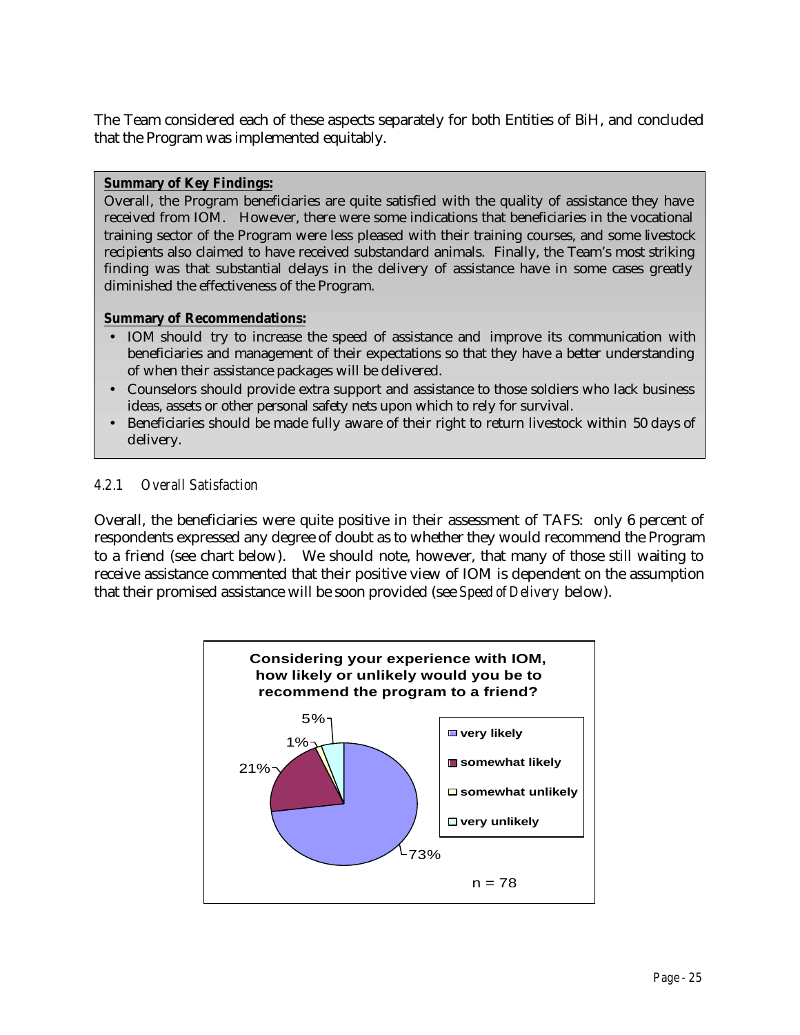The Team considered each of these aspects separately for both Entities of BiH, and concluded that the Program was implemented equitably.

#### **Summary of Key Findings:**

Overall, the Program beneficiaries are quite satisfied with the quality of assistance they have received from IOM. However, there were some indications that beneficiaries in the vocational training sector of the Program were less pleased with their training courses, and some livestock recipients also claimed to have received substandard animals. Finally, the Team's most striking finding was that substantial delays in the delivery of assistance have in some cases greatly diminished the effectiveness of the Program.

#### **Summary of Recommendations:**

- IOM should try to increase the speed of assistance and improve its communication with beneficiaries and management of their expectations so that they have a better understanding of when their assistance packages will be delivered.
- Counselors should provide extra support and assistance to those soldiers who lack business ideas, assets or other personal safety nets upon which to rely for survival.
- Beneficiaries should be made fully aware of their right to return livestock within 50 days of delivery.

### *4.2.1 Overall Satisfaction*

Overall, the beneficiaries were quite positive in their assessment of TAFS: only 6 percent of respondents expressed any degree of doubt as to whether they would recommend the Program to a friend (see chart below). We should note, however, that many of those still waiting to receive assistance commented that their positive view of IOM is dependent on the assumption that their promised assistance will be soon provided (see *Speed of Delivery* below).

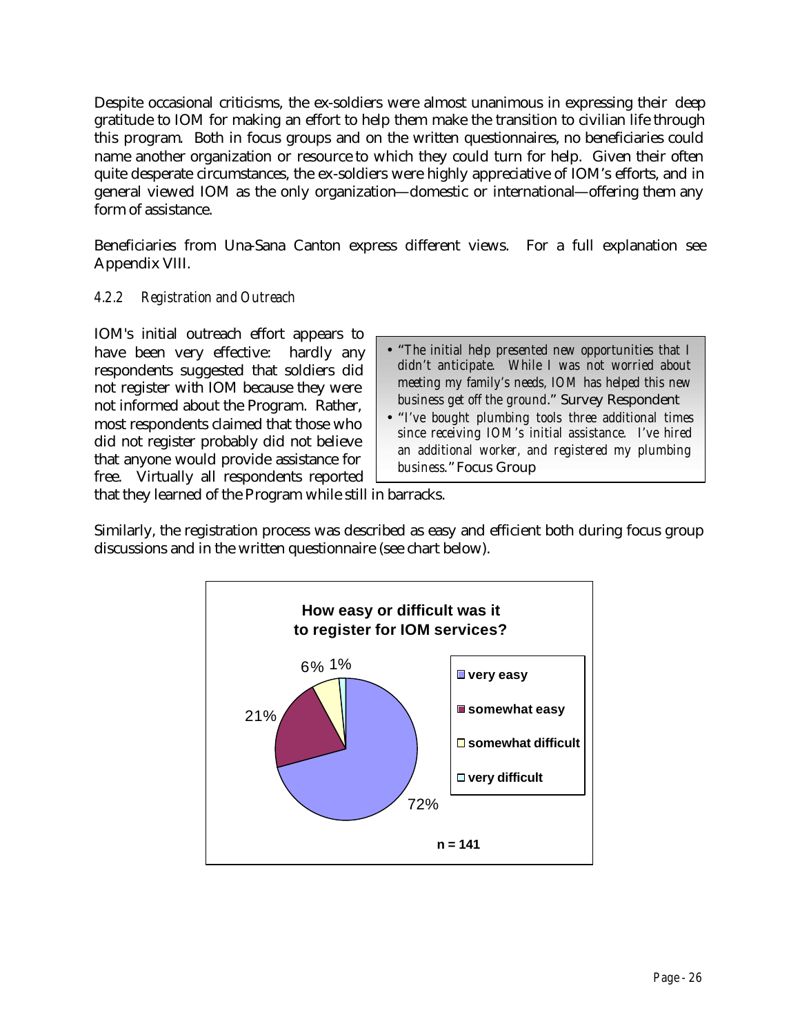Despite occasional criticisms, the ex-soldiers were almost unanimous in expressing their deep gratitude to IOM for making an effort to help them make the transition to civilian life through this program. Both in focus groups and on the written questionnaires, no beneficiaries could name another organization or resource to which they could turn for help. Given their often quite desperate circumstances, the ex-soldiers were highly appreciative of IOM's efforts, and in general viewed IOM as the only organization—domestic or international—offering them any form of assistance.

Beneficiaries from Una-Sana Canton express different views. For a full explanation see Appendix VIII.

## *4.2.2 Registration and Outreach*

IOM's initial outreach effort appears to have been very effective:hardly any respondents suggested that soldiers did not register with IOM because they were not informed about the Program. Rather, most respondents claimed that those who did not register probably did not believe that anyone would provide assistance for free. Virtually all respondents reported

- "*The initial help presented new opportunities that I didn't anticipate. While I was not worried about meeting my family's needs, IOM has helped this new business get off the ground*." Survey Respondent
- "*I've bought plumbing tools three additional times since receiving IOM's initial assistance. I've hired an additional worker, and registered my plumbing business*."Focus Group

that they learned of the Program while still in barracks.

Similarly, the registration process was described as easy and efficient both during focus group discussions and in the written questionnaire (see chart below).

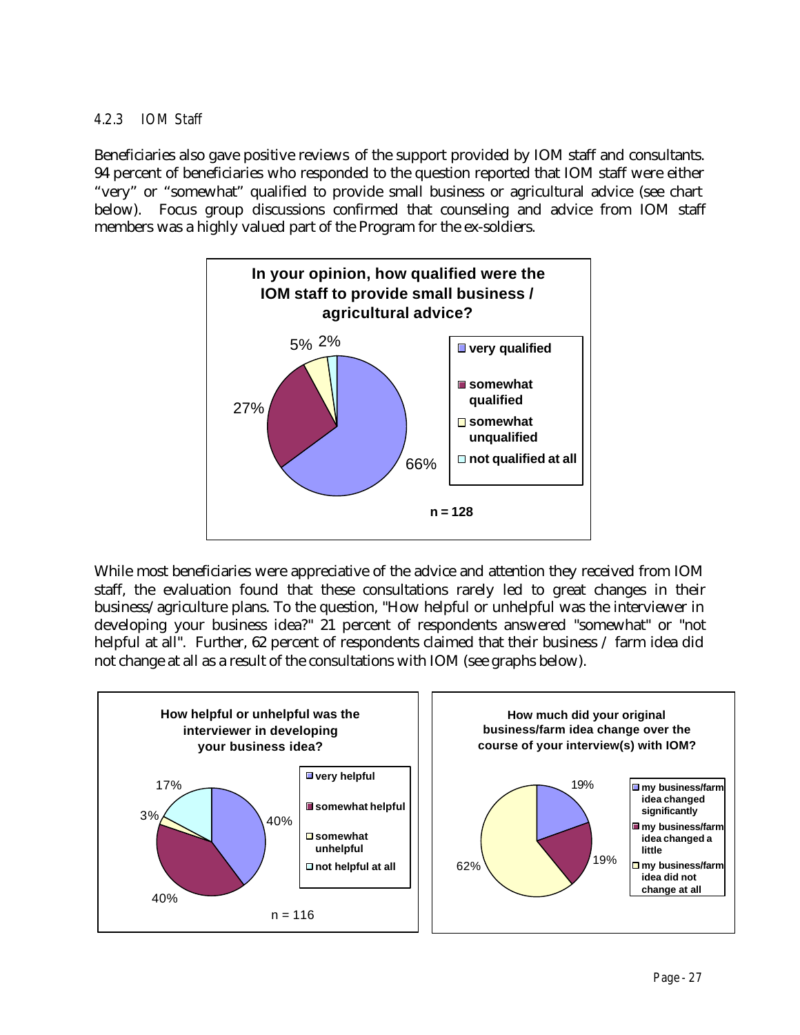## *4.2.3 IOM Staff*

Beneficiaries also gave positive reviews of the support provided by IOM staff and consultants. 94 percent of beneficiaries who responded to the question reported that IOM staff were either "very" or "somewhat" qualified to provide small business or agricultural advice (see chart below). Focus group discussions confirmed that counseling and advice from IOM staff members was a highly valued part of the Program for the ex-soldiers.



While most beneficiaries were appreciative of the advice and attention they received from IOM staff, the evaluation found that these consultations rarely led to great changes in their business/agriculture plans. To the question, "How helpful or unhelpful was the interviewer in developing your business idea?" 21 percent of respondents answered "somewhat" or "not helpful at all". Further, 62 percent of respondents claimed that their business / farm idea did not change at all as a result of the consultations with IOM (see graphs below).

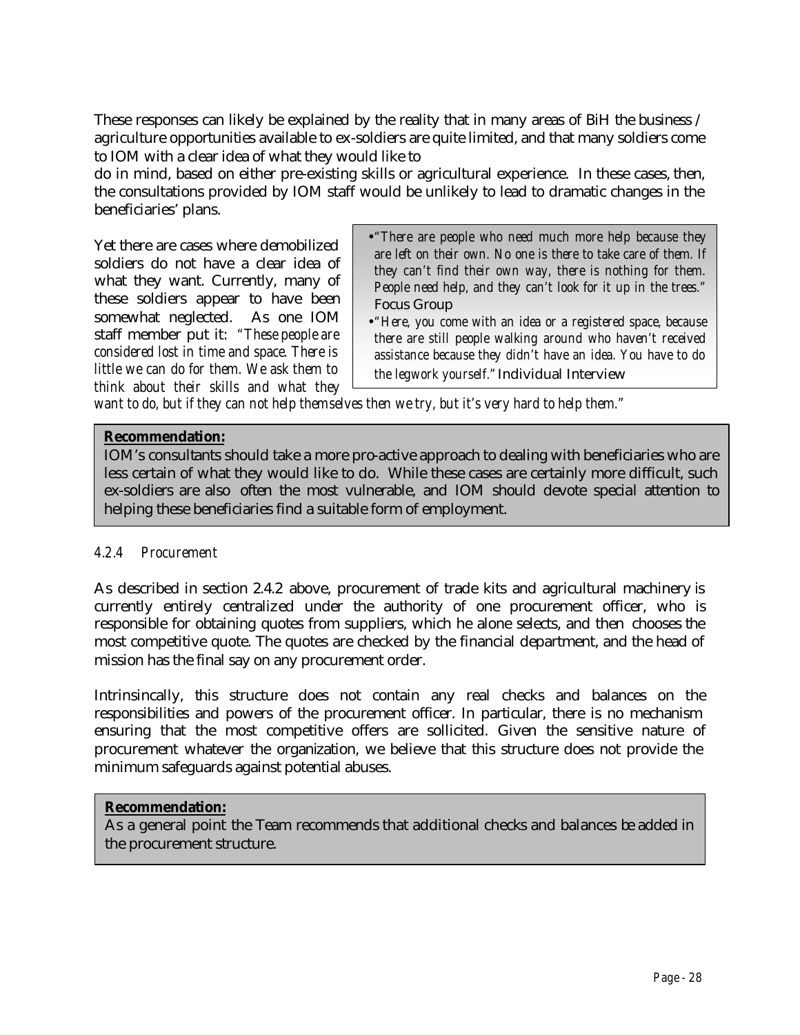These responses can likely be explained by the reality that in many areas of BiH the business / agriculture opportunities available to ex-soldiers are quite limited, and that many soldiers come to IOM with a clear idea of what they would like to

do in mind, based on either pre-existing skills or agricultural experience. In these cases, then, the consultations provided by IOM staff would be unlikely to lead to dramatic changes in the beneficiaries' plans.

Yet there are cases where demobilized soldiers do not have a clear idea of what they want. Currently, many of these soldiers appear to have been somewhat neglected. As one IOM staff member put it: *"These people are considered lost in time and space. There is little we can do for them. We ask them to think about their skills and what they*

- •*"There are people who need much more help because they are left on their own. No one is there to take care of them. If they can't find their own way, there is nothing for them. People need help, and they can't look for it up in the trees."*  Focus Group
- •*"Here, you come with an idea or a registered space, because there are still people walking around who haven't received assistance because they didn't have an idea. You have to do the legwork yourself."*Individual Interview

*want to do, but if they can not help themselves then we try, but it's very hard to help them."*

### **Recommendation:**

IOM's consultants should take a more pro-active approach to dealing with beneficiaries who are less certain of what they would like to do. While these cases are certainly more difficult, such ex-soldiers are also often the most vulnerable, and IOM should devote special attention to helping these beneficiaries find a suitable form of employment.

### *4.2.4 Procurement*

As described in section 2.4.2 above, procurement of trade kits and agricultural machinery is currently entirely centralized under the authority of one procurement officer, who is responsible for obtaining quotes from suppliers, which he alone selects, and then chooses the most competitive quote. The quotes are checked by the financial department, and the head of mission has the final say on any procurement order.

Intrinsincally, this structure does not contain any real checks and balances on the responsibilities and powers of the procurement officer. In particular, there is no mechanism ensuring that the most competitive offers are sollicited. Given the sensitive nature of procurement whatever the organization, we believe that this structure does not provide the minimum safeguards against potential abuses.

### **Recommendation:**

As a general point the Team recommends that additional checks and balances be added in the procurement structure.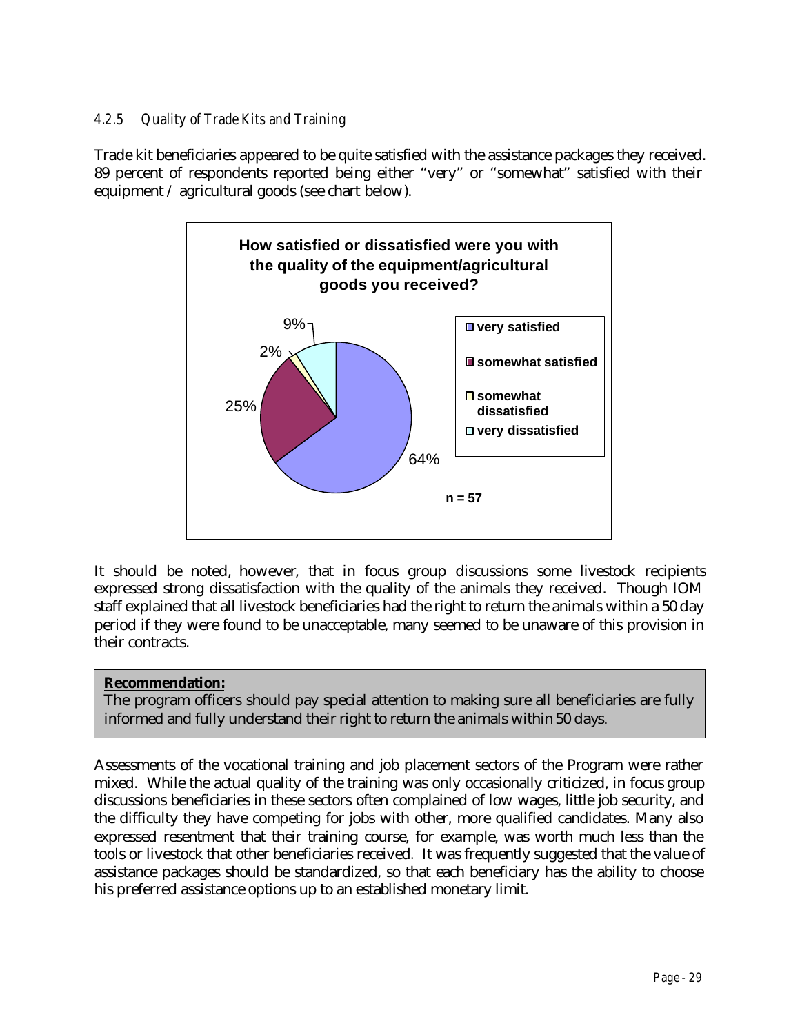## *4.2.5 Quality of Trade Kits and Training*

Trade kit beneficiaries appeared to be quite satisfied with the assistance packages they received. 89 percent of respondents reported being either "very" or "somewhat" satisfied with their equipment / agricultural goods (see chart below).



It should be noted, however, that in focus group discussions some livestock recipients expressed strong dissatisfaction with the quality of the animals they received. Though IOM staff explained that all livestock beneficiaries had the right to return the animals within a 50 day period if they were found to be unacceptable, many seemed to be unaware of this provision in their contracts.

### **Recommendation:**

The program officers should pay special attention to making sure all beneficiaries are fully informed and fully understand their right to return the animals within 50 days.

Assessments of the vocational training and job placement sectors of the Program were rather mixed. While the actual quality of the training was only occasionally criticized, in focus group discussions beneficiaries in these sectors often complained of low wages, little job security, and the difficulty they have competing for jobs with other, more qualified candidates. Many also expressed resentment that their training course, for example, was worth much less than the tools or livestock that other beneficiaries received*.* It was frequently suggested that the value of assistance packages should be standardized, so that each beneficiary has the ability to choose his preferred assistance options up to an established monetary limit.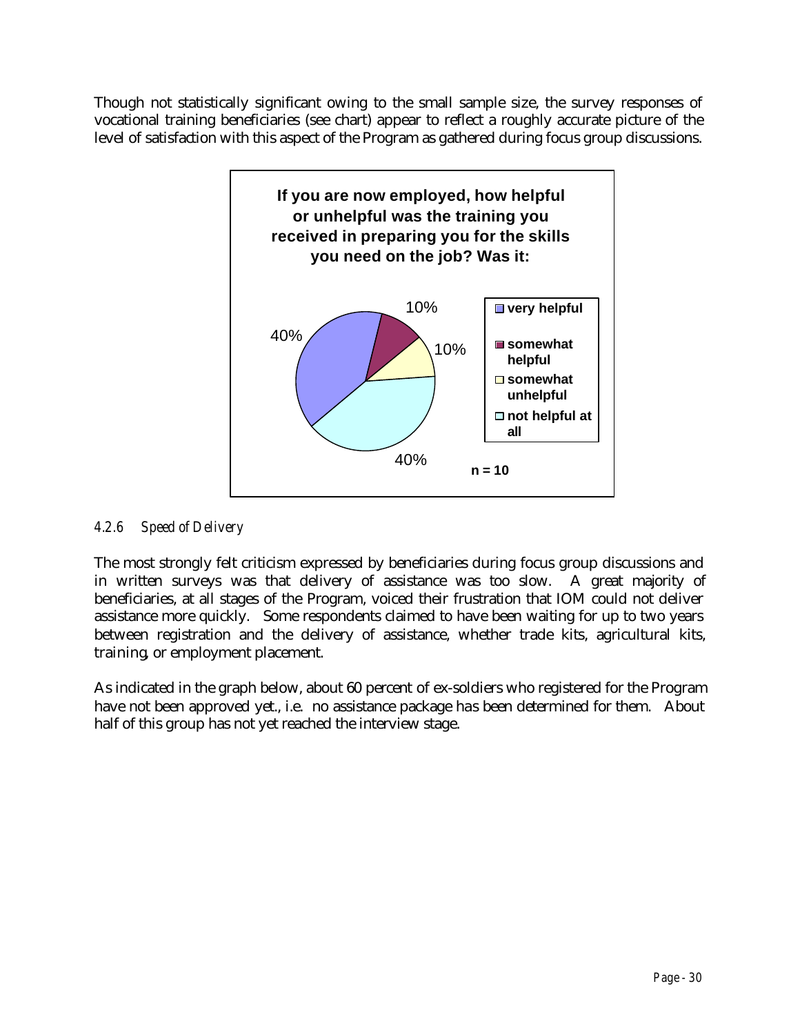Though not statistically significant owing to the small sample size, the survey responses of vocational training beneficiaries (see chart) appear to reflect a roughly accurate picture of the level of satisfaction with this aspect of the Program as gathered during focus group discussions.



## *4.2.6 Speed of Delivery*

The most strongly felt criticism expressed by beneficiaries during focus group discussions and in written surveys was that delivery of assistance was too slow. A great majority of beneficiaries, at all stages of the Program, voiced their frustration that IOM could not deliver assistance more quickly. Some respondents claimed to have been waiting for up to two years between registration and the delivery of assistance, whether trade kits, agricultural kits, training, or employment placement.

As indicated in the graph below, about 60 percent of ex-soldiers who registered for the Program have not been approved yet., i.e. no assistance package has been determined for them. About half of this group has not yet reached the interview stage.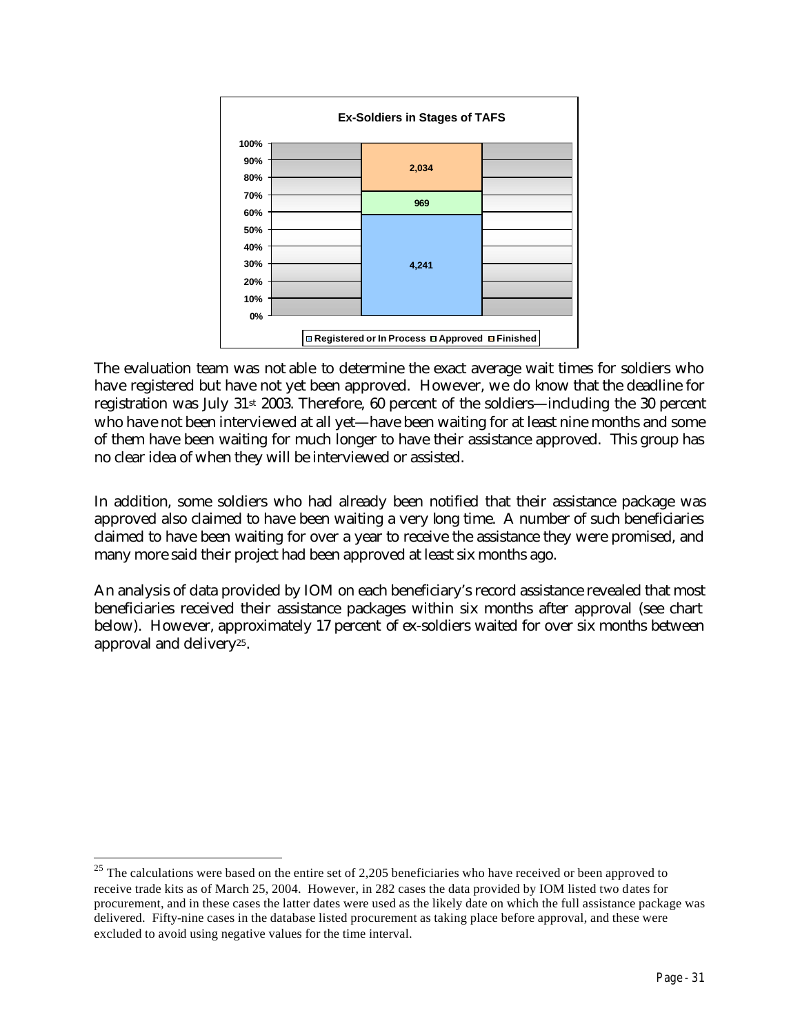

The evaluation team was not able to determine the exact average wait times for soldiers who have registered but have not yet been approved. However, we do know that the deadline for registration was July 31st 2003. Therefore, 60 percent of the soldiers—including the 30 percent who have not been interviewed at all yet—have been waiting for at least nine months and some of them have been waiting for much longer to have their assistance approved. This group has no clear idea of when they will be interviewed or assisted.

In addition, some soldiers who had already been notified that their assistance package was approved also claimed to have been waiting a very long time. A number of such beneficiaries claimed to have been waiting for over a year to receive the assistance they were promised, and many more said their project had been approved at least six months ago.

An analysis of data provided by IOM on each beneficiary's record assistance revealed that most beneficiaries received their assistance packages within six months after approval (see chart below). However, approximately 17 percent of ex-soldiers waited for over six months between approval and delivery25.

 $25$  The calculations were based on the entire set of 2,205 beneficiaries who have received or been approved to receive trade kits as of March 25, 2004. However, in 282 cases the data provided by IOM listed two dates for procurement, and in these cases the latter dates were used as the likely date on which the full assistance package was delivered. Fifty-nine cases in the database listed procurement as taking place before approval, and these were excluded to avoid using negative values for the time interval.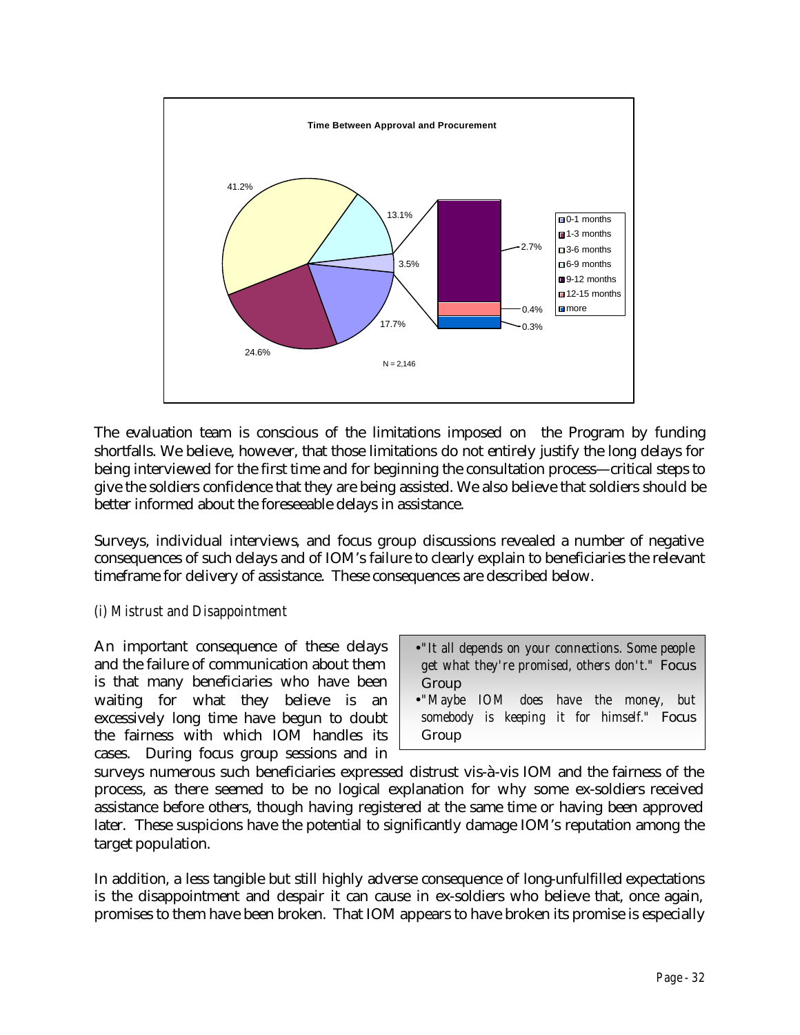

The evaluation team is conscious of the limitations imposed on the Program by funding shortfalls. We believe, however, that those limitations do not entirely justify the long delays for being interviewed for the first time and for beginning the consultation process—critical steps to give the soldiers confidence that they are being assisted. We also believe that soldiers should be better informed about the foreseeable delays in assistance.

Surveys, individual interviews, and focus group discussions revealed a number of negative consequences of such delays and of IOM's failure to clearly explain to beneficiaries the relevant timeframe for delivery of assistance. These consequences are described below.

### *(i) Mistrust and Disappointment*

An important consequence of these delays and the failure of communication about them is that many beneficiaries who have been waiting for what they believe is an excessively long time have begun to doubt the fairness with which IOM handles its cases. During focus group sessions and in

- •*"It all depends on your connections. Some people get what they're promised, others don't."* Focus Group
- •*"Maybe IOM does have the money, but somebody is keeping it for himself."* Focus Group

surveys numerous such beneficiaries expressed distrust vis-à-vis IOM and the fairness of the process, as there seemed to be no logical explanation for why some ex-soldiers received assistance before others, though having registered at the same time or having been approved later. These suspicions have the potential to significantly damage IOM's reputation among the target population.

In addition, a less tangible but still highly adverse consequence of long-unfulfilled expectations is the disappointment and despair it can cause in ex-soldiers who believe that, once again, promises to them have been broken. That IOM appears to have broken its promise is especially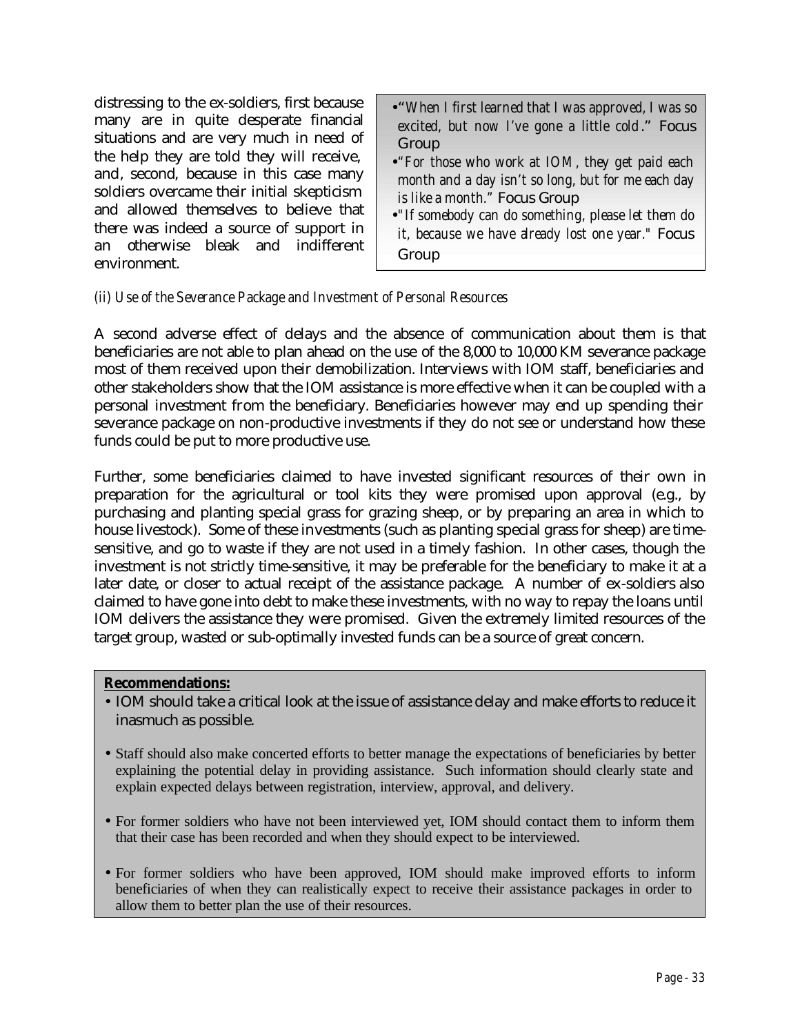distressing to the ex-soldiers, first because many are in quite desperate financial situations and are very much in need of the help they are told they will receive, and, second, because in this case many soldiers overcame their initial skepticism and allowed themselves to believe that there was indeed a source of support in an otherwise bleak and indifferent environment.

- •"*When I first learned that I was approved, I was so excited, but now I've gone a little cold*." Focus Group
- •*"For those who work at IOM, they get paid each month and a day isn't so long, but for me each day is like a month."* Focus Group
- •*"If somebody can do something, please let them do it, because we have already lost one year."* Focus Group

### *(ii) Use of the Severance Package and Investment of Personal Resources*

A second adverse effect of delays and the absence of communication about them is that beneficiaries are not able to plan ahead on the use of the 8,000 to 10,000 KM severance package most of them received upon their demobilization. Interviews with IOM staff, beneficiaries and other stakeholders show that the IOM assistance is more effective when it can be coupled with a personal investment from the beneficiary. Beneficiaries however may end up spending their severance package on non-productive investments if they do not see or understand how these funds could be put to more productive use.

Further, some beneficiaries claimed to have invested significant resources of their own in preparation for the agricultural or tool kits they were promised upon approval (e.g., by purchasing and planting special grass for grazing sheep, or by preparing an area in which to house livestock). Some of these investments (such as planting special grass for sheep) are timesensitive, and go to waste if they are not used in a timely fashion. In other cases, though the investment is not strictly time-sensitive, it may be preferable for the beneficiary to make it at a later date, or closer to actual receipt of the assistance package. A number of ex-soldiers also claimed to have gone into debt to make these investments, with no way to repay the loans until IOM delivers the assistance they were promised. Given the extremely limited resources of the target group, wasted or sub-optimally invested funds can be a source of great concern.

#### **Recommendations:**

- IOM should take a critical look at the issue of assistance delay and make efforts to reduce it inasmuch as possible.
- Staff should also make concerted efforts to better manage the expectations of beneficiaries by better explaining the potential delay in providing assistance. Such information should clearly state and explain expected delays between registration, interview, approval, and delivery.
- For former soldiers who have not been interviewed yet, IOM should contact them to inform them that their case has been recorded and when they should expect to be interviewed.
- For former soldiers who have been approved, IOM should make improved efforts to inform beneficiaries of when they can realistically expect to receive their assistance packages in order to allow them to better plan the use of their resources.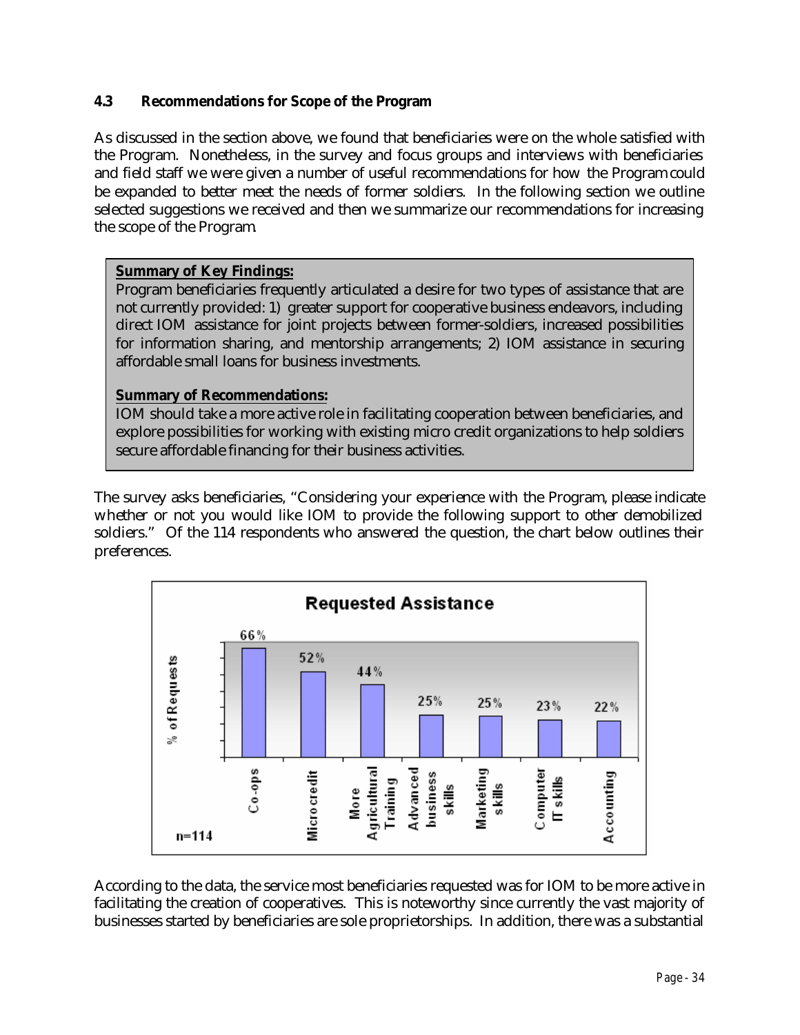## **4.3 Recommendations for Scope of the Program**

As discussed in the section above, we found that beneficiaries were on the whole satisfied with the Program. Nonetheless, in the survey and focus groups and interviews with beneficiaries and field staff we were given a number of useful recommendations for how the Program could be expanded to better meet the needs of former soldiers. In the following section we outline selected suggestions we received and then we summarize our recommendations for increasing the scope of the Program.

### **Summary of Key Findings:**

Program beneficiaries frequently articulated a desire for two types of assistance that are not currently provided: 1) greater support for cooperative business endeavors, including direct IOM assistance for joint projects between former-soldiers, increased possibilities for information sharing, and mentorship arrangements; 2) IOM assistance in securing affordable small loans for business investments.

## **Summary of Recommendations:**

IOM should take a more active role in facilitating cooperation between beneficiaries, and explore possibilities for working with existing micro credit organizations to help soldiers secure affordable financing for their business activities.

The survey asks beneficiaries, "Considering your experience with the Program, please indicate whether or not you would like IOM to provide the following support to other demobilized soldiers." Of the 114 respondents who answered the question, the chart below outlines their preferences.



According to the data, the service most beneficiaries requested was for IOM to be more active in facilitating the creation of cooperatives. This is noteworthy since currently the vast majority of businesses started by beneficiaries are sole proprietorships. In addition, there was a substantial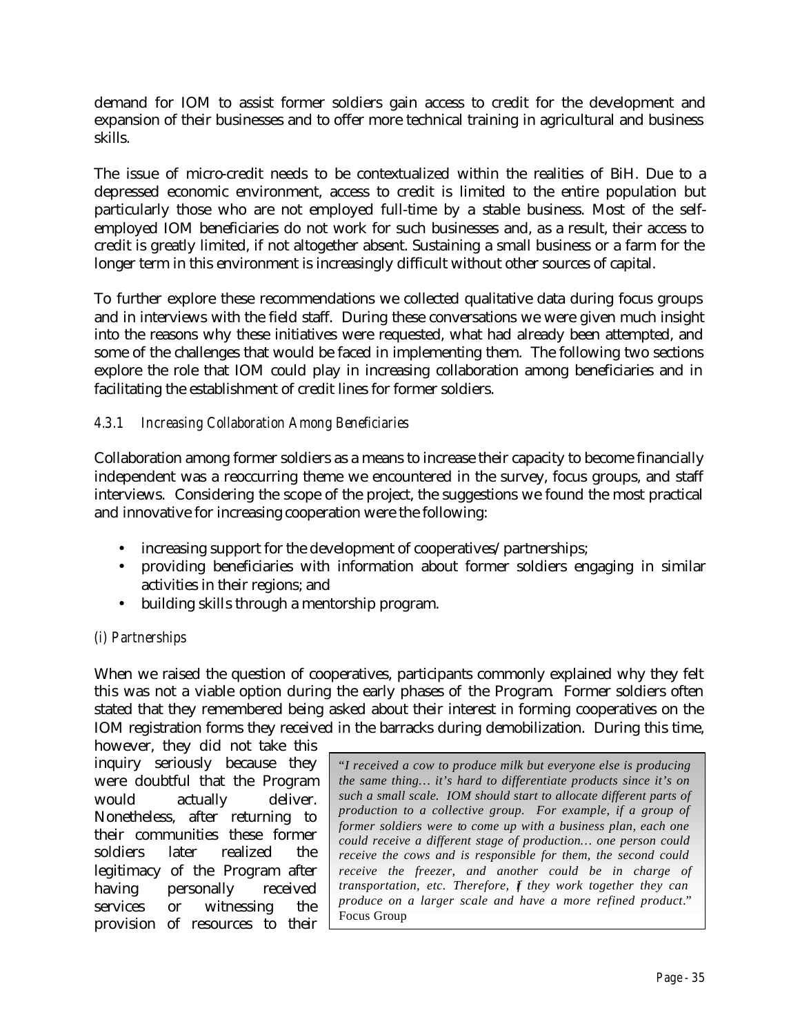demand for IOM to assist former soldiers gain access to credit for the development and expansion of their businesses and to offer more technical training in agricultural and business skills.

The issue of micro-credit needs to be contextualized within the realities of BiH. Due to a depressed economic environment, access to credit is limited to the entire population but particularly those who are not employed full-time by a stable business. Most of the selfemployed IOM beneficiaries do not work for such businesses and, as a result, their access to credit is greatly limited, if not altogether absent. Sustaining a small business or a farm for the longer term in this environment is increasingly difficult without other sources of capital.

To further explore these recommendations we collected qualitative data during focus groups and in interviews with the field staff. During these conversations we were given much insight into the reasons why these initiatives were requested, what had already been attempted, and some of the challenges that would be faced in implementing them. The following two sections explore the role that IOM could play in increasing collaboration among beneficiaries and in facilitating the establishment of credit lines for former soldiers.

## *4.3.1 Increasing Collaboration Among Beneficiaries*

Collaboration among former soldiers as a means to increase their capacity to become financially independent was a reoccurring theme we encountered in the survey, focus groups, and staff interviews. Considering the scope of the project, the suggestions we found the most practical and innovative for increasing cooperation were the following:

- increasing support for the development of cooperatives/partnerships;
- providing beneficiaries with information about former soldiers engaging in similar activities in their regions; and
- building skills through a mentorship program.

### *(i) Partnerships*

When we raised the question of cooperatives, participants commonly explained why they felt this was not a viable option during the early phases of the Program. Former soldiers often stated that they remembered being asked about their interest in forming cooperatives on the IOM registration forms they received in the barracks during demobilization. During this time,

however, they did not take this inquiry seriously because they were doubtful that the Program would actually deliver. Nonetheless, after returning to their communities these former soldiers later realized the legitimacy of the Program after having personally received services or witnessing the provision of resources to their

"*I received a cow to produce milk but everyone else is producing the same thing… it's hard to differentiate products since it's on such a small scale. IOM should start to allocate different parts of production to a collective group. For example, if a group of former soldiers were to come up with a business plan, each one could receive a different stage of production… one person could receive the cows and is responsible for them, the second could receive the freezer, and another could be in charge of transportation, etc. Therefore, f they work together they can produce on a larger scale and have a more refined product*." Focus Group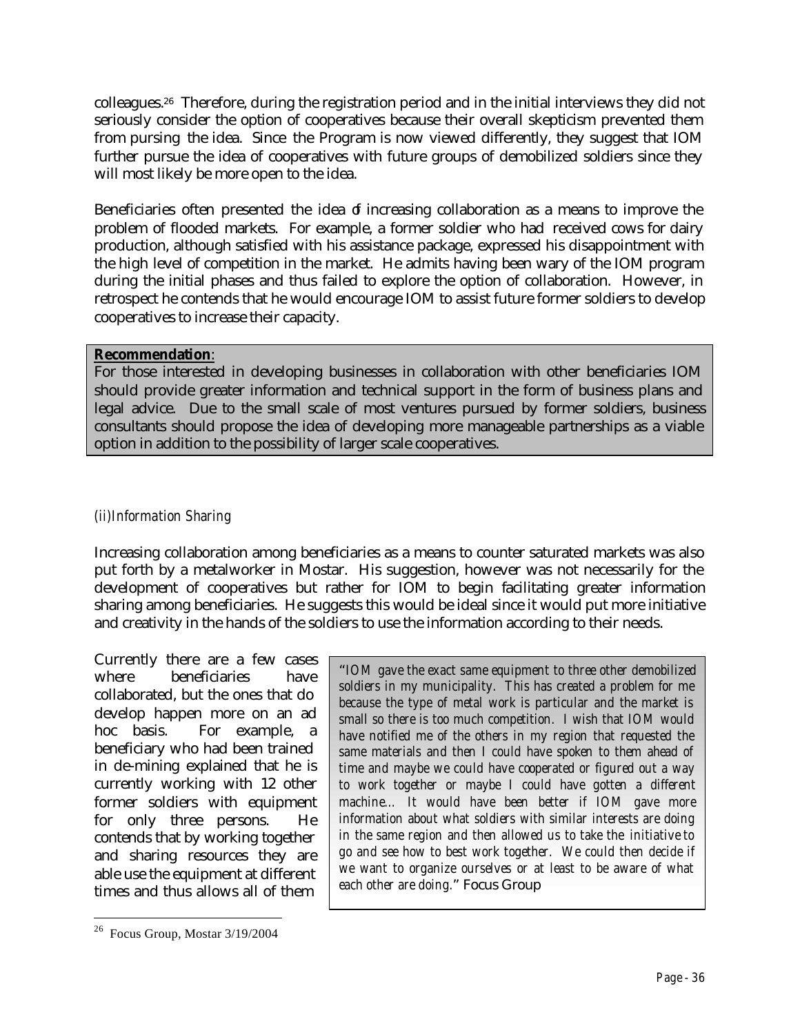colleagues.26 Therefore, during the registration period and in the initial interviews they did not seriously consider the option of cooperatives because their overall skepticism prevented them from pursing the idea. Since the Program is now viewed differently, they suggest that IOM further pursue the idea of cooperatives with future groups of demobilized soldiers since they will most likely be more open to the idea.

Beneficiaries often presented the idea of increasing collaboration as a means to improve the problem of flooded markets. For example, a former soldier who had received cows for dairy production, although satisfied with his assistance package, expressed his disappointment with the high level of competition in the market. He admits having been wary of the IOM program during the initial phases and thus failed to explore the option of collaboration. However, in retrospect he contends that he would encourage IOM to assist future former soldiers to develop cooperatives to increase their capacity.

#### **Recommendation**:

For those interested in developing businesses in collaboration with other beneficiaries IOM should provide greater information and technical support in the form of business plans and legal advice. Due to the small scale of most ventures pursued by former soldiers, business consultants should propose the idea of developing more manageable partnerships as a viable option in addition to the possibility of larger scale cooperatives.

### *(ii)Information Sharing*

Increasing collaboration among beneficiaries as a means to counter saturated markets was also put forth by a metalworker in Mostar. His suggestion, however was not necessarily for the development of cooperatives but rather for IOM to begin facilitating greater information sharing among beneficiaries. He suggests this would be ideal since it would put more initiative and creativity in the hands of the soldiers to use the information according to their needs.

Currently there are a few cases where beneficiaries have collaborated, but the ones that do develop happen more on an ad hoc basis. For example, a beneficiary who had been trained in de-mining explained that he is currently working with 12 other former soldiers with equipment for only three persons. He contends that by working together and sharing resources they are able use the equipment at different times and thus allows all of them

 $\overline{a}$ 

"*IOM gave the exact same equipment to three other demobilized soldiers in my municipality. This has created a problem for me because the type of metal work is particular and the market is small so there is too much competition. I wish that IOM would have notified me of the others in my region that requested the same materials and then I could have spoken to them ahead of time and maybe we could have cooperated or figured out a way to work together or maybe I could have gotten a different machine… It would have been better if IOM gave more information about what soldiers with similar interests are doing in the same region and then allowed us to take the initiative to go and see how to best work together. We could then decide if we want to organize ourselves or at least to be aware of what each other are doing.*" Focus Group

<sup>26</sup> Focus Group, Mostar 3/19/2004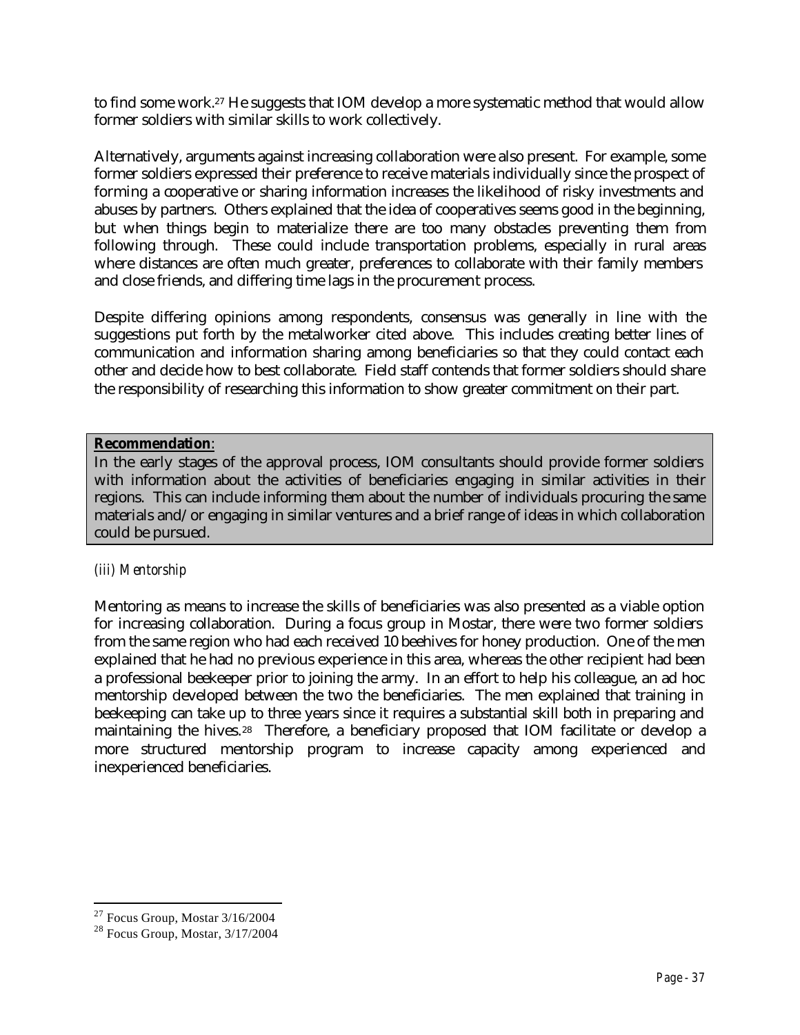to find some work.27 He suggests that IOM develop a more systematic method that would allow former soldiers with similar skills to work collectively.

Alternatively, arguments against increasing collaboration were also present. For example, some former soldiers expressed their preference to receive materials individually since the prospect of forming a cooperative or sharing information increases the likelihood of risky investments and abuses by partners. Others explained that the idea of cooperatives seems good in the beginning, but when things begin to materialize there are too many obstacles preventing them from following through. These could include transportation problems, especially in rural areas where distances are often much greater, preferences to collaborate with their family members and close friends, and differing time lags in the procurement process.

Despite differing opinions among respondents, consensus was generally in line with the suggestions put forth by the metalworker cited above. This includes creating better lines of communication and information sharing among beneficiaries so that they could contact each other and decide how to best collaborate. Field staff contends that former soldiers should share the responsibility of researching this information to show greater commitment on their part.

#### **Recommendation**:

In the early stages of the approval process, IOM consultants should provide former soldiers with information about the activities of beneficiaries engaging in similar activities in their regions. This can include informing them about the number of individuals procuring the same materials and/or engaging in similar ventures and a brief range of ideas in which collaboration could be pursued.

### *(iii) Mentorship*

Mentoring as means to increase the skills of beneficiaries was also presented as a viable option for increasing collaboration. During a focus group in Mostar, there were two former soldiers from the same region who had each received 10 beehives for honey production. One of the men explained that he had no previous experience in this area, whereas the other recipient had been a professional beekeeper prior to joining the army. In an effort to help his colleague, an ad hoc mentorship developed between the two the beneficiaries. The men explained that training in beekeeping can take up to three years since it requires a substantial skill both in preparing and maintaining the hives.28 Therefore, a beneficiary proposed that IOM facilitate or develop a more structured mentorship program to increase capacity among experienced and inexperienced beneficiaries.

 $\overline{a}$  $27$  Focus Group, Mostar 3/16/2004

<sup>28</sup> Focus Group, Mostar, 3/17/2004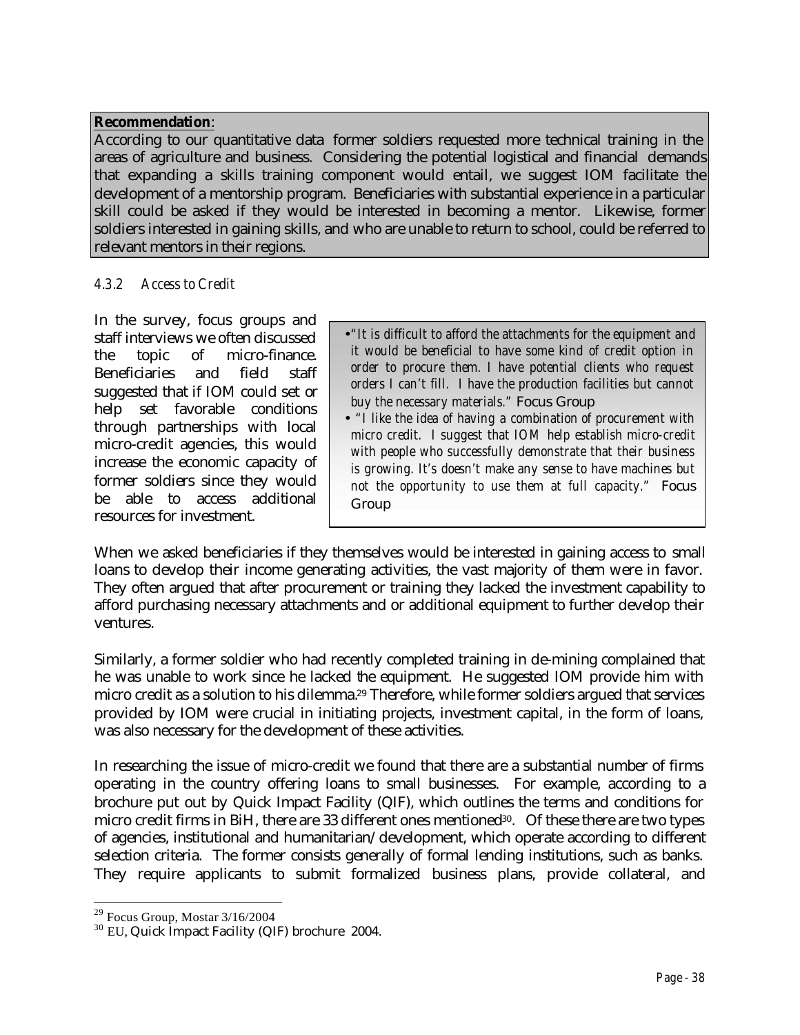#### **Recommendation**:

According to our quantitative data former soldiers requested more technical training in the areas of agriculture and business. Considering the potential logistical and financial demands that expanding a skills training component would entail, we suggest IOM facilitate the development of a mentorship program. Beneficiaries with substantial experience in a particular skill could be asked if they would be interested in becoming a mentor. Likewise, former soldiers interested in gaining skills, and who are unable to return to school, could be referred to relevant mentors in their regions.

### *4.3.2 Access to Credit*

In the survey, focus groups and staff interviews we often discussed the topic of micro-finance. Beneficiaries and field staff suggested that if IOM could set or help set favorable conditions through partnerships with local micro-credit agencies, this would increase the economic capacity of former soldiers since they would be able to access additional resources for investment.

- •*"It is difficult to afford the attachments for the equipment and it would be beneficial to have some kind of credit option in order to procure them. I have potential clients who request orders I can't fill. I have the production facilities but cannot buy the necessary materials."* Focus Group
- • *"I like the idea of having a combination of procurement with micro credit. I suggest that IOM help establish micro-credit with people who successfully demonstrate that their business is growing. It's doesn't make any sense to have machines but not the opportunity to use them at full capacity."* Focus Group

When we asked beneficiaries if they themselves would be interested in gaining access to small loans to develop their income generating activities, the vast majority of them were in favor. They often argued that after procurement or training they lacked the investment capability to afford purchasing necessary attachments and or additional equipment to further develop their ventures.

Similarly, a former soldier who had recently completed training in de-mining complained that he was unable to work since he lacked the equipment. He suggested IOM provide him with micro credit as a solution to his dilemma.29 Therefore, while former soldiers argued that services provided by IOM were crucial in initiating projects, investment capital, in the form of loans, was also necessary for the development of these activities.

In researching the issue of micro-credit we found that there are a substantial number of firms operating in the country offering loans to small businesses. For example, according to a brochure put out by Quick Impact Facility (QIF), which outlines the terms and conditions for micro credit firms in BiH, there are 33 different ones mentioned30. Of these there are two types of agencies, institutional and humanitarian/development, which operate according to different selection criteria. The former consists generally of formal lending institutions, such as banks. They require applicants to submit formalized business plans, provide collateral, and

 $\overline{a}$  $29$  Focus Group, Mostar  $3/16/2004$ 

<sup>30</sup> EU, Quick Impact Facility (QIF) brochure 2004.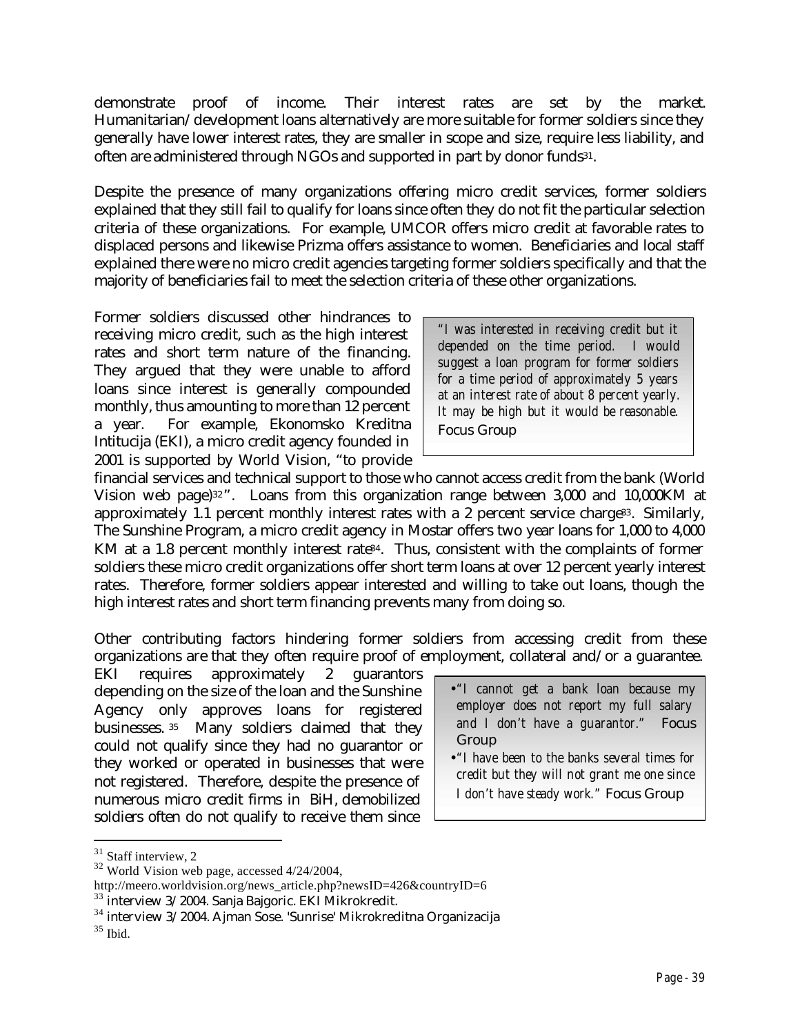demonstrate proof of income. Their interest rates are set by the market. Humanitarian/development loans alternatively are more suitable for former soldiers since they generally have lower interest rates, they are smaller in scope and size, require less liability, and often are administered through NGOs and supported in part by donor funds<sup>31</sup>.

Despite the presence of many organizations offering micro credit services, former soldiers explained that they still fail to qualify for loans since often they do not fit the particular selection criteria of these organizations. For example, UMCOR offers micro credit at favorable rates to displaced persons and likewise Prizma offers assistance to women. Beneficiaries and local staff explained there were no micro credit agencies targeting former soldiers specifically and that the majority of beneficiaries fail to meet the selection criteria of these other organizations.

Former soldiers discussed other hindrances to receiving micro credit, such as the high interest rates and short term nature of the financing. They argued that they were unable to afford loans since interest is generally compounded monthly, thus amounting to more than 12 percent a year. For example, Ekonomsko Kreditna Intitucija (EKI), a micro credit agency founded in 2001 is supported by World Vision, "to provide

*"I was interested in receiving credit but it depended on the time period. I would suggest a loan program for former soldiers for a time period of approximately 5 years at an interest rate of about 8 percent yearly. It may be high but it would be reasonable.*  Focus Group

financial services and technical support to those who cannot access credit from the bank (World Vision web page)<sup>32</sup> ". Loans from this organization range between 3,000 and 10,000KM at approximately 1.1 percent monthly interest rates with a 2 percent service charge<sup>33</sup>. Similarly, The Sunshine Program, a micro credit agency in Mostar offers two year loans for 1,000 to 4,000 KM at a 1.8 percent monthly interest rate<sup>34</sup>. Thus, consistent with the complaints of former soldiers these micro credit organizations offer short term loans at over 12 percent yearly interest rates. Therefore, former soldiers appear interested and willing to take out loans, though the high interest rates and short term financing prevents many from doing so.

Other contributing factors hindering former soldiers from accessing credit from these organizations are that they often require proof of employment, collateral and/or a guarantee.

EKI requires approximately 2 guarantors depending on the size of the loan and the Sunshine Agency only approves loans for registered businesses. <sup>35</sup> Many soldiers claimed that they could not qualify since they had no guarantor or they worked or operated in businesses that were not registered. Therefore, despite the presence of numerous micro credit firms in BiH, demobilized soldiers often do not qualify to receive them since

- •*"I cannot get a bank loan because my employer does not report my full salary and I don't have a guarantor."* Focus Group
- •*"I have been to the banks several times for credit but they will not grant me one since I don't have steady work."* Focus Group

<sup>&</sup>lt;sup>31</sup> Staff interview, 2

<sup>32</sup> World Vision web page, accessed 4/24/2004,

http://meero.worldvision.org/news\_article.php?newsID=426&countryID=6

<sup>33</sup> interview 3/2004. Sanja Bajgoric. EKI Mikrokredit.

<sup>34</sup> interview 3/2004. Ajman Sose. 'Sunrise' Mikrokreditna Organizacija

<sup>35</sup> Ibid.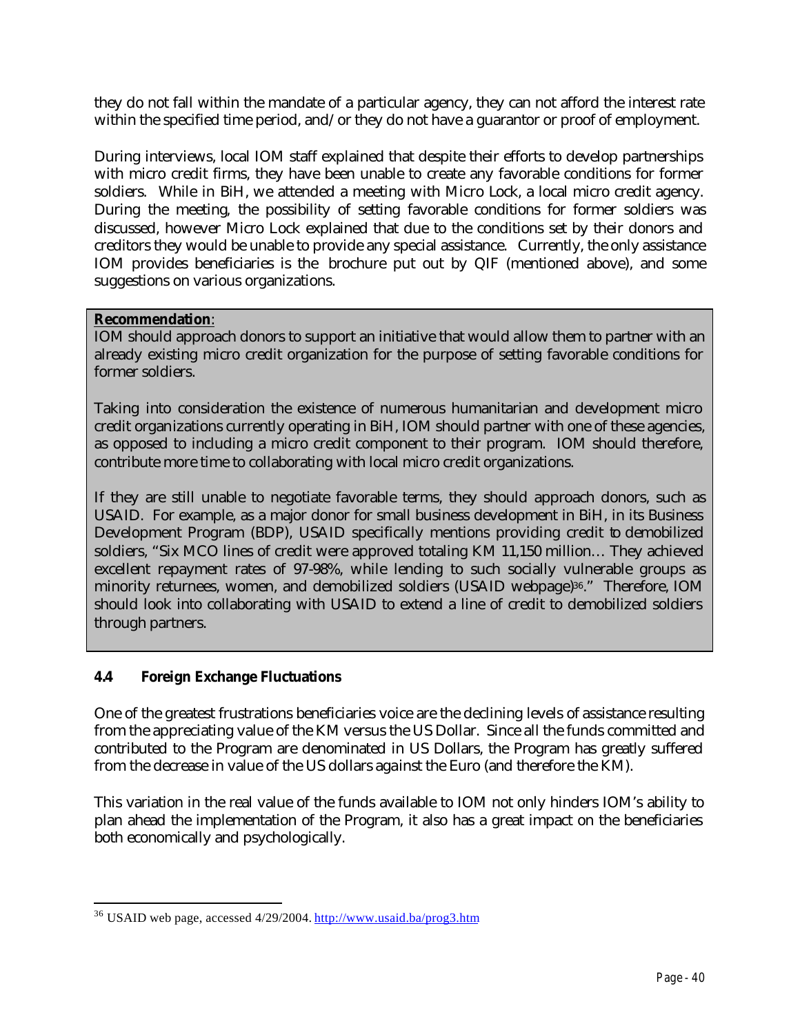they do not fall within the mandate of a particular agency, they can not afford the interest rate within the specified time period, and/or they do not have a guarantor or proof of employment.

During interviews, local IOM staff explained that despite their efforts to develop partnerships with micro credit firms, they have been unable to create any favorable conditions for former soldiers. While in BiH, we attended a meeting with Micro Lock, a local micro credit agency. During the meeting, the possibility of setting favorable conditions for former soldiers was discussed, however Micro Lock explained that due to the conditions set by their donors and creditors they would be unable to provide any special assistance. Currently, the only assistance IOM provides beneficiaries is the brochure put out by QIF (mentioned above), and some suggestions on various organizations.

## **Recommendation**:

IOM should approach donors to support an initiative that would allow them to partner with an already existing micro credit organization for the purpose of setting favorable conditions for former soldiers.

Taking into consideration the existence of numerous humanitarian and development micro credit organizations currently operating in BiH, IOM should partner with one of these agencies, as opposed to including a micro credit component to their program. IOM should therefore, contribute more time to collaborating with local micro credit organizations.

If they are still unable to negotiate favorable terms, they should approach donors, such as USAID. For example, as a major donor for small business development in BiH, in its Business Development Program (BDP), USAID specifically mentions providing credit to demobilized soldiers, "Six MCO lines of credit were approved totaling KM 11,150 million… They achieved excellent repayment rates of 97-98%, while lending to such socially vulnerable groups as minority returnees, women, and demobilized soldiers (USAID webpage)36." Therefore, IOM should look into collaborating with USAID to extend a line of credit to demobilized soldiers through partners.

# **4.4 Foreign Exchange Fluctuations**

One of the greatest frustrations beneficiaries voice are the declining levels of assistance resulting from the appreciating value of the KM versus the US Dollar. Since all the funds committed and contributed to the Program are denominated in US Dollars, the Program has greatly suffered from the decrease in value of the US dollars against the Euro (and therefore the KM).

This variation in the real value of the funds available to IOM not only hinders IOM's ability to plan ahead the implementation of the Program, it also has a great impact on the beneficiaries both economically and psychologically.

 $\overline{a}$ <sup>36</sup> USAID web page, accessed 4/29/2004. <u>http://www.usaid.ba/prog3.htm</u>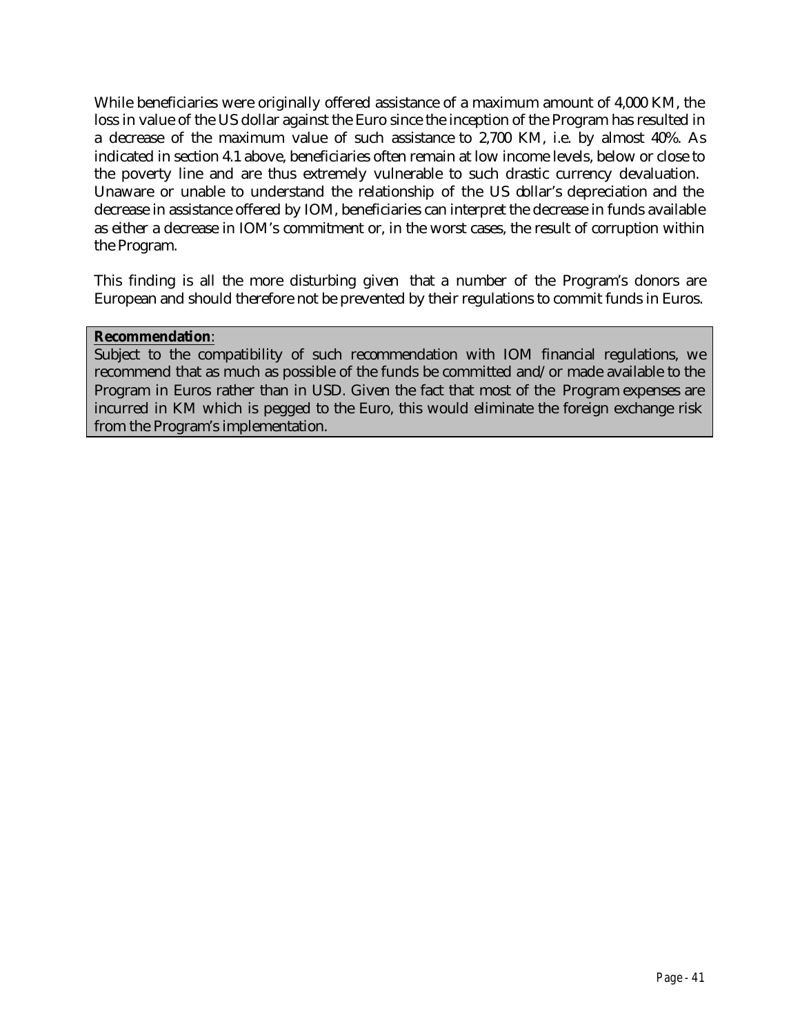While beneficiaries were originally offered assistance of a maximum amount of 4,000 KM, the loss in value of the US dollar against the Euro since the inception of the Program has resulted in a decrease of the maximum value of such assistance to 2,700 KM, i.e. by almost 40%. As indicated in section 4.1 above, beneficiaries often remain at low income levels, below or close to the poverty line and are thus extremely vulnerable to such drastic currency devaluation. Unaware or unable to understand the relationship of the US dollar's depreciation and the decrease in assistance offered by IOM, beneficiaries can interpret the decrease in funds available as either a decrease in IOM's commitment or, in the worst cases, the result of corruption within the Program.

This finding is all the more disturbing given that a number of the Program's donors are European and should therefore not be prevented by their regulations to commit funds in Euros.

#### **Recommendation**:

Subject to the compatibility of such recommendation with IOM financial regulations, we recommend that as much as possible of the funds be committed and/or made available to the Program in Euros rather than in USD. Given the fact that most of the Program expenses are incurred in KM which is pegged to the Euro, this would eliminate the foreign exchange risk from the Program's implementation.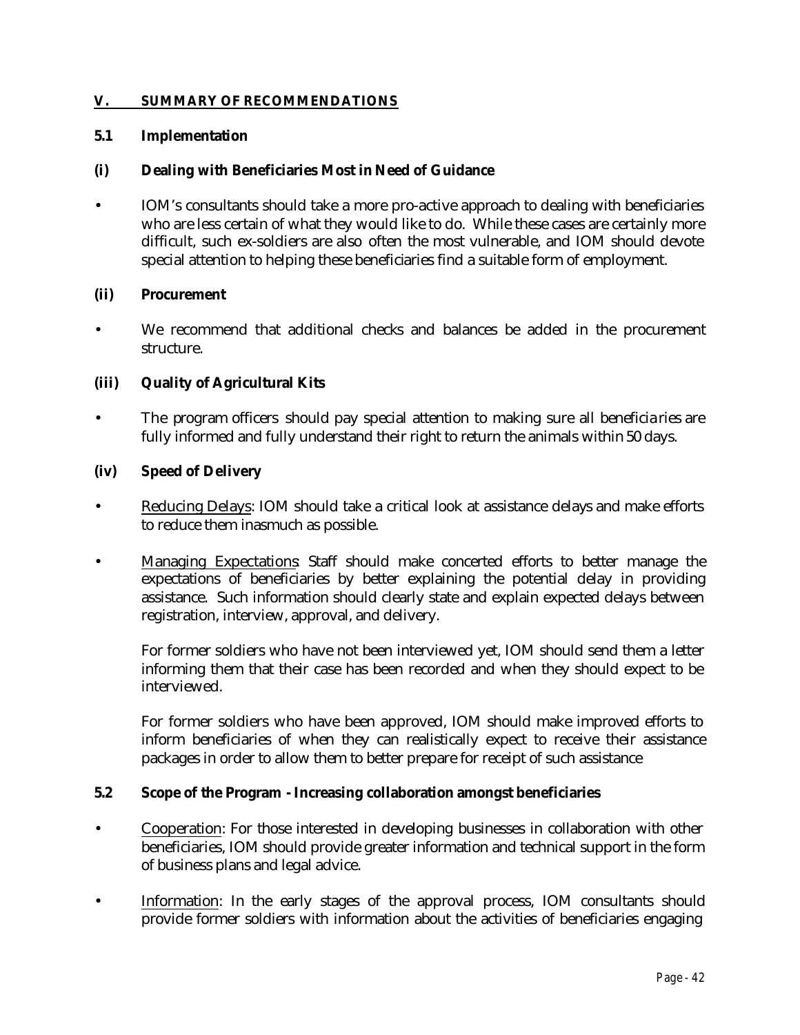#### **V. SUMMARY OF RECOMMENDATIONS**

#### **5.1 Implementation**

#### **(i) Dealing with Beneficiaries Most in Need of Guidance**

• IOM's consultants should take a more pro-active approach to dealing with beneficiaries who are less certain of what they would like to do. While these cases are certainly more difficult, such ex-soldiers are also often the most vulnerable, and IOM should devote special attention to helping these beneficiaries find a suitable form of employment.

#### **(ii) Procurement**

We recommend that additional checks and balances be added in the procurement structure.

### **(iii) Quality of Agricultural Kits**

The program officers should pay special attention to making sure all beneficiaries are fully informed and fully understand their right to return the animals within 50 days.

#### **(iv) Speed of Delivery**

- Reducing Delays: IOM should take a critical look at assistance delays and make efforts to reduce them inasmuch as possible.
- Managing Expectations Staff should make concerted efforts to better manage the expectations of beneficiaries by better explaining the potential delay in providing assistance. Such information should clearly state and explain expected delays between registration, interview, approval, and delivery.

For former soldiers who have not been interviewed yet, IOM should send them a letter informing them that their case has been recorded and when they should expect to be interviewed.

For former soldiers who have been approved, IOM should make improved efforts to inform beneficiaries of when they can realistically expect to receive their assistance packages in order to allow them to better prepare for receipt of such assistance

#### **5.2 Scope of the Program - Increasing collaboration amongst beneficiaries**

- Cooperation: For those interested in developing businesses in collaboration with other beneficiaries, IOM should provide greater information and technical support in the form of business plans and legal advice.
- Information: In the early stages of the approval process, IOM consultants should provide former soldiers with information about the activities of beneficiaries engaging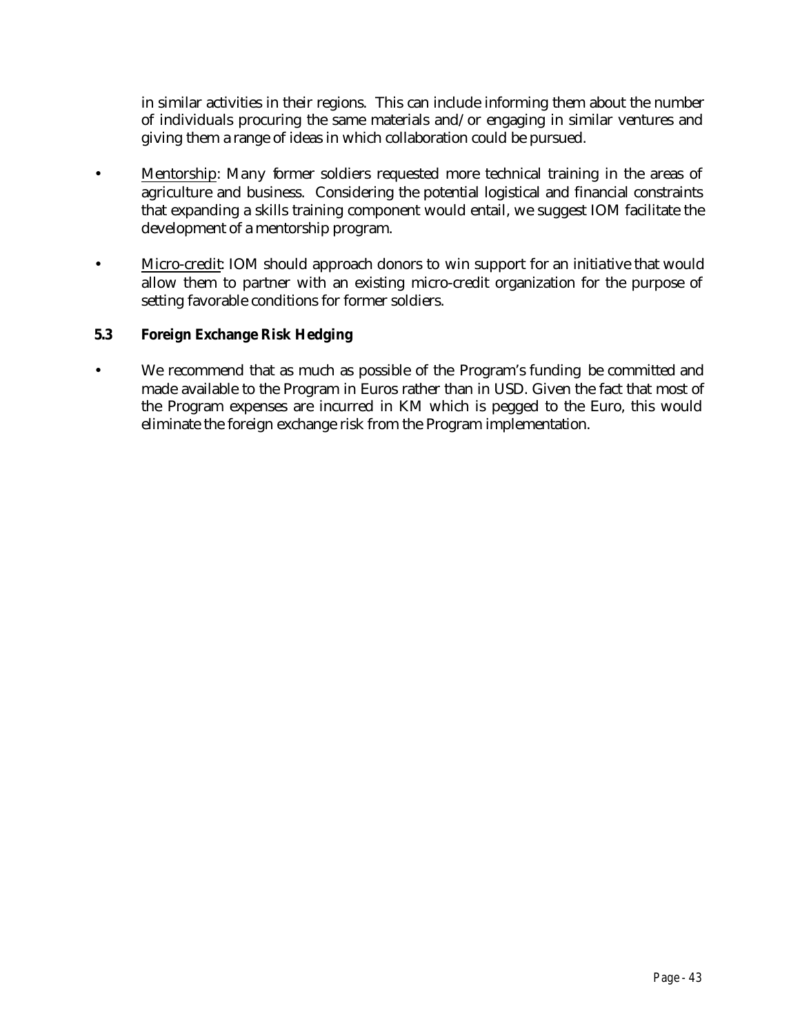in similar activities in their regions. This can include informing them about the number of individuals procuring the same materials and/or engaging in similar ventures and giving them a range of ideas in which collaboration could be pursued.

- Mentorship: Many former soldiers requested more technical training in the areas of agriculture and business. Considering the potential logistical and financial constraints that expanding a skills training component would entail, we suggest IOM facilitate the development of a mentorship program.
- Micro-credit: IOM should approach donors to win support for an initiative that would allow them to partner with an existing micro-credit organization for the purpose of setting favorable conditions for former soldiers.

# **5.3 Foreign Exchange Risk Hedging**

• We recommend that as much as possible of the Program's funding be committed and made available to the Program in Euros rather than in USD. Given the fact that most of the Program expenses are incurred in KM which is pegged to the Euro, this would eliminate the foreign exchange risk from the Program implementation.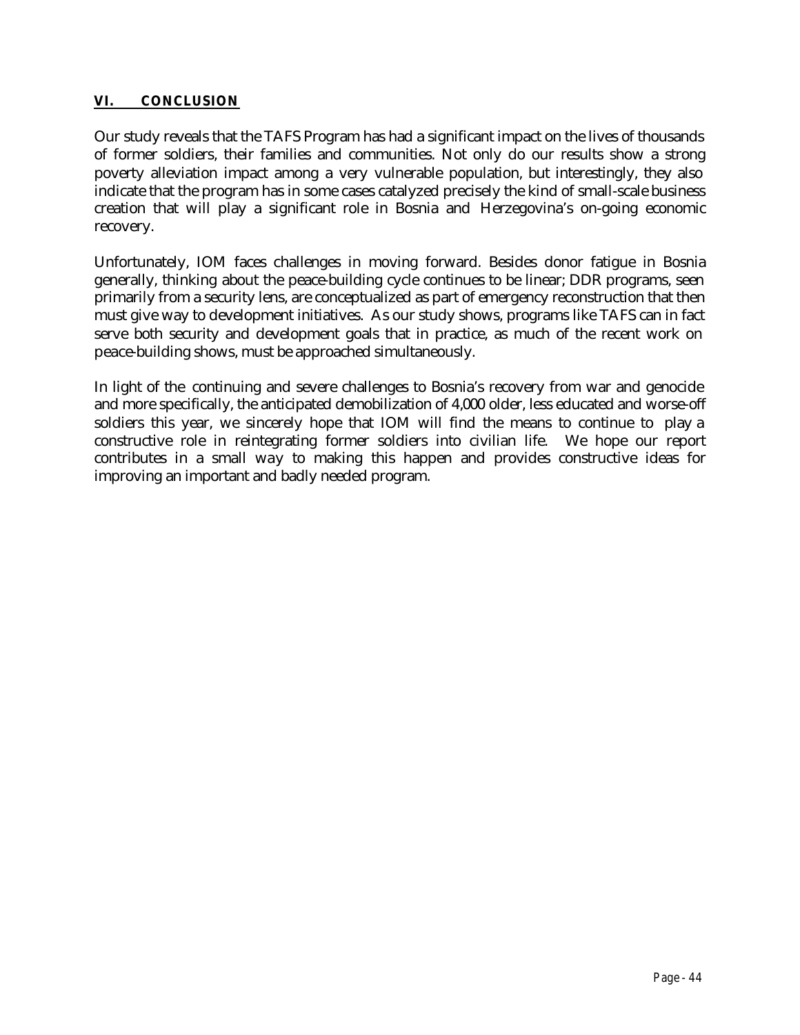## **VI. CONCLUSION**

Our study reveals that the TAFS Program has had a significant impact on the lives of thousands of former soldiers, their families and communities. Not only do our results show a strong poverty alleviation impact among a very vulnerable population, but interestingly, they also indicate that the program has in some cases catalyzed precisely the kind of small-scale business creation that will play a significant role in Bosnia and Herzegovina's on-going economic recovery.

Unfortunately, IOM faces challenges in moving forward. Besides donor fatigue in Bosnia generally, thinking about the peace-building cycle continues to be linear; DDR programs, seen primarily from a security lens, are conceptualized as part of emergency reconstruction that then must give way to development initiatives. As our study shows, programs like TAFS can in fact serve both security and development goals that in practice, as much of the recent work on peace-building shows, must be approached simultaneously.

In light of the continuing and severe challenges to Bosnia's recovery from war and genocide and more specifically, the anticipated demobilization of 4,000 older, less educated and worse-off soldiers this year, we sincerely hope that IOM will find the means to continue to play a constructive role in reintegrating former soldiers into civilian life. We hope our report contributes in a small way to making this happen and provides constructive ideas for improving an important and badly needed program.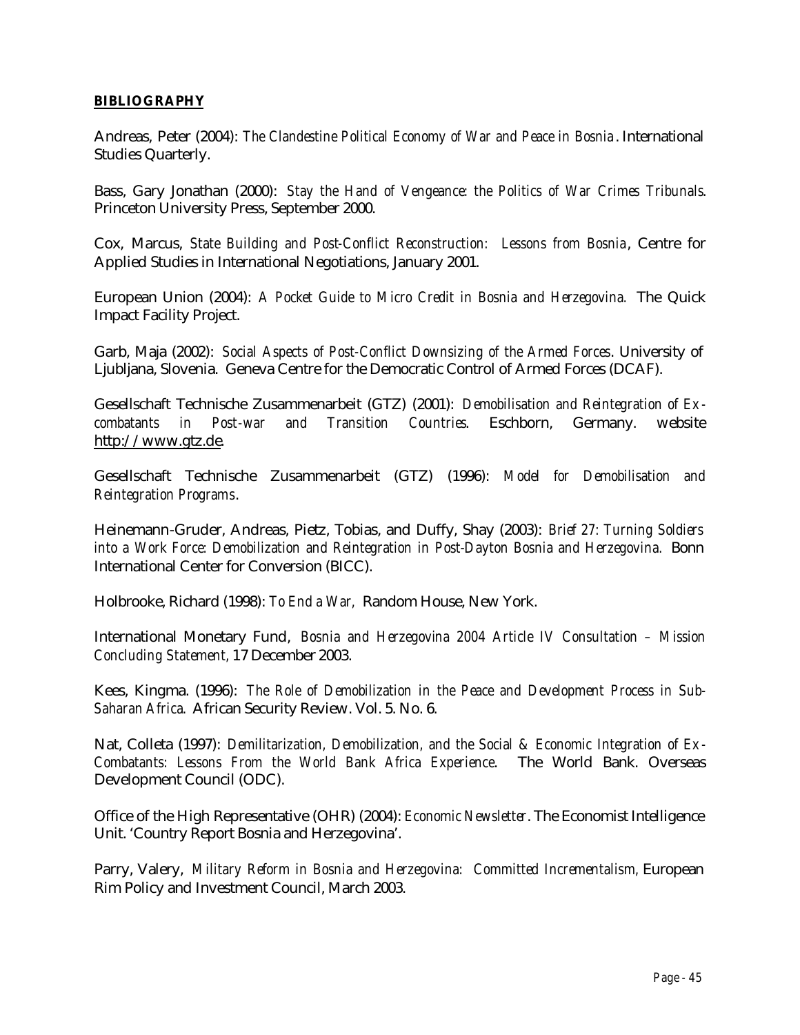#### **BIBLIOGRAPHY**

Andreas, Peter (2004): *The Clandestine Political Economy of War and Peace in Bosnia* . International Studies Quarterly.

Bass, Gary Jonathan (2000): *Stay the Hand of Vengeance: the Politics of War Crimes Tribunals*. Princeton University Press, September 2000.

Cox, Marcus, *State Building and Post-Conflict Reconstruction: Lessons from Bosnia*, Centre for Applied Studies in International Negotiations, January 2001.

European Union (2004): *A Pocket Guide to Micro Credit in Bosnia and Herzegovina.* The Quick Impact Facility Project.

Garb, Maja (2002): *Social Aspects of Post-Conflict Downsizing of the Armed Forces*. University of Ljubljana, Slovenia. Geneva Centre for the Democratic Control of Armed Forces (DCAF).

Gesellschaft Technische Zusammenarbeit (GTZ) (2001): *Demobilisation and Reintegration of Excombatants in Post-war and Transition Countries*. Eschborn, Germany. website http://www.gtz.de.

Gesellschaft Technische Zusammenarbeit (GTZ) (1996): *Model for Demobilisation and Reintegration Programs*.

Heinemann-Gruder, Andreas, Pietz, Tobias, and Duffy, Shay (2003): *Brief 27: Turning Soldiers into a Work Force: Demobilization and Reintegration in Post-Dayton Bosnia and Herzegovina.* Bonn International Center for Conversion (BICC).

Holbrooke, Richard (1998): *To End a War,* Random House, New York.

International Monetary Fund, *Bosnia and Herzegovina 2004 Article IV Consultation – Mission Concluding Statement,* 17 December 2003.

Kees, Kingma. (1996): *The Role of Demobilization in the Peace and Development Process in Sub-Saharan Africa*. African Security Review. Vol. 5. No. 6.

Nat, Colleta (1997): *Demilitarization, Demobilization, and the Social & Economic Integration of Ex-Combatants: Lessons From the World Bank Africa Experience*. The World Bank. Overseas Development Council (ODC).

Office of the High Representative (OHR) (2004): *Economic Newsletter*. The Economist Intelligence Unit. 'Country Report Bosnia and Herzegovina'.

Parry, Valery, *Military Reform in Bosnia and Herzegovina: Committed Incrementalism,* European Rim Policy and Investment Council, March 2003.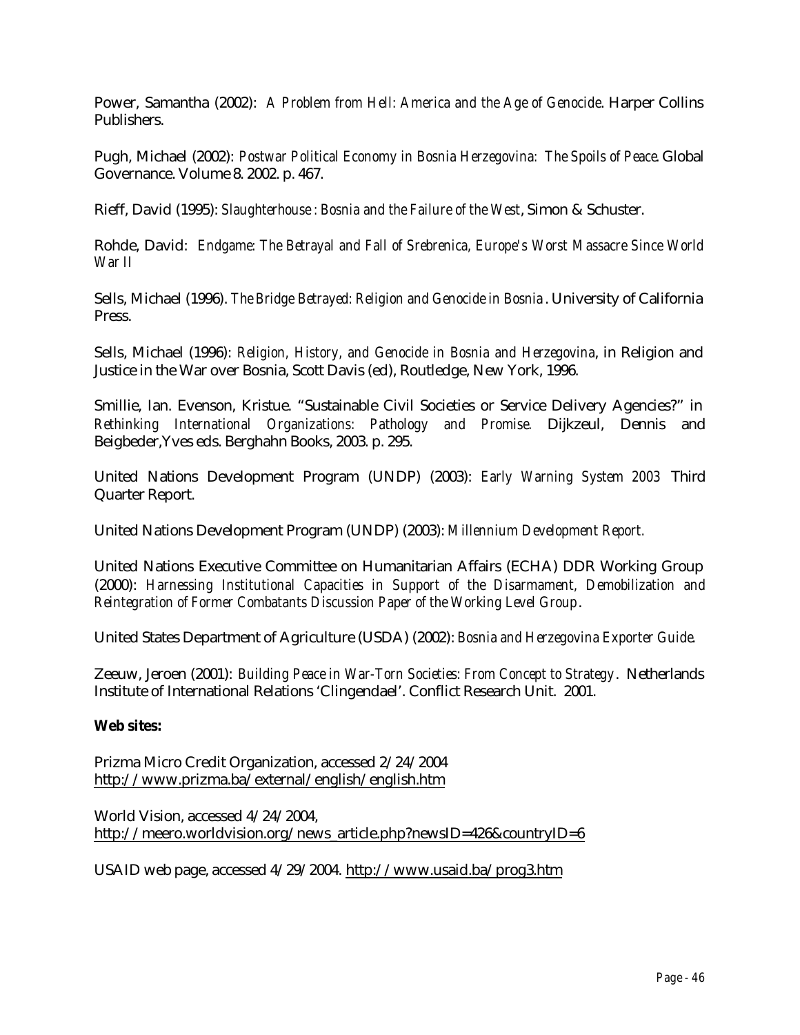Power, Samantha (2002): *A Problem from Hell: America and the Age of Genocide*. Harper Collins Publishers.

Pugh, Michael (2002): *Postwar Political Economy in Bosnia Herzegovina: The Spoils of Peace*. Global Governance. Volume 8. 2002. p. 467.

Rieff, David (1995): *Slaughterhouse : Bosnia and the Failure of the West*, Simon & Schuster.

Rohde, David: *Endgame: The Betrayal and Fall of Srebrenica, Europe's Worst Massacre Since World War II* 

Sells, Michael (1996). *The Bridge Betrayed: Religion and Genocide in Bosnia* . University of California Press.

Sells, Michael (1996): *Religion, History, and Genocide in Bosnia and Herzegovina*, in Religion and Justice in the War over Bosnia, Scott Davis (ed), Routledge, New York, 1996.

Smillie, Ian. Evenson, Kristue. "Sustainable Civil Societies or Service Delivery Agencies?" in *Rethinking International Organizations: Pathology and Promise.* Dijkzeul, Dennis and Beigbeder,Yves eds. Berghahn Books, 2003. p. 295.

United Nations Development Program (UNDP) (2003): *Early Warning System 2003* Third Quarter Report.

United Nations Development Program (UNDP) (2003): *Millennium Development Report.*

United Nations Executive Committee on Humanitarian Affairs (ECHA) DDR Working Group (2000): *Harnessing Institutional Capacities in Support of the Disarmament, Demobilization and Reintegration of Former Combatants Discussion Paper of the Working Level Group*.

United States Department of Agriculture (USDA) (2002): *Bosnia and Herzegovina Exporter Guide*.

Zeeuw, Jeroen (2001): *Building Peace in War-Torn Societies: From Concept to Strategy*. Netherlands Institute of International Relations 'Clingendael'. Conflict Research Unit. 2001.

### **Web sites:**

Prizma Micro Credit Organization, accessed 2/24/2004 http://www.prizma.ba/external/english/english.htm

World Vision, accessed 4/24/2004, http://meero.worldvision.org/news\_article.php?newsID=426&countryID=6

USAID web page, accessed 4/29/2004. http://www.usaid.ba/prog3.htm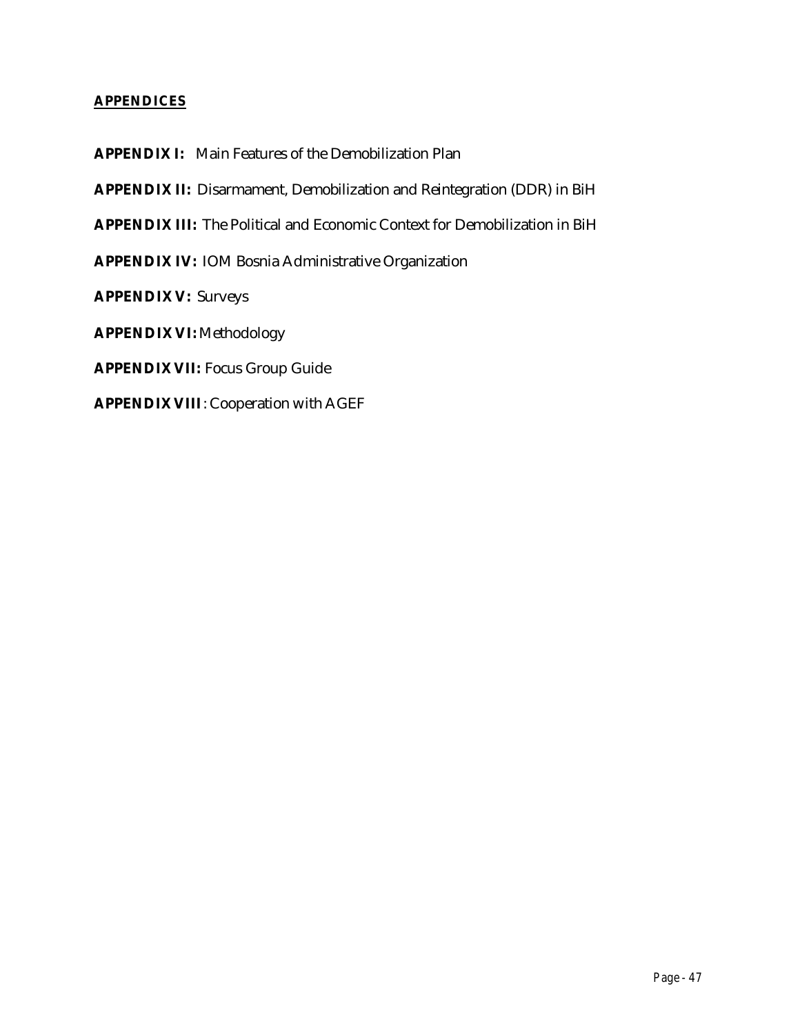### **APPENDICES**

**APPENDIX I:** Main Features of the Demobilization Plan

**APPENDIX II:** Disarmament, Demobilization and Reintegration (DDR) in BiH

**APPENDIX III:** The Political and Economic Context for Demobilization in BiH

**APPENDIX IV:** IOM Bosnia Administrative Organization

**APPENDIX V:** Surveys

**APPENDIX VI:** Methodology

**APPENDIX VII:** Focus Group Guide

**APPENDIX VIII**: Cooperation with AGEF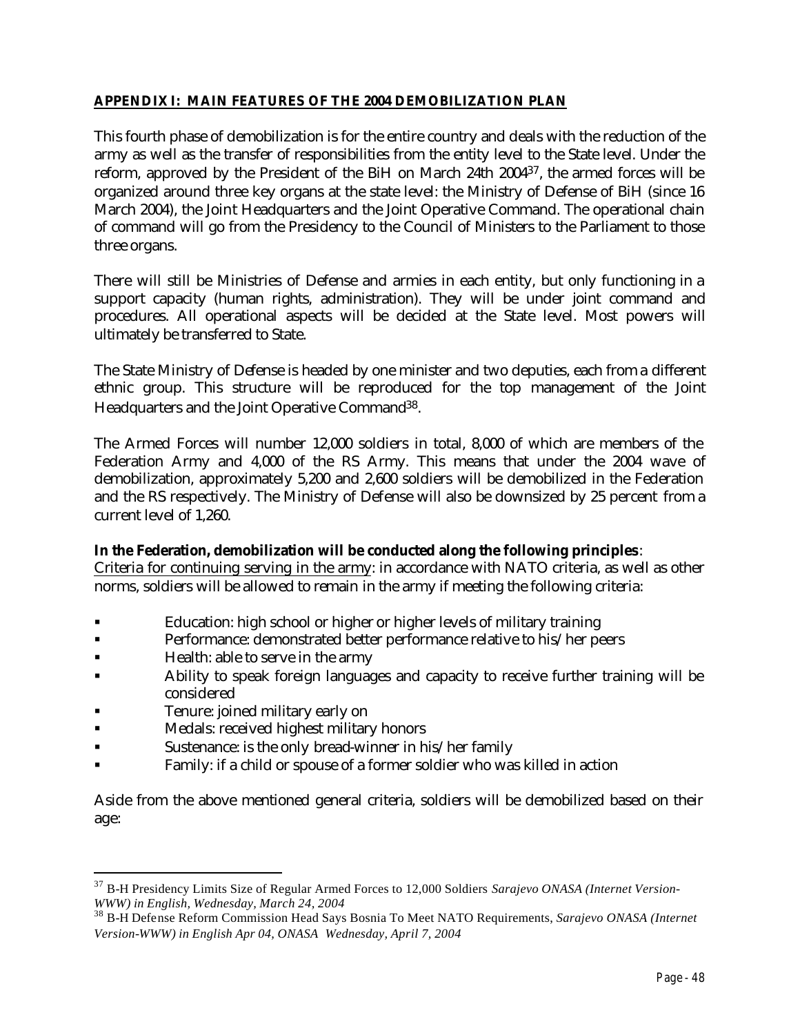### **APPENDIX I: MAIN FEATURES OF THE 2004 DEMOBILIZATION PLAN**

This fourth phase of demobilization is for the entire country and deals with the reduction of the army as well as the transfer of responsibilities from the entity level to the State level. Under the reform, approved by the President of the BiH on March 24th 200437, the armed forces will be organized around three key organs at the state level: the Ministry of Defense of BiH (since 16 March 2004), the Joint Headquarters and the Joint Operative Command. The operational chain of command will go from the Presidency to the Council of Ministers to the Parliament to those three organs.

There will still be Ministries of Defense and armies in each entity, but only functioning in a support capacity (human rights, administration). They will be under joint command and procedures. All operational aspects will be decided at the State level. Most powers will ultimately be transferred to State.

The State Ministry of Defense is headed by one minister and two deputies, each from a different ethnic group. This structure will be reproduced for the top management of the Joint Headquarters and the Joint Operative Command38.

The Armed Forces will number 12,000 soldiers in total, 8,000 of which are members of the Federation Army and 4,000 of the RS Army. This means that under the 2004 wave of demobilization, approximately 5,200 and 2,600 soldiers will be demobilized in the Federation and the RS respectively. The Ministry of Defense will also be downsized by 25 percent from a current level of 1,260.

### **In the Federation, demobilization will be conducted along the following principles**:

Criteria for continuing serving in the army: in accordance with NATO criteria, as well as other norms, soldiers will be allowed to remain in the army if meeting the following criteria:

- ß Education: high school or higher or higher levels of military training
- **EXECUTE:** Performance: demonstrated better performance relative to his/her peers
- Health: able to serve in the army
- ß Ability to speak foreign languages and capacity to receive further training will be considered
- ß Tenure: joined military early on

 $\overline{a}$ 

- ß Medals: received highest military honors
- **Sustenance: is the only bread-winner in his/her family**
- ß Family: if a child or spouse of a former soldier who was killed in action

Aside from the above mentioned general criteria, soldiers will be demobilized based on their age:

<sup>37</sup> B-H Presidency Limits Size of Regular Armed Forces to 12,000 Soldiers *Sarajevo ONASA (Internet Version-WWW) in English, Wednesday, March 24, 2004*

<sup>38</sup> B-H Defense Reform Commission Head Says Bosnia To Meet NATO Requirements, *Sarajevo ONASA (Internet Version-WWW) in English Apr 04, ONASA Wednesday, April 7, 2004*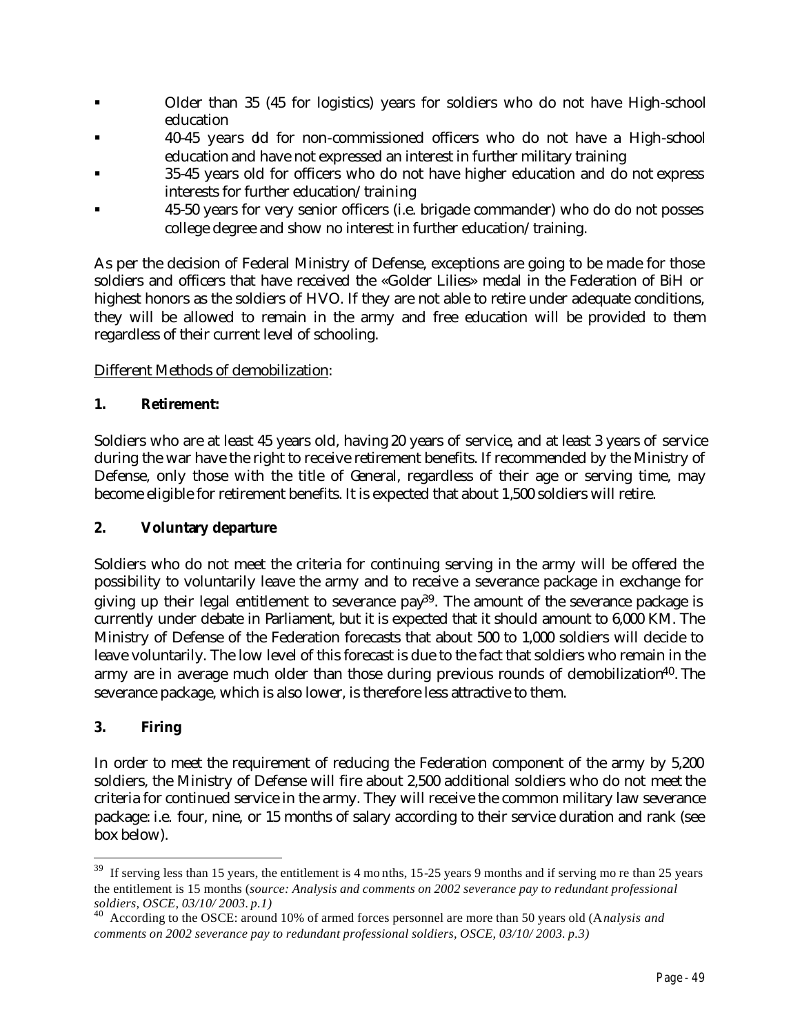- Older than 35 (45 for logistics) years for soldiers who do not have High-school education
- ß 40-45 years old for non-commissioned officers who do not have a High-school education and have not expressed an interest in further military training
- ß 35-45 years old for officers who do not have higher education and do not express interests for further education/training
- ß 45-50 years for very senior officers (i.e. brigade commander) who do do not posses college degree and show no interest in further education/training.

As per the decision of Federal Ministry of Defense, exceptions are going to be made for those soldiers and officers that have received the «Golder Lilies» medal in the Federation of BiH or highest honors as the soldiers of HVO. If they are not able to retire under adequate conditions, they will be allowed to remain in the army and free education will be provided to them regardless of their current level of schooling.

## Different Methods of demobilization:

### **1. Retirement:**

Soldiers who are at least 45 years old, having 20 years of service, and at least 3 years of service during the war have the right to receive retirement benefits. If recommended by the Ministry of Defense, only those with the title of General, regardless of their age or serving time, may become eligible for retirement benefits. It is expected that about 1,500 soldiers will retire.

### **2. Voluntary departure**

Soldiers who do not meet the criteria for continuing serving in the army will be offered the possibility to voluntarily leave the army and to receive a severance package in exchange for giving up their legal entitlement to severance  $pay39$ . The amount of the severance package is currently under debate in Parliament, but it is expected that it should amount to 6,000 KM. The Ministry of Defense of the Federation forecasts that about 500 to 1,000 soldiers will decide to leave voluntarily. The low level of this forecast is due to the fact that soldiers who remain in the army are in average much older than those during previous rounds of demobilization<sup>40</sup>. The severance package, which is also lower, is therefore less attractive to them.

# **3. Firing**

 $\overline{a}$ 

In order to meet the requirement of reducing the Federation component of the army by 5,200 soldiers, the Ministry of Defense will fire about 2,500 additional soldiers who do not meet the criteria for continued service in the army. They will receive the common military law severance package: i.e. four, nine, or 15 months of salary according to their service duration and rank (see box below).

<sup>&</sup>lt;sup>39</sup> If serving less than 15 years, the entitlement is 4 months, 15-25 years 9 months and if serving mo re than 25 years the entitlement is 15 months (*source: Analysis and comments on 2002 severance pay to redundant professional soldiers, OSCE, 03/10/ 2003. p.1)*

<sup>40</sup> According to the OSCE: around 10% of armed forces personnel are more than 50 years old (A*nalysis and comments on 2002 severance pay to redundant professional soldiers, OSCE, 03/10/ 2003. p.3)*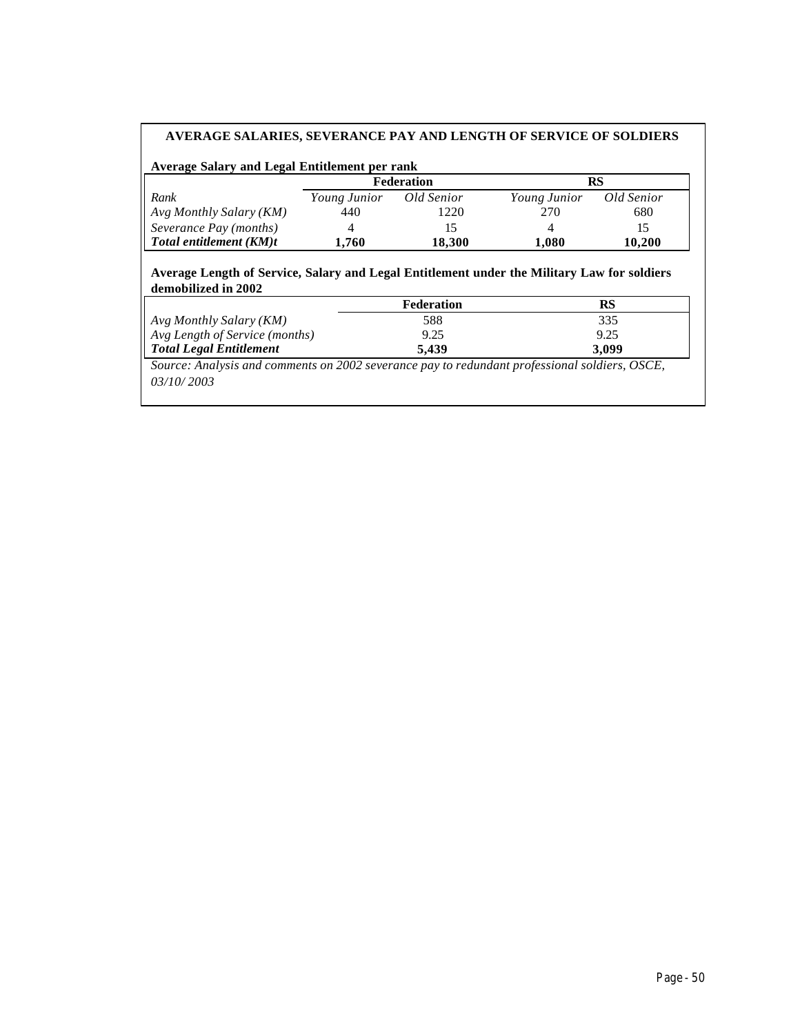#### **AVERAGE SALARIES, SEVERANCE PAY AND LENGTH OF SERVICE OF SOLDIERS**

#### **Average Salary and Legal Entitlement per rank**

|                         |              | Federation | RS           |            |
|-------------------------|--------------|------------|--------------|------------|
| Rank                    | Young Junior | Old Senior | Young Junior | Old Senior |
| Avg Monthly Salary (KM) | 440          | 1220       | 270          | 680        |
| Severance Pay (months)  |              | כו         |              | 15         |
| Total entitlement (KM)t | .760         | 18.300     | 1.080        | 10.200     |

#### **Average Length of Service, Salary and Legal Entitlement under the Military Law for soldiers demobilized in 2002**

| 335   |
|-------|
| 9.25  |
| 3.099 |
|       |

*Source: Analysis and comments on 2002 severance pay to redundant professional soldiers, OSCE, 03/10/ 2003*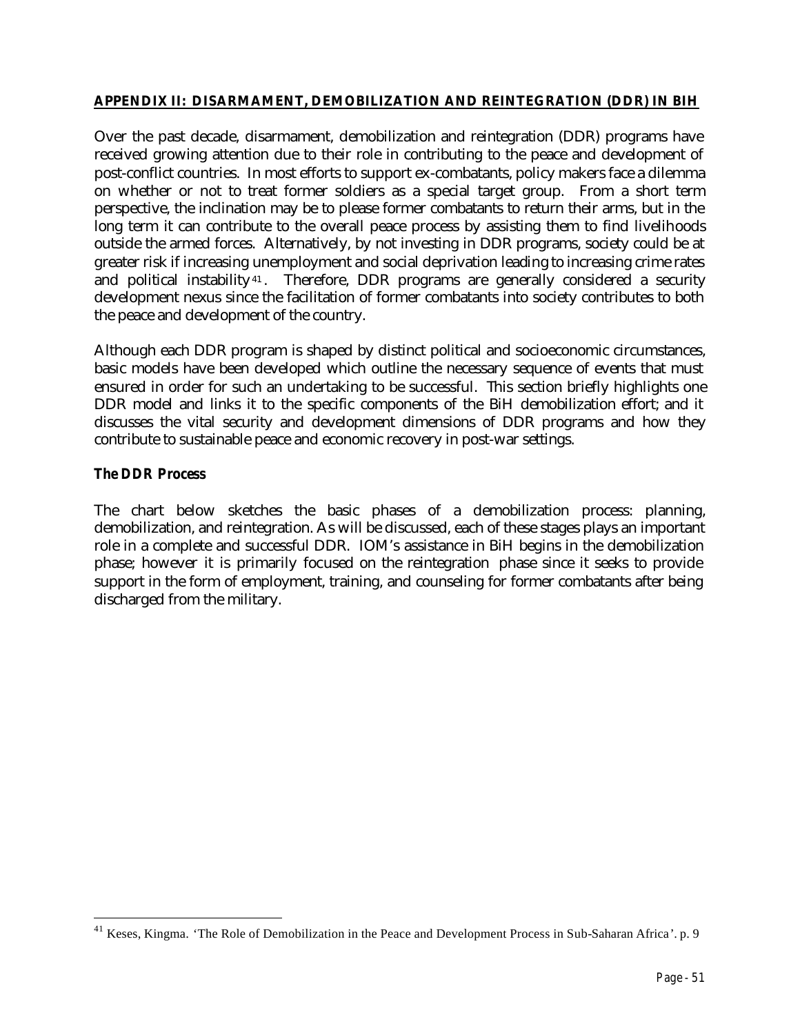### **APPENDIX II: DISARMAMENT, DEMOBILIZATION AND REINTEGRATION (DDR) IN BIH**

Over the past decade, disarmament, demobilization and reintegration (DDR) programs have received growing attention due to their role in contributing to the peace and development of post-conflict countries. In most efforts to support ex-combatants, policy makers face a dilemma on whether or not to treat former soldiers as a special target group. From a short term perspective, the inclination may be to please former combatants to return their arms, but in the long term it can contribute to the overall peace process by assisting them to find livelihoods outside the armed forces. Alternatively, by not investing in DDR programs, society could be at greater risk if increasing unemployment and social deprivation leading to increasing crime rates and political instability<sup>41</sup>. Therefore, DDR programs are generally considered a security development nexus since the facilitation of former combatants into society contributes to both the peace and development of the country.

Although each DDR program is shaped by distinct political and socioeconomic circumstances, basic models have been developed which outline the necessary sequence of events that must ensured in order for such an undertaking to be successful. This section briefly highlights one DDR model and links it to the specific components of the BiH demobilization effort; and it discusses the vital security and development dimensions of DDR programs and how they contribute to sustainable peace and economic recovery in post-war settings.

### *The DDR Process*

 $\overline{a}$ 

The chart below sketches the basic phases of a demobilization process: planning, demobilization, and reintegration. As will be discussed, each of these stages plays an important role in a complete and successful DDR. IOM's assistance in BiH begins in the demobilization phase; however it is primarily focused on the reintegration phase since it seeks to provide support in the form of employment, training, and counseling for former combatants after being discharged from the military.

<sup>&</sup>lt;sup>41</sup> Keses, Kingma. 'The Role of Demobilization in the Peace and Development Process in Sub-Saharan Africa'. p. 9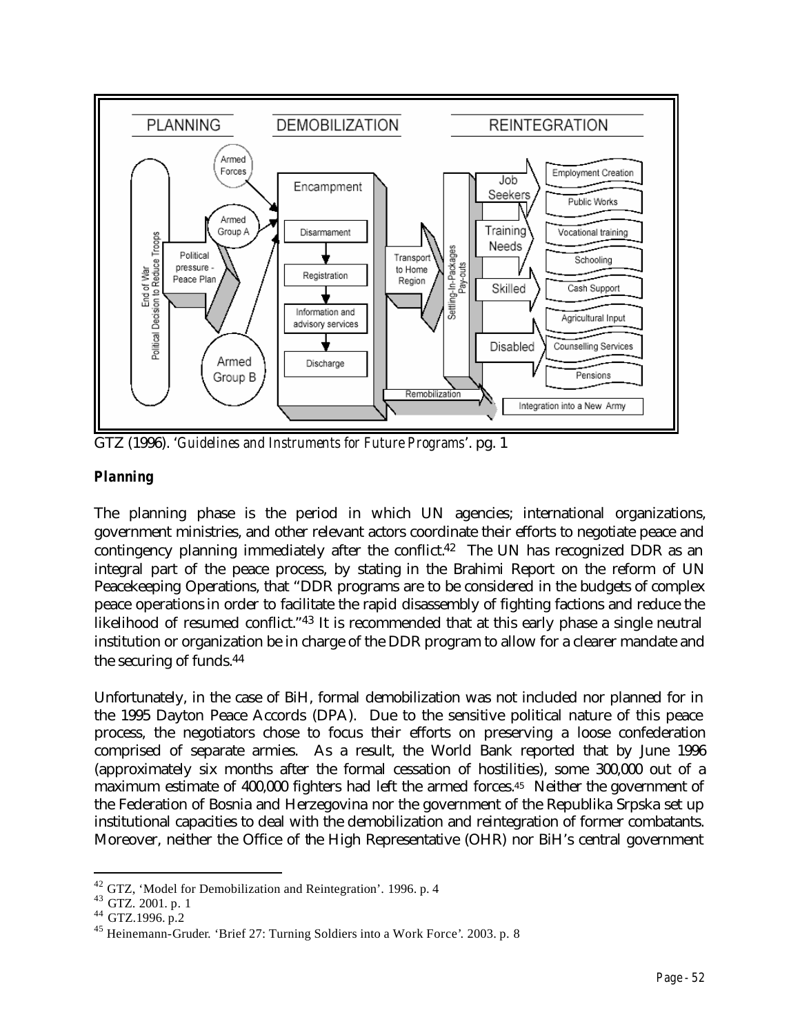

GTZ (1996). '*Guidelines and Instruments for Future Programs*'. pg. 1

# *Planning*

The planning phase is the period in which UN agencies; international organizations, government ministries, and other relevant actors coordinate their efforts to negotiate peace and contingency planning immediately after the conflict.<sup>42</sup> The UN has recognized DDR as an integral part of the peace process, by stating in the Brahimi Report on the reform of UN Peacekeeping Operations, that "DDR programs are to be considered in the budgets of complex peace operations in order to facilitate the rapid disassembly of fighting factions and reduce the likelihood of resumed conflict."<sup>43</sup> It is recommended that at this early phase a single neutral institution or organization be in charge of the DDR program to allow for a clearer mandate and the securing of funds.<sup>44</sup>

Unfortunately, in the case of BiH, formal demobilization was not included nor planned for in the 1995 Dayton Peace Accords (DPA). Due to the sensitive political nature of this peace process, the negotiators chose to focus their efforts on preserving a loose confederation comprised of separate armies. As a result, the World Bank reported that by June 1996 (approximately six months after the formal cessation of hostilities), some 300,000 out of a maximum estimate of 400,000 fighters had left the armed forces.45 Neither the government of the Federation of Bosnia and Herzegovina nor the government of the Republika Srpska set up institutional capacities to deal with the demobilization and reintegration of former combatants. Moreover, neither the Office of the High Representative (OHR) nor BiH's central government

<sup>42</sup> GTZ, 'Model for Demobilization and Reintegration'. 1996. p. 4

<sup>43</sup> GTZ. 2001. p. 1

<sup>44</sup> GTZ.1996. p.2

<sup>45</sup> Heinemann-Gruder. 'Brief 27: Turning Soldiers into a Work Force'. 2003. p. 8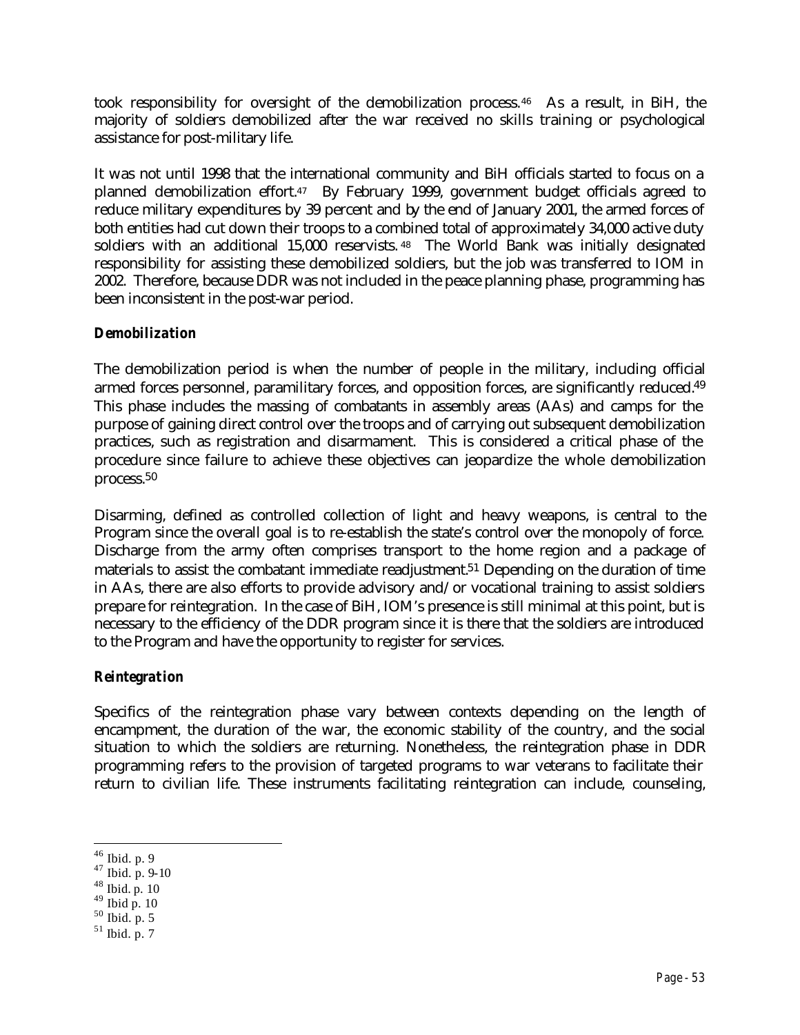took responsibility for oversight of the demobilization process.46 As a result, in BiH, the majority of soldiers demobilized after the war received no skills training or psychological assistance for post-military life.

It was not until 1998 that the international community and BiH officials started to focus on a planned demobilization effort.47 By February 1999, government budget officials agreed to reduce military expenditures by 39 percent and by the end of January 2001, the armed forces of both entities had cut down their troops to a combined total of approximately 34,000 active duty soldiers with an additional 15,000 reservists. <sup>48</sup> The World Bank was initially designated responsibility for assisting these demobilized soldiers, but the job was transferred to IOM in 2002. Therefore, because DDR was not included in the peace planning phase, programming has been inconsistent in the post-war period.

### *Demobilization*

The demobilization period is when the number of people in the military, including official armed forces personnel, paramilitary forces, and opposition forces, are significantly reduced.<sup>49</sup> This phase includes the massing of combatants in assembly areas (AAs) and camps for the purpose of gaining direct control over the troops and of carrying out subsequent demobilization practices, such as registration and disarmament. This is considered a critical phase of the procedure since failure to achieve these objectives can jeopardize the whole demobilization process.<sup>50</sup>

Disarming, defined as controlled collection of light and heavy weapons, is central to the Program since the overall goal is to re-establish the state's control over the monopoly of force. Discharge from the army often comprises transport to the home region and a package of materials to assist the combatant immediate readjustment.51 Depending on the duration of time in AAs, there are also efforts to provide advisory and/or vocational training to assist soldiers prepare for reintegration. In the case of BiH, IOM's presence is still minimal at this point, but is necessary to the efficiency of the DDR program since it is there that the soldiers are introduced to the Program and have the opportunity to register for services.

### *Reintegration*

Specifics of the reintegration phase vary between contexts depending on the length of encampment, the duration of the war, the economic stability of the country, and the social situation to which the soldiers are returning. Nonetheless, the reintegration phase in DDR programming refers to the provision of targeted programs to war veterans to facilitate their return to civilian life. These instruments facilitating reintegration can include, counseling,

 $\overline{a}$ <sup>46</sup> Ibid. p. 9

 $47$  Ibid. p. 9-10

 $48$  Ibid. p. 10

 $49$  Ibid p. 10

 $50$  Ibid. p. 5

 $51$  Ibid. p. 7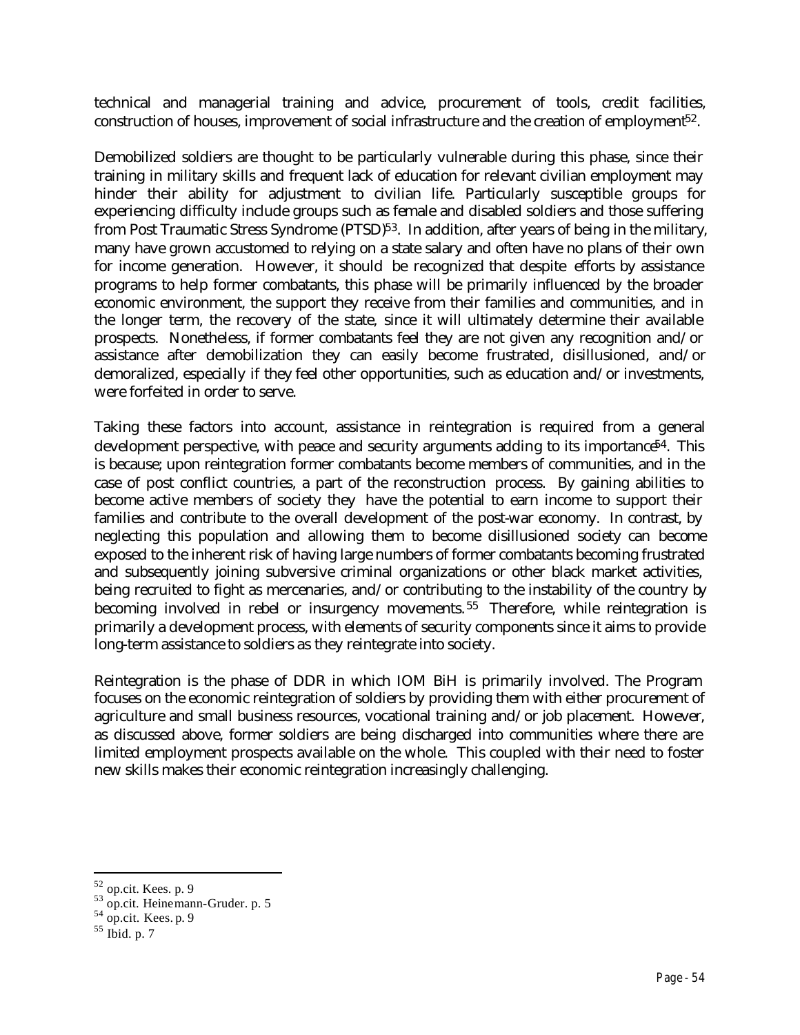technical and managerial training and advice, procurement of tools, credit facilities, construction of houses, improvement of social infrastructure and the creation of employment<sup>52</sup>.

Demobilized soldiers are thought to be particularly vulnerable during this phase, since their training in military skills and frequent lack of education for relevant civilian employment may hinder their ability for adjustment to civilian life. Particularly susceptible groups for experiencing difficulty include groups such as female and disabled soldiers and those suffering from Post Traumatic Stress Syndrome (PTSD)<sup>53</sup>. In addition, after years of being in the military, many have grown accustomed to relying on a state salary and often have no plans of their own for income generation. However, it should be recognized that despite efforts by assistance programs to help former combatants, this phase will be primarily influenced by the broader economic environment, the support they receive from their families and communities, and in the longer term, the recovery of the state, since it will ultimately determine their available prospects. Nonetheless, if former combatants feel they are not given any recognition and/or assistance after demobilization they can easily become frustrated, disillusioned, and/or demoralized, especially if they feel other opportunities, such as education and/or investments, were forfeited in order to serve.

Taking these factors into account, assistance in reintegration is required from a general development perspective, with peace and security arguments adding to its importance<sup>54</sup>. This is because; upon reintegration former combatants become members of communities, and in the case of post conflict countries, a part of the reconstruction process. By gaining abilities to become active members of society they have the potential to earn income to support their families and contribute to the overall development of the post-war economy. In contrast, by neglecting this population and allowing them to become disillusioned society can become exposed to the inherent risk of having large numbers of former combatants becoming frustrated and subsequently joining subversive criminal organizations or other black market activities, being recruited to fight as mercenaries, and/or contributing to the instability of the country by becoming involved in rebel or insurgency movements.<sup>55</sup> Therefore, while reintegration is primarily a development process, with elements of security components since it aims to provide long-term assistance to soldiers as they reintegrate into society.

Reintegration is the phase of DDR in which IOM BiH is primarily involved. The Program focuses on the economic reintegration of soldiers by providing them with either procurement of agriculture and small business resources, vocational training and/or job placement. However, as discussed above, former soldiers are being discharged into communities where there are limited employment prospects available on the whole. This coupled with their need to foster new skills makes their economic reintegration increasingly challenging.

<sup>&</sup>lt;sup>52</sup> op.cit. Kees. p. 9<br><sup>53</sup> op.cit. Heinemann-Gruder. p. 5

 $54$  op.cit. Kees. p. 9

 $55$  Ibid. p. 7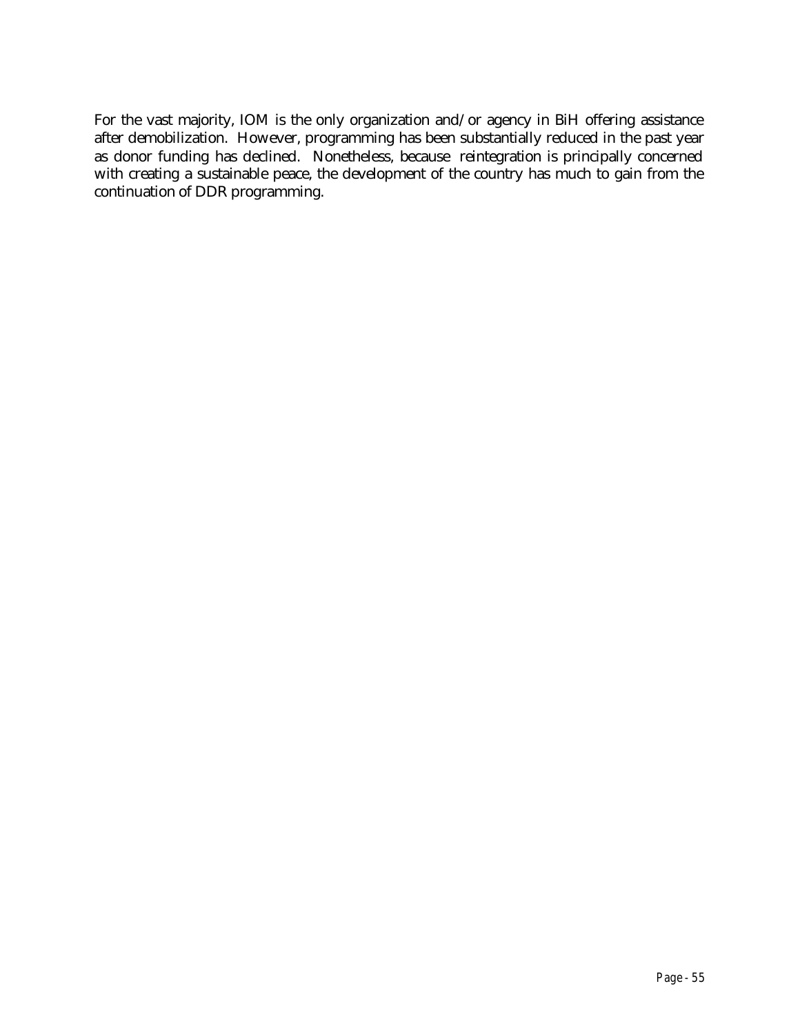For the vast majority, IOM is the only organization and/or agency in BiH offering assistance after demobilization. However, programming has been substantially reduced in the past year as donor funding has declined. Nonetheless, because reintegration is principally concerned with creating a sustainable peace, the development of the country has much to gain from the continuation of DDR programming.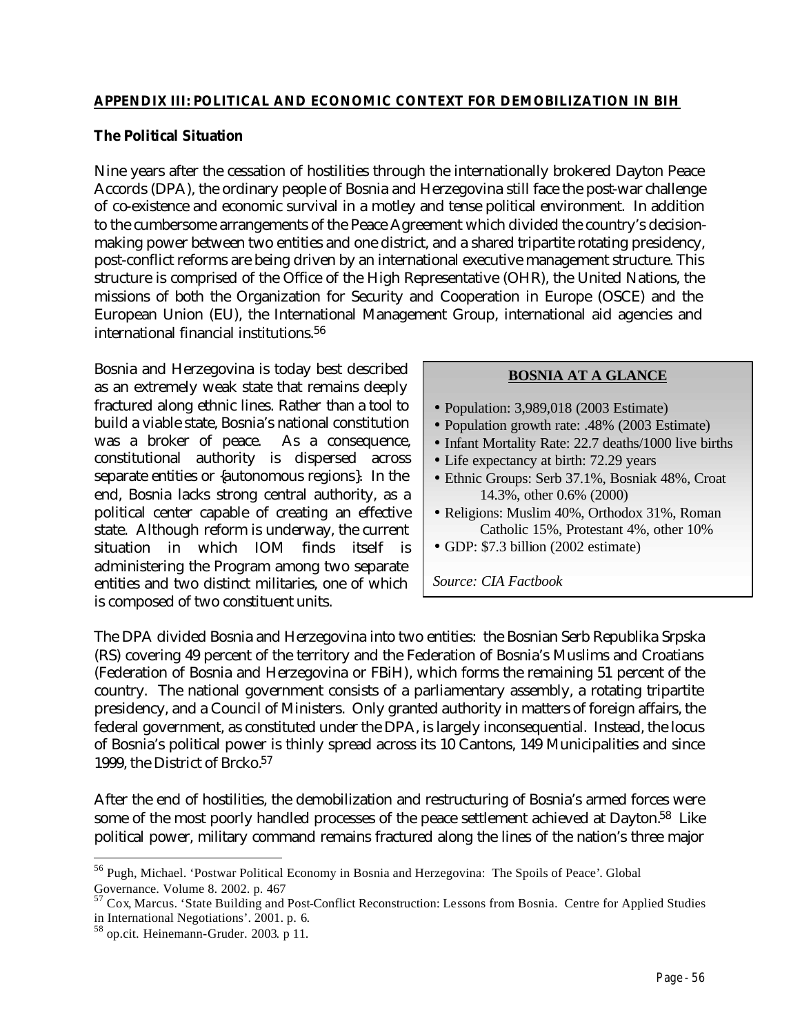### **The Political Situation**

Nine years after the cessation of hostilities through the internationally brokered Dayton Peace Accords (DPA), the ordinary people of Bosnia and Herzegovina still face the post-war challenge of co-existence and economic survival in a motley and tense political environment. In addition to the cumbersome arrangements of the Peace Agreement which divided the country's decisionmaking power between two entities and one district, and a shared tripartite rotating presidency, post-conflict reforms are being driven by an international executive management structure. This structure is comprised of the Office of the High Representative (OHR), the United Nations, the missions of both the Organization for Security and Cooperation in Europe (OSCE) and the European Union (EU), the International Management Group, international aid agencies and international financial institutions.<sup>56</sup>

Bosnia and Herzegovina is today best described as an extremely weak state that remains deeply fractured along ethnic lines. Rather than a tool to build a viable state, Bosnia's national constitution was a broker of peace. As a consequence, constitutional authority is dispersed across separate entities or {autonomous regions}. In the end, Bosnia lacks strong central authority, as a political center capable of creating an effective state. Although reform is underway, the current situation in which IOM finds itself is administering the Program among two separate entities and two distinct militaries, one of which is composed of two constituent units.

#### **BOSNIA AT A GLANCE**

- Population: 3,989,018 (2003 Estimate)
- Population growth rate: .48% (2003 Estimate)
- Infant Mortality Rate: 22.7 deaths/1000 live births
- Life expectancy at birth: 72.29 years
- Ethnic Groups: Serb 37.1%, Bosniak 48%, Croat 14.3%, other 0.6% (2000)
- Religions: Muslim 40%, Orthodox 31%, Roman Catholic 15%, Protestant 4%, other 10%
- GDP: \$7.3 billion (2002 estimate)

*Source: CIA Factbook*

The DPA divided Bosnia and Herzegovina into two entities: the Bosnian Serb Republika Srpska (RS) covering 49 percent of the territory and the Federation of Bosnia's Muslims and Croatians (Federation of Bosnia and Herzegovina or FBiH), which forms the remaining 51 percent of the country. The national government consists of a parliamentary assembly, a rotating tripartite presidency, and a Council of Ministers. Only granted authority in matters of foreign affairs, the federal government, as constituted under the DPA, is largely inconsequential. Instead, the locus of Bosnia's political power is thinly spread across its 10 Cantons, 149 Municipalities and since 1999, the District of Brcko.<sup>57</sup>

After the end of hostilities, the demobilization and restructuring of Bosnia's armed forces were some of the most poorly handled processes of the peace settlement achieved at Dayton.<sup>58</sup> Like political power, military command remains fractured along the lines of the nation's three major

<sup>56</sup> Pugh, Michael. 'Postwar Political Economy in Bosnia and Herzegovina: The Spoils of Peace'. Global Governance. Volume 8. 2002. p. 467

<sup>&</sup>lt;sup>57</sup> Cox, Marcus. 'State Building and Post-Conflict Reconstruction: Lessons from Bosnia. Centre for Applied Studies in International Negotiations'. 2001. p. 6.

<sup>&</sup>lt;sup>58</sup> op.cit. Heinemann-Gruder. 2003. p 11.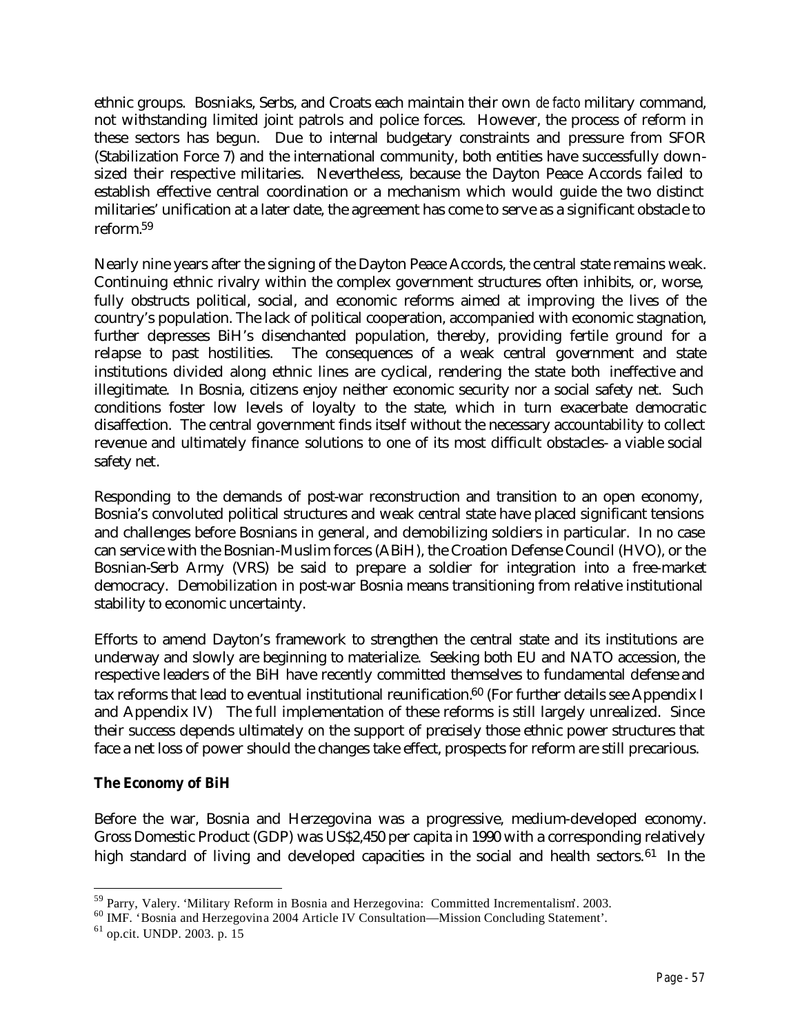ethnic groups. Bosniaks, Serbs, and Croats each maintain their own *de facto* military command, not withstanding limited joint patrols and police forces. However, the process of reform in these sectors has begun. Due to internal budgetary constraints and pressure from SFOR (Stabilization Force 7) and the international community, both entities have successfully downsized their respective militaries. Nevertheless, because the Dayton Peace Accords failed to establish effective central coordination or a mechanism which would guide the two distinct militaries' unification at a later date, the agreement has come to serve as a significant obstacle to reform.<sup>59</sup>

Nearly nine years after the signing of the Dayton Peace Accords, the central state remains weak. Continuing ethnic rivalry within the complex government structures often inhibits, or, worse, fully obstructs political, social, and economic reforms aimed at improving the lives of the country's population. The lack of political cooperation, accompanied with economic stagnation, further depresses BiH's disenchanted population, thereby, providing fertile ground for a relapse to past hostilities. The consequences of a weak central government and state institutions divided along ethnic lines are cyclical, rendering the state both ineffective and illegitimate. In Bosnia, citizens enjoy neither economic security nor a social safety net. Such conditions foster low levels of loyalty to the state, which in turn exacerbate democratic disaffection. The central government finds itself without the necessary accountability to collect revenue and ultimately finance solutions to one of its most difficult obstacles- a viable social safety net.

Responding to the demands of post-war reconstruction and transition to an open economy, Bosnia's convoluted political structures and weak central state have placed significant tensions and challenges before Bosnians in general, and demobilizing soldiers in particular. In no case can service with the Bosnian-Muslim forces (ABiH), the Croation Defense Council (HVO), or the Bosnian-Serb Army (VRS) be said to prepare a soldier for integration into a free-market democracy. Demobilization in post-war Bosnia means transitioning from relative institutional stability to economic uncertainty.

Efforts to amend Dayton's framework to strengthen the central state and its institutions are underway and slowly are beginning to materialize. Seeking both EU and NATO accession, the respective leaders of the BiH have recently committed themselves to fundamental defense and tax reforms that lead to eventual institutional reunification.<sup>60</sup> (For further details see Appendix I and Appendix IV) The full implementation of these reforms is still largely unrealized. Since their success depends ultimately on the support of precisely those ethnic power structures that face a net loss of power should the changes take effect, prospects for reform are still precarious.

### **The Economy of BiH**

Before the war, Bosnia and Herzegovina was a progressive, medium-developed economy. Gross Domestic Product (GDP) was US\$2,450 per capita in 1990 with a corresponding relatively high standard of living and developed capacities in the social and health sectors.<sup>61</sup> In the

<sup>&</sup>lt;sup>59</sup> Parry, Valery. 'Military Reform in Bosnia and Herzegovina: Committed Incrementalism'. 2003.

<sup>60</sup> IMF. 'Bosnia and Herzegovina 2004 Article IV Consultation—Mission Concluding Statement'.

<sup>61</sup> op.cit. UNDP. 2003. p. 15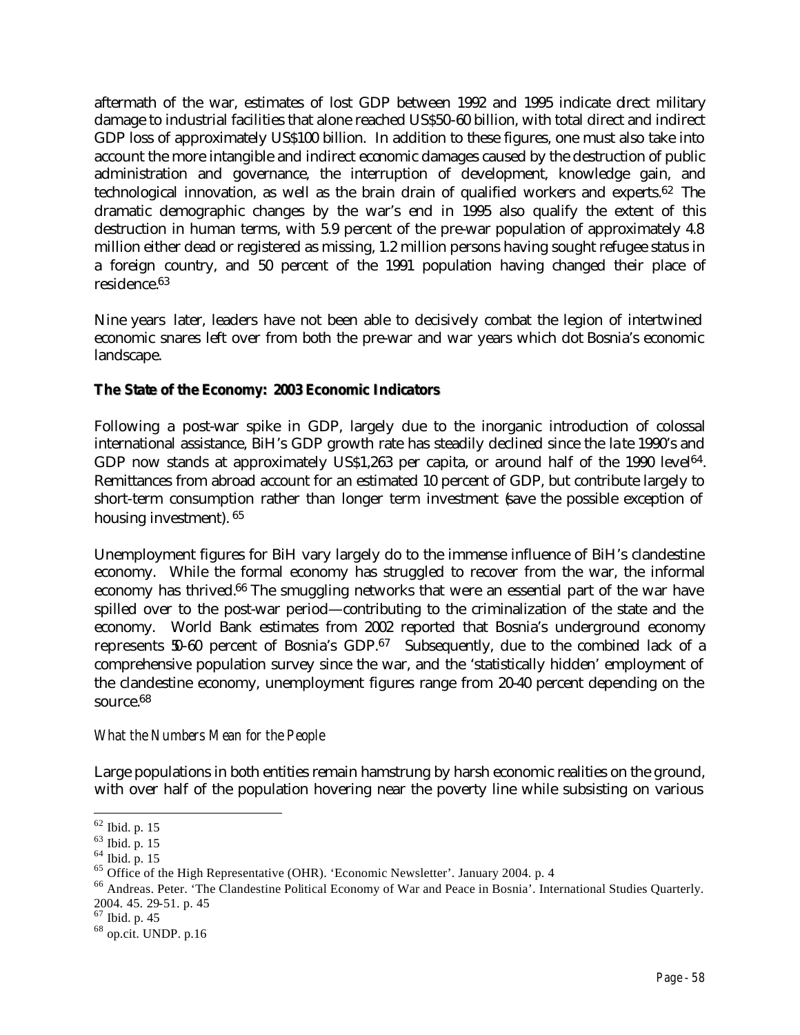aftermath of the war, estimates of lost GDP between 1992 and 1995 indicate direct military damage to industrial facilities that alone reached US\$50-60 billion, with total direct and indirect GDP loss of approximately US\$100 billion. In addition to these figures, one must also take into account the more intangible and indirect economic damages caused by the destruction of public administration and governance, the interruption of development, knowledge gain, and technological innovation, as well as the brain drain of qualified workers and experts.<sup>62</sup> The dramatic demographic changes by the war's end in 1995 also qualify the extent of this destruction in human terms, with 5.9 percent of the pre-war population of approximately 4.8 million either dead or registered as missing, 1.2 million persons having sought refugee status in a foreign country, and 50 percent of the 1991 population having changed their place of residence.<sup>63</sup>

Nine years later, leaders have not been able to decisively combat the legion of intertwined economic snares left over from both the pre-war and war years which dot Bosnia's economic landscape.

## **The State of the Economy: 2003 Economic Indicators**

Following a post-war spike in GDP, largely due to the inorganic introduction of colossal international assistance, BiH's GDP growth rate has steadily declined since the late 1990's and GDP now stands at approximately US\$1,263 per capita, or around half of the 1990 level<sup>64</sup>. Remittances from abroad account for an estimated 10 percent of GDP, but contribute largely to short-term consumption rather than longer term investment (save the possible exception of housing investment). <sup>65</sup>

Unemployment figures for BiH vary largely do to the immense influence of BiH's clandestine economy. While the formal economy has struggled to recover from the war, the informal economy has thrived.<sup>66</sup> The smuggling networks that were an essential part of the war have spilled over to the post-war period—contributing to the criminalization of the state and the economy. World Bank estimates from 2002 reported that Bosnia's underground economy represents 50-60 percent of Bosnia's GDP.<sup>67</sup> Subsequently, due to the combined lack of a comprehensive population survey since the war, and the 'statistically hidden' employment of the clandestine economy, unemployment figures range from 20-40 percent depending on the source.<sup>68</sup>

### *What the Numbers Mean for the People*

Large populations in both entities remain hamstrung by harsh economic realities on the ground, with over half of the population hovering near the poverty line while subsisting on various

 $\overline{a}$  $62$  Ibid. p. 15

<sup>63</sup> Ibid. p. 15

<sup>64</sup> Ibid. p. 15

<sup>65</sup> Office of the High Representative (OHR). 'Economic Newsletter'. January 2004. p. 4

<sup>66</sup> Andreas. Peter. 'The Clandestine Political Economy of War and Peace in Bosnia'. International Studies Quarterly. 2004. 45. 29-51. p. 45

 $67$  Ibid. p. 45

<sup>68</sup> op.cit. UNDP. p.16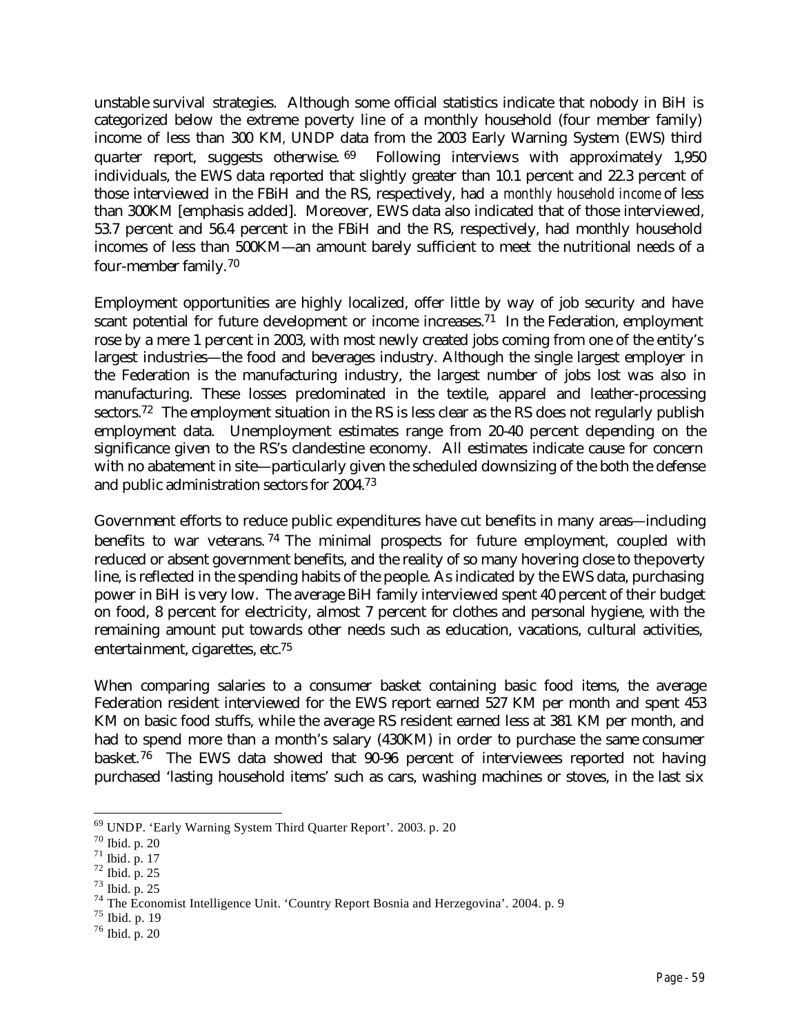unstable survival strategies. Although some official statistics indicate that nobody in BiH is categorized below the extreme poverty line of a monthly household (four member family) income of less than 300 KM*,* UNDP data from the 2003 Early Warning System (EWS) third quarter report, suggests otherwise. <sup>69</sup> Following interviews with approximately 1,950 individuals, the EWS data reported that slightly greater than 10.1 percent and 22.3 percent of those interviewed in the FBiH and the RS, respectively, had a *monthly household income* of less than 300KM [emphasis added]. Moreover, EWS data also indicated that of those interviewed, 53.7 percent and 56.4 percent in the FBiH and the RS, respectively, had monthly household incomes of less than 500KM—an amount barely sufficient to meet the nutritional needs of a four-member family.<sup>70</sup>

Employment opportunities are highly localized, offer little by way of job security and have scant potential for future development or income increases.<sup>71</sup> In the Federation, employment rose by a mere 1 percent in 2003, with most newly created jobs coming from one of the entity's largest industries—the food and beverages industry. Although the single largest employer in the Federation is the manufacturing industry, the largest number of jobs lost was also in manufacturing. These losses predominated in the textile, apparel and leather-processing sectors.<sup>72</sup> The employment situation in the RS is less clear as the RS does not regularly publish employment data. Unemployment estimates range from 20-40 percent depending on the significance given to the RS's clandestine economy. All estimates indicate cause for concern with no abatement in site—particularly given the scheduled downsizing of the both the defense and public administration sectors for 2004.<sup>73</sup>

Government efforts to reduce public expenditures have cut benefits in many areas—including benefits to war veterans. <sup>74</sup> The minimal prospects for future employment, coupled with reduced or absent government benefits, and the reality of so many hovering close to the poverty line, is reflected in the spending habits of the people. As indicated by the EWS data, purchasing power in BiH is very low. The average BiH family interviewed spent 40 percent of their budget on food, 8 percent for electricity, almost 7 percent for clothes and personal hygiene, with the remaining amount put towards other needs such as education, vacations, cultural activities, entertainment, cigarettes, etc.<sup>75</sup>

When comparing salaries to a consumer basket containing basic food items, the average Federation resident interviewed for the EWS report earned 527 KM per month and spent 453 KM on basic food stuffs, while the average RS resident earned less at 381 KM per month, and had to spend more than a month's salary (430KM) in order to purchase the same consumer basket.76 The EWS data showed that 90-96 percent of interviewees reported not having purchased 'lasting household items' such as cars, washing machines or stoves, in the last six

<sup>69</sup> UNDP. 'Early Warning System Third Quarter Report'. 2003. p. 20

<sup>70</sup> Ibid. p. 20

<sup>71</sup> Ibid. p. 17

<sup>72</sup> Ibid. p. 25

 $^{73}$  Ibid. p. 25

<sup>74</sup> The Economist Intelligence Unit. 'Country Report Bosnia and Herzegovina'. 2004. p. 9

 $75$  Ibid. p. 19

<sup>76</sup> Ibid. p. 20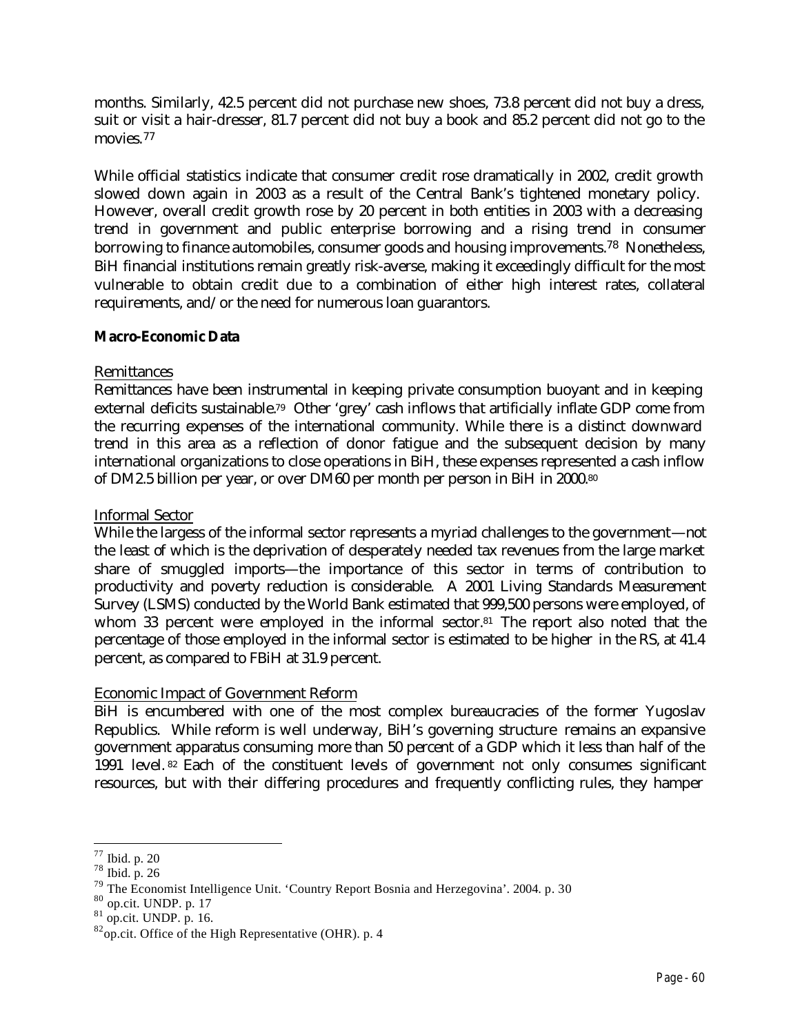months. Similarly, 42.5 percent did not purchase new shoes, 73.8 percent did not buy a dress, suit or visit a hair-dresser, 81.7 percent did not buy a book and 85.2 percent did not go to the movies.<sup>77</sup>

While official statistics indicate that consumer credit rose dramatically in 2002, credit growth slowed down again in 2003 as a result of the Central Bank's tightened monetary policy. However, overall credit growth rose by 20 percent in both entities in 2003 with a decreasing trend in government and public enterprise borrowing and a rising trend in consumer borrowing to finance automobiles, consumer goods and housing improvements.78 Nonetheless, BiH financial institutions remain greatly risk-averse, making it exceedingly difficult for the most vulnerable to obtain credit due to a combination of either high interest rates, collateral requirements, and/or the need for numerous loan guarantors.

### **Macro-Economic Data**

#### Remittances

Remittances have been instrumental in keeping private consumption buoyant and in keeping external deficits sustainable.79 Other 'grey' cash inflows that artificially inflate GDP come from the recurring expenses of the international community. While there is a distinct downward trend in this area as a reflection of donor fatigue and the subsequent decision by many international organizations to close operations in BiH, these expenses represented a cash inflow of DM2.5 billion per year, or over DM60 per month per person in BiH in 2000.<sup>80</sup>

#### Informal Sector

While the largess of the informal sector represents a myriad challenges to the government—not the least of which is the deprivation of desperately needed tax revenues from the large market share of smuggled imports—the importance of this sector in terms of contribution to productivity and poverty reduction is considerable. A 2001 Living Standards Measurement Survey (LSMS) conducted by the World Bank estimated that 999,500 persons were employed, of whom 33 percent were employed in the informal sector.<sup>81</sup> The report also noted that the percentage of those employed in the informal sector is estimated to be higher in the RS, at 41.4 percent, as compared to FBiH at 31.9 percent.

### Economic Impact of Government Reform

BiH is encumbered with one of the most complex bureaucracies of the former Yugoslav Republics. While reform is well underway, BiH's governing structure remains an expansive government apparatus consuming more than 50 percent of a GDP which it less than half of the 1991 level. <sup>82</sup> Each of the constituent levels of government not only consumes significant resources, but with their differing procedures and frequently conflicting rules, they hamper

 $\overline{a}$  $77$  Ibid. p. 20

<sup>78</sup> Ibid. p. 26

<sup>79</sup> The Economist Intelligence Unit. 'Country Report Bosnia and Herzegovina'. 2004. p. 30

<sup>80</sup> op.cit. UNDP. p. 17

 $81$  op.cit. UNDP. p. 16.

 $82$ op.cit. Office of the High Representative (OHR). p. 4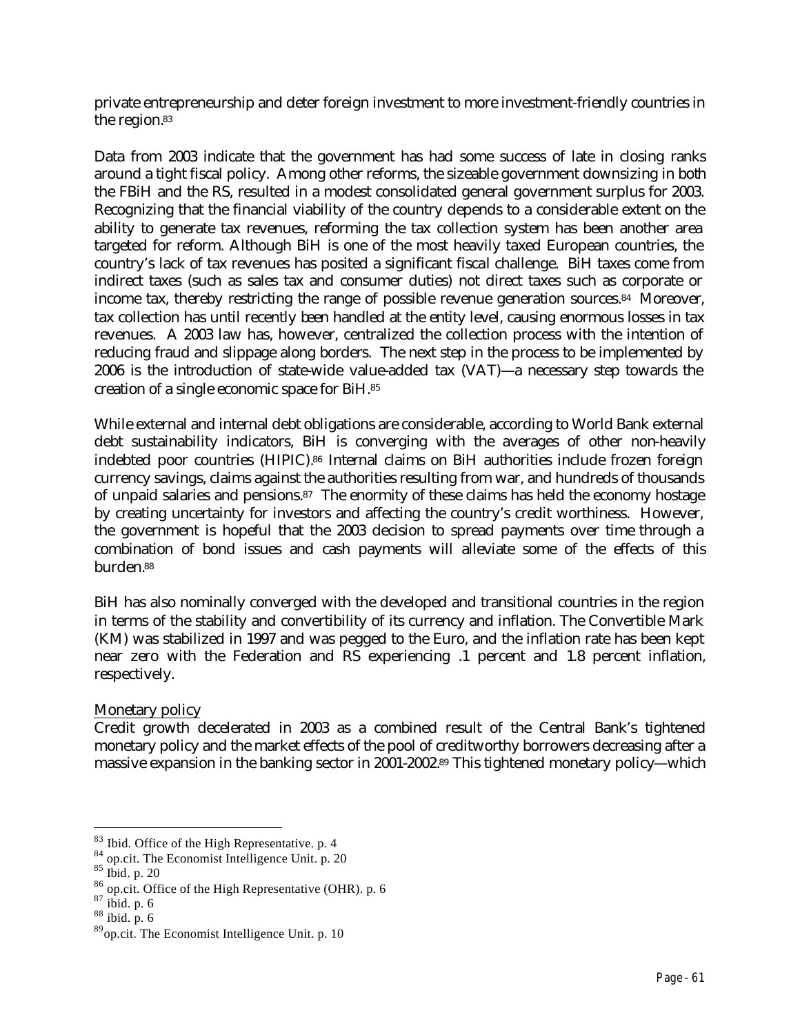private entrepreneurship and deter foreign investment to more investment-friendly countries in the region.<sup>83</sup>

Data from 2003 indicate that the government has had some success of late in closing ranks around a tight fiscal policy. Among other reforms, the sizeable government downsizing in both the FBiH and the RS, resulted in a modest consolidated general government surplus for 2003. Recognizing that the financial viability of the country depends to a considerable extent on the ability to generate tax revenues, reforming the tax collection system has been another area targeted for reform. Although BiH is one of the most heavily taxed European countries, the country's lack of tax revenues has posited a significant fiscal challenge. BiH taxes come from indirect taxes (such as sales tax and consumer duties) not direct taxes such as corporate or income tax, thereby restricting the range of possible revenue generation sources.84 Moreover, tax collection has until recently been handled at the entity level, causing enormous losses in tax revenues. A 2003 law has, however, centralized the collection process with the intention of reducing fraud and slippage along borders. The next step in the process to be implemented by 2006 is the introduction of state-wide value-added tax (VAT)—a necessary step towards the creation of a single economic space for BiH.<sup>85</sup>

While external and internal debt obligations are considerable, according to World Bank external debt sustainability indicators, BiH is converging with the averages of other non-heavily indebted poor countries (HIPIC).86 Internal claims on BiH authorities include frozen foreign currency savings, claims against the authorities resulting from war, and hundreds of thousands of unpaid salaries and pensions.87 The enormity of these claims has held the economy hostage by creating uncertainty for investors and affecting the country's credit worthiness. However, the government is hopeful that the 2003 decision to spread payments over time through a combination of bond issues and cash payments will alleviate some of the effects of this burden.<sup>88</sup>

BiH has also nominally converged with the developed and transitional countries in the region in terms of the stability and convertibility of its currency and inflation. The Convertible Mark (KM) was stabilized in 1997 and was pegged to the Euro, and the inflation rate has been kept near zero with the Federation and RS experiencing .1 percent and 1.8 percent inflation, respectively.

### Monetary policy

Credit growth decelerated in 2003 as a combined result of the Central Bank's tightened monetary policy and the market effects of the pool of creditworthy borrowers decreasing after a massive expansion in the banking sector in 2001-2002.89 This tightened monetary policy—which

<sup>83</sup> Ibid. Office of the High Representative. p. 4

 $84$  op.cit. The Economist Intelligence Unit. p. 20

<sup>85</sup> Ibid. p. 20

<sup>86</sup> op.cit. Office of the High Representative (OHR). p. 6

 $87$  ibid. p. 6

 $88$  ibid. p. 6

<sup>89</sup>op.cit. The Economist Intelligence Unit. p. 10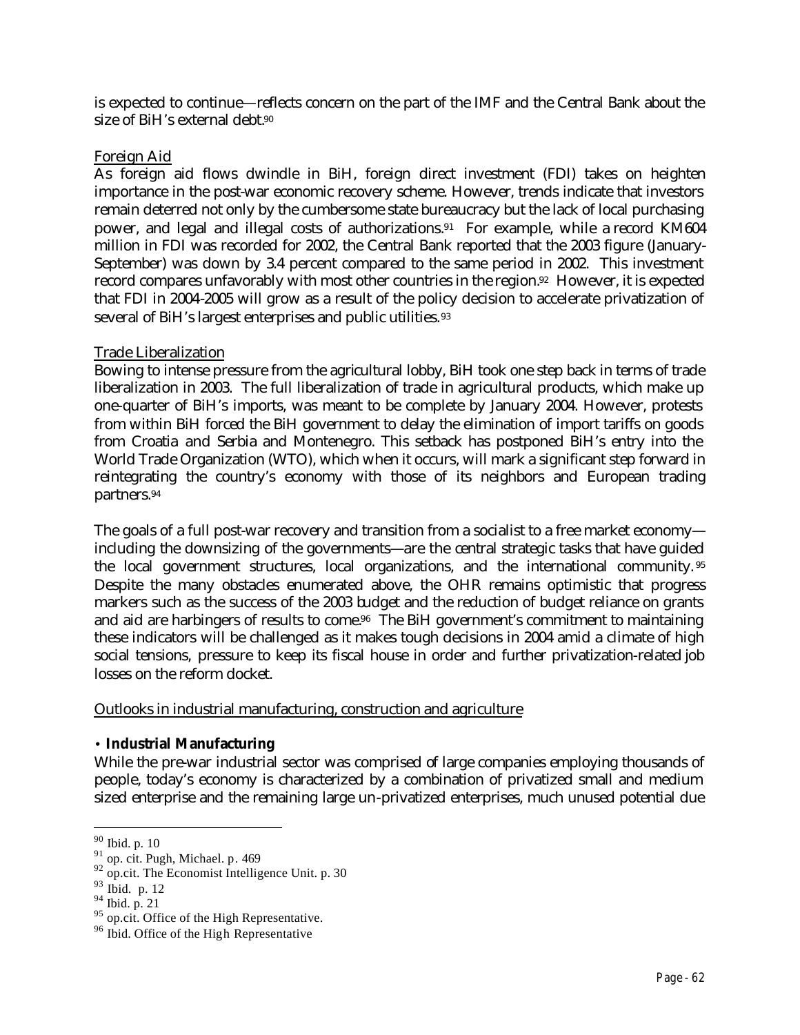is expected to continue—reflects concern on the part of the IMF and the Central Bank about the size of BiH's external debt.<sup>90</sup>

#### Foreign Aid

As foreign aid flows dwindle in BiH, foreign direct investment (FDI) takes on heighten importance in the post-war economic recovery scheme. However, trends indicate that investors remain deterred not only by the cumbersome state bureaucracy but the lack of local purchasing power, and legal and illegal costs of authorizations.<sup>91</sup> For example, while a record KM604 million in FDI was recorded for 2002, the Central Bank reported that the 2003 figure (January-September) was down by 3.4 percent compared to the same period in 2002. This investment record compares unfavorably with most other countries in the region.92 However, it is expected that FDI in 2004-2005 will grow as a result of the policy decision to accelerate privatization of several of BiH's largest enterprises and public utilities.<sup>93</sup>

### Trade Liberalization

Bowing to intense pressure from the agricultural lobby, BiH took one step back in terms of trade liberalization in 2003. The full liberalization of trade in agricultural products, which make up one-quarter of BiH's imports, was meant to be complete by January 2004. However, protests from within BiH forced the BiH government to delay the elimination of import tariffs on goods from Croatia and Serbia and Montenegro. This setback has postponed BiH's entry into the World Trade Organization (WTO), which when it occurs, will mark a significant step forward in reintegrating the country's economy with those of its neighbors and European trading partners.<sup>94</sup>

The goals of a full post-war recovery and transition from a socialist to a free market economy including the downsizing of the governments—are the central strategic tasks that have guided the local government structures, local organizations, and the international community. <sup>95</sup> Despite the many obstacles enumerated above, the OHR remains optimistic that progress markers such as the success of the 2003 budget and the reduction of budget reliance on grants and aid are harbingers of results to come.<sup>96</sup> The BiH government's commitment to maintaining these indicators will be challenged as it makes tough decisions in 2004 amid a climate of high social tensions, pressure to keep its fiscal house in order and further privatization-related job losses on the reform docket.

### Outlooks in industrial manufacturing, construction and agriculture

### • **Industrial Manufacturing**

While the pre-war industrial sector was comprised of large companies employing thousands of people, today's economy is characterized by a combination of privatized small and medium sized enterprise and the remaining large un-privatized enterprises, much unused potential due

<sup>90</sup> Ibid. p. 10

 $91$  op. cit. Pugh, Michael. p. 469

 $92$  op.cit. The Economist Intelligence Unit. p. 30

<sup>93</sup> Ibid. p. 12

 $94$  Ibid. p. 21

 $^{95}$  op.cit. Office of the High Representative.

<sup>&</sup>lt;sup>96</sup> Ibid. Office of the High Representative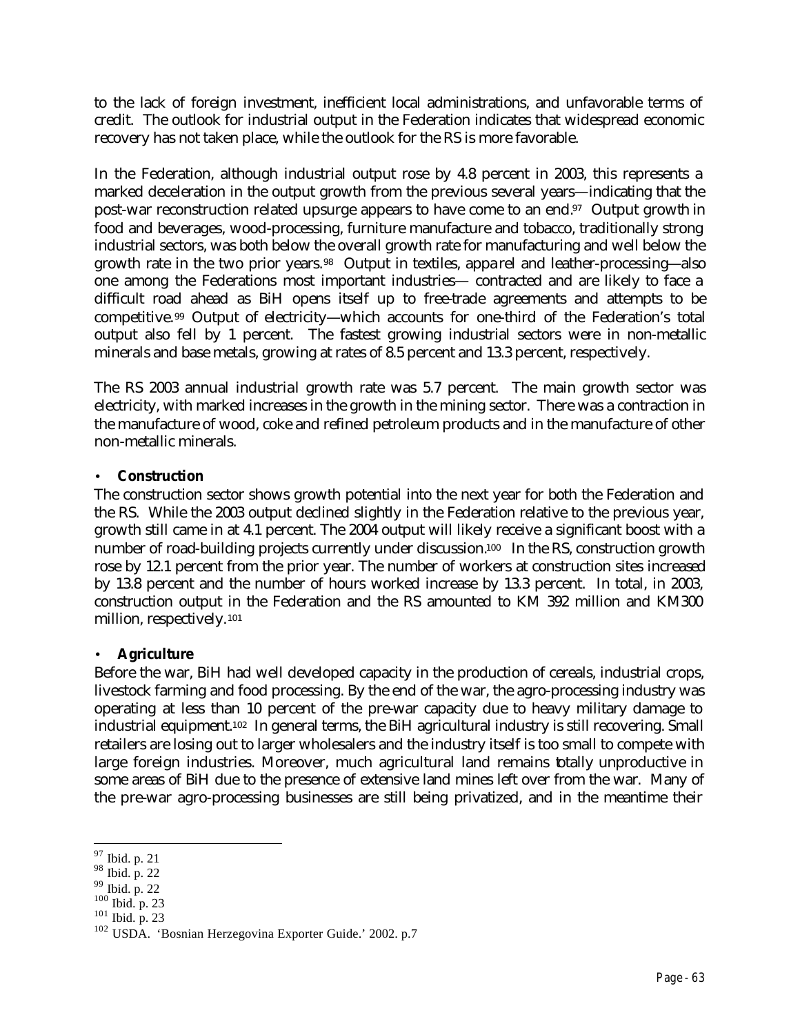to the lack of foreign investment, inefficient local administrations, and unfavorable terms of credit. The outlook for industrial output in the Federation indicates that widespread economic recovery has not taken place, while the outlook for the RS is more favorable.

In the Federation, although industrial output rose by 4.8 percent in 2003, this represents a marked deceleration in the output growth from the previous several years—indicating that the post-war reconstruction related upsurge appears to have come to an end.97 Output growth in food and beverages, wood-processing, furniture manufacture and tobacco, traditionally strong industrial sectors, was both below the overall growth rate for manufacturing and well below the growth rate in the two prior years.98 Output in textiles, apparel and leather-processing—also one among the Federations most important industries— contracted and are likely to face a difficult road ahead as BiH opens itself up to free-trade agreements and attempts to be competitive.99 Output of electricity—which accounts for one-third of the Federation's total output also fell by 1 percent. The fastest growing industrial sectors were in non-metallic minerals and base metals, growing at rates of 8.5 percent and 13.3 percent, respectively.

The RS 2003 annual industrial growth rate was 5.7 percent. The main growth sector was electricity, with marked increases in the growth in the mining sector. There was a contraction in the manufacture of wood, coke and refined petroleum products and in the manufacture of other non-metallic minerals.

## • **Construction**

The construction sector shows growth potential into the next year for both the Federation and the RS. While the 2003 output declined slightly in the Federation relative to the previous year, growth still came in at 4.1 percent. The 2004 output will likely receive a significant boost with a number of road-building projects currently under discussion.<sup>100</sup> In the RS, construction growth rose by 12.1 percent from the prior year. The number of workers at construction sites increased by 13.8 percent and the number of hours worked increase by 13.3 percent. In total, in 2003, construction output in the Federation and the RS amounted to KM 392 million and KM300 million, respectively.<sup>101</sup>

# • **Agriculture**

Before the war, BiH had well developed capacity in the production of cereals, industrial crops, livestock farming and food processing. By the end of the war, the agro-processing industry was operating at less than 10 percent of the pre-war capacity due to heavy military damage to industrial equipment.102 In general terms, the BiH agricultural industry is still recovering. Small retailers are losing out to larger wholesalers and the industry itself is too small to compete with large foreign industries. Moreover, much agricultural land remains totally unproductive in some areas of BiH due to the presence of extensive land mines left over from the war. Many of the pre-war agro-processing businesses are still being privatized, and in the meantime their

 $101$  Ibid. p. 23

 $\overline{a}$ <sup>97</sup> Ibid. p. 21

<sup>98</sup> Ibid. p. 22

<sup>99</sup> Ibid. p. 22

<sup>100</sup> Ibid. p. 23

<sup>102</sup> USDA. 'Bosnian Herzegovina Exporter Guide.' 2002. p.7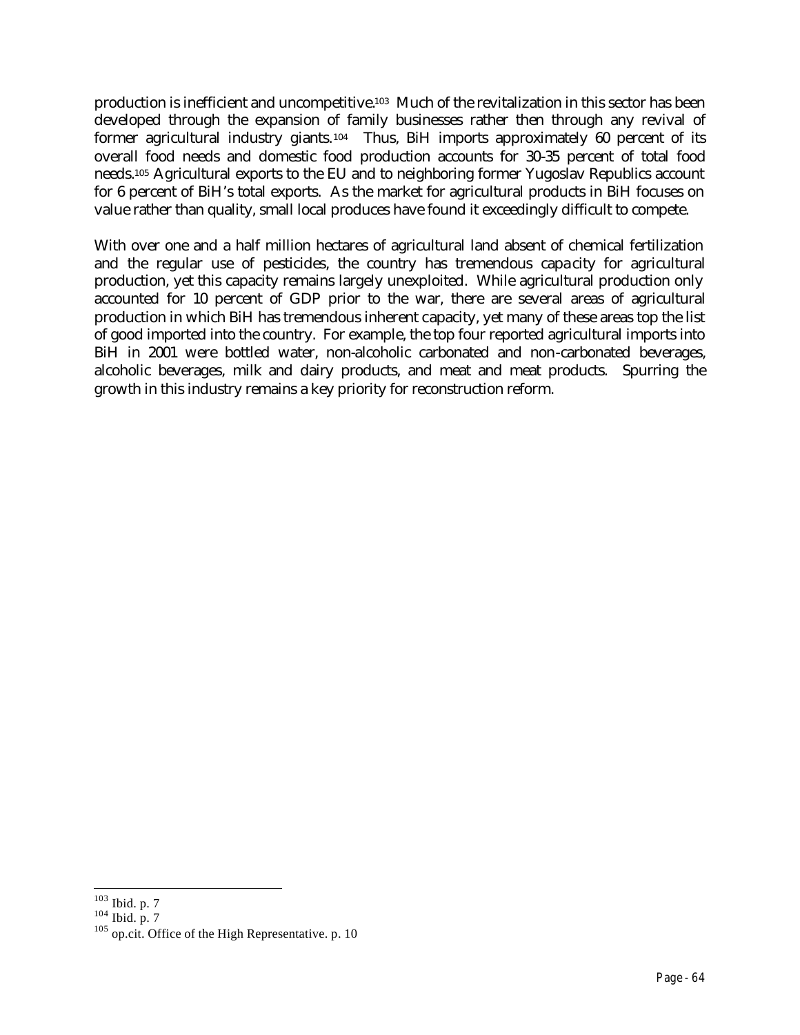production is inefficient and uncompetitive.103 Much of the revitalization in this sector has been developed through the expansion of family businesses rather then through any revival of former agricultural industry giants.<sup>104</sup> Thus, BiH imports approximately 60 percent of its overall food needs and domestic food production accounts for 30-35 percent of total food needs.105 Agricultural exports to the EU and to neighboring former Yugoslav Republics account for 6 percent of BiH's total exports. As the market for agricultural products in BiH focuses on value rather than quality, small local produces have found it exceedingly difficult to compete.

With over one and a half million hectares of agricultural land absent of chemical fertilization and the regular use of pesticides, the country has tremendous capacity for agricultural production, yet this capacity remains largely unexploited. While agricultural production only accounted for 10 percent of GDP prior to the war, there are several areas of agricultural production in which BiH has tremendous inherent capacity, yet many of these areas top the list of good imported into the country. For example, the top four reported agricultural imports into BiH in 2001 were bottled water, non-alcoholic carbonated and non-carbonated beverages, alcoholic beverages, milk and dairy products, and meat and meat products. Spurring the growth in this industry remains a key priority for reconstruction reform.

 $\overline{a}$  $103$  Ibid. p. 7

 $104$  Ibid. p. 7

<sup>&</sup>lt;sup>105</sup> op.cit. Office of the High Representative. p. 10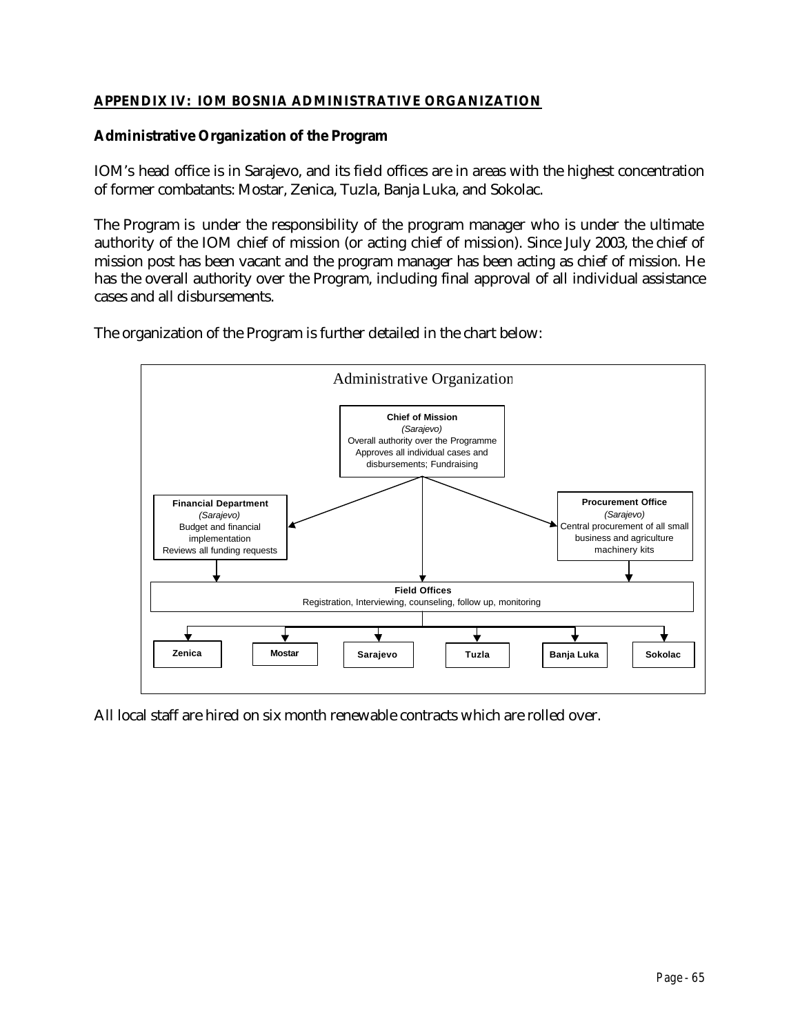## **APPENDIX IV: IOM BOSNIA ADMINISTRATIVE ORGANIZATION**

### **Administrative Organization of the Program**

IOM's head office is in Sarajevo, and its field offices are in areas with the highest concentration of former combatants: Mostar, Zenica, Tuzla, Banja Luka, and Sokolac.

The Program is under the responsibility of the program manager who is under the ultimate authority of the IOM chief of mission (or acting chief of mission). Since July 2003, the chief of mission post has been vacant and the program manager has been acting as chief of mission. He has the overall authority over the Program, including final approval of all individual assistance cases and all disbursements.

The organization of the Program is further detailed in the chart below:



All local staff are hired on six month renewable contracts which are rolled over.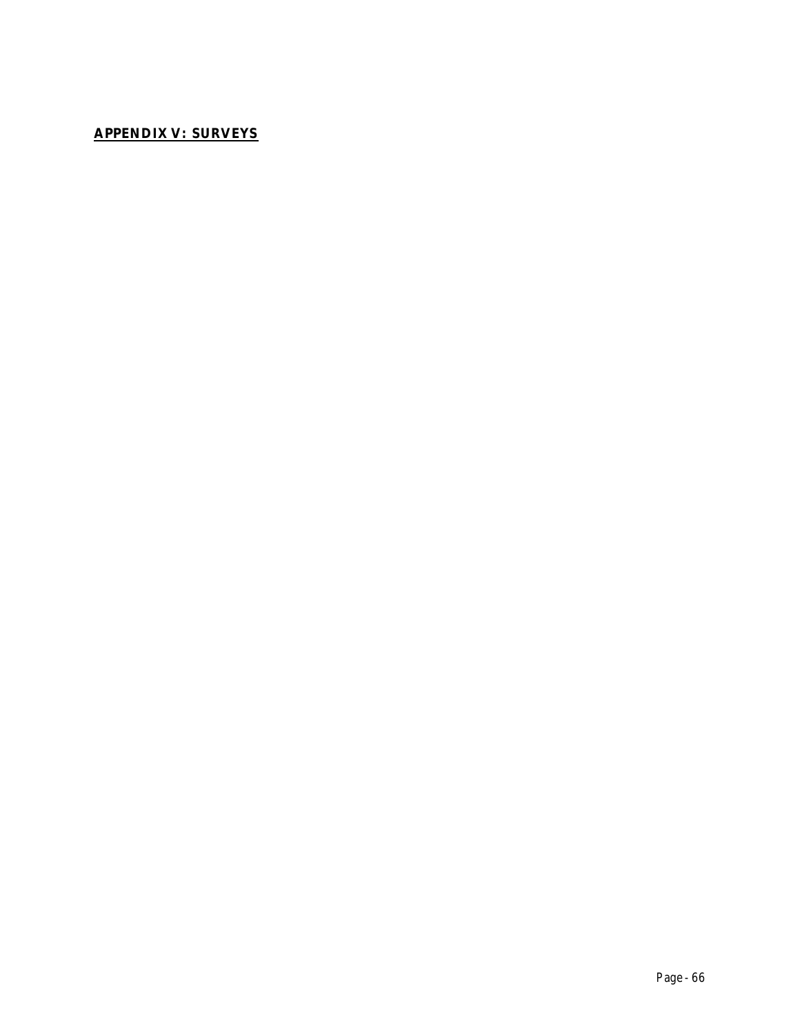# **APPENDIX V: SURVEYS**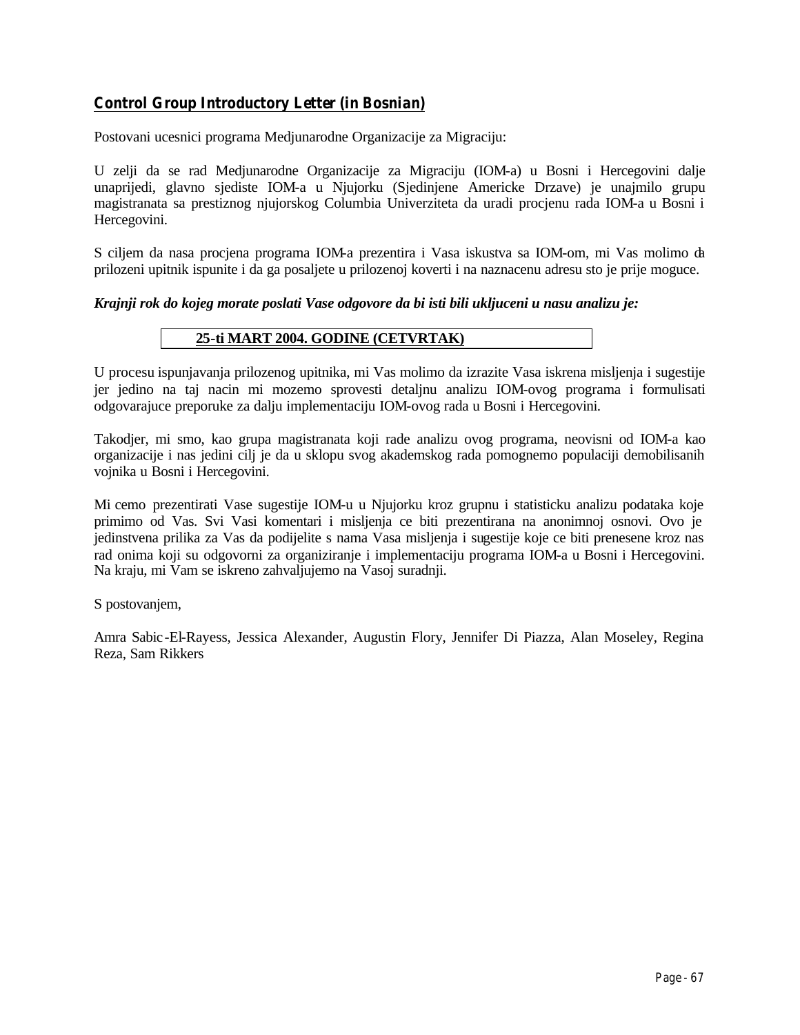# *Control Group Introductory Letter (in Bosnian)*

Postovani ucesnici programa Medjunarodne Organizacije za Migraciju:

U zelji da se rad Medjunarodne Organizacije za Migraciju (IOM-a) u Bosni i Hercegovini dalje unaprijedi, glavno sjediste IOM-a u Njujorku (Sjedinjene Americke Drzave) je unajmilo grupu magistranata sa prestiznog njujorskog Columbia Univerziteta da uradi procjenu rada IOM-a u Bosni i Hercegovini.

S ciljem da nasa procjena programa IOM-a prezentira i Vasa iskustva sa IOM-om, mi Vas molimo da prilozeni upitnik ispunite i da ga posaljete u prilozenoj koverti i na naznacenu adresu sto je prije moguce.

#### *Krajnji rok do kojeg morate poslati Vase odgovore da bi isti bili ukljuceni u nasu analizu je:*

#### **25-ti MART 2004. GODINE (CETVRTAK)**

U procesu ispunjavanja prilozenog upitnika, mi Vas molimo da izrazite Vasa iskrena misljenja i sugestije jer jedino na taj nacin mi mozemo sprovesti detaljnu analizu IOM-ovog programa i formulisati odgovarajuce preporuke za dalju implementaciju IOM-ovog rada u Bosni i Hercegovini.

Takodjer, mi smo, kao grupa magistranata koji rade analizu ovog programa, neovisni od IOM-a kao organizacije i nas jedini cilj je da u sklopu svog akademskog rada pomognemo populaciji demobilisanih vojnika u Bosni i Hercegovini.

Mi cemo prezentirati Vase sugestije IOM-u u Njujorku kroz grupnu i statisticku analizu podataka koje primimo od Vas. Svi Vasi komentari i misljenja ce biti prezentirana na anonimnoj osnovi. Ovo je jedinstvena prilika za Vas da podijelite s nama Vasa misljenja i sugestije koje ce biti prenesene kroz nas rad onima koji su odgovorni za organiziranje i implementaciju programa IOM-a u Bosni i Hercegovini. Na kraju, mi Vam se iskreno zahvaljujemo na Vasoj suradnji.

S postovanjem,

Amra Sabic-El-Rayess, Jessica Alexander, Augustin Flory, Jennifer Di Piazza, Alan Moseley, Regina Reza, Sam Rikkers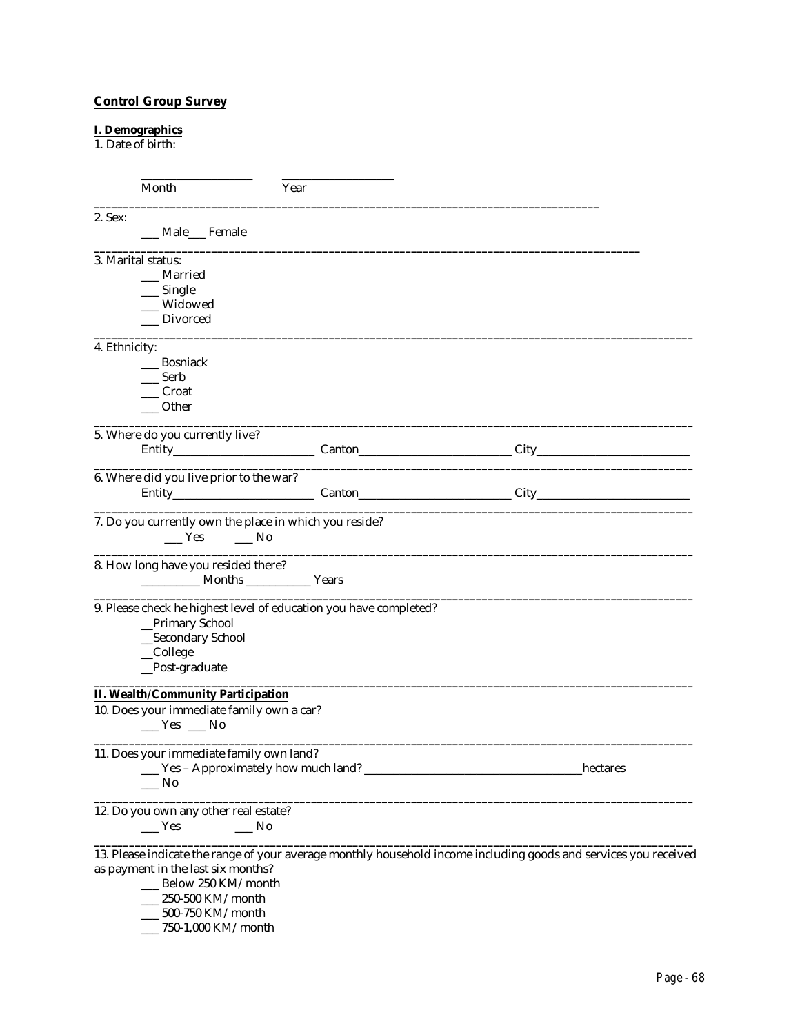## **Control Group Survey**

#### **I. Demographics**

1. Date of birth:

|               | Month                                                                                                                 | Year |  |          |
|---------------|-----------------------------------------------------------------------------------------------------------------------|------|--|----------|
| 2. Sex:       | __ Male__ Female                                                                                                      |      |  |          |
|               | 3. Marital status:                                                                                                    |      |  |          |
|               | Married                                                                                                               |      |  |          |
|               | $\_\_$ Single                                                                                                         |      |  |          |
|               | Widowed                                                                                                               |      |  |          |
|               | _Divorced                                                                                                             |      |  |          |
| 4. Ethnicity: |                                                                                                                       |      |  |          |
|               | Bosniack                                                                                                              |      |  |          |
|               | Serb                                                                                                                  |      |  |          |
|               | Croat                                                                                                                 |      |  |          |
|               | Other                                                                                                                 |      |  |          |
|               | 5. Where do you currently live?                                                                                       |      |  |          |
|               |                                                                                                                       |      |  |          |
|               | 6. Where did you live prior to the war?                                                                               |      |  |          |
|               |                                                                                                                       |      |  |          |
|               | 7. Do you currently own the place in which you reside?<br>Yes No                                                      |      |  |          |
|               | 8. How long have you resided there?<br>Months Vears                                                                   |      |  |          |
|               | 9. Please check he highest level of education you have completed?<br>_Primary School<br>_Secondary School<br>_College |      |  |          |
|               | _Post-graduate                                                                                                        |      |  |          |
|               | <b>II. Wealth/Community Participation</b>                                                                             |      |  |          |
|               | 10. Does your immediate family own a car?<br>$Yes$ No                                                                 |      |  |          |
|               | 11. Does your immediate family own land?<br>Yes - Approximately how much land?<br>No_                                 |      |  | hectares |
|               | 12. Do you own any other real estate?<br>$\equiv$ Yes<br>$\equiv$ No                                                  |      |  |          |
|               | 13. Please indicate the range of your average monthly household income including goods and services you received      |      |  |          |
|               | as payment in the last six months?                                                                                    |      |  |          |
|               | __ Below 250 KM/month                                                                                                 |      |  |          |
|               | $\_ 250 - 500$ KM/month                                                                                               |      |  |          |
|               | 500-750 KM/month                                                                                                      |      |  |          |

\_\_\_ 750-1,000 KM/month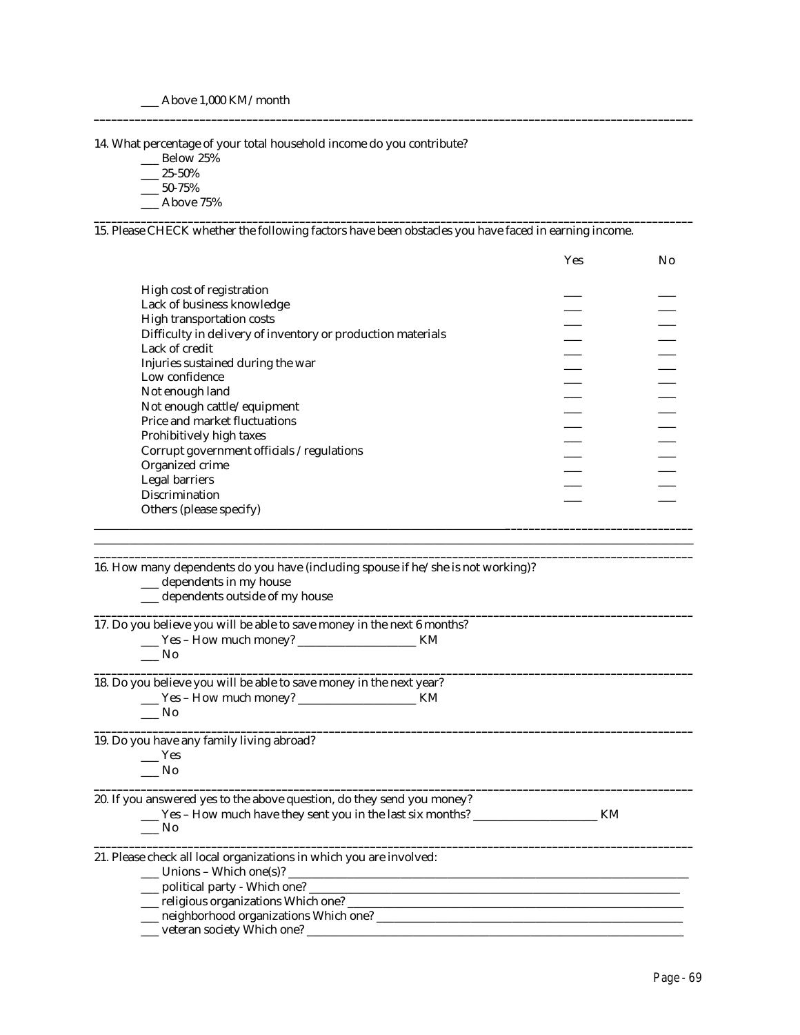\_\_\_ Above 1,000 KM/month

14. What percentage of your total household income do you contribute?

- \_\_\_ Below 25%
- $-25-50%$
- $-50-75%$
- \_\_\_ Above 75%

15. Please CHECK whether the following factors have been obstacles you have faced in earning income.

**\_\_\_\_\_\_\_\_\_\_\_\_\_\_\_\_\_\_\_\_\_\_\_\_\_\_\_\_\_\_\_\_\_\_\_\_\_\_\_\_\_\_\_\_\_\_\_\_\_\_\_\_\_\_\_\_\_\_\_\_\_\_\_\_\_\_\_\_\_\_\_\_\_\_\_\_\_\_\_\_\_\_\_\_\_\_\_\_\_\_\_\_\_\_\_\_\_\_\_\_\_\_**

**\_\_\_\_\_\_\_\_\_\_\_\_\_\_\_\_\_\_\_\_\_\_\_\_\_\_\_\_\_\_\_\_\_\_\_\_\_\_\_\_\_\_\_\_\_\_\_\_\_\_\_\_\_\_\_\_\_\_\_\_\_\_\_\_\_\_\_\_\_\_\_\_\_\_\_\_\_\_\_\_\_\_\_\_\_\_\_\_\_\_\_\_\_\_\_\_\_\_\_\_\_\_**

|                                                             | <b>Yes</b> | N <sub>0</sub> |
|-------------------------------------------------------------|------------|----------------|
|                                                             |            |                |
| High cost of registration                                   |            |                |
| Lack of business knowledge                                  |            |                |
| High transportation costs                                   |            |                |
| Difficulty in delivery of inventory or production materials |            |                |
| Lack of credit                                              |            |                |
| Injuries sustained during the war                           |            |                |
| Low confidence                                              |            |                |
| Not enough land                                             |            |                |
| Not enough cattle/equipment                                 |            |                |
| Price and market fluctuations                               |            |                |
| Prohibitively high taxes                                    |            |                |
| Corrupt government officials /regulations                   |            |                |
|                                                             |            |                |
| Organized crime                                             |            |                |
| Legal barriers                                              |            |                |
| Discrimination                                              |            |                |
| Others (please specify)                                     |            |                |
|                                                             |            |                |

 $\Box$ **\_\_\_\_\_\_\_\_\_\_\_\_\_\_\_\_\_\_\_\_\_\_\_\_\_\_\_\_\_\_\_\_\_\_\_\_\_\_\_\_\_\_\_\_\_\_\_\_\_\_\_\_\_\_\_\_\_\_\_\_\_\_\_\_\_\_\_\_\_\_\_\_\_\_\_\_\_\_\_\_\_\_\_\_\_\_\_\_\_\_\_\_\_\_\_\_\_\_\_\_\_\_**

**\_\_\_\_\_\_\_\_\_\_\_\_\_\_\_\_\_\_\_\_\_\_\_\_\_\_\_\_\_\_\_\_\_\_\_\_\_\_\_\_\_\_\_\_\_\_\_\_\_\_\_\_\_\_\_\_\_\_\_\_\_\_\_\_\_\_\_\_\_\_\_\_\_\_\_\_\_\_\_\_\_\_\_\_\_\_\_\_\_\_\_\_\_\_\_\_\_\_\_\_\_\_**

**\_\_\_\_\_\_\_\_\_\_\_\_\_\_\_\_\_\_\_\_\_\_\_\_\_\_\_\_\_\_\_\_\_\_\_\_\_\_\_\_\_\_\_\_\_\_\_\_\_\_\_\_\_\_\_\_\_\_\_\_\_\_\_\_\_\_\_\_\_\_\_\_\_\_\_\_\_\_\_\_\_\_\_\_\_\_\_\_\_\_\_\_\_\_\_\_\_\_\_\_\_\_**

**\_\_\_\_\_\_\_\_\_\_\_\_\_\_\_\_\_\_\_\_\_\_\_\_\_\_\_\_\_\_\_\_\_\_\_\_\_\_\_\_\_\_\_\_\_\_\_\_\_\_\_\_\_\_\_\_\_\_\_\_\_\_\_\_\_\_\_\_\_\_\_\_\_\_\_\_\_\_\_\_\_\_\_\_\_\_\_\_\_\_\_\_\_\_\_\_\_\_\_\_\_\_**

**\_\_\_\_\_\_\_\_\_\_\_\_\_\_\_\_\_\_\_\_\_\_\_\_\_\_\_\_\_\_\_\_\_\_\_\_\_\_\_\_\_\_\_\_\_\_\_\_\_\_\_\_\_\_\_\_\_\_\_\_\_\_\_\_\_\_\_\_\_\_\_\_\_\_\_\_\_\_\_\_\_\_\_\_\_\_\_\_\_\_\_\_\_\_\_\_\_\_\_\_\_\_**

16. How many dependents do you have (including spouse if he/she is not working)?

\_\_\_ dependents in my house

\_\_\_ dependents outside of my house

17. Do you believe you will be able to save money in the next 6 months?

\_\_\_ Yes – How much money? \_\_\_\_\_\_\_\_\_\_\_\_\_\_\_\_\_\_\_\_ KM

18. Do you believe you will be able to save money in the next year? \_\_\_ Yes – How much money? \_\_\_\_\_\_\_\_\_\_\_\_\_\_\_\_\_\_\_\_ KM

| ۰.<br>W<br>× |
|--------------|
|--------------|

19. Do you have any family living abroad?

 $\_\_\_\$  Yes

 $\_\_$  No

 $\_\_$  No **\_\_\_\_\_\_\_\_\_\_\_\_\_\_\_\_\_\_\_\_\_\_\_\_\_\_\_\_\_\_\_\_\_\_\_\_\_\_\_\_\_\_\_\_\_\_\_\_\_\_\_\_\_\_\_\_\_\_\_\_\_\_\_\_\_\_\_\_\_\_\_\_\_\_\_\_\_\_\_\_\_\_\_\_\_\_\_\_\_\_\_\_\_\_\_\_\_\_\_\_\_\_**

20. If you answered yes to the above question, do they send you money? \_\_\_ Yes – How much have they sent you in the last six months? \_\_\_\_\_\_\_\_\_\_\_\_\_\_\_\_\_\_\_\_\_ KM

| W<br>۰, |
|---------|
|         |

21. Please check all local organizations in which you are involved:

- $\_\_$  Unions Which one(s)?  $\_\_$
- \_\_\_ political party Which one? \_\_\_\_\_\_\_\_\_\_\_\_\_\_\_\_\_\_\_\_\_\_\_\_\_\_\_\_\_\_\_\_\_\_\_\_\_\_\_\_\_\_\_\_\_\_\_\_\_\_\_\_\_\_\_\_\_\_\_\_\_\_\_
- \_\_\_ religious organizations Which one? \_\_\_\_\_\_\_\_\_\_\_\_\_\_\_\_\_\_\_\_\_\_\_\_\_\_\_\_\_\_\_\_\_\_\_\_\_\_\_\_\_\_\_\_\_\_\_\_\_\_\_\_\_\_\_\_\_
- \_\_\_ neighborhood organizations Which one? \_\_\_\_\_\_\_\_\_\_\_\_\_\_\_\_\_\_\_\_\_\_\_\_\_\_\_\_\_\_\_\_\_\_\_\_\_\_\_\_\_\_\_\_\_\_\_\_\_\_\_\_
- \_\_\_ veteran society Which one? \_\_\_\_\_\_\_\_\_\_\_\_\_\_\_\_\_\_\_\_\_\_\_\_\_\_\_\_\_\_\_\_\_\_\_\_\_\_\_\_\_\_\_\_\_\_\_\_\_\_\_\_\_\_\_\_\_\_\_\_\_\_\_\_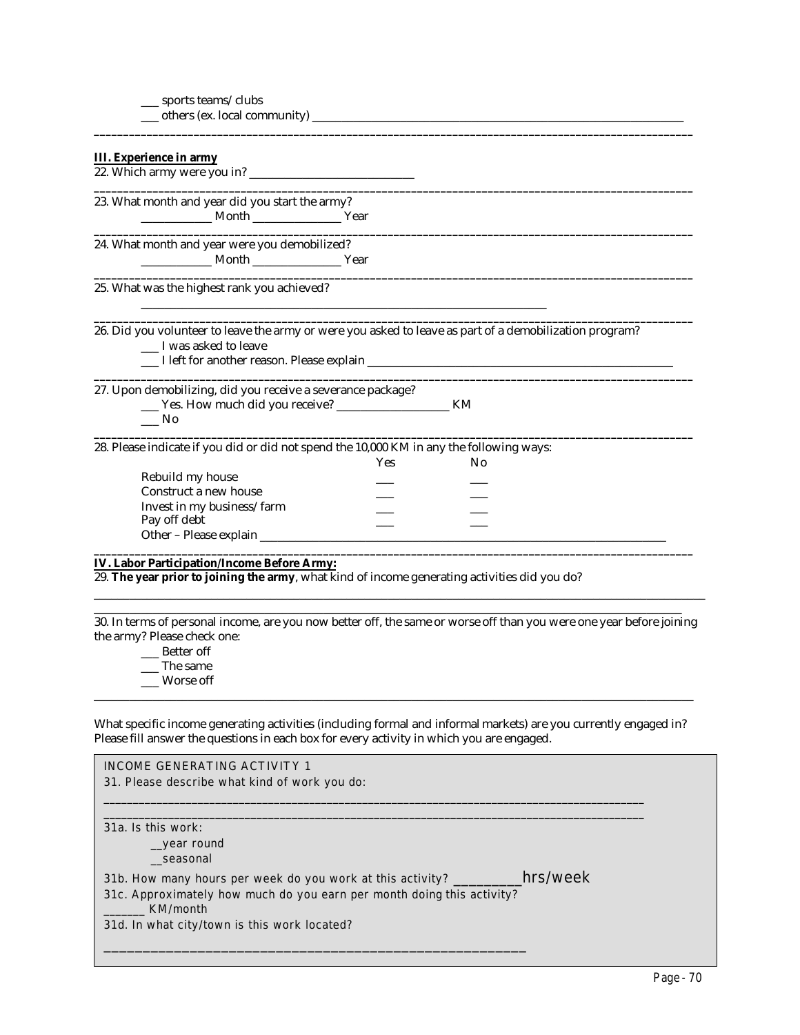$\rule{1em}{0.15mm}$  others (ex. local community)  $\rule{1.5mm}{}$ 

| III. Experience in army                                                                                                                                                                                       |
|---------------------------------------------------------------------------------------------------------------------------------------------------------------------------------------------------------------|
| 23. What month and year did you start the army?<br>Month Vear                                                                                                                                                 |
| 24. What month and year were you demobilized?                                                                                                                                                                 |
| 25. What was the highest rank you achieved?                                                                                                                                                                   |
| 26. Did you volunteer to leave the army or were you asked to leave as part of a demobilization program?<br>__ I was asked to leave                                                                            |
| 27. Upon demobilizing, did you receive a severance package?<br>KM<br>$\frac{1}{\sqrt{10}}$                                                                                                                    |
| 28. Please indicate if you did or did not spend the 10,000 KM in any the following ways:<br>Yes<br>N <sub>0</sub><br>Rebuild my house<br>Construct a new house<br>Invest in my business/farm<br>Pay off debt  |
| IV. Labor Participation/Income Before Army:<br>29. The year prior to joining the army, what kind of income generating activities did you do?                                                                  |
| 30. In terms of personal income, are you now better off, the same or worse off than you were one year before joining<br>the army? Please check one:<br>__ Better off<br>__ The same<br>Worse off              |
| What specific income generating activities (including formal and informal markets) are you currently engaged in?<br>Please fill answer the questions in each box for every activity in which you are engaged. |
| <b>INCOME GENERATING ACTIVITY 1</b><br>31. Please describe what kind of work you do:                                                                                                                          |

 $\_$  ,  $\_$  ,  $\_$  ,  $\_$  ,  $\_$  ,  $\_$  ,  $\_$  ,  $\_$  ,  $\_$  ,  $\_$  ,  $\_$  ,  $\_$  ,  $\_$  ,  $\_$  ,  $\_$  ,  $\_$  ,  $\_$  ,  $\_$  ,  $\_$  ,  $\_$  ,  $\_$  ,  $\_$  ,  $\_$  ,  $\_$  ,  $\_$  ,  $\_$  ,  $\_$  ,  $\_$  ,  $\_$  ,  $\_$  ,  $\_$  ,  $\_$  ,  $\_$  ,  $\_$  ,  $\_$  ,  $\_$  ,  $\_$  ,  $\_$  ,  $\_$  ,  $\_$  ,  $\_$  ,  $\_$  ,  $\_$  ,  $\_$  ,  $\_$  ,  $\_$  ,  $\_$  ,  $\_$  ,  $\_$  ,  $\_$  ,  $\_$  ,  $\_$  ,  $\_$  ,  $\_$  ,  $\_$  ,  $\_$  ,  $\_$  ,  $\_$  ,  $\_$  ,  $\_$  ,  $\_$  ,  $\_$  ,  $\_$  ,  $\_$  ,  $\_$  ,  $\_$  ,  $\_$  ,  $\_$  ,  $\_$  ,  $\_$  ,  $\_$  ,  $\_$  ,  $\_$  ,  $\_$  , 31a. Is this work: \_\_year round \_\_seasonal 31b. How many hours per week do you work at this activity? \_\_\_\_\_\_\_\_\_hrs/week 31c. Approximately how much do you earn per month doing this activity? \_\_\_\_\_\_\_ KM/month 31d. In what city/town is this work located?

\_\_\_\_\_\_\_\_\_\_\_\_\_\_\_\_\_\_\_\_\_\_\_\_\_\_\_\_\_\_\_\_\_\_\_\_\_\_\_\_\_\_\_\_\_\_\_\_\_\_\_\_\_\_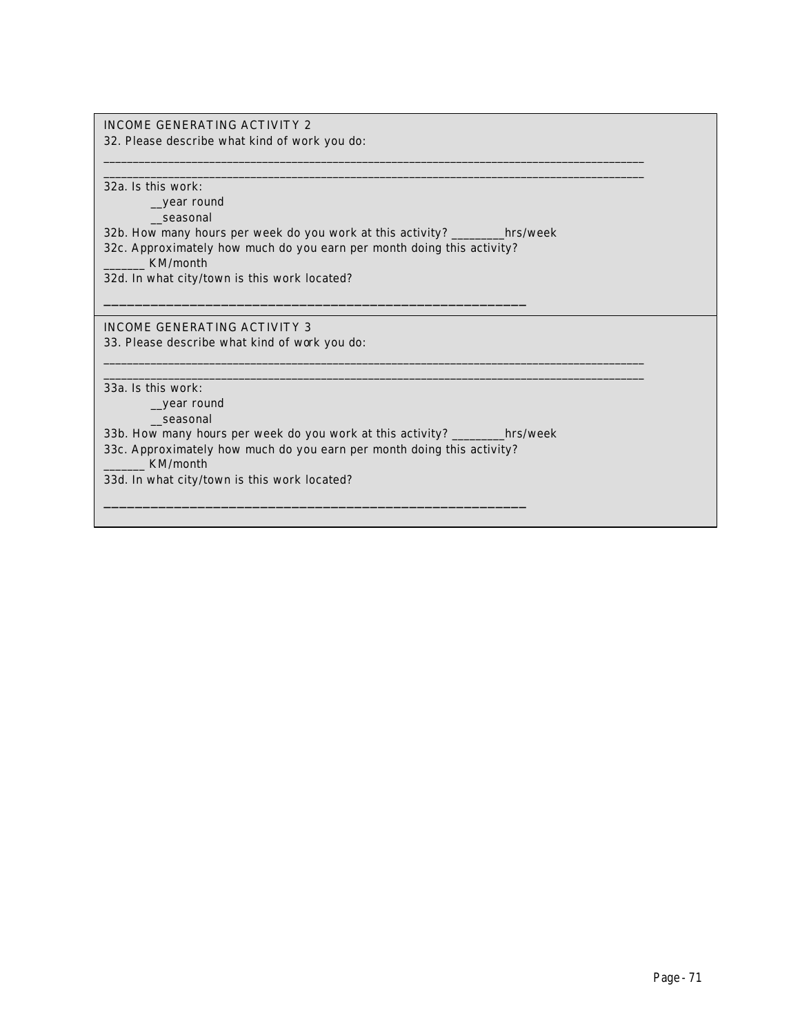#### INCOME GENERATING ACTIVITY 2

32. Please describe what kind of work you do:

32a. Is this work:

\_\_year round

\_\_seasonal

32b. How many hours per week do you work at this activity? \_\_\_\_\_\_\_\_\_hrs/week

 $\_$  ,  $\_$  ,  $\_$  ,  $\_$  ,  $\_$  ,  $\_$  ,  $\_$  ,  $\_$  ,  $\_$  ,  $\_$  ,  $\_$  ,  $\_$  ,  $\_$  ,  $\_$  ,  $\_$  ,  $\_$  ,  $\_$  ,  $\_$  ,  $\_$  ,  $\_$  ,  $\_$  ,  $\_$  ,  $\_$  ,  $\_$  ,  $\_$  ,  $\_$  ,  $\_$  ,  $\_$  ,  $\_$  ,  $\_$  ,  $\_$  ,  $\_$  ,  $\_$  ,  $\_$  ,  $\_$  ,  $\_$  ,  $\_$  ,  $\_$  ,  $\_$  ,  $\_$  ,  $\_$  ,  $\_$  ,  $\_$  ,  $\_$  ,  $\_$  ,  $\_$  ,  $\_$  ,  $\_$  ,  $\_$  ,  $\_$  ,  $\_$  ,  $\_$  ,  $\_$  ,  $\_$  ,  $\_$  ,  $\_$  ,  $\_$  ,  $\_$  ,  $\_$  ,  $\_$  ,  $\_$  ,  $\_$  ,  $\_$  ,  $\_$  ,  $\_$  ,  $\_$  ,  $\_$  ,  $\_$  ,  $\_$  ,  $\_$  ,  $\_$  ,  $\_$  ,  $\_$  ,  $\_$  ,

 $\_$  ,  $\_$  ,  $\_$  ,  $\_$  ,  $\_$  ,  $\_$  ,  $\_$  ,  $\_$  ,  $\_$  ,  $\_$  ,  $\_$  ,  $\_$  ,  $\_$  ,  $\_$  ,  $\_$  ,  $\_$  ,  $\_$  ,  $\_$  ,  $\_$  ,  $\_$  ,  $\_$  ,  $\_$  ,  $\_$  ,  $\_$  ,  $\_$  ,  $\_$  ,  $\_$  ,  $\_$  ,  $\_$  ,  $\_$  ,  $\_$  ,  $\_$  ,  $\_$  ,  $\_$  ,  $\_$  ,  $\_$  ,  $\_$  ,  $\_$  ,  $\_$  ,  $\_$  ,  $\_$  ,  $\_$  ,  $\_$  ,  $\_$  ,  $\_$  ,  $\_$  ,  $\_$  ,  $\_$  ,  $\_$  ,  $\_$  ,  $\_$  ,  $\_$  ,  $\_$  ,  $\_$  ,  $\_$  ,  $\_$  ,  $\_$  ,  $\_$  ,  $\_$  ,  $\_$  ,  $\_$  ,  $\_$  ,  $\_$  ,  $\_$  ,  $\_$  ,  $\_$  ,  $\_$  ,  $\_$  ,  $\_$  ,  $\_$  ,  $\_$  ,  $\_$  ,  $\_$  ,  $\_$  ,

32c. Approximately how much do you earn per month doing this activity?

\_\_\_\_\_\_\_\_\_\_\_\_\_\_\_\_\_\_\_\_\_\_\_\_\_\_\_\_\_\_\_\_\_\_\_\_\_\_\_\_\_\_\_\_\_\_\_\_\_\_\_\_\_\_

\_\_\_\_\_\_\_ KM/month

32d. In what city/town is this work located?

INCOME GENERATING ACTIVITY 3

33. Please describe what kind of work you do:

33a. Is this work:

\_\_year round

\_\_seasonal

33b. How many hours per week do you work at this activity? \_\_\_\_\_\_\_\_\_hrs/week

33c. Approximately how much do you earn per month doing this activity?

\_\_\_\_\_\_\_\_\_\_\_\_\_\_\_\_\_\_\_\_\_\_\_\_\_\_\_\_\_\_\_\_\_\_\_\_\_\_\_\_\_\_\_\_\_\_\_\_\_\_\_\_\_\_

\_\_\_\_\_\_\_ KM/month

 $\mathbb{R}^2$ 

33d. In what city/town is this work located?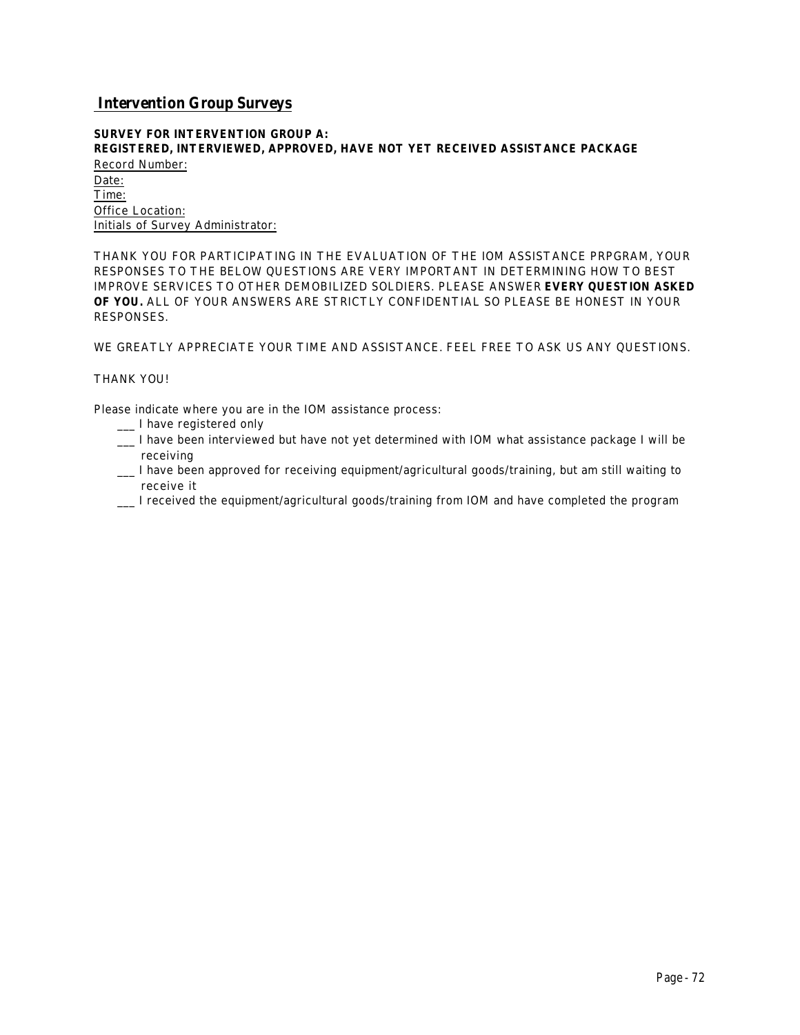### *Intervention Group Surveys*

#### **SURVEY FOR INTERVENTION GROUP A: REGISTERED, INTERVIEWED, APPROVED, HAVE NOT YET RECEIVED ASSISTANCE PACKAGE**

Record Number: Date: Time: Office Location: Initials of Survey Administrator:

THANK YOU FOR PARTICIPATING IN THE EVALUATION OF THE IOM ASSISTANCE PRPGRAM, YOUR RESPONSES TO THE BELOW QUESTIONS ARE VERY IMPORTANT IN DETERMINING HOW TO BEST IMPROVE SERVICES TO OTHER DEMOBILIZED SOLDIERS. PLEASE ANSWER **EVERY QUESTION ASKED OF YOU.** ALL OF YOUR ANSWERS ARE STRICTLY CONFIDENTIAL SO PLEASE BE HONEST IN YOUR RESPONSES.

WE GREATLY APPRECIATE YOUR TIME AND ASSISTANCE. FEEL FREE TO ASK US ANY QUESTIONS.

#### THANK YOU!

Please indicate where you are in the IOM assistance process:

- \_\_\_ I have registered only
- \_\_\_ I have been interviewed but have not yet determined with IOM what assistance package I will be receiving
- \_\_\_ I have been approved for receiving equipment/agricultural goods/training, but am still waiting to receive it
- \_\_\_ I received the equipment/agricultural goods/training from IOM and have completed the program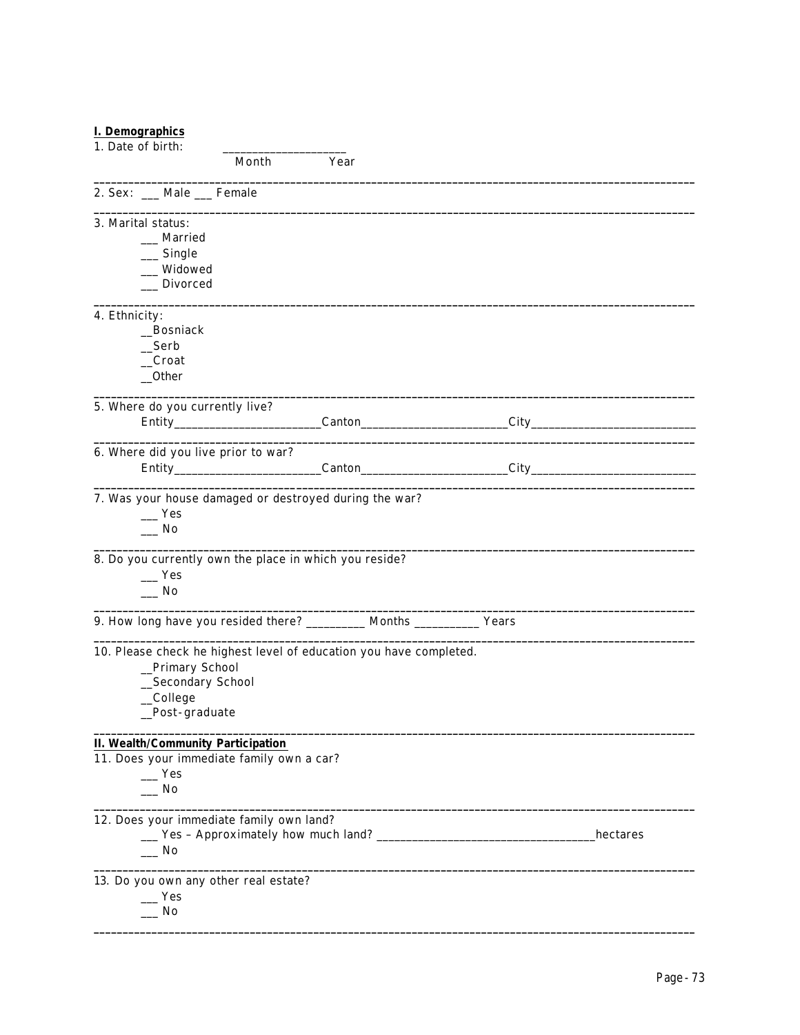## **I. Demographics**

| 1. Date of birth:                                                        |       |      |           |
|--------------------------------------------------------------------------|-------|------|-----------|
|                                                                          | Month | Year |           |
| 2. Sex: __ Male __ Female                                                |       |      |           |
| 3. Marital status:                                                       |       |      |           |
| ___ Married                                                              |       |      |           |
| $\_$ Single                                                              |       |      |           |
| Widowed                                                                  |       |      |           |
| <b>Divorced</b>                                                          |       |      |           |
| 4. Ethnicity:                                                            |       |      |           |
| _Bosniack                                                                |       |      |           |
| $\mathsf{\_}$                                                            |       |      |           |
| $\_\$ Croat                                                              |       |      |           |
| $_{\rm -}$ Other                                                         |       |      |           |
| 5. Where do you currently live?                                          |       |      |           |
|                                                                          |       |      |           |
|                                                                          |       |      |           |
| 6. Where did you live prior to war?                                      |       |      |           |
|                                                                          |       |      |           |
|                                                                          |       |      |           |
| 7. Was your house damaged or destroyed during the war?                   |       |      |           |
| Yes                                                                      |       |      |           |
| $\sqrt{N}$                                                               |       |      |           |
| 8. Do you currently own the place in which you reside?                   |       |      |           |
| $\mathbf{Yes}$                                                           |       |      |           |
| $\overline{\phantom{a}}$ No                                              |       |      |           |
|                                                                          |       |      |           |
| 9. How long have you resided there? __________ Months ____________ Years |       |      |           |
| 10. Please check he highest level of education you have completed.       |       |      |           |
| _Primary School                                                          |       |      |           |
| _Secondary School                                                        |       |      |           |
| _College                                                                 |       |      |           |
| _Post-graduate                                                           |       |      |           |
| <b>II. Wealth/Community Participation</b>                                |       |      |           |
| 11. Does your immediate family own a car?                                |       |      |           |
| Yes                                                                      |       |      |           |
| No                                                                       |       |      |           |
| 12. Does your immediate family own land?                                 |       |      |           |
|                                                                          |       |      | _hectares |
| __ No                                                                    |       |      |           |
| 13. Do you own any other real estate?                                    |       |      |           |
| _ Yes                                                                    |       |      |           |
| No                                                                       |       |      |           |
|                                                                          |       |      |           |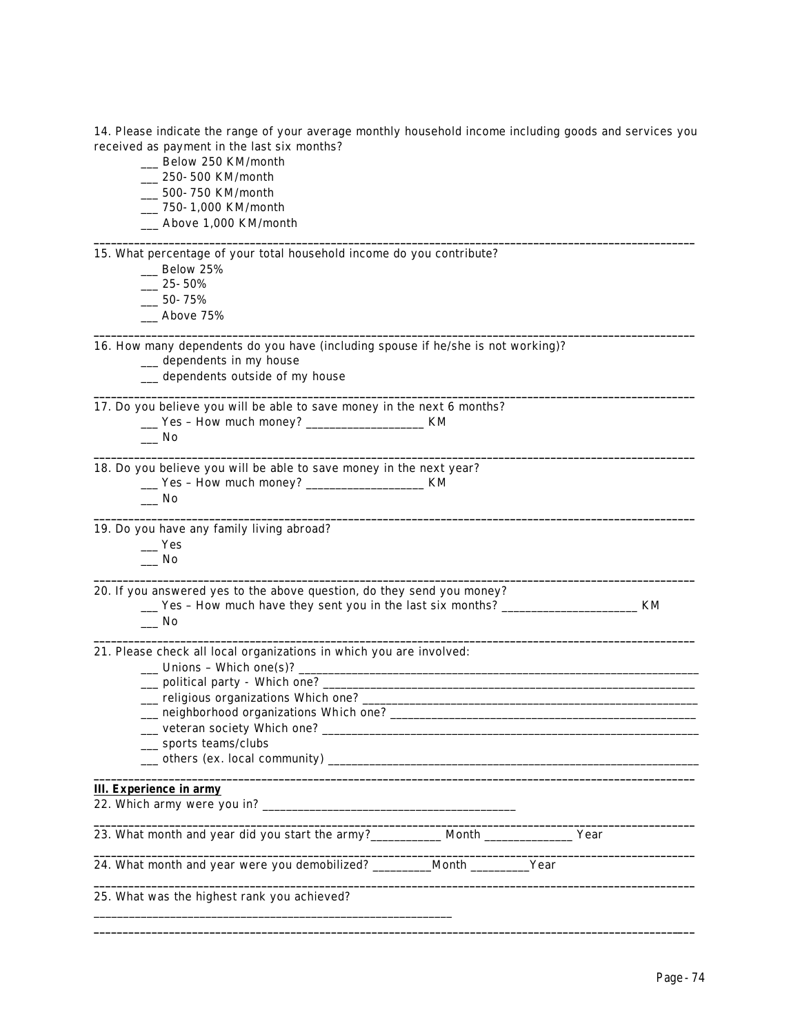14. Please indicate the range of your average monthly household income including goods and services you received as payment in the last six months?

**\_\_\_\_\_\_\_\_\_\_\_\_\_\_\_\_\_\_\_\_\_\_\_\_\_\_\_\_\_\_\_\_\_\_\_\_\_\_\_\_\_\_\_\_\_\_\_\_\_\_\_\_\_\_\_\_\_\_\_\_\_\_\_\_\_\_\_\_\_\_\_\_\_\_\_\_\_\_\_\_\_\_\_\_\_\_\_\_\_\_\_\_\_\_\_\_\_\_\_\_\_\_\_\_**

**\_\_\_\_\_\_\_\_\_\_\_\_\_\_\_\_\_\_\_\_\_\_\_\_\_\_\_\_\_\_\_\_\_\_\_\_\_\_\_\_\_\_\_\_\_\_\_\_\_\_\_\_\_\_\_\_\_\_\_\_\_\_\_\_\_\_\_\_\_\_\_\_\_\_\_\_\_\_\_\_\_\_\_\_\_\_\_\_\_\_\_\_\_\_\_\_\_\_\_\_\_\_\_\_**

**\_\_\_\_\_\_\_\_\_\_\_\_\_\_\_\_\_\_\_\_\_\_\_\_\_\_\_\_\_\_\_\_\_\_\_\_\_\_\_\_\_\_\_\_\_\_\_\_\_\_\_\_\_\_\_\_\_\_\_\_\_\_\_\_\_\_\_\_\_\_\_\_\_\_\_\_\_\_\_\_\_\_\_\_\_\_\_\_\_\_\_\_\_\_\_\_\_\_\_\_\_\_\_\_**

**\_\_\_\_\_\_\_\_\_\_\_\_\_\_\_\_\_\_\_\_\_\_\_\_\_\_\_\_\_\_\_\_\_\_\_\_\_\_\_\_\_\_\_\_\_\_\_\_\_\_\_\_\_\_\_\_\_\_\_\_\_\_\_\_\_\_\_\_\_\_\_\_\_\_\_\_\_\_\_\_\_\_\_\_\_\_\_\_\_\_\_\_\_\_\_\_\_\_\_\_\_\_\_\_**

**\_\_\_\_\_\_\_\_\_\_\_\_\_\_\_\_\_\_\_\_\_\_\_\_\_\_\_\_\_\_\_\_\_\_\_\_\_\_\_\_\_\_\_\_\_\_\_\_\_\_\_\_\_\_\_\_\_\_\_\_\_\_\_\_\_\_\_\_\_\_\_\_\_\_\_\_\_\_\_\_\_\_\_\_\_\_\_\_\_\_\_\_\_\_\_\_\_\_\_\_\_\_\_\_**

- \_\_\_ Below 250 KM/month
- \_\_\_ 250-500 KM/month
- \_\_\_ 500-750 KM/month
- \_\_\_ 750-1,000 KM/month
- \_\_\_ Above 1,000 KM/month

15. What percentage of your total household income do you contribute?

- \_\_\_ Below 25%
- $-25 50%$
- $-50 75%$
- \_\_\_ Above 75%

16. How many dependents do you have (including spouse if he/she is not working)?

\_\_\_ dependents in my house

\_\_\_ dependents outside of my house

17. Do you believe you will be able to save money in the next 6 months?

- \_\_\_ Yes How much money? \_\_\_\_\_\_\_\_\_\_\_\_\_\_\_\_\_\_\_\_ KM
- $\_\_$  No

18. Do you believe you will be able to save money in the next year? \_\_\_ Yes – How much money? \_\_\_\_\_\_\_\_\_\_\_\_\_\_\_\_\_\_\_\_ KM

 $\overline{\phantom{0}}$  No

19. Do you have any family living abroad?

- $\_\_$  Yes
- $\overline{\phantom{0}}$  No **\_\_\_\_\_\_\_\_\_\_\_\_\_\_\_\_\_\_\_\_\_\_\_\_\_\_\_\_\_\_\_\_\_\_\_\_\_\_\_\_\_\_\_\_\_\_\_\_\_\_\_\_\_\_\_\_\_\_\_\_\_\_\_\_\_\_\_\_\_\_\_\_\_\_\_\_\_\_\_\_\_\_\_\_\_\_\_\_\_\_\_\_\_\_\_\_\_\_\_\_\_\_\_\_**

20. If you answered yes to the above question, do they send you money?

\_\_\_ Yes – How much have they sent you in the last six months? \_\_\_\_\_\_\_\_\_\_\_\_\_\_\_\_\_\_\_\_\_\_\_ KM  $\overline{\phantom{0}}$  No

**\_\_\_\_\_\_\_\_\_\_\_\_\_\_\_\_\_\_\_\_\_\_\_\_\_\_\_\_\_\_\_\_\_\_\_\_\_\_\_\_\_\_\_\_\_\_\_\_\_\_\_\_\_\_\_\_\_\_\_\_\_\_\_\_\_\_\_\_\_\_\_\_\_\_\_\_\_\_\_\_\_\_\_\_\_\_\_\_\_\_\_\_\_\_\_\_\_\_\_\_\_\_\_\_**

21. Please check all local organizations in which you are involved:

\_\_\_\_\_\_\_\_\_\_\_\_\_\_\_\_\_\_\_\_\_\_\_\_\_\_\_\_\_\_\_\_\_\_\_\_\_\_\_\_\_\_\_\_\_\_\_\_\_\_\_\_\_\_\_\_\_\_\_\_\_

| Unions – Which one(s)?           |  |
|----------------------------------|--|
|                                  |  |
|                                  |  |
|                                  |  |
|                                  |  |
| __ sports teams/clubs            |  |
|                                  |  |
| _ others (ex. local community) _ |  |

#### **III. Experience in army**

| 22. Which army were you in?                   |               |  |
|-----------------------------------------------|---------------|--|
|                                               | Year          |  |
| 24. What month and year were you demobilized? | Month<br>Year |  |
| 25. What was the highest rank you achieved?   |               |  |

**\_\_\_\_\_\_\_\_\_\_\_\_\_\_\_\_\_\_\_\_\_\_\_\_\_\_\_\_\_\_\_\_\_\_\_\_\_\_\_\_\_\_\_\_\_\_\_\_\_\_\_\_\_\_\_\_\_\_\_\_\_\_\_\_\_\_\_\_\_\_\_\_\_\_\_\_\_\_\_\_\_\_\_\_\_\_\_\_\_\_\_\_\_\_\_\_\_\_\_\_\_\_\_\_**

**\_\_\_\_\_\_\_\_\_\_\_\_\_\_\_\_\_\_\_\_\_\_\_\_\_\_\_\_\_\_\_\_\_\_\_\_\_\_\_\_\_\_\_\_\_\_\_\_\_\_\_\_\_\_\_\_\_\_\_\_\_\_\_\_\_\_\_\_\_\_\_\_\_\_\_\_\_\_\_\_\_\_\_\_\_\_\_\_\_\_\_\_\_\_\_\_\_\_\_\_\_\_\_\_**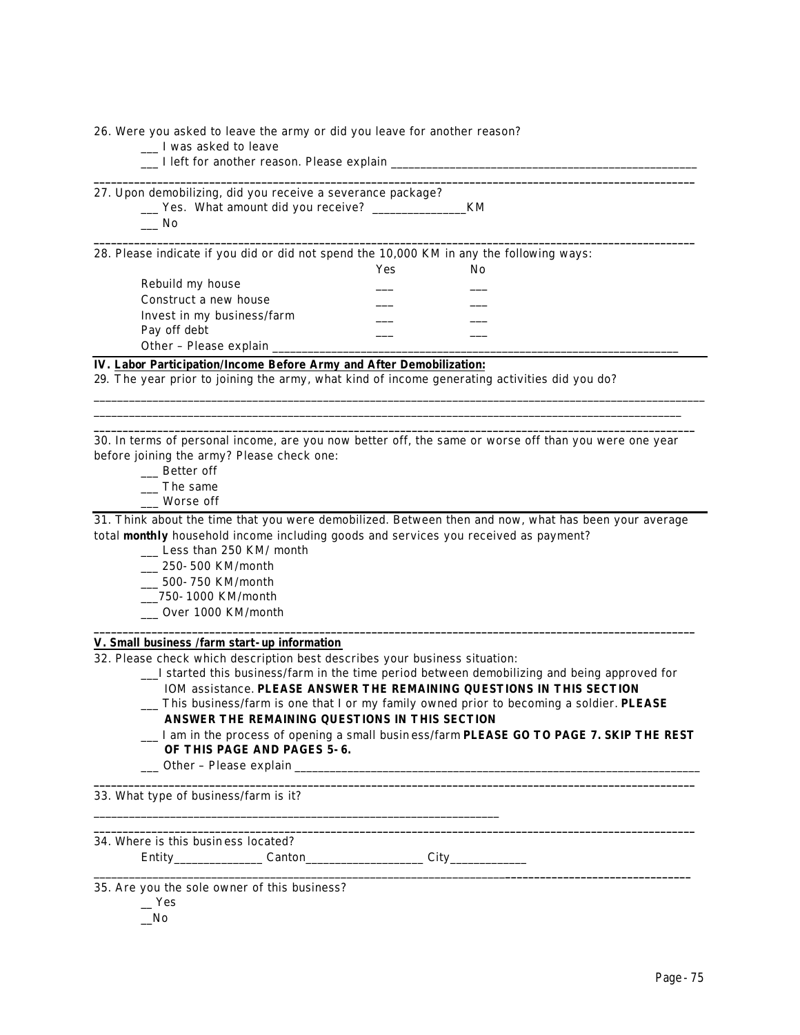26. Were you asked to leave the army or did you leave for another reason?

- \_\_\_ I was asked to leave
- $\Box$  I left for another reason. Please explain

27. Upon demobilizing, did you receive a severance package? \_\_\_ Yes. What amount did you receive? \_\_\_\_\_\_\_\_\_\_\_\_\_\_\_\_KM

 $\_\_$  No

28. Please indicate if you did or did not spend the 10,000 KM in any the following ways:

Yes No Rebuild my house Construct a new house Invest in my business/farm \_\_\_ \_\_\_ Pay off debt Other - Please explain \_

# **IV. Labor Participation/Income Before Army and After Demobilization:**

29. *The year prior to joining the army*, what kind of income generating activities did you do?

30. In terms of personal income, are you now better off, the same or worse off than you were one year before joining the army? Please check one:

\_\_\_\_\_\_\_\_\_\_\_\_\_\_\_\_\_\_\_\_\_\_\_\_\_\_\_\_\_\_\_\_\_\_\_\_\_\_\_\_\_\_\_\_\_\_\_\_\_\_\_\_\_\_\_\_\_\_\_\_\_\_\_\_\_\_\_\_\_\_\_\_\_\_\_\_\_\_\_\_\_\_\_\_\_\_\_\_\_\_\_\_\_\_\_\_\_\_\_\_\_\_\_\_ \_\_\_\_\_\_\_\_\_\_\_\_\_\_\_\_\_\_\_\_\_\_\_\_\_\_\_\_\_\_\_\_\_\_\_\_\_\_\_\_\_\_\_\_\_\_\_\_\_\_\_\_\_\_\_\_\_\_\_\_\_\_\_\_\_\_\_\_\_\_\_\_\_\_\_\_\_\_\_\_\_\_\_\_\_\_\_\_\_\_\_\_\_\_\_\_\_\_\_\_ **\_\_\_\_\_\_\_\_\_\_\_\_\_\_\_\_\_\_\_\_\_\_\_\_\_\_\_\_\_\_\_\_\_\_\_\_\_\_\_\_\_\_\_\_\_\_\_\_\_\_\_\_\_\_\_\_\_\_\_\_\_\_\_\_\_\_\_\_\_\_\_\_\_\_\_\_\_\_\_\_\_\_\_\_\_\_\_\_\_\_\_\_\_\_\_\_\_\_\_\_\_\_\_\_**

**\_\_\_\_\_\_\_\_\_\_\_\_\_\_\_\_\_\_\_\_\_\_\_\_\_\_\_\_\_\_\_\_\_\_\_\_\_\_\_\_\_\_\_\_\_\_\_\_\_\_\_\_\_\_\_\_\_\_\_\_\_\_\_\_\_\_\_\_\_\_\_\_\_\_\_\_\_\_\_\_\_\_\_\_\_\_\_\_\_\_\_\_\_\_\_\_\_\_\_\_\_\_\_\_**

**\_\_\_\_\_\_\_\_\_\_\_\_\_\_\_\_\_\_\_\_\_\_\_\_\_\_\_\_\_\_\_\_\_\_\_\_\_\_\_\_\_\_\_\_\_\_\_\_\_\_\_\_\_\_\_\_\_\_\_\_\_\_\_\_\_\_\_\_\_\_\_\_\_\_\_\_\_\_\_\_\_\_\_\_\_\_\_\_\_\_\_\_\_\_\_\_\_\_\_\_\_\_\_\_**

- \_\_\_ Better off
- \_\_\_ The same
- \_\_\_ Worse off

31. Think about the time that you were demobilized. Between then and now, what has been your average total **monthly** household income including goods and services you received as payment?

**\_\_\_\_\_\_\_\_\_\_\_\_\_\_\_\_\_\_\_\_\_\_\_\_\_\_\_\_\_\_\_\_\_\_\_\_\_\_\_\_\_\_\_\_\_\_\_\_\_\_\_\_\_\_\_\_\_\_\_\_\_\_\_\_\_\_\_\_\_\_\_\_\_\_\_\_\_\_\_\_\_\_\_\_\_\_\_\_\_\_\_\_\_\_\_\_\_\_\_\_\_\_\_\_**

**\_\_\_\_\_\_\_\_\_\_\_\_\_\_\_\_\_\_\_\_\_\_\_\_\_\_\_\_\_\_\_\_\_\_\_\_\_\_\_\_\_\_\_\_\_\_\_\_\_\_\_\_\_\_\_\_\_\_\_\_\_\_\_\_\_\_\_\_\_\_\_\_\_\_\_\_\_\_\_\_\_\_\_\_\_\_\_\_\_\_\_\_\_\_\_\_\_\_\_\_\_\_\_\_**

**\_\_\_\_\_\_\_\_\_\_\_\_\_\_\_\_\_\_\_\_\_\_\_\_\_\_\_\_\_\_\_\_\_\_\_\_\_\_\_\_\_\_\_\_\_\_\_\_\_\_\_\_\_\_\_\_\_\_\_\_\_\_\_\_\_\_\_\_\_\_\_\_\_\_\_\_\_\_\_\_\_\_\_\_\_\_\_\_\_\_\_\_\_\_\_\_\_\_\_\_\_\_\_\_**

\_\_\_\_\_\_\_\_\_\_\_\_\_\_\_\_\_\_\_\_\_\_\_\_\_\_\_\_\_\_\_\_\_\_\_\_\_\_\_\_\_\_\_\_\_\_\_\_\_\_\_\_\_\_\_\_\_\_\_\_\_\_\_\_\_\_\_\_\_\_**\_\_\_\_\_\_\_\_\_\_\_\_\_\_\_\_\_\_\_\_\_\_\_\_\_\_\_\_\_\_\_\_**

- \_\_\_ Less than 250 KM/ month
- \_\_\_ 250-500 KM/month
- \_\_\_ 500-750 KM/month
- \_\_\_750-1000 KM/month
- \_\_\_ Over 1000 KM/month

# **V. Small business /farm start-up information**

32. Please check which description best describes your business situation:

\_\_\_\_\_\_\_\_\_\_\_\_\_\_\_\_\_\_\_\_\_\_\_\_\_\_\_\_\_\_\_\_\_\_\_\_\_\_\_\_\_\_\_\_\_\_\_\_\_\_\_\_\_\_\_\_\_\_\_\_\_\_\_\_\_\_\_\_\_

- \_\_\_I started this business/farm in the time period between demobilizing and being approved for IOM assistance. **PLEASE ANSWER THE REMAINING QUESTIONS IN THIS SECTION**
- \_\_\_ This business/farm is one that I or my family owned prior to becoming a soldier. **PLEASE ANSWER THE REMAINING QUESTIONS IN THIS SECTION**
- \_\_\_ I am in the process of opening a small busin ess/farm **PLEASE GO TO PAGE 7. SKIP THE REST OF THIS PAGE AND PAGES 5-6.**
- $\Box$  Other Please explain

33. What type of business/farm is it?

34. Where is this busin ess located?

Entity\_\_\_\_\_\_\_\_\_\_\_\_\_\_\_ Canton\_\_\_\_\_\_\_\_\_\_\_\_\_\_\_\_\_\_\_\_ City\_\_\_\_\_\_\_\_\_\_\_\_\_

35. Are you the sole owner of this business?

 $-$  Yes

# $\sqrt{N}$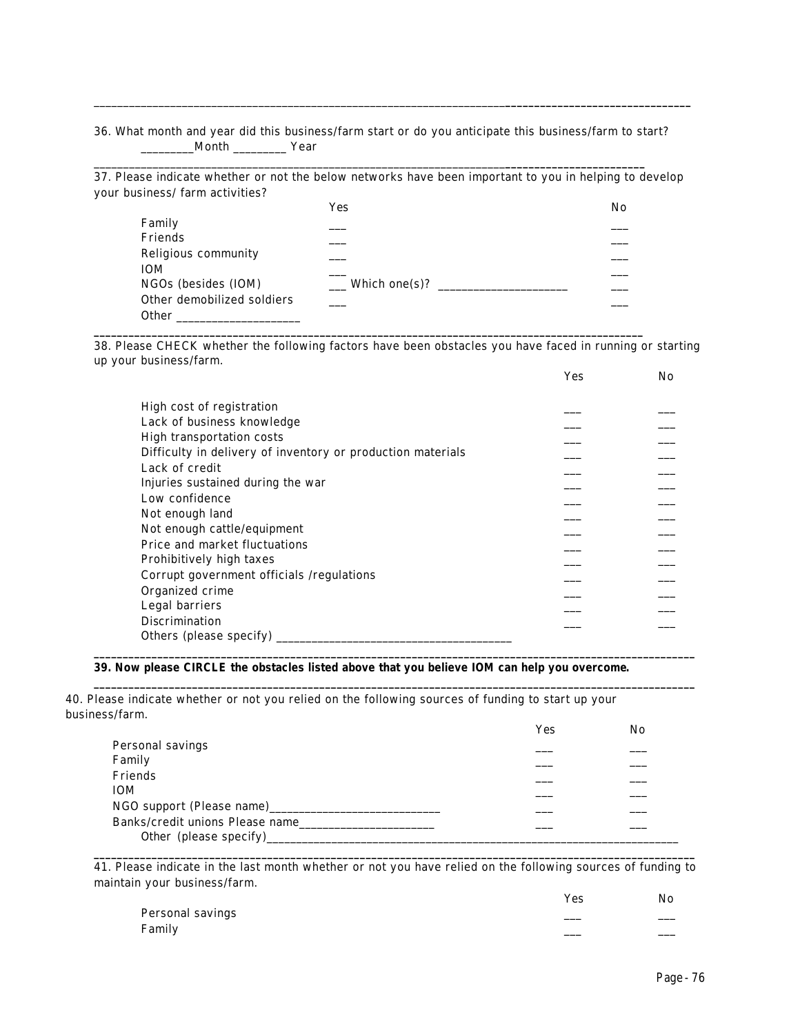### 36. What month and year did this business/farm start or do you anticipate this business/farm to start?  $M$ onth  $\_\_\_\_\_\_\$  Year

\_\_\_\_\_\_\_\_\_\_\_\_\_\_\_\_\_\_\_\_\_\_\_\_\_\_\_\_\_\_\_\_\_\_\_\_\_\_\_\_\_\_\_\_\_\_\_\_\_\_\_\_\_\_\_\_\_\_\_\_\_\_\_\_\_\_\_\_\_\_**\_\_\_\_\_\_\_\_\_\_\_\_\_\_\_\_\_\_\_\_\_\_\_\_**

\_\_\_\_\_\_\_\_\_\_\_\_\_\_\_\_\_\_\_\_\_\_\_\_\_\_\_\_\_\_\_\_\_\_\_\_\_\_\_\_\_\_\_\_\_\_\_\_\_\_\_\_\_\_\_\_\_\_\_\_\_\_\_\_\_\_\_\_\_\_**\_\_\_\_\_\_\_\_\_\_\_\_\_\_\_\_\_\_\_\_\_\_\_\_\_\_\_\_\_\_\_\_**

37. Please indicate whether or not the below networks have been important to you in helping to develop your business/ farm activities?

|                            | Yes                    | No |
|----------------------------|------------------------|----|
| Family                     |                        |    |
| Friends                    |                        |    |
| Religious community        |                        |    |
| <b>IOM</b>                 |                        |    |
| NGOs (besides (IOM)        | $\equiv$ Which one(s)? |    |
| Other demobilized soldiers |                        |    |
| <b>Other</b>               |                        |    |

**\_\_\_\_\_\_\_\_\_\_\_\_\_\_\_\_\_\_\_\_\_\_\_\_\_\_\_\_\_\_\_\_\_\_\_\_\_\_\_\_\_\_\_\_\_\_\_\_\_\_\_\_\_\_\_\_\_\_\_\_\_\_\_\_\_\_\_\_\_\_\_\_\_\_\_\_\_\_\_\_\_\_\_\_\_\_\_\_\_\_\_\_\_\_\_**

38. Please CHECK whether the following factors have been obstacles you have faced in running or starting up your business/farm.

|                                                             | Yes | No                  |
|-------------------------------------------------------------|-----|---------------------|
|                                                             |     |                     |
| High cost of registration                                   |     |                     |
| Lack of business knowledge                                  |     |                     |
| High transportation costs                                   |     |                     |
| Difficulty in delivery of inventory or production materials |     |                     |
| Lack of credit                                              |     |                     |
| Injuries sustained during the war                           |     |                     |
| Low confidence                                              |     |                     |
| Not enough land                                             |     |                     |
| Not enough cattle/equipment                                 |     |                     |
| Price and market fluctuations                               |     |                     |
| Prohibitively high taxes                                    |     |                     |
| Corrupt government officials /regulations                   |     | _ _ _ _ _ _ _ _ _ _ |
| Organized crime                                             |     |                     |
| Legal barriers                                              |     |                     |
| <b>Discrimination</b>                                       |     |                     |
| Others (please specify)                                     |     |                     |

### **39. Now please CIRCLE the obstacles listed above** *that you believe IOM can help you overcome***.**

40. Please indicate whether or not you relied on the following sources of funding to start up your business/farm.

|                                 | Yes | No |
|---------------------------------|-----|----|
| Personal savings                |     |    |
| Family                          |     |    |
| Friends                         |     |    |
| <b>IOM</b>                      |     |    |
| NGO support (Please name)       |     |    |
| Banks/credit unions Please name |     |    |
| Other (please specify)___       |     |    |

**\_\_\_\_\_\_\_\_\_\_\_\_\_\_\_\_\_\_\_\_\_\_\_\_\_\_\_\_\_\_\_\_\_\_\_\_\_\_\_\_\_\_\_\_\_\_\_\_\_\_\_\_\_\_\_\_\_\_\_\_\_\_\_\_\_\_\_\_\_\_\_\_\_\_\_\_\_\_\_\_\_\_\_\_\_\_\_\_\_\_\_\_\_\_\_\_\_\_\_\_\_\_\_\_**

**\_\_\_\_\_\_\_\_\_\_\_\_\_\_\_\_\_\_\_\_\_\_\_\_\_\_\_\_\_\_\_\_\_\_\_\_\_\_\_\_\_\_\_\_\_\_\_\_\_\_\_\_\_\_\_\_\_\_\_\_\_\_\_\_\_\_\_\_\_\_\_\_\_\_\_\_\_\_\_\_\_\_\_\_\_\_\_\_\_\_\_\_\_\_\_\_\_\_\_\_\_\_\_\_**

**\_\_\_\_\_\_\_\_\_\_\_\_\_\_\_\_\_\_\_\_\_\_\_\_\_\_\_\_\_\_\_\_\_\_\_\_\_\_\_\_\_\_\_\_\_\_\_\_\_\_\_\_\_\_\_\_\_\_\_\_\_\_\_\_\_\_\_\_\_\_\_\_\_\_\_\_\_\_\_\_\_\_\_\_\_\_\_\_\_\_\_\_\_\_\_\_\_\_\_\_\_\_\_\_** 41. Please indicate in the last month whether or not you have relied on the following sources of funding to maintain your business/farm.

|                  | <b>Yes</b> | No |
|------------------|------------|----|
| Personal savings |            |    |
| Family           |            |    |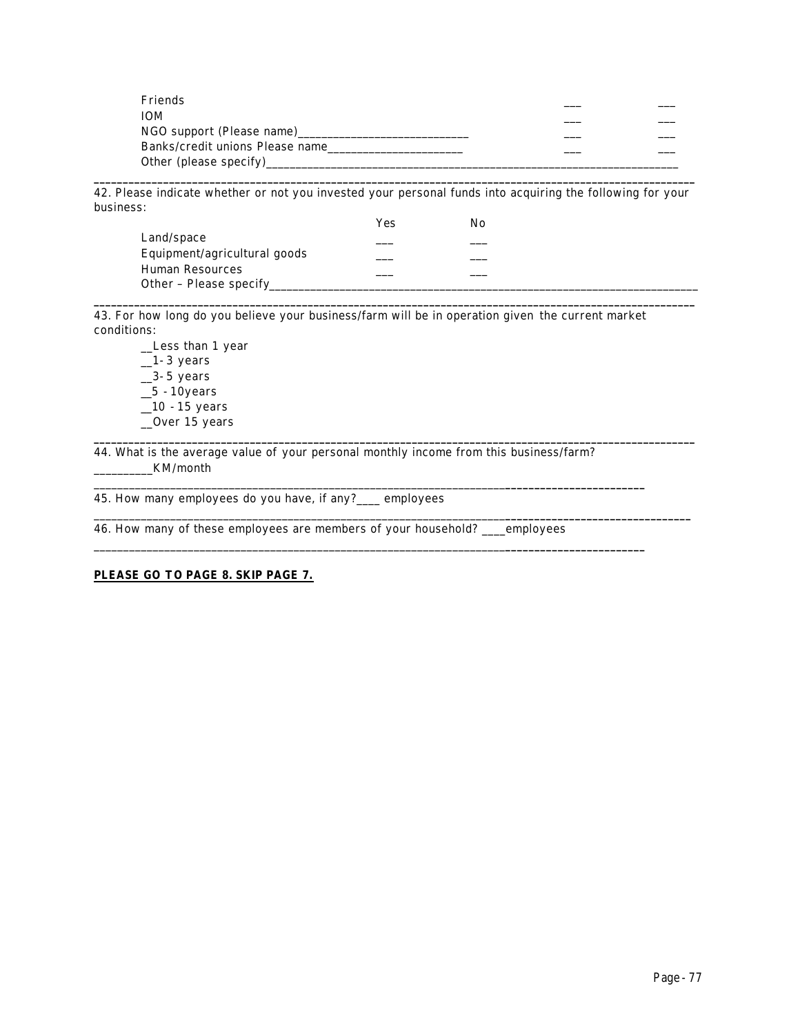| Friends                         |  |
|---------------------------------|--|
| <b>IOM</b>                      |  |
| NGO support (Please name)       |  |
| Banks/credit unions Please name |  |
| Other (please specify)          |  |

**\_\_\_\_\_\_\_\_\_\_\_\_\_\_\_\_\_\_\_\_\_\_\_\_\_\_\_\_\_\_\_\_\_\_\_\_\_\_\_\_\_\_\_\_\_\_\_\_\_\_\_\_\_\_\_\_\_\_\_\_\_\_\_\_\_\_\_\_\_\_\_\_\_\_\_\_\_\_\_\_\_\_\_\_\_\_\_\_\_\_\_\_\_\_\_\_\_\_\_\_\_\_\_\_** 42. Please indicate whether or not you invested your personal funds into acquiring the following for your business:

**\_\_\_\_\_\_\_\_\_\_\_\_\_\_\_\_\_\_\_\_\_\_\_\_\_\_\_\_\_\_\_\_\_\_\_\_\_\_\_\_\_\_\_\_\_\_\_\_\_\_\_\_\_\_\_\_\_\_\_\_\_\_\_\_\_\_\_\_\_\_\_\_\_\_\_\_\_\_\_\_\_\_\_\_\_\_\_\_\_\_\_\_\_\_\_\_\_\_\_\_\_\_\_\_**

**\_\_\_\_\_\_\_\_\_\_\_\_\_\_\_\_\_\_\_\_\_\_\_\_\_\_\_\_\_\_\_\_\_\_\_\_\_\_\_\_\_\_\_\_\_\_\_\_\_\_\_\_\_\_\_\_\_\_\_\_\_\_\_\_\_\_\_\_\_\_\_\_\_\_\_\_\_\_\_\_\_\_\_\_\_\_\_\_\_\_\_\_\_\_\_\_\_\_\_\_\_\_\_\_**

\_\_\_\_\_\_\_\_\_\_\_\_\_\_\_\_\_\_\_\_\_\_\_\_\_\_\_\_\_\_\_\_\_\_\_\_\_\_\_\_\_\_\_\_\_\_\_\_\_\_\_\_\_\_\_\_\_\_\_\_\_\_\_\_\_\_\_\_\_\_**\_\_\_\_\_\_\_\_\_\_\_\_\_\_\_\_\_\_\_\_\_\_\_\_\_\_\_\_\_\_\_\_**

|                              | Yes | NΩ |  |
|------------------------------|-----|----|--|
| Land/space                   |     |    |  |
| Equipment/agricultural goods |     |    |  |
| Human Resources              |     |    |  |
| Other – Please specify       |     |    |  |

43. For how long do you believe your business/farm will be in operation given the current market conditions:

\_\_Less than 1 year  $-1-3$  years  $\_3-5$  years  $\_5 - 10$ years  $\_10 - 15$  years \_\_Over 15 years

44. What is the average value of your personal monthly income from this business/farm? \_\_\_\_\_\_\_\_\_\_KM/month

\_\_\_\_\_\_\_\_\_\_\_\_\_\_\_\_\_\_\_\_\_\_\_\_\_\_\_\_\_\_\_\_\_\_\_\_\_\_\_\_\_\_\_\_\_\_\_\_\_\_\_\_\_\_\_\_\_\_\_\_\_\_\_\_\_\_\_\_\_\_**\_\_\_\_\_\_\_\_\_\_\_\_\_\_\_\_\_\_\_\_\_\_\_\_**

\_\_\_\_\_\_\_\_\_\_\_\_\_\_\_\_\_\_\_\_\_\_\_\_\_\_\_\_\_\_\_\_\_\_\_\_\_\_\_\_\_\_\_\_\_\_\_\_\_\_\_\_\_\_\_\_\_\_\_\_\_\_\_\_\_\_\_\_\_\_**\_\_\_\_\_\_\_\_\_\_\_\_\_\_\_\_\_\_\_\_\_\_\_\_**

45. How many employees do you have, if any?\_\_\_\_ employees

46. How many of these employees are members of your household? \_\_\_\_employees

# **PLEASE GO TO PAGE 8. SKIP PAGE 7.**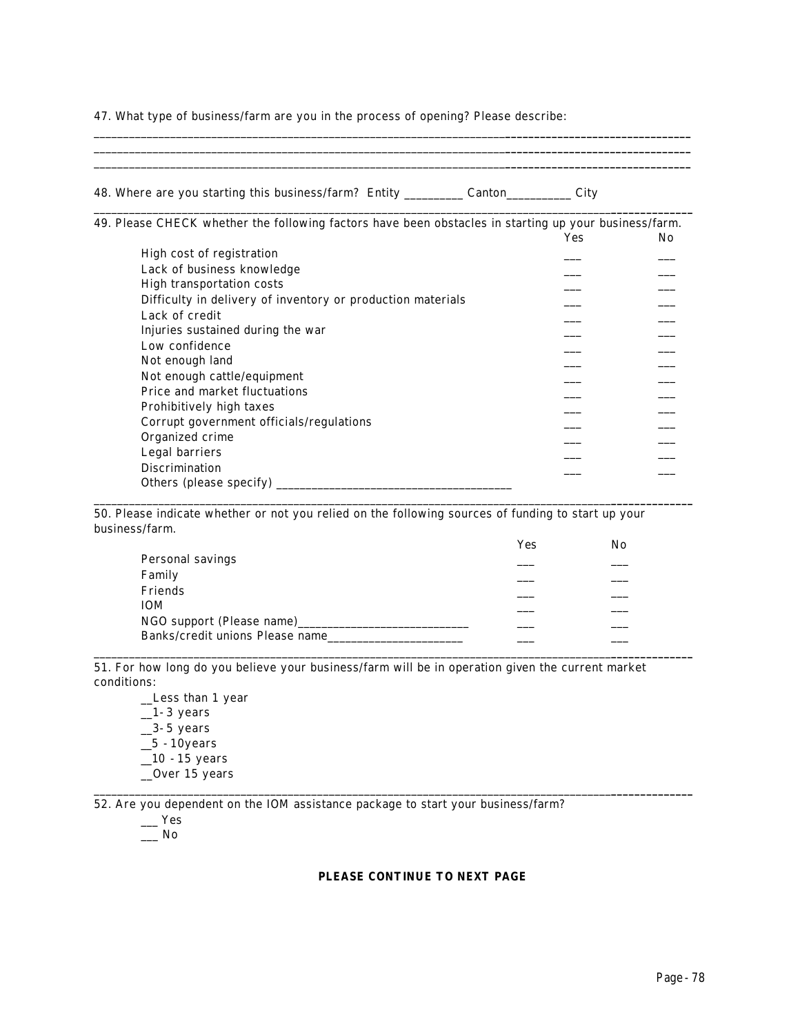47. What type of business/farm are you in the process of opening? Please describe:

| 48. Where are you starting this business/farm? Entity ___________ Canton_________                     | City |     |
|-------------------------------------------------------------------------------------------------------|------|-----|
| 49. Please CHECK whether the following factors have been obstacles in starting up your business/farm. |      |     |
|                                                                                                       | Yes  | No. |
| High cost of registration                                                                             |      |     |
| Lack of business knowledge                                                                            |      |     |
| High transportation costs                                                                             |      |     |
| Difficulty in delivery of inventory or production materials                                           |      |     |
| Lack of credit                                                                                        |      |     |
| Injuries sustained during the war                                                                     |      |     |
| Low confidence                                                                                        |      |     |
| Not enough land                                                                                       |      |     |
| Not enough cattle/equipment                                                                           |      |     |
| Price and market fluctuations                                                                         |      |     |
| Prohibitively high taxes                                                                              |      |     |
| Corrupt government officials/regulations                                                              |      |     |
| Organized crime                                                                                       |      |     |
| Legal barriers                                                                                        |      |     |
| <b>Discrimination</b>                                                                                 |      |     |
| Others (please specify)                                                                               |      |     |

\_\_\_\_\_\_\_\_\_\_\_\_\_\_\_\_\_\_\_\_\_\_\_\_\_\_\_\_\_\_\_\_\_\_\_\_\_\_\_\_\_\_\_\_\_\_\_\_\_\_\_\_\_\_\_\_\_\_\_\_\_\_\_\_\_\_\_\_\_\_**\_\_\_\_\_\_\_\_\_\_\_\_\_\_\_\_\_\_\_\_\_\_\_\_\_\_\_\_\_\_\_\_**

50. Please indicate whether or not you relied on the following sources of funding to start up your business/farm.

| Yes | No |
|-----|----|
|     |    |
|     |    |
|     |    |
|     |    |
|     |    |
|     |    |
|     |    |

\_\_\_\_\_\_\_\_\_\_\_\_\_\_\_\_\_\_\_\_\_\_\_\_\_\_\_\_\_\_\_\_\_\_\_\_\_\_\_\_\_\_\_\_\_\_\_\_\_\_\_\_\_\_\_\_\_\_\_\_\_\_\_\_\_\_\_\_\_\_\_\_\_\_\_\_\_\_\_\_\_\_\_\_\_\_\_\_**\_\_\_\_\_\_\_\_\_\_\_\_\_\_**

51. For how long do you believe your business/farm will be in operation given the current market conditions:

\_\_Less than 1 year  $-1-3$  years  $\_3-5$  years  $\_5$  -10years  $\frac{1}{2}$ 10 - 15 years \_\_Over 15 years

52. Are you dependent on the IOM assistance package to start your business/farm?

 $\overline{\phantom{a}}$  Yes

 $\_\_$  No

### **PLEASE CONTINUE TO NEXT PAGE**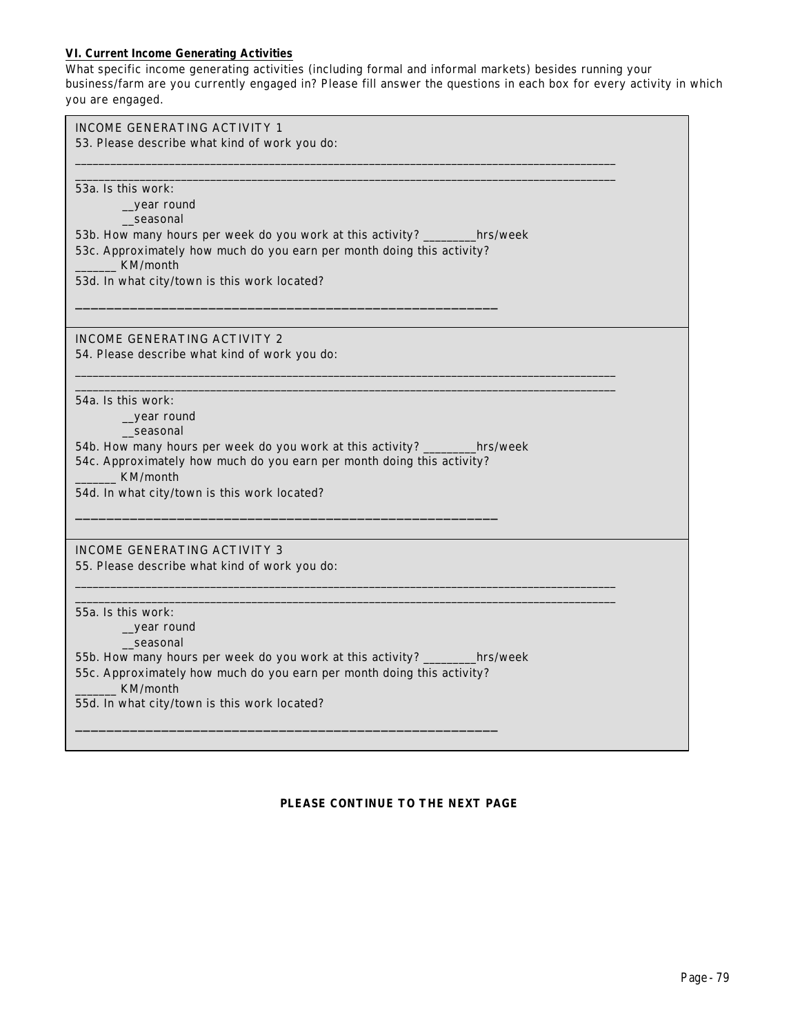## **VI. Current Income Generating Activities**

What specific income generating activities (including formal and informal markets) *besides running your business/farm* are you currently engaged in? Please fill answer the questions in each box for every activity in which you are engaged.

| INCOME GENERATING ACTIVITY 1                                                       |
|------------------------------------------------------------------------------------|
| 53. Please describe what kind of work you do:                                      |
|                                                                                    |
|                                                                                    |
| 53a. Is this work:                                                                 |
| _year round                                                                        |
| seasonal                                                                           |
| 53b. How many hours per week do you work at this activity? ________hrs/week        |
| 53c. Approximately how much do you earn per month doing this activity?<br>KM/month |
| 53d. In what city/town is this work located?                                       |
|                                                                                    |
|                                                                                    |
|                                                                                    |
| <b>INCOME GENERATING ACTIVITY 2</b>                                                |
| 54. Please describe what kind of work you do:                                      |
|                                                                                    |
|                                                                                    |
| 54a. Is this work:                                                                 |
| _year round                                                                        |
| seasonal                                                                           |
| 54b. How many hours per week do you work at this activity? _________hrs/week       |
| 54c. Approximately how much do you earn per month doing this activity?             |
| KM/month                                                                           |
| 54d. In what city/town is this work located?                                       |
|                                                                                    |
|                                                                                    |
| <b>INCOME GENERATING ACTIVITY 3</b>                                                |
| 55. Please describe what kind of work you do:                                      |
|                                                                                    |
|                                                                                    |
| 55a. Is this work:                                                                 |
| year round                                                                         |
| seasonal                                                                           |
| 55b. How many hours per week do you work at this activity? ________hrs/week        |
| 55c. Approximately how much do you earn per month doing this activity?             |
| KM/month                                                                           |
| 55d. In what city/town is this work located?                                       |
|                                                                                    |
|                                                                                    |
|                                                                                    |

### **PLEASE CONTINUE TO THE NEXT PAGE**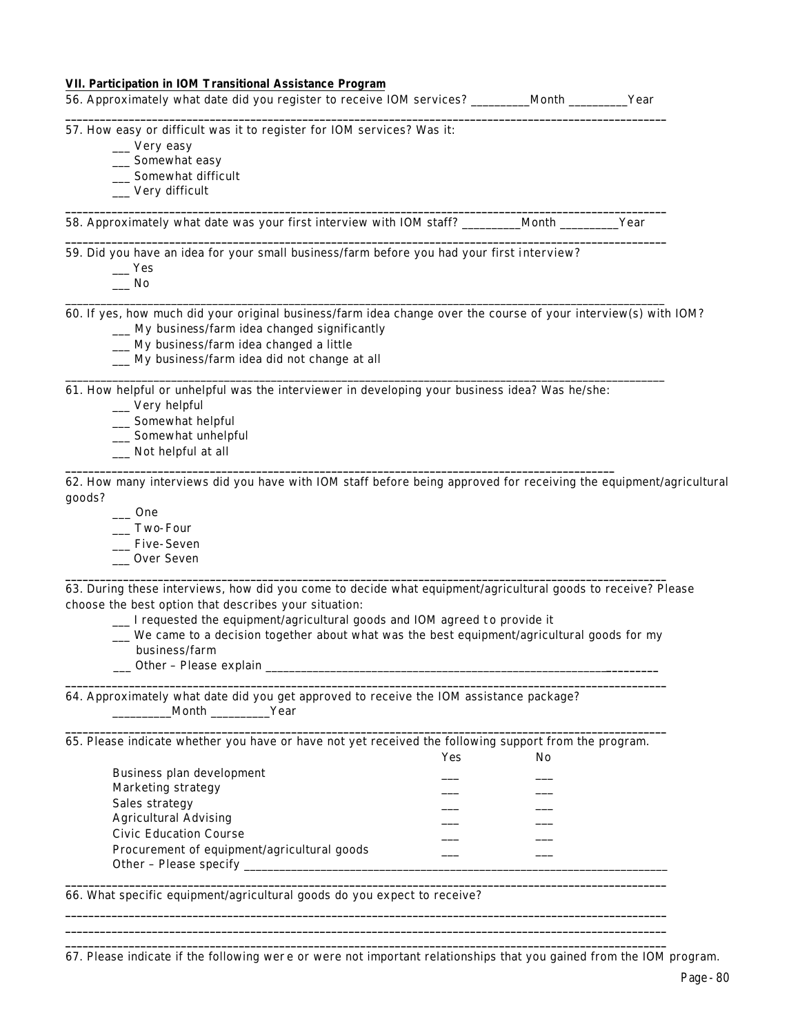| VII. Participation in IOM Transitional Assistance Program<br>56. Approximately what date did you register to receive IOM services? ________Month _______Year                                                                                                                                                                                                                                       |     |    |  |
|----------------------------------------------------------------------------------------------------------------------------------------------------------------------------------------------------------------------------------------------------------------------------------------------------------------------------------------------------------------------------------------------------|-----|----|--|
| 57. How easy or difficult was it to register for IOM services? Was it:                                                                                                                                                                                                                                                                                                                             |     |    |  |
| __ Very easy                                                                                                                                                                                                                                                                                                                                                                                       |     |    |  |
| __ Somewhat easy                                                                                                                                                                                                                                                                                                                                                                                   |     |    |  |
| __ Somewhat difficult                                                                                                                                                                                                                                                                                                                                                                              |     |    |  |
| __ Very difficult                                                                                                                                                                                                                                                                                                                                                                                  |     |    |  |
| 58. Approximately what date was your first interview with IOM staff? ________Month _______Year                                                                                                                                                                                                                                                                                                     |     |    |  |
| 59. Did you have an idea for your small business/farm before you had your first interview?                                                                                                                                                                                                                                                                                                         |     |    |  |
| $\equiv$ Yes                                                                                                                                                                                                                                                                                                                                                                                       |     |    |  |
| No.                                                                                                                                                                                                                                                                                                                                                                                                |     |    |  |
| 60. If yes, how much did your original business/farm idea change over the course of your interview(s) with IOM?                                                                                                                                                                                                                                                                                    |     |    |  |
| __ My business/farm idea changed significantly                                                                                                                                                                                                                                                                                                                                                     |     |    |  |
| _My business/farm idea changed a little                                                                                                                                                                                                                                                                                                                                                            |     |    |  |
| __ My business/farm idea did not change at all                                                                                                                                                                                                                                                                                                                                                     |     |    |  |
| 61. How helpful or unhelpful was the interviewer in developing your business idea? Was he/she:                                                                                                                                                                                                                                                                                                     |     |    |  |
| __ Very helpful                                                                                                                                                                                                                                                                                                                                                                                    |     |    |  |
|                                                                                                                                                                                                                                                                                                                                                                                                    |     |    |  |
| __ Somewhat helpful                                                                                                                                                                                                                                                                                                                                                                                |     |    |  |
| __ Somewhat unhelpful                                                                                                                                                                                                                                                                                                                                                                              |     |    |  |
| _ Not helpful at all                                                                                                                                                                                                                                                                                                                                                                               |     |    |  |
| 62. How many interviews did you have with IOM staff before being approved for receiving the equipment/agricultural<br>goods?                                                                                                                                                                                                                                                                       |     |    |  |
| $\frac{1}{2}$ One                                                                                                                                                                                                                                                                                                                                                                                  |     |    |  |
| $\frac{1}{2}$ Two-Four                                                                                                                                                                                                                                                                                                                                                                             |     |    |  |
| __ Five-Seven<br>__ Over Seven                                                                                                                                                                                                                                                                                                                                                                     |     |    |  |
| 63. During these interviews, how did you come to decide what equipment/agricultural goods to receive? Please<br>choose the best option that describes your situation:<br>__ I requested the equipment/agricultural goods and IOM agreed to provide it<br>We came to a decision together about what was the best equipment/agricultural goods for my<br>business/farm<br>_ Other - Please explain _ |     |    |  |
| 64. Approximately what date did you get approved to receive the IOM assistance package?<br>Month ____________Year                                                                                                                                                                                                                                                                                  |     |    |  |
| 65. Please indicate whether you have or have not yet received the following support from the program.                                                                                                                                                                                                                                                                                              |     |    |  |
|                                                                                                                                                                                                                                                                                                                                                                                                    | Yes | No |  |
| Business plan development<br>Marketing strategy                                                                                                                                                                                                                                                                                                                                                    |     |    |  |
| Sales strategy                                                                                                                                                                                                                                                                                                                                                                                     |     |    |  |
| <b>Agricultural Advising</b>                                                                                                                                                                                                                                                                                                                                                                       |     |    |  |
| <b>Civic Education Course</b>                                                                                                                                                                                                                                                                                                                                                                      |     |    |  |
| Procurement of equipment/agricultural goods                                                                                                                                                                                                                                                                                                                                                        |     |    |  |

66. What specific equipment/agricultural goods do you expect to receive?

67. Please indicate if the following wer e or were not important relationships that you gained from the IOM program.

**\_\_\_\_\_\_\_\_\_\_\_\_\_\_\_\_\_\_\_\_\_\_\_\_\_\_\_\_\_\_\_\_\_\_\_\_\_\_\_\_\_\_\_\_\_\_\_\_\_\_\_\_\_\_\_\_\_\_\_\_\_\_\_\_\_\_\_\_\_\_\_\_\_\_\_\_\_\_\_\_\_\_\_\_\_\_\_\_\_\_\_\_\_\_\_\_\_\_\_\_\_\_\_\_ \_\_\_\_\_\_\_\_\_\_\_\_\_\_\_\_\_\_\_\_\_\_\_\_\_\_\_\_\_\_\_\_\_\_\_\_\_\_\_\_\_\_\_\_\_\_\_\_\_\_\_\_\_\_\_\_\_\_\_\_\_\_\_\_\_\_\_\_\_\_\_\_\_\_\_\_\_\_\_\_\_\_\_\_\_\_\_\_\_\_\_\_\_\_\_\_\_\_\_\_\_\_\_\_ \_\_\_\_\_\_\_\_\_\_\_\_\_\_\_\_\_\_\_\_\_\_\_\_\_\_\_\_\_\_\_\_\_\_\_\_\_\_\_\_\_\_\_\_\_\_\_\_\_\_\_\_\_\_\_\_\_\_\_\_\_\_\_\_\_\_\_\_\_\_\_\_\_\_\_\_\_\_\_\_\_\_\_\_\_\_\_\_\_\_\_\_\_\_\_\_\_\_\_\_\_\_\_\_**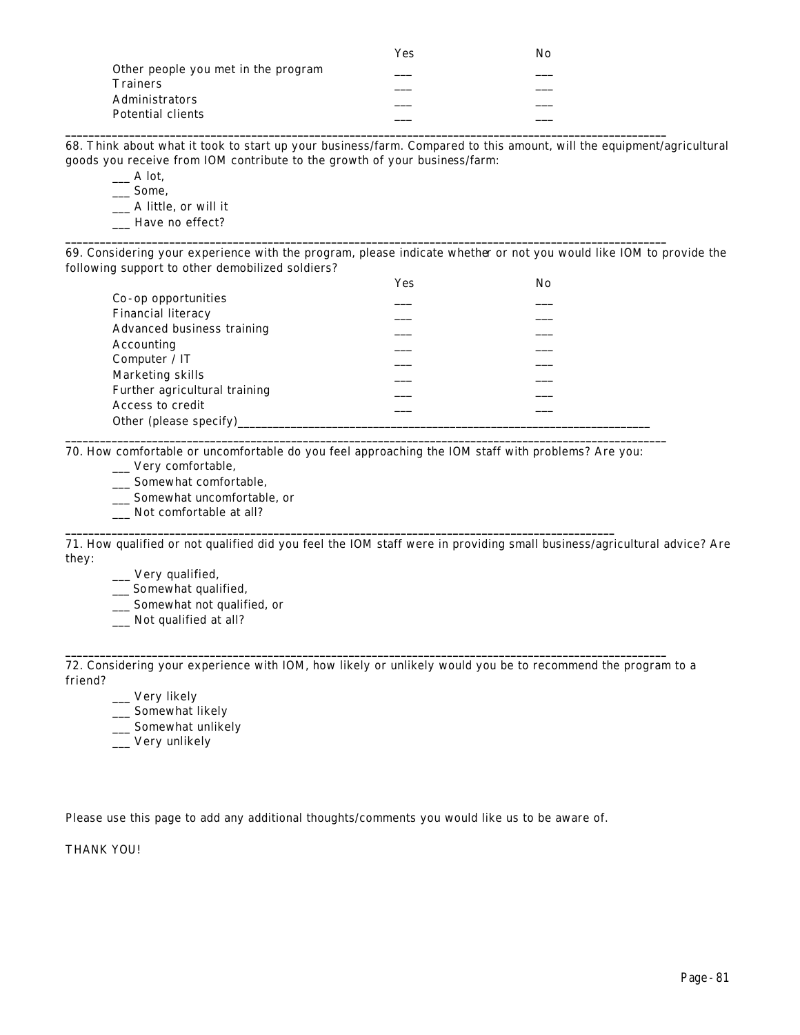|                                     | Yes | No |  |
|-------------------------------------|-----|----|--|
| Other people you met in the program |     |    |  |
| <b>Trainers</b>                     |     |    |  |
| <b>Administrators</b>               |     |    |  |
| Potential clients                   |     |    |  |
|                                     |     |    |  |

68. Think about what it took to start up your business/farm. Compared to this amount, will the equipment/agricultural goods you receive from IOM contribute to the growth of your business/farm:

 $\_\_$  A lot.

\_\_\_ Some,

\_\_\_ A little, or will it

\_\_\_ Have no effect? **\_\_\_\_\_\_\_\_\_\_\_\_\_\_\_\_\_\_\_\_\_\_\_\_\_\_\_\_\_\_\_\_\_\_\_\_\_\_\_\_\_\_\_\_\_\_\_\_\_\_\_\_\_\_\_\_\_\_\_\_\_\_\_\_\_\_\_\_\_\_\_\_\_\_\_\_\_\_\_\_\_\_\_\_\_\_\_\_\_\_\_\_\_\_\_\_\_\_\_\_\_\_\_\_**

69. Considering your experience with the program, please indicate whether or not you would like IOM to provide the following support to other demobilized soldiers?

|                               | Yes | No |
|-------------------------------|-----|----|
| Co-op opportunities           |     |    |
| <b>Financial literacy</b>     |     |    |
| Advanced business training    |     |    |
| Accounting                    |     |    |
| Computer / IT                 |     |    |
| Marketing skills              |     |    |
| Further agricultural training |     |    |
| Access to credit              |     |    |
| Other (please specify)        |     |    |

70. How comfortable or uncomfortable do you feel approaching the IOM staff with problems? Are you:

**\_\_\_\_\_\_\_\_\_\_\_\_\_\_\_\_\_\_\_\_\_\_\_\_\_\_\_\_\_\_\_\_\_\_\_\_\_\_\_\_\_\_\_\_\_\_\_\_\_\_\_\_\_\_\_\_\_\_\_\_\_\_\_\_\_\_\_\_\_\_\_\_\_\_\_\_\_\_\_\_\_\_\_\_\_\_\_\_\_\_\_\_\_\_\_**

**\_\_\_\_\_\_\_\_\_\_\_\_\_\_\_\_\_\_\_\_\_\_\_\_\_\_\_\_\_\_\_\_\_\_\_\_\_\_\_\_\_\_\_\_\_\_\_\_\_\_\_\_\_\_\_\_\_\_\_\_\_\_\_\_\_\_\_\_\_\_\_\_\_\_\_\_\_\_\_\_\_\_\_\_\_\_\_\_\_\_\_\_\_\_\_\_\_\_\_\_\_\_\_\_**

\_\_\_ Very comfortable,

\_\_\_ Somewhat comfortable,

\_\_\_ Somewhat uncomfortable, or

\_\_\_ Not comfortable at all?

71. How qualified or not qualified did you feel the IOM staff were in providing small business/agricultural advice? Are they:

\_\_\_ Very qualified,

\_\_\_ Somewhat qualified,

\_\_\_ Somewhat not qualified, or

\_\_\_ Not qualified at all?

72. Considering your experience with IOM, how likely or unlikely would you be to recommend the program to a friend?

**\_\_\_\_\_\_\_\_\_\_\_\_\_\_\_\_\_\_\_\_\_\_\_\_\_\_\_\_\_\_\_\_\_\_\_\_\_\_\_\_\_\_\_\_\_\_\_\_\_\_\_\_\_\_\_\_\_\_\_\_\_\_\_\_\_\_\_\_\_\_\_\_\_\_\_\_\_\_\_\_\_\_\_\_\_\_\_\_\_\_\_\_\_\_\_\_\_\_\_\_\_\_\_\_**

\_\_\_ Very likely

- \_\_\_ Somewhat likely
- \_\_ Somewhat unlikely
- \_\_\_ Very unlikely

Please use this page to add any additional thoughts/comments you would like us to be aware of.

THANK YOU!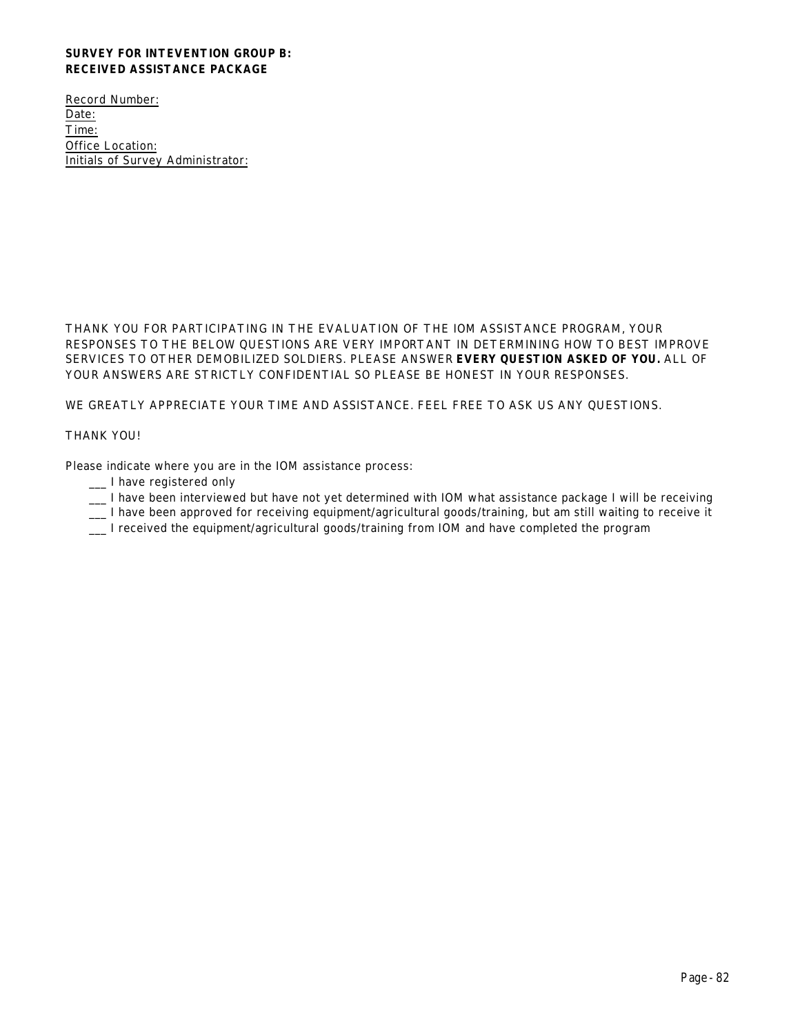# **SURVEY FOR INTEVENTION GROUP B: RECEIVED ASSISTANCE PACKAGE**

Record Number: Date: Time: Office Location: Initials of Survey Administrator:

THANK YOU FOR PARTICIPATING IN THE EVALUATION OF THE IOM ASSISTANCE PROGRAM, YOUR RESPONSES TO THE BELOW QUESTIONS ARE VERY IMPORTANT IN DETERMINING HOW TO BEST IMPROVE SERVICES TO OTHER DEMOBILIZED SOLDIERS. PLEASE ANSWER **EVERY QUESTION ASKED OF YOU.** ALL OF YOUR ANSWERS ARE STRICTLY CONFIDENTIAL SO PLEASE BE HONEST IN YOUR RESPONSES.

WE GREATLY APPRECIATE YOUR TIME AND ASSISTANCE. FEEL FREE TO ASK US ANY QUESTIONS.

### THANK YOU!

Please indicate where you are in the IOM assistance process:

- \_\_\_ I have registered only
- \_\_\_ I have been interviewed but have not yet determined with IOM what assistance package I will be receiving
- \_\_\_ I have been approved for receiving equipment/agricultural goods/training, but am still waiting to receive it
- \_\_\_ I received the equipment/agricultural goods/training from IOM and have completed the program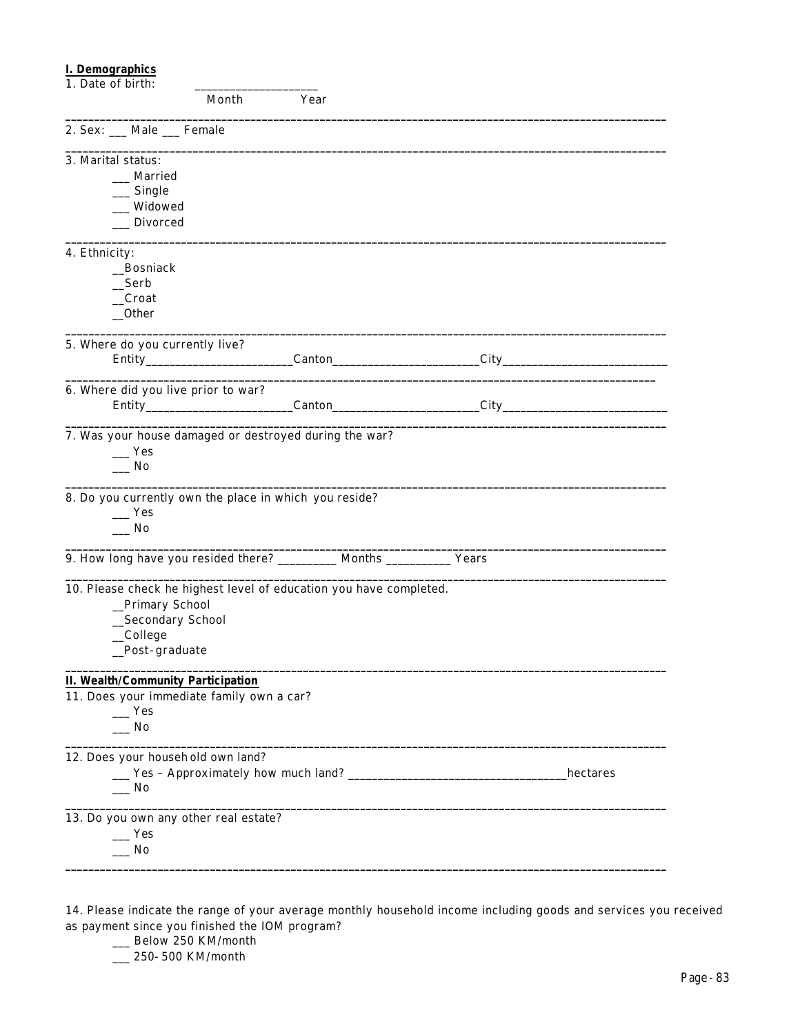# **I. Demographics**

| 1. Date of birth:                                                       |       |      |          |
|-------------------------------------------------------------------------|-------|------|----------|
|                                                                         | Month | Year |          |
| 2. Sex: __ Male __ Female                                               |       |      |          |
| 3. Marital status:                                                      |       |      |          |
| Married                                                                 |       |      |          |
| $\equiv$ Single                                                         |       |      |          |
| __ Widowed                                                              |       |      |          |
| __ Divorced                                                             |       |      |          |
| 4. Ethnicity:                                                           |       |      |          |
| _Bosniack                                                               |       |      |          |
| Serb                                                                    |       |      |          |
| $\_Croat$                                                               |       |      |          |
| $\_$ Other                                                              |       |      |          |
| 5. Where do you currently live?                                         |       |      |          |
|                                                                         |       |      |          |
| 6. Where did you live prior to war?                                     |       |      |          |
|                                                                         |       |      |          |
| 7. Was your house damaged or destroyed during the war?                  |       |      |          |
| $\equiv$ Yes                                                            |       |      |          |
| $\overline{\phantom{0}}$ No                                             |       |      |          |
| 8. Do you currently own the place in which you reside?                  |       |      |          |
| $\mathbf{Yes}$<br>$\overline{\phantom{0}}$ No                           |       |      |          |
| 9. How long have you resided there? __________ Months ___________ Years |       |      |          |
|                                                                         |       |      |          |
| 10. Please check he highest level of education you have completed.      |       |      |          |
| _Primary School                                                         |       |      |          |
| _Secondary School                                                       |       |      |          |
| _College                                                                |       |      |          |
| _Post-graduate                                                          |       |      |          |
| <b>II. Wealth/Community Participation</b>                               |       |      |          |
| 11. Does your immediate family own a car?                               |       |      |          |
| $-$ Yes                                                                 |       |      |          |
| No                                                                      |       |      |          |
| 12. Does your household own land?                                       |       |      |          |
|                                                                         |       |      | hectares |
| $\_\_$ No                                                               |       |      |          |
| 13. Do you own any other real estate?                                   |       |      |          |
| $\mathbf{Yes}$                                                          |       |      |          |
| $\overline{\phantom{0}}$ No                                             |       |      |          |
|                                                                         |       |      |          |

14. Please indicate the range of your average monthly household income including goods and services you received as payment since you finished the IOM program?

- \_\_ Below 250 KM/month
- \_\_\_ 250-500 KM/month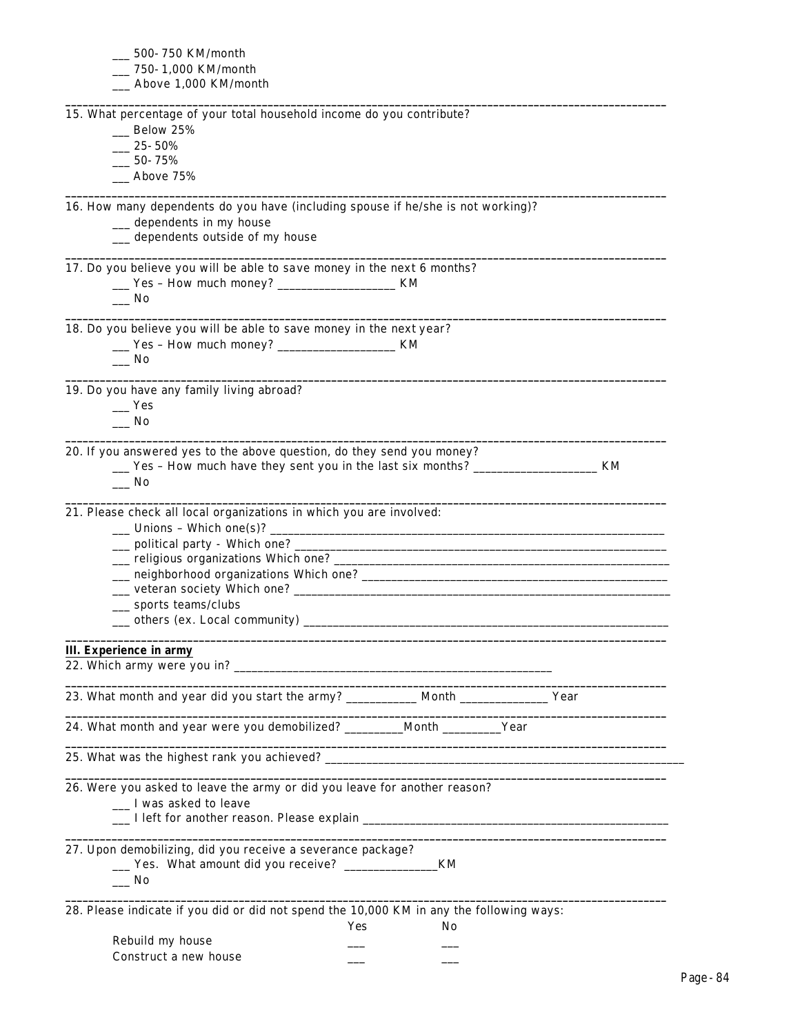| __ 500- 750 KM/month                                                                                                                                                                                                                      |
|-------------------------------------------------------------------------------------------------------------------------------------------------------------------------------------------------------------------------------------------|
| 750-1,000 KM/month                                                                                                                                                                                                                        |
| _ Above 1,000 KM/month                                                                                                                                                                                                                    |
| 15. What percentage of your total household income do you contribute?                                                                                                                                                                     |
| $\equiv$ Below 25%                                                                                                                                                                                                                        |
| $25 - 50\%$                                                                                                                                                                                                                               |
| $50$ - $75\%$                                                                                                                                                                                                                             |
| Above 75%                                                                                                                                                                                                                                 |
|                                                                                                                                                                                                                                           |
| 16. How many dependents do you have (including spouse if he/she is not working)?                                                                                                                                                          |
| __ dependents in my house                                                                                                                                                                                                                 |
| __ dependents outside of my house                                                                                                                                                                                                         |
| 17. Do you believe you will be able to save money in the next 6 months?                                                                                                                                                                   |
| __ Yes - How much money? _______________________ KM                                                                                                                                                                                       |
| __ No                                                                                                                                                                                                                                     |
| 18. Do you believe you will be able to save money in the next year?                                                                                                                                                                       |
|                                                                                                                                                                                                                                           |
| ___ Yes - How much money? ________________________ KM<br>$\Box$ No                                                                                                                                                                        |
|                                                                                                                                                                                                                                           |
| 19. Do you have any family living abroad?                                                                                                                                                                                                 |
| Yes                                                                                                                                                                                                                                       |
| $\overline{\phantom{a}}$ No                                                                                                                                                                                                               |
|                                                                                                                                                                                                                                           |
| 20. If you answered yes to the above question, do they send you money?                                                                                                                                                                    |
| __ Yes - How much have they sent you in the last six months? ____________________ KM                                                                                                                                                      |
| $\_\_$ No                                                                                                                                                                                                                                 |
|                                                                                                                                                                                                                                           |
| 21. Please check all local organizations in which you are involved:                                                                                                                                                                       |
| <u>11</u> Unions - Which one(s)? <u>11   2008   2009   2009   2009   2009   2009   2009   2009   2009   2009   2009   2009   2009   2009   2009   2009   2009   2009   2009   2009   2009   2009   2009   2009   2009   2009   2009  </u> |
|                                                                                                                                                                                                                                           |
|                                                                                                                                                                                                                                           |
|                                                                                                                                                                                                                                           |
|                                                                                                                                                                                                                                           |
| _ sports teams/clubs                                                                                                                                                                                                                      |
| _ others (ex. Local community) _<br><u> 1989 - Johann Barn, mars ann an t-Amhain ann an t-Amhain an t-Amhain ann an t-Amhain an t-Amhain an t-Amhain a</u>                                                                                |
| <b>III.</b> Experience in army                                                                                                                                                                                                            |
|                                                                                                                                                                                                                                           |
| the control of the control of the control of the control of the control of the control of                                                                                                                                                 |
| 23. What month and year did you start the army? ___________ Month ______________ Year                                                                                                                                                     |
| 24. What month and year were you demobilized? ________Month ________Year                                                                                                                                                                  |
| <u> 1989 - Johann Stoff, amerikansk politiker (d. 1989)</u>                                                                                                                                                                               |
| 26. Were you asked to leave the army or did you leave for another reason?                                                                                                                                                                 |
| __ I was asked to leave                                                                                                                                                                                                                   |
|                                                                                                                                                                                                                                           |
|                                                                                                                                                                                                                                           |
| 27. Upon demobilizing, did you receive a severance package?                                                                                                                                                                               |
| __ Yes. What amount did you receive? ____________<br>_KM                                                                                                                                                                                  |
| $\equiv$ No                                                                                                                                                                                                                               |
|                                                                                                                                                                                                                                           |
| 28. Please indicate if you did or did not spend the 10,000 KM in any the following ways:                                                                                                                                                  |
| Yes<br>No.                                                                                                                                                                                                                                |
| Rebuild my house                                                                                                                                                                                                                          |
| Construct a new house                                                                                                                                                                                                                     |
|                                                                                                                                                                                                                                           |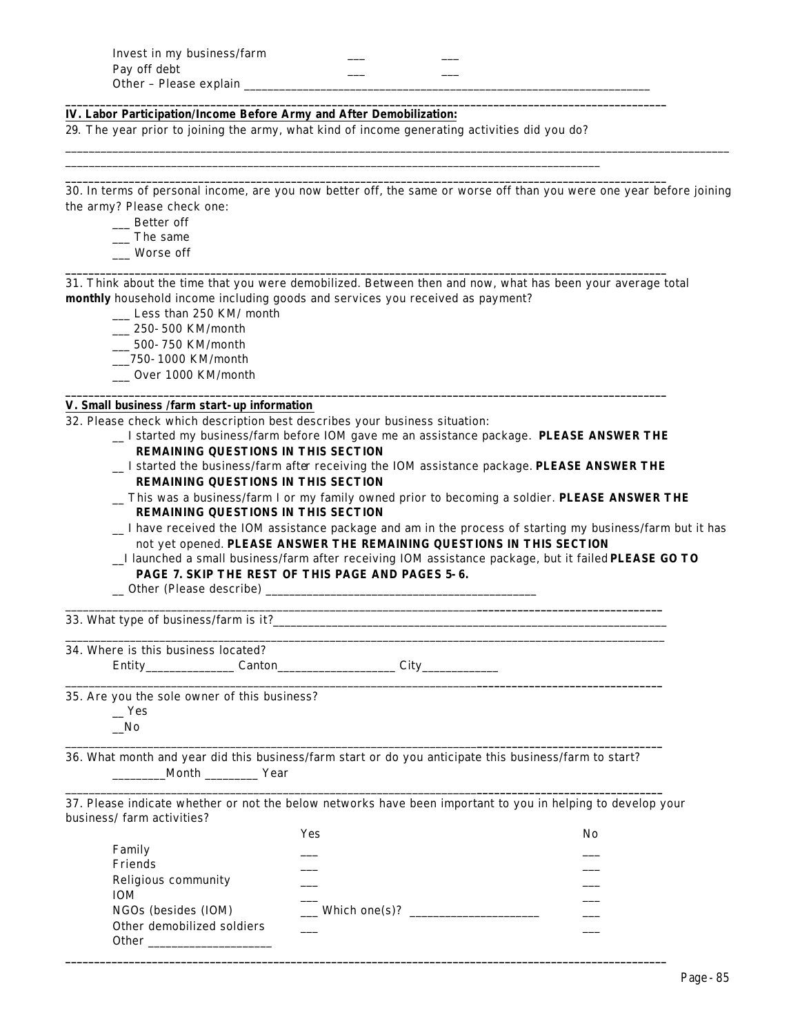| Invest in my business/farm |  |
|----------------------------|--|
| Pay off debt               |  |
| Other - Please explain     |  |

### **IV. Labor Participation/Income Before Army and After Demobilization:**

29. *The year prior to joining the army*, what kind of income generating activities did you do?

\_\_\_\_\_\_\_\_\_\_\_\_\_\_\_\_\_\_\_\_\_\_\_\_\_\_\_\_\_\_\_\_\_\_\_\_\_\_\_\_\_\_\_\_\_\_\_\_\_\_\_\_\_\_\_\_\_\_\_\_\_\_\_\_\_\_\_\_\_\_\_\_\_\_\_\_\_\_\_\_\_\_\_\_\_\_\_\_\_\_\_

**\_\_\_\_\_\_\_\_\_\_\_\_\_\_\_\_\_\_\_\_\_\_\_\_\_\_\_\_\_\_\_\_\_\_\_\_\_\_\_\_\_\_\_\_\_\_\_\_\_\_\_\_\_\_\_\_\_\_\_\_\_\_\_\_\_\_\_\_\_\_\_\_\_\_\_\_\_\_\_\_\_\_\_\_\_\_\_\_\_\_\_\_\_\_\_\_\_\_\_\_\_\_\_\_**

**\_\_\_\_\_\_\_\_\_\_\_\_\_\_\_\_\_\_\_\_\_\_\_\_\_\_\_\_\_\_\_\_\_\_\_\_\_\_\_\_\_\_\_\_\_\_\_\_\_\_\_\_\_\_\_\_\_\_\_\_\_\_\_\_\_\_\_\_\_\_\_\_\_\_\_\_\_\_\_\_\_\_\_\_\_\_\_\_\_\_\_\_\_\_\_\_\_\_\_\_\_\_\_\_**

30. In terms of personal income, are you now better off, the same or worse off than you were one year before joining the army? Please check one:

\_\_\_\_\_\_\_\_\_\_\_\_\_\_\_\_\_\_\_\_\_\_\_\_\_\_\_\_\_\_\_\_\_\_\_\_\_\_\_\_\_\_\_\_\_\_\_\_\_\_\_\_\_\_\_\_\_\_\_\_\_\_\_\_\_\_\_\_\_\_\_\_\_\_\_\_\_\_\_\_\_\_\_\_\_\_\_\_\_\_\_\_\_\_\_\_\_\_\_\_\_\_\_\_\_\_\_\_\_\_\_\_\_

- \_\_\_ Better off
- \_\_\_ The same
- \_\_\_ Worse off

31. Think about the time that you were demobilized. Between then and now, what has been your average total **monthly** household income including goods and services you received as payment?

**\_\_\_\_\_\_\_\_\_\_\_\_\_\_\_\_\_\_\_\_\_\_\_\_\_\_\_\_\_\_\_\_\_\_\_\_\_\_\_\_\_\_\_\_\_\_\_\_\_\_\_\_\_\_\_\_\_\_\_\_\_\_\_\_\_\_\_\_\_\_\_\_\_\_\_\_\_\_\_\_\_\_\_\_\_\_\_\_\_\_\_\_\_\_\_\_\_\_\_\_\_\_\_\_**

**\_\_\_\_\_\_\_\_\_\_\_\_\_\_\_\_\_\_\_\_\_\_\_\_\_\_\_\_\_\_\_\_\_\_\_\_\_\_\_\_\_\_\_\_\_\_\_\_\_\_\_\_\_\_\_\_\_\_\_\_\_\_\_\_\_\_\_\_\_\_\_\_\_\_\_\_\_\_\_\_\_\_\_\_\_\_\_\_\_\_\_\_\_\_\_\_\_\_\_\_\_\_\_\_**

\_\_\_ Less than 250 KM/ month

- \_\_\_ 250-500 KM/month
- \_\_\_ 500-750 KM/month
- \_\_\_750-1000 KM/month
- \_\_\_ Over 1000 KM/month

#### **V. Small business /farm start-up information**

32. Please check which description best describes your business situation:

- \_\_ I started my business/farm before IOM gave me an assistance package. **PLEASE ANSWER THE REMAINING QUESTIONS IN THIS SECTION**
- \_\_ I started the business/farm after receiving the IOM assistance package. **PLEASE ANSWER THE REMAINING QUESTIONS IN THIS SECTION**
- \_\_ This was a business/farm I or my family owned prior to becoming a soldier. **PLEASE ANSWER THE REMAINING QUESTIONS IN THIS SECTION**
- \_\_ I have received the IOM assistance package and am in the process of starting my business/farm but it has not yet opened. **PLEASE ANSWER THE REMAINING QUESTIONS IN THIS SECTION**
- \_\_I launched a small business/farm after receiving IOM assistance package, but it failed **PLEASE GO TO PAGE 7. SKIP THE REST OF THIS PAGE AND PAGES 5-6.**
- \_\_ Other (Please describe) \_\_\_\_\_\_\_\_\_\_\_\_\_\_\_\_\_\_\_\_\_\_\_\_\_\_\_\_\_\_\_\_\_\_\_\_\_\_\_\_\_\_\_\_\_\_

33. What type of business/farm is it?\_\_\_\_\_\_\_\_\_\_\_\_\_\_\_\_\_\_\_\_\_\_\_\_\_\_\_\_\_\_\_\_\_\_\_\_\_\_\_\_\_\_\_\_\_\_\_\_\_\_\_\_\_\_\_\_\_\_\_\_\_\_\_\_\_\_\_

34. Where is this business located? Entity Canton City

35. Are you the sole owner of this business?

 $-$  Yes  $\sqrt{N_0}$ 

36. What month and year did this business/farm start or do you anticipate this business/farm to start? \_\_\_\_\_\_\_\_\_Month \_\_\_\_\_\_\_\_\_ Year

\_\_\_\_\_\_\_\_\_\_\_\_\_\_\_\_\_\_\_\_\_\_\_\_\_\_\_\_\_\_\_\_\_\_\_\_\_\_\_\_\_\_\_\_\_\_\_\_\_\_\_\_\_\_\_\_\_\_\_\_\_\_\_\_\_\_\_\_\_\_\_\_\_\_\_\_\_\_\_\_\_\_\_\_\_\_\_\_\_\_\_\_\_\_\_\_\_\_\_\_\_\_

\_\_\_\_\_\_\_\_\_\_\_\_\_\_\_\_\_\_\_\_\_\_\_\_\_\_\_\_\_\_\_\_\_\_\_\_\_\_\_\_\_\_\_\_\_\_\_\_\_\_\_\_\_\_\_\_\_\_\_\_\_\_\_\_\_\_\_\_\_\_**\_\_\_\_\_\_\_\_\_\_\_\_\_\_\_\_\_\_\_\_\_\_\_\_\_\_\_\_\_\_\_\_**

\_\_\_\_\_\_\_\_\_\_\_\_\_\_\_\_\_\_\_\_\_\_\_\_\_\_\_\_\_\_\_\_\_\_\_\_\_\_\_\_\_\_\_\_\_\_\_\_\_\_\_\_\_\_\_\_\_\_\_\_\_\_\_\_\_\_\_\_\_\_**\_\_\_\_\_\_\_\_\_\_\_\_\_\_\_\_\_\_\_\_\_\_\_\_\_\_\_\_\_\_\_\_**

\_\_\_\_\_\_\_\_\_\_\_\_\_\_\_\_\_\_\_\_\_\_\_\_\_\_\_\_\_\_\_\_\_\_\_\_\_\_\_\_\_\_\_\_\_\_\_\_\_\_\_\_\_\_\_\_\_\_\_\_\_\_\_\_\_\_\_\_\_\_**\_\_\_\_\_\_\_\_\_\_\_\_\_\_\_\_\_\_\_\_\_\_\_\_\_\_\_\_\_\_\_\_**

37. Please indicate whether or not the below networks have been important to you in helping to develop your business/ farm activities?

|                            | Yes           | No |
|----------------------------|---------------|----|
| Family                     |               |    |
| Friends                    |               |    |
| Religious community        |               |    |
| <b>IOM</b>                 |               |    |
| NGOs (besides (IOM)        | Which one(s)? |    |
| Other demobilized soldiers |               |    |
| <b>Other</b>               |               |    |

**\_\_\_\_\_\_\_\_\_\_\_\_\_\_\_\_\_\_\_\_\_\_\_\_\_\_\_\_\_\_\_\_\_\_\_\_\_\_\_\_\_\_\_\_\_\_\_\_\_\_\_\_\_\_\_\_\_\_\_\_\_\_\_\_\_\_\_\_\_\_\_\_\_\_\_\_\_\_\_\_\_\_\_\_\_\_\_\_\_\_\_\_\_\_\_\_\_\_\_\_\_\_\_\_**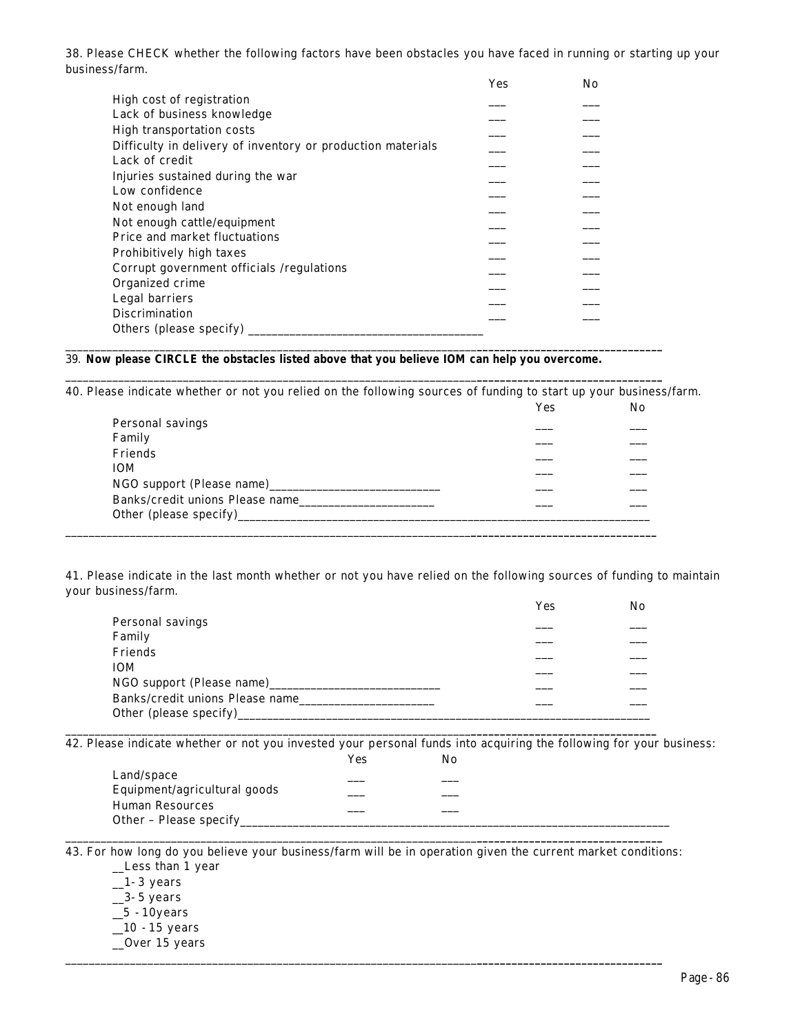38. Please CHECK whether the following factors have been obstacles you have faced in running or starting up your business/farm.

|                                                             | Yes | No |
|-------------------------------------------------------------|-----|----|
| High cost of registration                                   |     |    |
| Lack of business knowledge                                  |     |    |
| High transportation costs                                   |     |    |
| Difficulty in delivery of inventory or production materials |     |    |
| Lack of credit                                              |     |    |
| Injuries sustained during the war                           |     |    |
| Low confidence                                              |     |    |
| Not enough land                                             |     |    |
| Not enough cattle/equipment                                 |     |    |
| Price and market fluctuations                               |     |    |
| Prohibitively high taxes                                    |     |    |
| Corrupt government officials /regulations                   |     |    |
| Organized crime                                             |     |    |
| Legal barriers                                              |     |    |
| <b>Discrimination</b>                                       |     |    |
|                                                             |     |    |

# 39. **Now please CIRCLE the obstacles listed above** *that you believe IOM can help you overcome***.**

40. Please indicate whether or not you relied on the following sources of funding to start up your business/farm.

\_\_\_\_\_\_\_\_\_\_\_\_\_\_\_\_\_\_\_\_\_\_\_\_\_\_\_\_\_\_\_\_\_\_\_\_\_\_\_\_\_\_\_\_\_\_\_\_\_\_\_\_\_\_\_\_\_\_\_\_\_\_\_\_\_\_\_\_\_\_**\_\_\_\_\_\_\_\_\_\_\_\_\_\_\_\_\_\_\_\_\_\_\_\_\_\_\_\_\_\_\_\_**

|                                 | Yes | No |
|---------------------------------|-----|----|
| Personal savings                |     |    |
| Family                          |     |    |
| Friends                         |     |    |
| <b>IOM</b>                      |     |    |
|                                 |     |    |
| Banks/credit unions Please name |     |    |
|                                 |     |    |
|                                 |     |    |

41. Please indicate in the last month whether or not you have relied on the following sources of funding to maintain your business/farm.

|                                     | Yes | No |
|-------------------------------------|-----|----|
| Personal savings                    |     |    |
| Family                              |     |    |
| Friends                             |     |    |
| <b>IOM</b>                          |     |    |
| NGO support (Please name)__________ |     |    |
| Banks/credit unions Please name     |     |    |
|                                     |     |    |

\_\_\_\_\_\_\_\_\_\_\_\_\_\_\_\_\_\_\_\_\_\_\_\_\_\_\_\_\_\_\_\_\_\_\_\_\_\_\_\_\_\_\_\_\_\_\_\_\_\_\_\_\_\_\_\_\_\_\_\_\_\_\_\_\_\_\_\_\_**\_\_\_\_\_\_\_\_\_\_\_\_\_\_\_\_\_\_\_\_\_\_\_\_\_\_\_\_\_\_\_\_**

42. Please indicate whether or not you invested your personal funds into acquiring the following for your business:

|                              | Yes | Nο |  |
|------------------------------|-----|----|--|
| Land/space                   |     |    |  |
| Equipment/agricultural goods |     |    |  |
| <b>Human Resources</b>       |     |    |  |
| Other - Please specify       |     |    |  |

43. For how long do you believe your business/farm will be in operation given the current market conditions: \_\_Less than 1 year

\_\_\_\_\_\_\_\_\_\_\_\_\_\_\_\_\_\_\_\_\_\_\_\_\_\_\_\_\_\_\_\_\_\_\_\_\_\_\_\_\_\_\_\_\_\_\_\_\_\_\_\_\_\_\_\_\_\_\_\_\_\_\_\_\_\_\_\_\_\_**\_\_\_\_\_\_\_\_\_\_\_\_\_\_\_\_\_\_\_\_\_\_\_\_\_\_\_\_\_\_\_\_**

- $\_1-3$  years
- $\_3-5$  years
- $\_5$  -10years
- $\_10 15$  years
- \_\_Over 15 years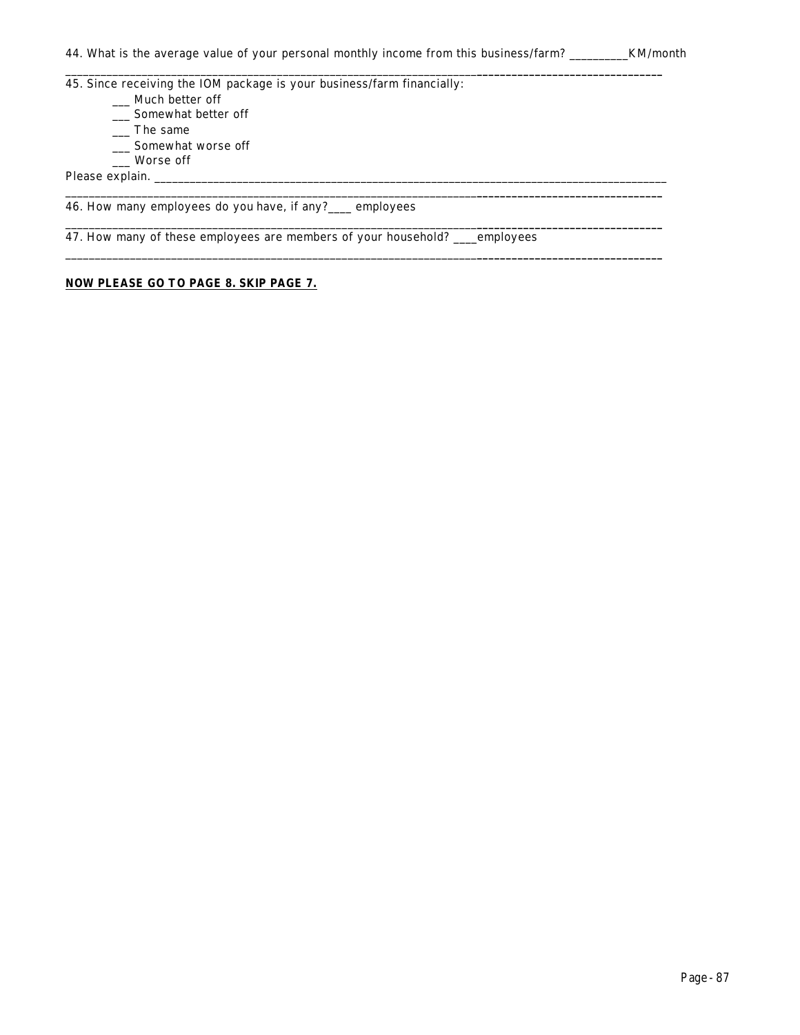\_\_\_\_\_\_\_\_\_\_\_\_\_\_\_\_\_\_\_\_\_\_\_\_\_\_\_\_\_\_\_\_\_\_\_\_\_\_\_\_\_\_\_\_\_\_\_\_\_\_\_\_\_\_\_\_\_\_\_\_\_\_\_\_\_\_\_\_\_\_**\_\_\_\_\_\_\_\_\_\_\_\_\_\_\_\_\_\_\_\_\_\_\_\_\_\_\_\_\_\_\_\_**

\_\_\_\_\_\_\_\_\_\_\_\_\_\_\_\_\_\_\_\_\_\_\_\_\_\_\_\_\_\_\_\_\_\_\_\_\_\_\_\_\_\_\_\_\_\_\_\_\_\_\_\_\_\_\_\_\_\_\_\_\_\_\_\_\_\_\_\_\_\_**\_\_\_\_\_\_\_\_\_\_\_\_\_\_\_\_\_\_\_\_\_\_\_\_\_\_\_\_\_\_\_\_**

\_\_\_\_\_\_\_\_\_\_\_\_\_\_\_\_\_\_\_\_\_\_\_\_\_\_\_\_\_\_\_\_\_\_\_\_\_\_\_\_\_\_\_\_\_\_\_\_\_\_\_\_\_\_\_\_\_\_\_\_\_\_\_\_\_\_\_\_\_\_**\_\_\_\_\_\_\_\_\_\_\_\_\_\_\_\_\_\_\_\_\_\_\_\_\_\_\_\_\_\_\_\_**

\_\_\_\_\_\_\_\_\_\_\_\_\_\_\_\_\_\_\_\_\_\_\_\_\_\_\_\_\_\_\_\_\_\_\_\_\_\_\_\_\_\_\_\_\_\_\_\_\_\_\_\_\_\_\_\_\_\_\_\_\_\_\_\_\_\_\_\_\_\_**\_\_\_\_\_\_\_\_\_\_\_\_\_\_\_\_\_\_\_\_\_\_\_\_\_\_\_\_\_\_\_\_**

45. Since receiving the IOM package is your business/farm financially: \_\_\_ Much better off

- \_\_\_ Somewhat better off
- $\frac{1}{2}$  The same
- \_\_\_ Somewhat worse off
- \_\_\_ Worse off

Please explain.

46. How many employees do you have, if any?\_\_\_\_ employees

47. How many of these employees are members of your household? \_\_\_\_employees

# **NOW PLEASE GO TO PAGE 8. SKIP PAGE 7.**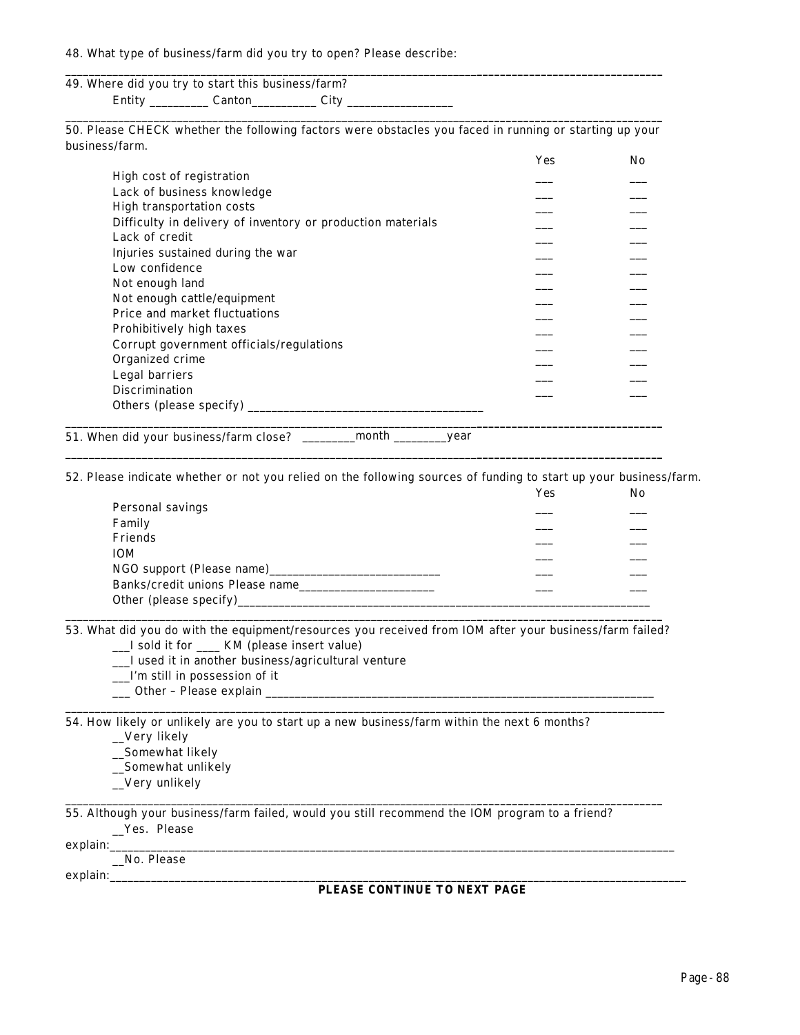### 48. What type of business/farm did you try to open? Please describe:

# 49. Where did you try to start this business/farm? Entity \_\_\_\_\_\_\_\_\_\_\_\_\_ Canton\_\_\_\_\_\_\_\_\_\_\_\_\_\_ City \_\_\_\_\_\_\_\_\_\_\_\_\_\_\_\_\_\_\_\_\_\_\_\_\_\_\_\_\_\_\_\_\_\_

\_\_\_\_\_\_\_\_\_\_\_\_\_\_\_\_\_\_\_\_\_\_\_\_\_\_\_\_\_\_\_\_\_\_\_\_\_\_\_\_\_\_\_\_\_\_\_\_\_\_\_\_\_\_\_\_\_\_\_\_\_\_\_\_\_\_\_\_\_\_**\_\_\_\_\_\_\_\_\_\_\_\_\_\_\_\_\_\_\_\_\_\_\_\_\_\_\_\_\_\_\_\_** 50. Please CHECK whether the following factors were obstacles you faced in running or starting up your business/farm.

\_\_\_\_\_\_\_\_\_\_\_\_\_\_\_\_\_\_\_\_\_\_\_\_\_\_\_\_\_\_\_\_\_\_\_\_\_\_\_\_\_\_\_\_\_\_\_\_\_\_\_\_\_\_\_\_\_\_\_\_\_\_\_\_\_\_\_\_\_\_**\_\_\_\_\_\_\_\_\_\_\_\_\_\_\_\_\_\_\_\_\_\_\_\_\_\_\_\_\_\_\_\_**

|                                                             | Yes | No.      |
|-------------------------------------------------------------|-----|----------|
| High cost of registration                                   |     |          |
| Lack of business knowledge                                  |     |          |
| High transportation costs                                   |     |          |
| Difficulty in delivery of inventory or production materials |     |          |
| Lack of credit                                              |     |          |
| Injuries sustained during the war                           |     |          |
| Low confidence                                              |     |          |
| Not enough land                                             |     |          |
| Not enough cattle/equipment                                 |     |          |
| Price and market fluctuations                               |     |          |
| Prohibitively high taxes                                    |     | $     -$ |
| Corrupt government officials/regulations                    |     |          |
| Organized crime                                             |     |          |
| Legal barriers                                              |     |          |
| <b>Discrimination</b>                                       |     |          |
| Others (please specify) $\_\_$                              |     |          |
|                                                             |     |          |

51. When did your business/farm close? \_\_\_\_\_\_\_\_\_month \_\_\_\_\_\_\_\_\_year

52. Please indicate whether or not you relied on the following sources of funding to start up your business/farm.

\_\_\_\_\_\_\_\_\_\_\_\_\_\_\_\_\_\_\_\_\_\_\_\_\_\_\_\_\_\_\_\_\_\_\_\_\_\_\_\_\_\_\_\_\_\_\_\_\_\_\_\_\_\_\_\_\_\_\_\_\_\_\_\_\_\_\_\_\_\_**\_\_\_\_\_\_\_\_\_\_\_\_\_\_\_\_\_\_\_\_\_\_\_\_\_\_\_\_\_\_\_\_**

|                                     | Yes | No |
|-------------------------------------|-----|----|
| Personal savings                    |     |    |
| Family                              |     |    |
| Friends                             |     |    |
| <b>IOM</b>                          |     |    |
| NGO support (Please name)__________ |     |    |
| Banks/credit unions Please name     |     |    |
| Other (please specify)              |     |    |

\_\_\_\_\_\_\_\_\_\_\_\_\_\_\_\_\_\_\_\_\_\_\_\_\_\_\_\_\_\_\_\_\_\_\_\_\_\_\_\_\_\_\_\_\_\_\_\_\_\_\_\_\_\_\_\_\_\_\_\_\_\_\_\_\_\_\_\_\_\_**\_\_\_\_\_\_\_\_\_\_\_\_\_\_\_\_\_\_\_\_\_\_\_\_\_\_\_\_\_\_\_\_** 53. What did you do with the equipment/resources you received from IOM after your business/farm failed?

\_\_\_\_\_\_\_\_\_\_\_\_\_\_\_\_\_\_\_\_\_\_\_\_\_\_\_\_\_\_\_\_\_\_\_\_\_\_\_\_\_\_\_\_\_\_\_\_\_\_\_\_\_\_\_\_\_\_\_\_\_\_\_\_\_\_\_\_\_\_\_\_\_\_\_\_\_\_\_\_\_\_\_\_\_\_\_\_\_\_\_\_\_\_\_\_\_\_\_\_\_\_

\_\_\_\_\_\_\_\_\_\_\_\_\_\_\_\_\_\_\_\_\_\_\_\_\_\_\_\_\_\_\_\_\_\_\_\_\_\_\_\_\_\_\_\_\_\_\_\_\_\_\_\_\_\_\_\_\_\_\_\_\_\_\_\_\_\_\_\_\_\_**\_\_\_\_\_\_\_\_\_\_\_\_\_\_\_\_\_\_\_\_\_\_\_\_\_\_\_\_\_\_\_\_**

- \_\_\_I sold it for \_\_\_\_ KM (please insert value)
- \_\_\_I used it in another business/agricultural venture
- \_\_\_I'm still in possession of it
- \_\_\_ Other Please explain \_\_\_\_\_\_\_\_\_\_\_\_\_\_\_\_\_\_\_\_\_\_\_\_\_\_\_\_\_\_\_\_\_\_\_\_\_\_\_\_\_\_\_\_\_\_\_\_\_\_\_\_\_\_\_\_\_\_\_\_\_\_\_\_\_\_

54. How likely or unlikely are you to start up a new business/farm within the next 6 months?

- \_\_Very likely
- \_\_Somewhat likely \_\_Somewhat unlikely
- \_\_Very unlikely

55. Although your business/farm failed, would you still recommend the IOM program to a friend?

|  | Yes. Please |
|--|-------------|
|--|-------------|

 ${\tt explain:}\quad$ 

\_\_No. Please

explain:\_\_\_\_\_\_\_\_\_\_\_\_\_\_\_\_\_\_\_\_\_\_\_\_\_\_\_\_\_\_\_\_\_\_\_\_\_\_\_\_\_\_\_\_\_\_\_\_\_\_\_\_\_\_\_\_\_\_\_\_\_\_\_\_\_\_\_\_\_\_\_\_\_\_\_\_\_\_\_\_\_\_\_\_\_\_\_\_\_\_\_\_\_\_\_\_\_\_

#### **PLEASE CONTINUE TO NEXT PAGE**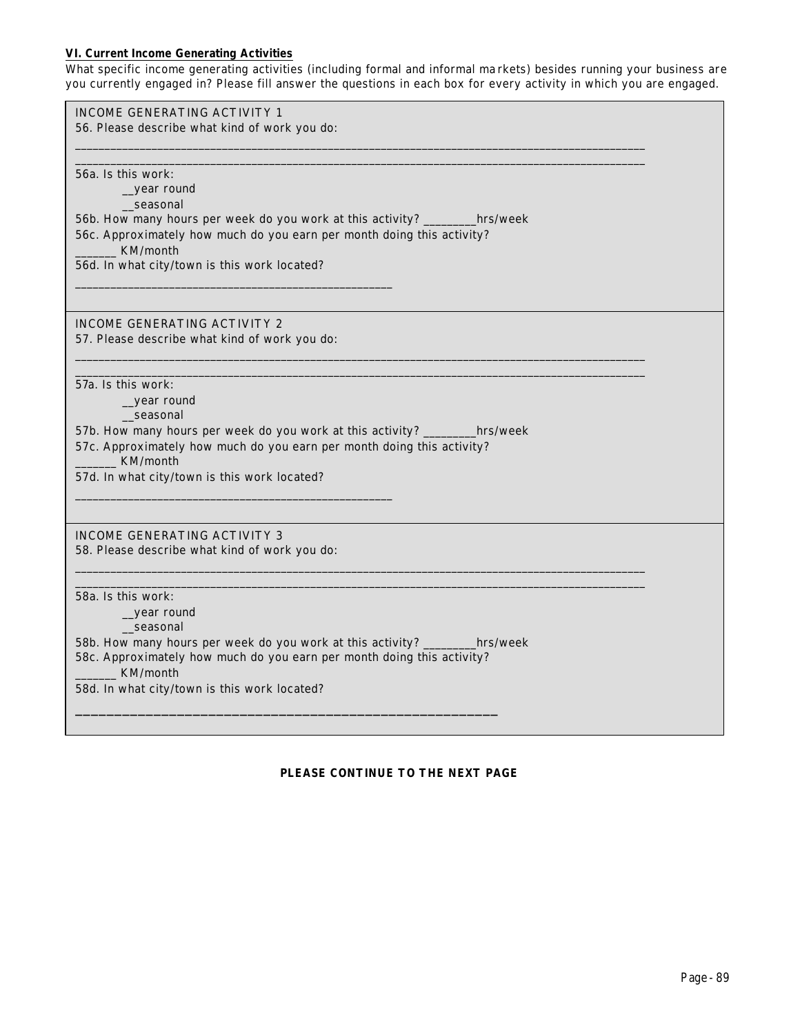## **VI. Current Income Generating Activities**

What specific income generating activities (including formal and informal ma rkets) *besides running your business* are you currently engaged in? Please fill answer the questions in each box for every activity in which you are engaged.

| INCOME GENERATING ACTIVITY 1                                                 |
|------------------------------------------------------------------------------|
| 56. Please describe what kind of work you do:                                |
|                                                                              |
|                                                                              |
| 56a. Is this work:<br>_year round                                            |
| seasonal                                                                     |
| 56b. How many hours per week do you work at this activity? ________hrs/week  |
| 56c. Approximately how much do you earn per month doing this activity?       |
| KM/month                                                                     |
| 56d. In what city/town is this work located?                                 |
|                                                                              |
|                                                                              |
| <b>INCOME GENERATING ACTIVITY 2</b>                                          |
| 57. Please describe what kind of work you do:                                |
|                                                                              |
|                                                                              |
| 57a. Is this work:                                                           |
| year round<br>seasonal                                                       |
| 57b. How many hours per week do you work at this activity? _____<br>hrs/week |
| 57c. Approximately how much do you earn per month doing this activity?       |
| KM/month                                                                     |
| 57d. In what city/town is this work located?                                 |
|                                                                              |
|                                                                              |
| INCOME GENERATING ACTIVITY 3                                                 |
| 58. Please describe what kind of work you do:                                |
|                                                                              |
| 58a. Is this work:                                                           |
| _year round                                                                  |
| seasonal                                                                     |
| 58b. How many hours per week do you work at this activity? _____<br>hrs/week |
| 58c. Approximately how much do you earn per month doing this activity?       |
| KM/month                                                                     |
| 58d. In what city/town is this work located?                                 |
|                                                                              |
|                                                                              |

## **PLEASE CONTINUE TO THE NEXT PAGE**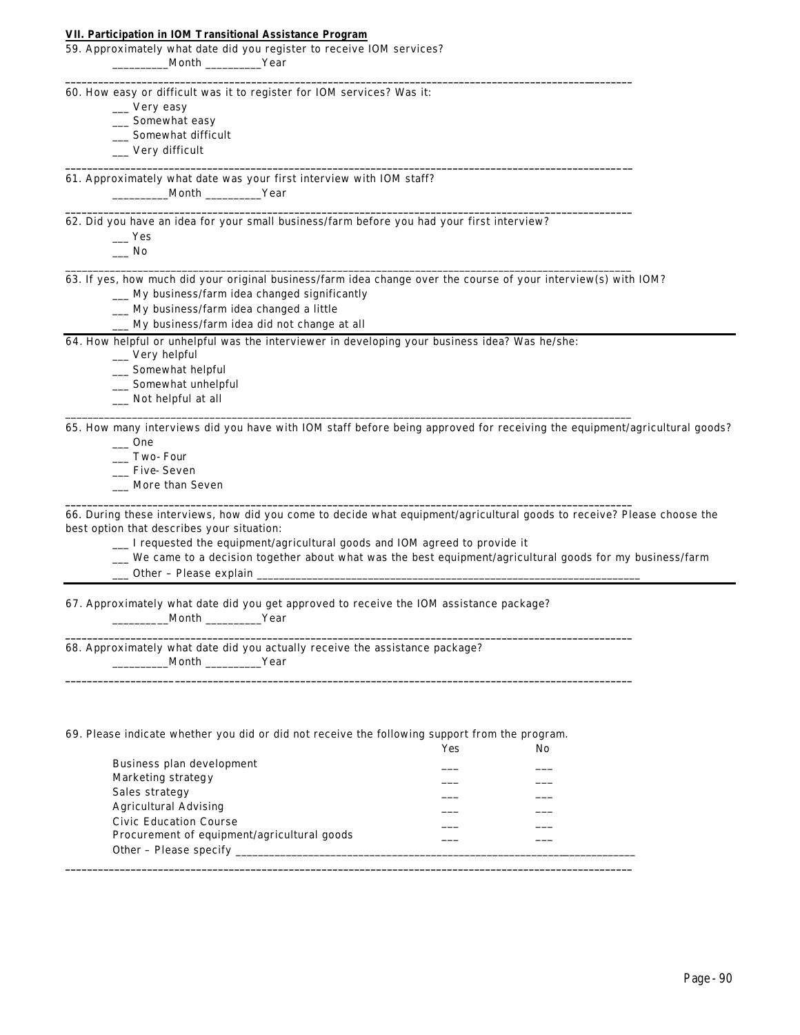#### **VII. Participation in IOM Transitional Assistance Program**

| 59. Approximately what date did you register to receive IOM services? |       |      |  |
|-----------------------------------------------------------------------|-------|------|--|
|                                                                       | Month | Year |  |

60. How easy or difficult was it to register for IOM services? Was it:

\_\_\_ Very easy

- \_\_\_ Somewhat easy
- \_\_\_ Somewhat difficult
- \_\_\_ Very difficult

61. Approximately what date was your first interview with IOM staff? \_\_\_\_\_\_\_\_\_\_Month \_\_\_\_\_\_\_\_\_\_Year

62. Did you have an idea for your small business/farm before you had your first interview?

 $\_\_\$  Yes

 $\_\_$  No

63. If yes, how much did your original business/farm idea change over the course of your interview(s) with IOM? \_\_\_ My business/farm idea changed significantly

**\_\_\_\_\_\_\_\_\_\_\_\_\_\_\_\_\_\_\_\_\_\_\_\_\_\_\_\_\_\_\_\_\_\_\_\_\_\_\_\_\_\_\_\_\_\_\_\_\_\_\_\_\_\_\_\_\_\_\_\_\_\_\_\_\_\_\_\_\_\_\_\_\_\_\_\_\_\_\_\_\_\_\_\_\_\_\_\_\_\_\_\_\_\_\_\_\_\_\_\_\_\_\_\_**

**\_\_\_\_\_\_\_\_\_\_\_\_\_\_\_\_\_\_\_\_\_\_\_\_\_\_\_\_\_\_\_\_\_\_\_\_\_\_\_\_\_\_\_\_\_\_\_\_\_\_\_\_\_\_\_\_\_\_\_\_\_\_\_\_\_\_\_\_\_\_\_\_\_\_\_\_\_\_\_\_\_\_\_\_\_\_\_\_\_\_\_\_\_\_\_\_\_\_\_\_\_\_\_\_**

**\_\_\_\_\_\_\_\_\_\_\_\_\_\_\_\_\_\_\_\_\_\_\_\_\_\_\_\_\_\_\_\_\_\_\_\_\_\_\_\_\_\_\_\_\_\_\_\_\_\_\_\_\_\_\_\_\_\_\_\_\_\_\_\_\_\_\_\_\_\_\_\_\_\_\_\_\_\_\_\_\_\_\_\_\_\_\_\_\_\_\_\_\_\_\_\_\_\_\_\_\_\_\_\_**

\_\_\_\_\_\_\_\_\_\_\_\_\_\_\_\_\_\_\_\_\_\_\_\_\_\_\_\_\_\_\_\_\_\_\_\_\_\_\_\_\_\_\_\_\_\_\_\_\_\_\_\_\_\_\_\_\_\_\_\_\_\_\_\_\_\_\_\_\_\_\_\_\_\_\_\_\_\_\_\_\_\_\_\_\_\_\_\_\_\_\_\_\_\_\_\_\_\_\_\_\_\_

\_\_\_\_\_\_\_\_\_\_\_\_\_\_\_\_\_\_\_\_\_\_\_\_\_\_\_\_\_\_\_\_\_\_\_\_\_\_\_\_\_\_\_\_\_\_\_\_\_\_\_\_\_\_\_\_\_\_\_\_\_\_\_\_\_\_\_\_\_\_\_\_\_\_\_\_\_\_\_\_\_\_\_\_\_\_\_\_\_\_\_\_\_\_\_\_\_\_\_\_\_\_

**\_\_\_\_\_\_\_\_\_\_\_\_\_\_\_\_\_\_\_\_\_\_\_\_\_\_\_\_\_\_\_\_\_\_\_\_\_\_\_\_\_\_\_\_\_\_\_\_\_\_\_\_\_\_\_\_\_\_\_\_\_\_\_\_\_\_\_\_\_\_\_\_\_\_\_\_\_\_\_\_\_\_\_\_\_\_\_\_\_\_\_\_\_\_\_\_\_\_\_\_\_\_\_\_**

**\_\_\_\_\_\_\_\_\_\_\_\_\_\_\_\_\_\_\_\_\_\_\_\_\_\_\_\_\_\_\_\_\_\_\_\_\_\_\_\_\_\_\_\_\_\_\_\_\_\_\_\_\_\_\_\_\_\_\_\_\_\_\_\_\_\_\_\_\_\_\_\_\_\_\_\_\_\_\_\_\_\_\_\_\_\_\_\_\_\_\_\_\_\_\_\_\_\_\_\_\_\_\_\_**

**\_\_\_\_\_\_\_\_\_\_\_\_\_\_\_\_\_\_\_\_\_\_\_\_\_\_\_\_\_\_\_\_\_\_\_\_\_\_\_\_\_\_\_\_\_\_\_\_\_\_\_\_\_\_\_\_\_\_\_\_\_\_\_\_\_\_\_\_\_\_\_\_\_\_\_\_\_\_\_\_\_\_\_\_\_\_\_\_\_\_\_\_\_\_\_\_\_\_\_\_\_\_\_\_**

- \_\_\_ My business/farm idea changed a little
- \_\_\_ My business/farm idea did not change at all

64. How helpful or unhelpful was the interviewer in developing your business idea? Was he/she:

\_\_\_ Very helpful

\_\_\_ Somewhat helpful

- \_\_\_ Somewhat unhelpful
- \_\_\_ Not helpful at all

65. How many interviews did you have with IOM staff before being approved for receiving the equipment/agricultural goods?

 $\frac{1}{2}$  One

\_\_\_ Two-Four

- \_\_\_ Five-Seven
- \_\_\_ More than Seven

66. During these interviews, how did you come to decide what equipment/agricultural goods to receive? Please choose the best option that describes your situation:

\_\_\_ I requested the equipment/agricultural goods and IOM agreed to provide it

\_\_\_ We came to a decision together about what was the best equipment/agricultural goods for my business/farm

\_\_ Other - Please explain

67. Approximately what date did you get approved to receive the IOM assistance package? \_\_\_\_\_\_\_\_\_\_Month \_\_\_\_\_\_\_\_\_\_Year

68. Approximately what date did you actually receive the assistance package? \_\_\_\_\_\_\_\_\_\_Month \_\_\_\_\_\_\_\_\_\_Year

#### 69. Please indicate whether you did or did not receive the following support from the program.

|                                             | Yes | Nο |
|---------------------------------------------|-----|----|
| Business plan development                   |     |    |
| Marketing strategy                          |     |    |
| Sales strategy                              |     |    |
| <b>Agricultural Advising</b>                |     |    |
| <b>Civic Education Course</b>               |     |    |
| Procurement of equipment/agricultural goods |     |    |
| Other - Please specify                      |     |    |
|                                             |     |    |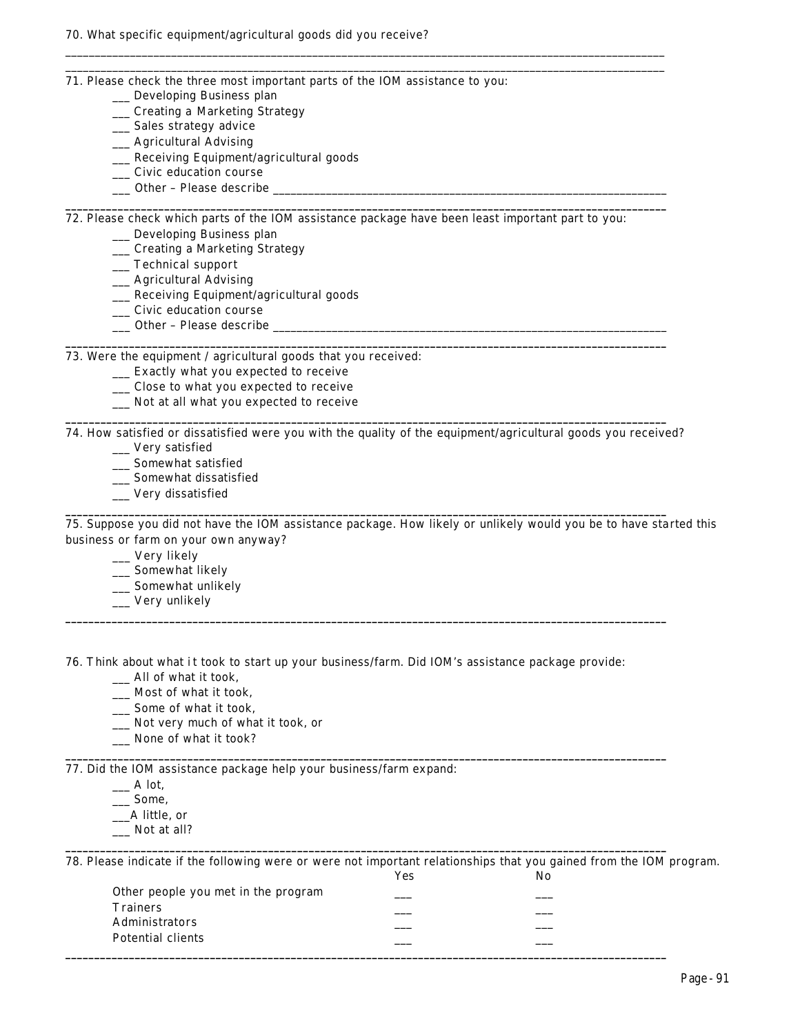- 71. Please check the three most important parts of the IOM assistance to you:
	- \_\_\_ Developing Business plan
	- \_\_\_ Creating a Marketing Strategy
	- \_\_\_ Sales strategy advice
	- \_\_\_ Agricultural Advising
	- \_\_\_ Receiving Equipment/agricultural goods
	- \_\_\_ Civic education course
	- \_\_\_ Other Please describe \_\_\_\_\_\_\_\_\_\_\_\_\_\_\_\_\_\_\_\_\_\_\_\_\_\_\_\_\_\_\_\_\_\_\_\_\_\_\_\_\_\_\_\_\_\_\_\_\_\_\_\_\_\_\_\_\_\_\_\_\_\_\_\_\_\_\_

72. Please check which parts of the IOM assistance package have been least important part to you:

**\_\_\_\_\_\_\_\_\_\_\_\_\_\_\_\_\_\_\_\_\_\_\_\_\_\_\_\_\_\_\_\_\_\_\_\_\_\_\_\_\_\_\_\_\_\_\_\_\_\_\_\_\_\_\_\_\_\_\_\_\_\_\_\_\_\_\_\_\_\_\_\_\_\_\_\_\_\_\_\_\_\_\_\_\_\_\_\_\_\_\_\_\_\_\_\_\_\_\_\_\_\_\_\_**

**\_\_\_\_\_\_\_\_\_\_\_\_\_\_\_\_\_\_\_\_\_\_\_\_\_\_\_\_\_\_\_\_\_\_\_\_\_\_\_\_\_\_\_\_\_\_\_\_\_\_\_\_\_\_\_\_\_\_\_\_\_\_\_\_\_\_\_\_\_\_\_\_\_\_\_\_\_\_\_\_\_\_\_\_\_\_\_\_\_\_\_\_\_\_\_\_\_\_\_\_\_\_\_\_**

\_\_\_\_\_\_\_\_\_\_\_\_\_\_\_\_\_\_\_\_\_\_\_\_\_\_\_\_\_\_\_\_\_\_\_\_\_\_\_\_\_\_\_\_\_\_\_\_\_\_\_\_\_\_\_\_\_\_\_\_\_\_\_\_\_\_\_\_\_\_\_\_\_\_\_\_\_\_\_\_\_\_\_\_\_\_\_\_\_\_\_\_\_\_\_\_\_\_\_\_\_\_ \_\_\_\_\_\_\_\_\_\_\_\_\_\_\_\_\_\_\_\_\_\_\_\_\_\_\_\_\_\_\_\_\_\_\_\_\_\_\_\_\_\_\_\_\_\_\_\_\_\_\_\_\_\_\_\_\_\_\_\_\_\_\_\_\_\_\_\_\_\_\_\_\_\_\_\_\_\_\_\_\_\_\_\_\_\_\_\_\_\_\_\_\_\_\_\_\_\_\_\_\_\_

\_\_\_ Developing Business plan

- \_\_\_ Creating a Marketing Strategy
- \_\_\_ Technical support

\_\_\_ Agricultural Advising

- \_\_\_ Receiving Equipment/agricultural goods
- \_\_\_ Civic education course
- \_\_\_ Other Please describe \_\_\_\_\_\_\_\_\_\_\_\_\_\_\_\_\_\_\_\_\_\_\_\_\_\_\_\_\_\_\_\_\_\_\_\_\_\_\_\_\_\_\_\_\_\_\_\_\_\_\_\_\_\_\_\_\_\_\_\_\_\_\_\_\_\_\_

73. Were the equipment / agricultural goods that you received:

- \_\_\_ Exactly what you expected to receive
- \_\_\_ Close to what you expected to receive
- \_\_\_ Not at all what you expected to receive

74. How satisfied or dissatisfied were you with the quality of the equipment/agricultural goods you received? \_\_\_ Very satisfied

**\_\_\_\_\_\_\_\_\_\_\_\_\_\_\_\_\_\_\_\_\_\_\_\_\_\_\_\_\_\_\_\_\_\_\_\_\_\_\_\_\_\_\_\_\_\_\_\_\_\_\_\_\_\_\_\_\_\_\_\_\_\_\_\_\_\_\_\_\_\_\_\_\_\_\_\_\_\_\_\_\_\_\_\_\_\_\_\_\_\_\_\_\_\_\_\_\_\_\_\_\_\_\_\_**

**\_\_\_\_\_\_\_\_\_\_\_\_\_\_\_\_\_\_\_\_\_\_\_\_\_\_\_\_\_\_\_\_\_\_\_\_\_\_\_\_\_\_\_\_\_\_\_\_\_\_\_\_\_\_\_\_\_\_\_\_\_\_\_\_\_\_\_\_\_\_\_\_\_\_\_\_\_\_\_\_\_\_\_\_\_\_\_\_\_\_\_\_\_\_\_\_\_\_\_\_\_\_\_\_**

**\_\_\_\_\_\_\_\_\_\_\_\_\_\_\_\_\_\_\_\_\_\_\_\_\_\_\_\_\_\_\_\_\_\_\_\_\_\_\_\_\_\_\_\_\_\_\_\_\_\_\_\_\_\_\_\_\_\_\_\_\_\_\_\_\_\_\_\_\_\_\_\_\_\_\_\_\_\_\_\_\_\_\_\_\_\_\_\_\_\_\_\_\_\_\_\_\_\_\_\_\_\_\_\_**

**\_\_\_\_\_\_\_\_\_\_\_\_\_\_\_\_\_\_\_\_\_\_\_\_\_\_\_\_\_\_\_\_\_\_\_\_\_\_\_\_\_\_\_\_\_\_\_\_\_\_\_\_\_\_\_\_\_\_\_\_\_\_\_\_\_\_\_\_\_\_\_\_\_\_\_\_\_\_\_\_\_\_\_\_\_\_\_\_\_\_\_\_\_\_\_\_\_\_\_\_\_\_\_\_**

**\_\_\_\_\_\_\_\_\_\_\_\_\_\_\_\_\_\_\_\_\_\_\_\_\_\_\_\_\_\_\_\_\_\_\_\_\_\_\_\_\_\_\_\_\_\_\_\_\_\_\_\_\_\_\_\_\_\_\_\_\_\_\_\_\_\_\_\_\_\_\_\_\_\_\_\_\_\_\_\_\_\_\_\_\_\_\_\_\_\_\_\_\_\_\_\_\_\_\_\_\_\_\_\_**

- \_\_\_ Somewhat satisfied
- \_\_\_ Somewhat dissatisfied
- \_\_\_ Very dissatisfied

75. Suppose you did not have the IOM assistance package. How likely or unlikely would you be to have started this business or farm on your own anyway?

\_\_\_ Very likely

- \_\_\_ Somewhat likely
- \_\_\_ Somewhat unlikely
- \_\_\_ Very unlikely

76. Think about what it took to start up your business/farm. Did IOM's assistance package provide:

- \_\_\_ All of what it took,
- \_\_\_ Most of what it took,
- \_\_\_ Some of what it took,
- \_\_\_ Not very much of what it took, or
- \_\_\_ None of what it took?

77. Did the IOM assistance package help your business/farm expand:

- $\Box$  A lot,
- \_\_\_ Some,
- \_\_\_A little, or
- \_\_\_ Not at all?

78. Please indicate if the following were or were not important relationships that you gained from the IOM program.

|                                     | Yes | No |  |
|-------------------------------------|-----|----|--|
| Other people you met in the program |     |    |  |
| <b>Trainers</b>                     |     |    |  |
| Administrators                      |     |    |  |
| Potential clients                   |     |    |  |
|                                     |     |    |  |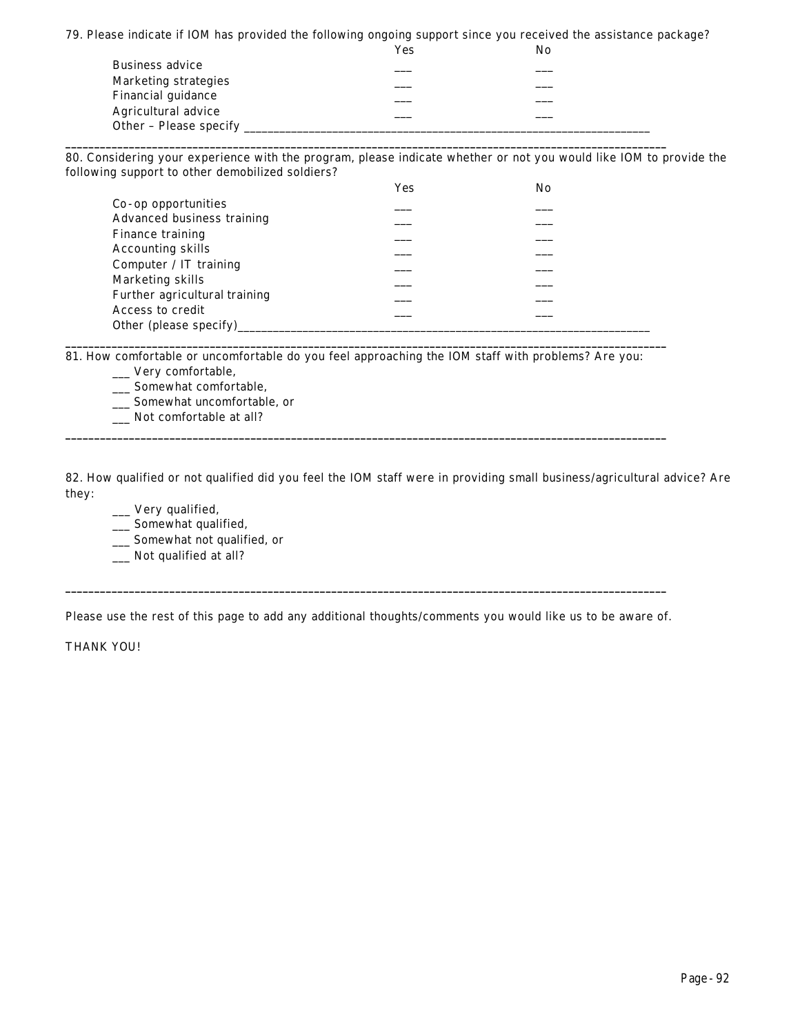79. Please indicate if IOM has provided the following ongoing support since you received the assistance package?

|                        | Yes | No |  |
|------------------------|-----|----|--|
| <b>Business advice</b> |     |    |  |
| Marketing strategies   |     |    |  |
| Financial guidance     |     |    |  |
| Agricultural advice    |     |    |  |
| Other – Please specify |     |    |  |

**\_\_\_\_\_\_\_\_\_\_\_\_\_\_\_\_\_\_\_\_\_\_\_\_\_\_\_\_\_\_\_\_\_\_\_\_\_\_\_\_\_\_\_\_\_\_\_\_\_\_\_\_\_\_\_\_\_\_\_\_\_\_\_\_\_\_\_\_\_\_\_\_\_\_\_\_\_\_\_\_\_\_\_\_\_\_\_\_\_\_\_\_\_\_\_\_\_\_\_\_\_\_\_\_**

80. Considering your experience with the program, please indicate whether or not you would like IOM to provide the following support to other demobilized soldiers?

|                               | Yes | No |
|-------------------------------|-----|----|
| Co-op opportunities           |     |    |
| Advanced business training    |     |    |
| Finance training              |     |    |
| <b>Accounting skills</b>      |     |    |
| Computer / $IT$ training      |     |    |
| Marketing skills              |     |    |
| Further agricultural training |     |    |
| Access to credit              |     |    |
| Other (please specify)        |     |    |

81. How comfortable or uncomfortable do you feel approaching the IOM staff with problems? Are you:

**\_\_\_\_\_\_\_\_\_\_\_\_\_\_\_\_\_\_\_\_\_\_\_\_\_\_\_\_\_\_\_\_\_\_\_\_\_\_\_\_\_\_\_\_\_\_\_\_\_\_\_\_\_\_\_\_\_\_\_\_\_\_\_\_\_\_\_\_\_\_\_\_\_\_\_\_\_\_\_\_\_\_\_\_\_\_\_\_\_\_\_\_\_\_\_\_\_\_\_\_\_\_\_\_**

**\_\_\_\_\_\_\_\_\_\_\_\_\_\_\_\_\_\_\_\_\_\_\_\_\_\_\_\_\_\_\_\_\_\_\_\_\_\_\_\_\_\_\_\_\_\_\_\_\_\_\_\_\_\_\_\_\_\_\_\_\_\_\_\_\_\_\_\_\_\_\_\_\_\_\_\_\_\_\_\_\_\_\_\_\_\_\_\_\_\_\_\_\_\_\_\_\_\_\_\_\_\_\_\_**

- \_\_\_ Very comfortable,
- \_\_\_ Somewhat comfortable,
- \_\_\_ Somewhat uncomfortable, or
- \_\_\_ Not comfortable at all?

82. How qualified or not qualified did you feel the IOM staff were in providing small business/agricultural advice? Are they:

- \_\_\_ Very qualified,
- \_\_\_ Somewhat qualified,
- \_\_\_ Somewhat not qualified, or
- \_\_\_ Not qualified at all?

Please use the rest of this page to add any additional thoughts/comments you would like us to be aware of.

**\_\_\_\_\_\_\_\_\_\_\_\_\_\_\_\_\_\_\_\_\_\_\_\_\_\_\_\_\_\_\_\_\_\_\_\_\_\_\_\_\_\_\_\_\_\_\_\_\_\_\_\_\_\_\_\_\_\_\_\_\_\_\_\_\_\_\_\_\_\_\_\_\_\_\_\_\_\_\_\_\_\_\_\_\_\_\_\_\_\_\_\_\_\_\_\_\_\_\_\_\_\_\_\_**

THANK YOU!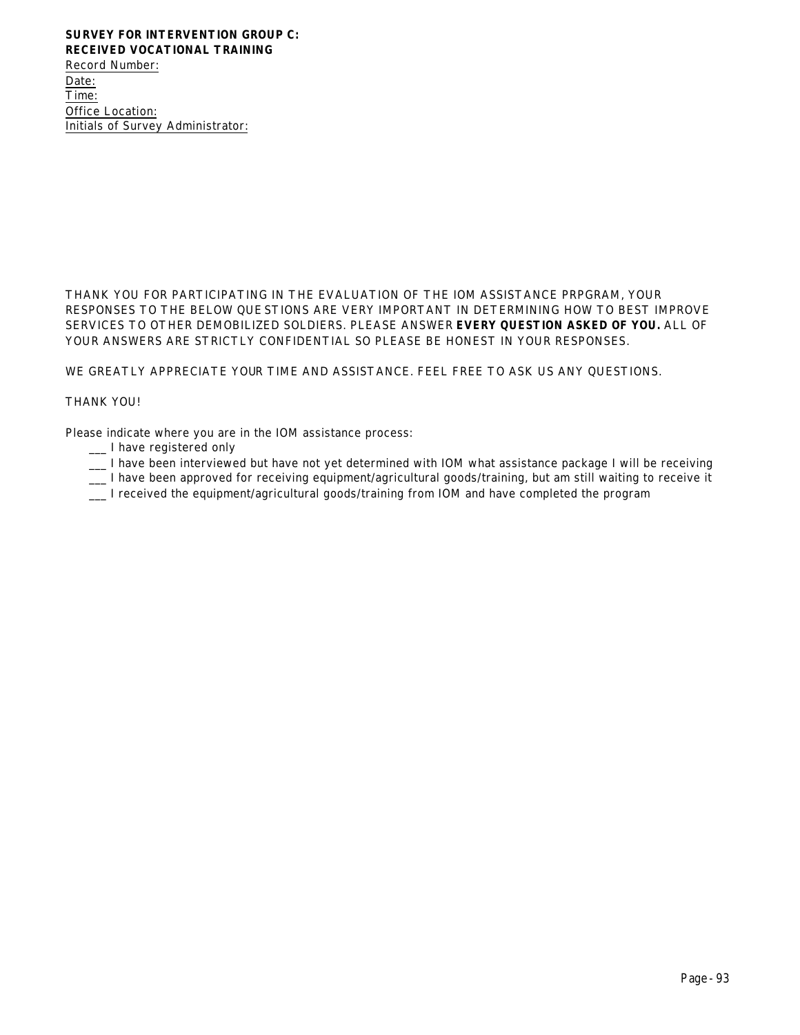Record Number: Date: Time: Office Location: Initials of Survey Administrator:

THANK YOU FOR PARTICIPATING IN THE EVALUATION OF THE IOM ASSISTANCE PRPGRAM, YOUR RESPONSES TO THE BELOW QUESTIONS ARE VERY IMPORTANT IN DETERMINING HOW TO BEST IMPROVE SERVICES TO OTHER DEMOBILIZED SOLDIERS. PLEASE ANSWER **EVERY QUESTION ASKED OF YOU.** ALL OF YOUR ANSWERS ARE STRICTLY CONFIDENTIAL SO PLEASE BE HONEST IN YOUR RESPONSES.

WE GREATLY APPRECIATE YOUR TIME AND ASSISTANCE. FEEL FREE TO ASK US ANY QUESTIONS.

### THANK YOU!

Please indicate where you are in the IOM assistance process:

- \_\_\_ I have registered only
- \_\_\_ I have been interviewed but have not yet determined with IOM what assistance package I will be receiving
- \_\_\_ I have been approved for receiving equipment/agricultural goods/training, but am still waiting to receive it
- \_\_\_ I received the equipment/agricultural goods/training from IOM and have completed the program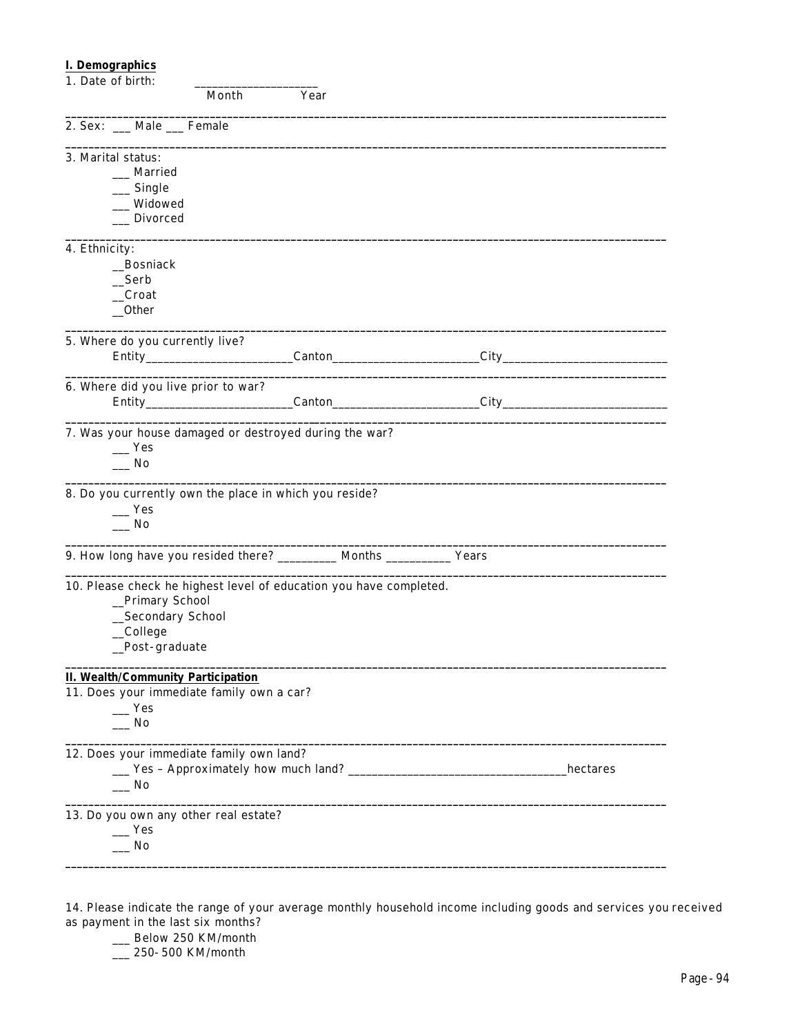# **I. Demographics**

| 1. Date of birth:                                                                                                                        |      |                  |           |
|------------------------------------------------------------------------------------------------------------------------------------------|------|------------------|-----------|
| Month                                                                                                                                    | Year |                  |           |
| 2. Sex: __ Male __ Female                                                                                                                |      |                  |           |
| 3. Marital status:                                                                                                                       |      |                  |           |
| __ Married                                                                                                                               |      |                  |           |
| $\equiv$ Single                                                                                                                          |      |                  |           |
| _Widowed                                                                                                                                 |      |                  |           |
| __ Divorced                                                                                                                              |      |                  |           |
| 4. Ethnicity:                                                                                                                            |      |                  |           |
| _Bosniack                                                                                                                                |      |                  |           |
| _Serb                                                                                                                                    |      |                  |           |
| _Croat                                                                                                                                   |      |                  |           |
| $_{\rm -}$ Other                                                                                                                         |      |                  |           |
| 5. Where do you currently live?                                                                                                          |      |                  |           |
|                                                                                                                                          |      | Canton City City |           |
| 6. Where did you live prior to war?                                                                                                      |      |                  |           |
|                                                                                                                                          |      |                  |           |
| 7. Was your house damaged or destroyed during the war?<br>Yes<br>$\overline{\phantom{a}}$ No                                             |      |                  |           |
| 8. Do you currently own the place in which you reside?<br>Yes<br>$\overline{\phantom{0}}$ No                                             |      |                  |           |
| 9. How long have you resided there? __________ Months ____________ Years                                                                 |      |                  |           |
| 10. Please check he highest level of education you have completed.<br>_Primary School<br>_Secondary School<br>_College<br>_Post-graduate |      |                  |           |
| <b>II. Wealth/Community Participation</b>                                                                                                |      |                  |           |
| 11. Does your immediate family own a car?                                                                                                |      |                  |           |
| $\mathbf{I}$ Yes                                                                                                                         |      |                  |           |
| $\sqrt{N}$                                                                                                                               |      |                  |           |
| 12. Does your immediate family own land?                                                                                                 |      |                  |           |
|                                                                                                                                          |      |                  | hectares_ |
| _ No                                                                                                                                     |      |                  |           |
| 13. Do you own any other real estate?                                                                                                    |      |                  |           |
| $\mathbf{Yes}$                                                                                                                           |      |                  |           |
| $\sqrt{N}$                                                                                                                               |      |                  |           |
|                                                                                                                                          |      |                  |           |

14. Please indicate the range of your average monthly household income including goods and services you received as payment in the last six months?

\_\_ Below 250 KM/month

\_\_\_ 250-500 KM/month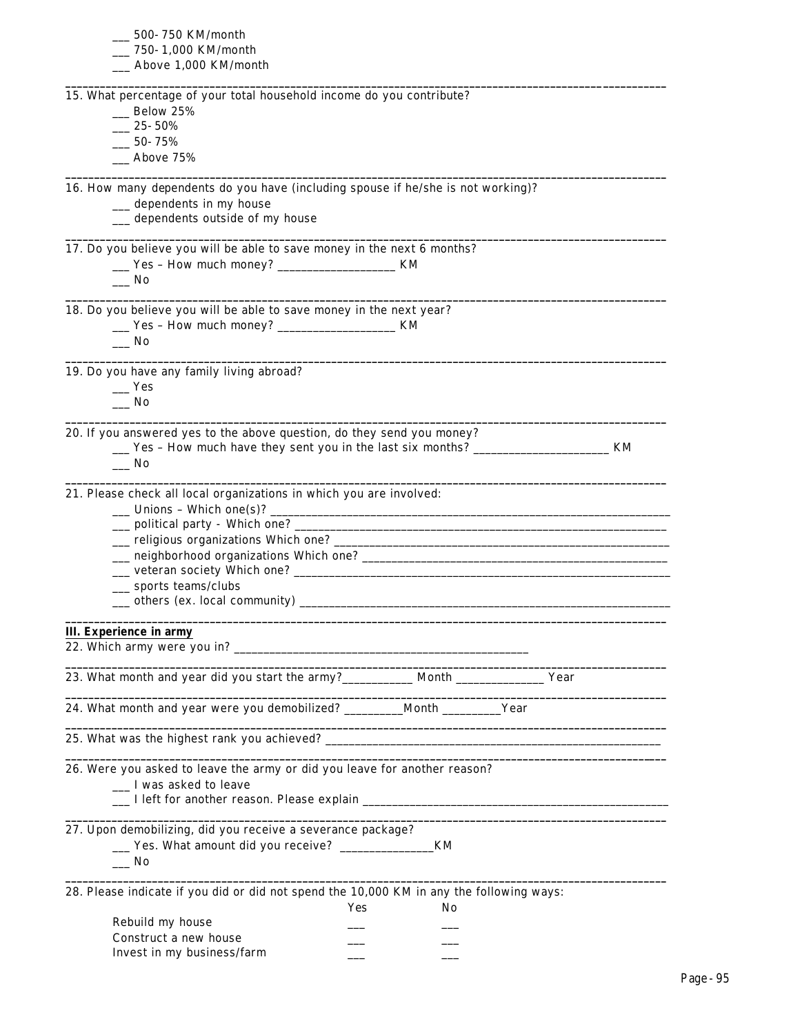| __ 500-750 KM/month                                                                                                   |
|-----------------------------------------------------------------------------------------------------------------------|
| __ 750-1,000 KM/month                                                                                                 |
| __ Above 1,000 KM/month                                                                                               |
| 15. What percentage of your total household income do you contribute?                                                 |
| $\_\_$ Below 25%                                                                                                      |
| $-25 - 50%$                                                                                                           |
| $-50 - 75%$                                                                                                           |
| __ Above 75%                                                                                                          |
|                                                                                                                       |
| 16. How many dependents do you have (including spouse if he/she is not working)?                                      |
| __ dependents in my house                                                                                             |
| __ dependents outside of my house                                                                                     |
| 17. Do you believe you will be able to save money in the next 6 months?                                               |
| ___ Yes - How much money? ________________________ KM                                                                 |
| __ No                                                                                                                 |
|                                                                                                                       |
| 18. Do you believe you will be able to save money in the next year?                                                   |
| ___ Yes - How much money? ________________________ KM                                                                 |
| $\overline{\phantom{0}}$ No                                                                                           |
| 19. Do you have any family living abroad?                                                                             |
| $\equiv$ Yes                                                                                                          |
| $\overline{\phantom{0}}$ No                                                                                           |
|                                                                                                                       |
| 20. If you answered yes to the above question, do they send you money?                                                |
| __ Yes - How much have they sent you in the last six months? ____________________ KM                                  |
| $\_\_$ No                                                                                                             |
|                                                                                                                       |
| 21. Please check all local organizations in which you are involved:                                                   |
| $\frac{1}{2}$ Unions - Which one(s)?                                                                                  |
|                                                                                                                       |
|                                                                                                                       |
|                                                                                                                       |
|                                                                                                                       |
| __ sports teams/clubs                                                                                                 |
|                                                                                                                       |
|                                                                                                                       |
| <b>III.</b> Experience in army                                                                                        |
|                                                                                                                       |
| 23. What month and year did you start the army?____________ Month _______________ Year                                |
|                                                                                                                       |
| 24. What month and year were you demobilized? _________Month _________Year                                            |
| <u> 1989 - Johann Stoff, deutscher Stoff, der Stoff, der Stoff, der Stoff, der Stoff, der Stoff, der Stoff, der S</u> |
| 26. Were you asked to leave the army or did you leave for another reason?                                             |
| __ I was asked to leave                                                                                               |
|                                                                                                                       |
|                                                                                                                       |
| 27. Upon demobilizing, did you receive a severance package?                                                           |
| __ Yes. What amount did you receive? ______________<br>KM                                                             |
| $\equiv$ No                                                                                                           |
|                                                                                                                       |
| 28. Please indicate if you did or did not spend the 10,000 KM in any the following ways:                              |
| Yes<br>No                                                                                                             |
| Rebuild my house                                                                                                      |
| Construct a new house                                                                                                 |
| Invest in my business/farm                                                                                            |
|                                                                                                                       |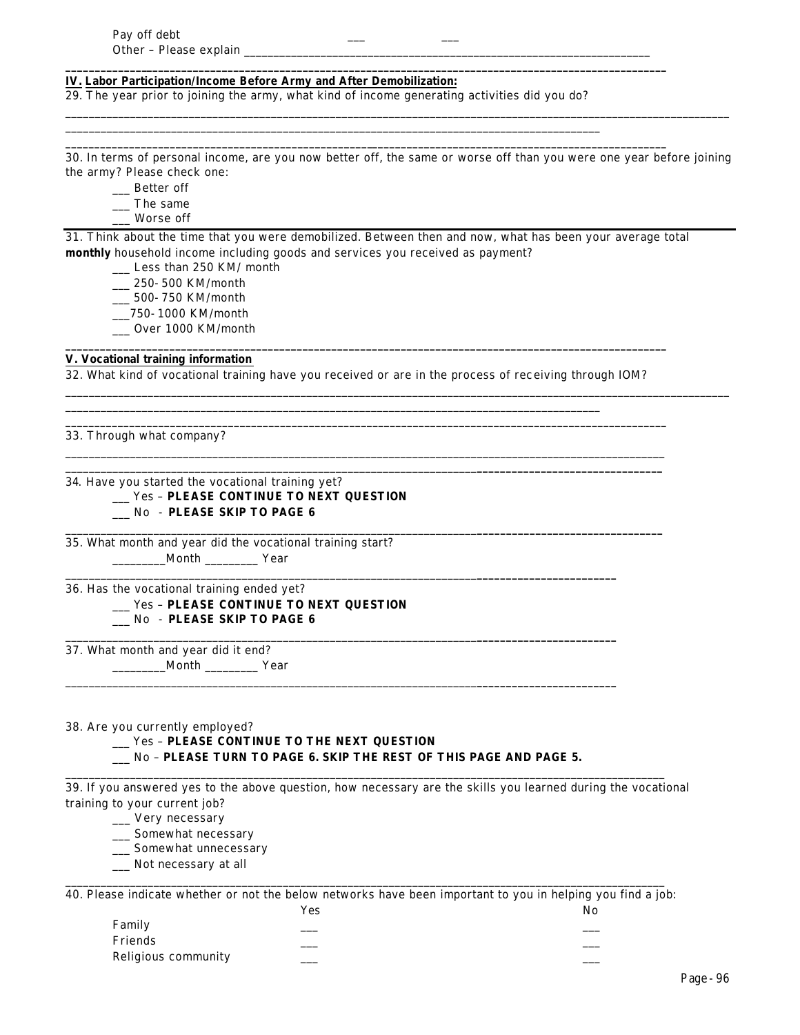#### **IV. Labor Participation/Income Before Army and After Demobilization:**

29. *The year prior to joining the army*, what kind of income generating activities did you do?

\_\_\_\_\_\_\_\_\_\_\_\_\_\_\_\_\_\_\_\_\_\_\_\_\_\_\_\_\_\_\_\_\_\_\_\_\_\_\_\_\_\_\_\_\_\_\_\_\_\_\_\_\_\_\_\_\_\_\_\_\_\_\_\_\_\_\_\_\_\_\_\_\_\_\_\_\_\_\_\_\_\_\_\_\_\_\_\_\_\_\_

**\_\_\_\_\_\_\_\_\_\_\_\_\_\_\_\_\_\_\_\_\_\_\_\_\_\_\_\_\_\_\_\_\_\_\_\_\_\_\_\_\_\_\_\_\_\_\_\_\_\_\_\_\_\_\_\_\_\_\_\_\_\_\_\_\_\_\_\_\_\_\_\_\_\_\_\_\_\_\_\_\_\_\_\_\_\_\_\_\_\_\_\_\_\_\_\_\_\_\_\_\_\_\_\_**

**\_\_\_\_\_\_\_\_\_\_\_\_\_\_\_\_\_\_\_\_\_\_\_\_\_\_\_\_\_\_\_\_\_\_\_\_\_\_\_\_\_\_\_\_\_\_\_\_\_\_\_\_\_\_\_\_\_\_\_\_\_\_\_\_\_\_\_\_\_\_\_\_\_\_\_\_\_\_\_\_\_\_\_\_\_\_\_\_\_\_\_\_\_\_\_\_\_\_\_\_\_\_\_\_**

30. In terms of personal income, are you now better off, the same or worse off than you were one year before joining the army? Please check one:

\_\_\_\_\_\_\_\_\_\_\_\_\_\_\_\_\_\_\_\_\_\_\_\_\_\_\_\_\_\_\_\_\_\_\_\_\_\_\_\_\_\_\_\_\_\_\_\_\_\_\_\_\_\_\_\_\_\_\_\_\_\_\_\_\_\_\_\_\_\_\_\_\_\_\_\_\_\_\_\_\_\_\_\_\_\_\_\_\_\_\_\_\_\_\_\_\_\_\_\_\_\_\_\_\_\_\_\_\_\_\_\_\_

- \_\_\_ Better off
- \_\_\_ The same
- \_\_\_ Worse off

31. Think about the time that you were demobilized. Between then and now, what has been your average total **monthly** household income including goods and services you received as payment?

- \_\_\_ Less than 250 KM/ month
- \_\_\_ 250-500 KM/month
- \_\_\_ 500-750 KM/month
- \_\_\_750-1000 KM/month
- \_\_\_ Over 1000 KM/month

### **V. Vocational training information**

32. What kind of vocational training have you received or are in the process of receiving through IOM?

\_\_\_\_\_\_\_\_\_\_\_\_\_\_\_\_\_\_\_\_\_\_\_\_\_\_\_\_\_\_\_\_\_\_\_\_\_\_\_\_\_\_\_\_\_\_\_\_\_\_\_\_\_\_\_\_\_\_\_\_\_\_\_\_\_\_\_\_\_\_\_\_\_\_\_\_\_\_\_\_\_\_\_\_\_\_\_\_\_\_\_

**\_\_\_\_\_\_\_\_\_\_\_\_\_\_\_\_\_\_\_\_\_\_\_\_\_\_\_\_\_\_\_\_\_\_\_\_\_\_\_\_\_\_\_\_\_\_\_\_\_\_\_\_\_\_\_\_\_\_\_\_\_\_\_\_\_\_\_\_\_\_\_\_\_\_\_\_\_\_\_\_\_\_\_\_\_\_\_\_\_\_\_\_\_\_\_\_\_\_\_\_\_\_\_\_**

**\_\_\_\_\_\_\_\_\_\_\_\_\_\_\_\_\_\_\_\_\_\_\_\_\_\_\_\_\_\_\_\_\_\_\_\_\_\_\_\_\_\_\_\_\_\_\_\_\_\_\_\_\_\_\_\_\_\_\_\_\_\_\_\_\_\_\_\_\_\_\_\_\_\_\_\_\_\_\_\_\_\_\_\_\_\_\_\_\_\_\_\_\_\_\_\_\_\_\_\_\_\_\_\_**

\_\_\_\_\_\_\_\_\_\_\_\_\_\_\_\_\_\_\_\_\_\_\_\_\_\_\_\_\_\_\_\_\_\_\_\_\_\_\_\_\_\_\_\_\_\_\_\_\_\_\_\_\_\_\_\_\_\_\_\_\_\_\_\_\_\_\_\_\_\_\_\_\_\_\_\_\_\_\_\_\_\_\_\_\_\_\_\_\_\_\_\_\_\_\_\_\_\_\_\_\_\_ \_\_\_\_\_\_\_\_\_\_\_\_\_\_\_\_\_\_\_\_\_\_\_\_\_\_\_\_\_\_\_\_\_\_\_\_\_\_\_\_\_\_\_\_\_\_\_\_\_\_\_\_\_\_\_\_\_\_\_\_\_\_\_\_\_\_\_\_\_\_**\_\_\_\_\_\_\_\_\_\_\_\_\_\_\_\_\_\_\_\_\_\_\_\_\_\_\_\_\_\_\_\_**

\_\_\_\_\_\_\_\_\_\_\_\_\_\_\_\_\_\_\_\_\_\_\_\_\_\_\_\_\_\_\_\_\_\_\_\_\_\_\_\_\_\_\_\_\_\_\_\_\_\_\_\_\_\_\_\_\_\_\_\_\_\_\_\_\_\_\_\_\_\_**\_\_\_\_\_\_\_\_\_\_\_\_\_\_\_\_\_\_\_\_\_\_\_\_\_\_\_\_\_\_\_\_**

\_\_\_\_\_\_\_\_\_\_\_\_\_\_\_\_\_\_\_\_\_\_\_\_\_\_\_\_\_\_\_\_\_\_\_\_\_\_\_\_\_\_\_\_\_\_\_\_\_\_\_\_\_\_\_\_\_\_\_\_\_\_\_\_\_\_\_\_\_\_**\_\_\_\_\_\_\_\_\_\_\_\_\_\_\_\_\_\_\_\_\_\_\_\_**

\_\_\_\_\_\_\_\_\_\_\_\_\_\_\_\_\_\_\_\_\_\_\_\_\_\_\_\_\_\_\_\_\_\_\_\_\_\_\_\_\_\_\_\_\_\_\_\_\_\_\_\_\_\_\_\_\_\_\_\_\_\_\_\_\_\_\_\_\_\_**\_\_\_\_\_\_\_\_\_\_\_\_\_\_\_\_\_\_\_\_\_\_\_\_**

\_\_\_\_\_\_\_\_\_\_\_\_\_\_\_\_\_\_\_\_\_\_\_\_\_\_\_\_\_\_\_\_\_\_\_\_\_\_\_\_\_\_\_\_\_\_\_\_\_\_\_\_\_\_\_\_\_\_\_\_\_\_\_\_\_\_\_\_\_\_**\_\_\_\_\_\_\_\_\_\_\_\_\_\_\_\_\_\_\_\_\_\_\_\_**

\_\_\_\_\_\_\_\_\_\_\_\_\_\_\_\_\_\_\_\_\_\_\_\_\_\_\_\_\_\_\_\_\_\_\_\_\_\_\_\_\_\_\_\_\_\_\_\_\_\_\_\_\_\_\_\_\_\_\_\_\_\_\_\_\_\_\_\_\_\_\_\_\_\_\_\_\_\_\_\_\_\_\_\_\_\_\_\_\_\_\_\_\_\_\_\_\_\_\_\_\_\_\_\_\_\_\_\_\_\_\_\_\_

33. Through what company?

34*.* Have you started the vocational training yet?

# \_\_\_ Yes – **PLEASE CONTINUE TO NEXT QUESTION**

# \_\_\_ No - **PLEASE SKIP TO PAGE 6**

35. What month and year did the vocational training start? \_\_\_\_\_\_\_\_\_Month \_\_\_\_\_\_\_\_\_ Year

36. Has the vocational training ended yet? \_\_\_ Yes – **PLEASE CONTINUE TO NEXT QUESTION** \_\_\_ No - **PLEASE SKIP TO PAGE 6**

37. What month and year did it end? \_\_\_\_\_\_\_\_\_Month \_\_\_\_\_\_\_\_\_ Year

#### 38. Are you currently employed?

# \_\_\_ Yes – **PLEASE CONTINUE TO THE NEXT QUESTION**

\_\_\_ No – **PLEASE TURN TO PAGE 6. SKIP THE REST OF THIS PAGE AND PAGE 5.**

39. If you answered yes to the above question, how necessary are the skills you learned during the vocational training to your current job?

\_\_\_\_\_\_\_\_\_\_\_\_\_\_\_\_\_\_\_\_\_\_\_\_\_\_\_\_\_\_\_\_\_\_\_\_\_\_\_\_\_\_\_\_\_\_\_\_\_\_\_\_\_\_\_\_\_\_\_\_\_\_\_\_\_\_\_\_\_\_\_\_\_\_\_\_\_\_\_\_\_\_\_\_\_\_\_\_\_\_\_\_\_\_\_\_\_\_\_\_\_\_

\_\_\_ Very necessary

\_\_\_ Somewhat necessary

- \_\_\_ Somewhat unnecessary
- \_\_\_ Not necessary at all

\_\_\_\_\_\_\_\_\_\_\_\_\_\_\_\_\_\_\_\_\_\_\_\_\_\_\_\_\_\_\_\_\_\_\_\_\_\_\_\_\_\_\_\_\_\_\_\_\_\_\_\_\_\_\_\_\_\_\_\_\_\_\_\_\_\_\_\_\_\_\_\_\_\_\_\_\_\_\_\_\_\_\_\_\_\_\_\_\_\_\_\_\_\_\_\_\_\_\_\_\_\_ 40. Please indicate whether or not the below networks have been important to you in helping you find a job:

|                     | Yes | No |
|---------------------|-----|----|
| Family              |     |    |
| Friends             |     |    |
| Religious community |     |    |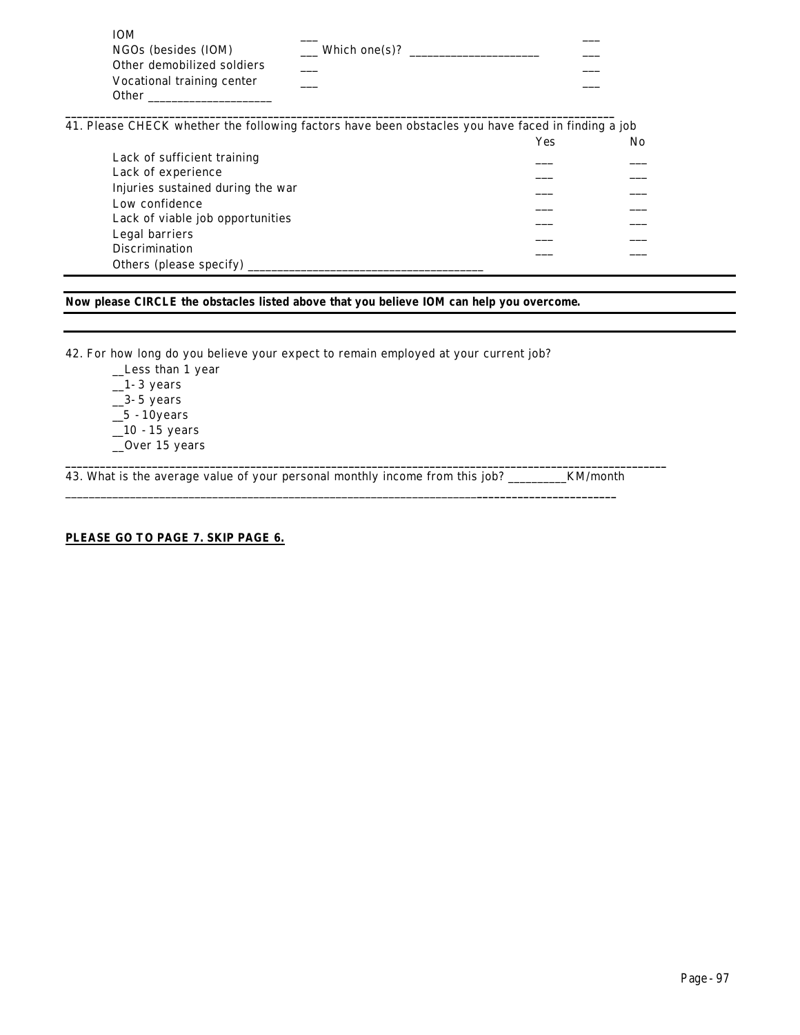| <b>IOM</b>                 |               |  |
|----------------------------|---------------|--|
| NGOs (besides (IOM)        | Which one(s)? |  |
| Other demobilized soldiers |               |  |
| Vocational training center |               |  |
| Other                      |               |  |

**\_\_\_\_\_\_\_\_\_\_\_\_\_\_\_\_\_\_\_\_\_\_\_\_\_\_\_\_\_\_\_\_\_\_\_\_\_\_\_\_\_\_\_\_\_\_\_\_\_\_\_\_\_\_\_\_\_\_\_\_\_\_\_\_\_\_\_\_\_\_\_\_\_\_\_\_\_\_\_\_\_\_\_\_\_\_\_\_\_\_\_\_\_\_\_** 41. Please CHECK whether the following factors have been obstacles you have faced in finding a job

|                                   | Yes | No |
|-----------------------------------|-----|----|
| Lack of sufficient training       |     |    |
| Lack of experience                |     |    |
| Injuries sustained during the war |     |    |
| Low confidence                    |     |    |
| Lack of viable job opportunities  |     |    |
| Legal barriers                    |     |    |
| <b>Discrimination</b>             |     |    |
| Others (please specify)           |     |    |

# **Now please CIRCLE the obstacles listed above** *that you believe IOM can help you overcome***.**

42. For how long do you believe your expect to remain employed at your current job?

\_\_Less than 1 year  $-1-3$  years  $\_3-5$  years  $\_5 - 10$ years  $\_10 - 15$  years \_\_Over 15 years

43. What is the average value of your personal monthly income from this job? \_\_\_\_\_\_\_\_\_KM/month

\_\_\_\_\_\_\_\_\_\_\_\_\_\_\_\_\_\_\_\_\_\_\_\_\_\_\_\_\_\_\_\_\_\_\_\_\_\_\_\_\_\_\_\_\_\_\_\_\_\_\_\_\_\_\_\_\_\_\_\_\_\_\_\_\_\_\_\_\_\_**\_\_\_\_\_\_\_\_\_\_\_\_\_\_\_\_\_\_\_\_\_\_\_\_**

**\_\_\_\_\_\_\_\_\_\_\_\_\_\_\_\_\_\_\_\_\_\_\_\_\_\_\_\_\_\_\_\_\_\_\_\_\_\_\_\_\_\_\_\_\_\_\_\_\_\_\_\_\_\_\_\_\_\_\_\_\_\_\_\_\_\_\_\_\_\_\_\_\_\_\_\_\_\_\_\_\_\_\_\_\_\_\_\_\_\_\_\_\_\_\_\_\_\_\_\_\_\_\_\_**

**PLEASE GO TO PAGE 7. SKIP PAGE 6.**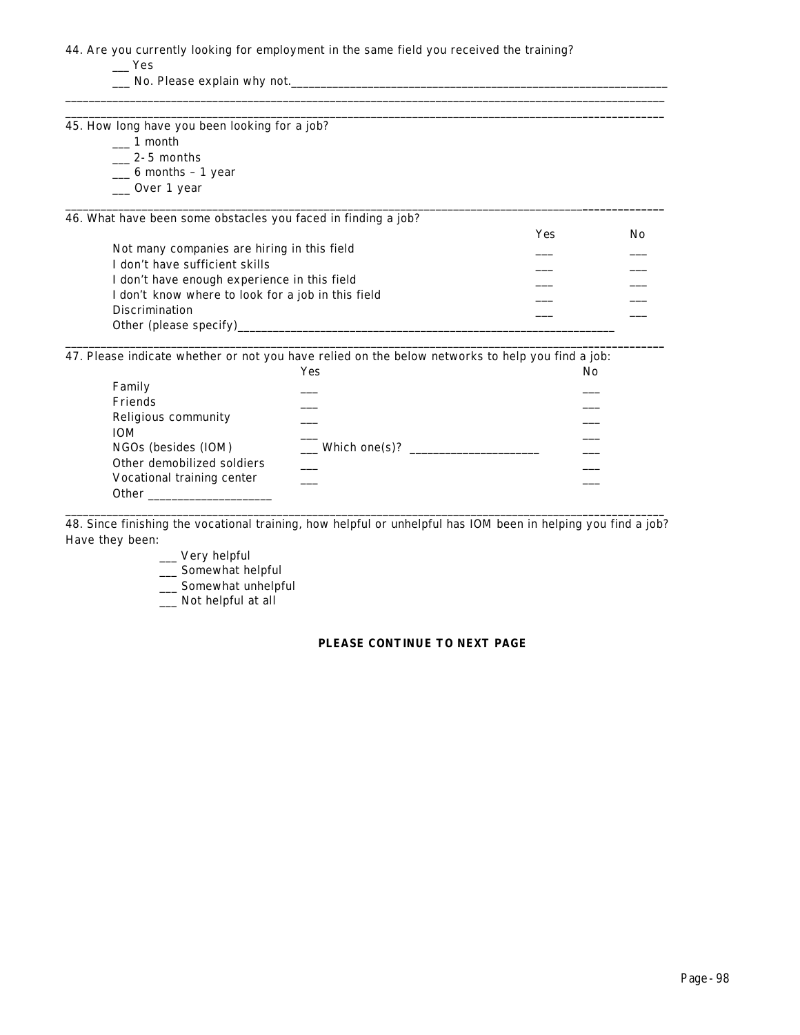44. Are you currently looking for employment in the same field you received the training?

 $\_\_\$ 

\_\_\_ No. Please explain why not.\_\_\_\_\_\_\_\_\_\_\_\_\_\_\_\_\_\_\_\_\_\_\_\_\_\_\_\_\_\_\_\_\_\_\_\_\_\_\_\_\_\_\_\_\_\_\_\_\_\_\_\_\_\_\_\_\_\_\_\_\_\_\_\_

\_\_\_\_\_\_\_\_\_\_\_\_\_\_\_\_\_\_\_\_\_\_\_\_\_\_\_\_\_\_\_\_\_\_\_\_\_\_\_\_\_\_\_\_\_\_\_\_\_\_\_\_\_\_\_\_\_\_\_\_\_\_\_\_\_\_\_\_\_\_\_\_\_\_\_\_\_\_\_\_\_\_\_\_\_\_\_\_\_\_\_\_\_\_\_\_\_\_\_\_\_\_ \_\_\_\_\_\_\_\_\_\_\_\_\_\_\_\_\_\_\_\_\_\_\_\_\_\_\_\_\_\_\_\_\_\_\_\_\_\_\_\_\_\_\_\_\_\_\_\_\_\_\_\_\_\_\_\_\_\_\_\_\_\_\_\_\_\_\_\_\_\_\_\_\_\_\_\_\_\_\_\_\_\_\_\_\_\_\_\_**\_\_\_\_\_\_\_\_\_\_\_\_\_\_** 45. How long have you been looking for a job?  $\_\_$ 1 month  $\frac{2-5 \text{ months}}{2}$  $\_\_6$  months - 1 year \_\_\_ Over 1 year \_\_\_\_\_\_\_\_\_\_\_\_\_\_\_\_\_\_\_\_\_\_\_\_\_\_\_\_\_\_\_\_\_\_\_\_\_\_\_\_\_\_\_\_\_\_\_\_\_\_\_\_\_\_\_\_\_\_\_\_\_\_\_\_\_\_\_\_\_\_\_\_\_\_\_\_\_\_\_\_\_\_\_\_\_\_\_\_**\_\_\_\_\_\_\_\_\_\_\_\_\_\_** 46. What have been some obstacles you faced in finding a job? Yes No Not many companies are hiring in this field I don't have sufficient skills I don't have enough experience in this field I don't know where to look for a job in this field Discrimination Other (please specify)\_ \_\_\_\_\_\_\_\_\_\_\_\_\_\_\_\_\_\_\_\_\_\_\_\_\_\_\_\_\_\_\_\_\_\_\_\_\_\_\_\_\_\_\_\_\_\_\_\_\_\_\_\_\_\_\_\_\_\_\_\_\_\_\_\_\_\_\_\_\_\_\_\_\_\_\_\_\_\_\_\_\_\_\_\_\_\_\_\_**\_\_\_\_\_\_\_\_\_\_\_\_\_\_**

47. Please indicate whether or not you have relied on the below networks to help you find a job:

|                            | Yes           | No |
|----------------------------|---------------|----|
| Family                     |               |    |
| Friends                    |               |    |
| Religious community        |               |    |
| <b>IOM</b>                 |               |    |
| NGOs (besides (IOM)        | Which one(s)? |    |
| Other demobilized soldiers |               |    |
| Vocational training center |               |    |
| <b>Other</b>               |               |    |

\_\_\_\_\_\_\_\_\_\_\_\_\_\_\_\_\_\_\_\_\_\_\_\_\_\_\_\_\_\_\_\_\_\_\_\_\_\_\_\_\_\_\_\_\_\_\_\_\_\_\_\_\_\_\_\_\_\_\_\_\_\_\_\_\_\_\_\_\_\_\_\_\_\_\_\_\_\_\_\_\_\_\_\_\_\_\_\_**\_\_\_\_\_\_\_\_\_\_\_\_\_\_** 48. Since finishing the vocational training, how helpful or unhelpful has IOM been in helping you find a job? Have they been:

\_\_\_ Very helpful

\_\_\_ Somewhat helpful

\_\_\_ Somewhat unhelpful

\_\_\_ Not helpful at all

## **PLEASE CONTINUE TO NEXT PAGE**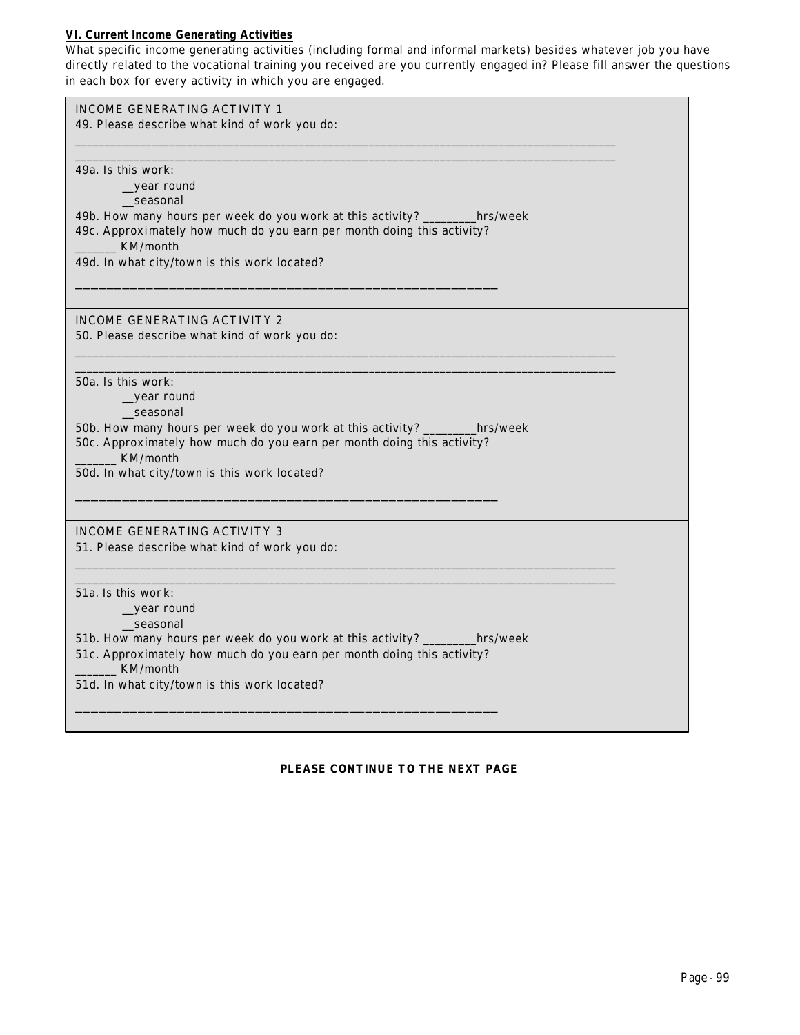# **VI. Current Income Generating Activities**

What specific income generating activities (including formal and informal markets) *besides whatever job you have directly related to the vocational training you received* are you currently engaged in? Please fill answer the questions in each box for every activity in which you are engaged.

| <b>INCOME GENERATING ACTIVITY 1</b><br>49. Please describe what kind of work you do:          |  |
|-----------------------------------------------------------------------------------------------|--|
|                                                                                               |  |
| 49a. Is this work:                                                                            |  |
| _year round                                                                                   |  |
| seasonal                                                                                      |  |
| 49b. How many hours per week do you work at this activity? ________hrs/week                   |  |
| 49c. Approximately how much do you earn per month doing this activity?<br>KM/month            |  |
| 49d. In what city/town is this work located?                                                  |  |
|                                                                                               |  |
| <b>INCOME GENERATING ACTIVITY 2</b>                                                           |  |
| 50. Please describe what kind of work you do:                                                 |  |
|                                                                                               |  |
| 50a. Is this work:                                                                            |  |
| year round<br>_seasonal                                                                       |  |
| 50b. How many hours per week do you work at this activity? ________hrs/week                   |  |
| 50c. Approximately how much do you earn per month doing this activity?                        |  |
| KM/month<br>50d. In what city/town is this work located?                                      |  |
|                                                                                               |  |
|                                                                                               |  |
| <b>INCOME GENERATING ACTIVITY 3</b>                                                           |  |
| 51. Please describe what kind of work you do:                                                 |  |
|                                                                                               |  |
| $51a$ . Is this wor k:<br>_year round                                                         |  |
| seasonal                                                                                      |  |
| 51b. How many hours per week do you work at this activity? _________hrs/week                  |  |
| 51c. Approximately how much do you earn per month doing this activity?<br><b>EXA</b> KM/month |  |
| 51d. In what city/town is this work located?                                                  |  |
|                                                                                               |  |
|                                                                                               |  |

# **PLEASE CONTINUE TO THE NEXT PAGE**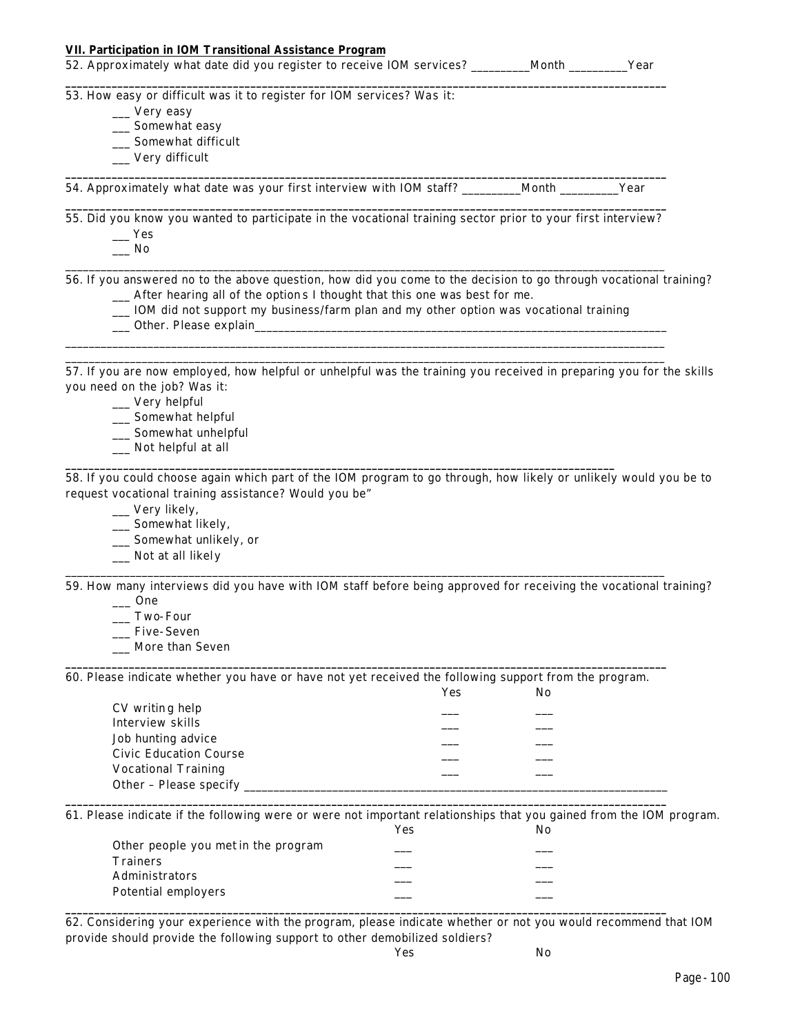| <b>VII. Participation in IOM Transitional Assistance Program</b><br>52. Approximately what date did you register to receive IOM services? ________Month ________Year |     |     |  |
|----------------------------------------------------------------------------------------------------------------------------------------------------------------------|-----|-----|--|
| 53. How easy or difficult was it to register for IOM services? Was it:                                                                                               |     |     |  |
| __ Very easy                                                                                                                                                         |     |     |  |
| __ Somewhat easy                                                                                                                                                     |     |     |  |
| __ Somewhat difficult                                                                                                                                                |     |     |  |
| __ Very difficult                                                                                                                                                    |     |     |  |
| 54. Approximately what date was your first interview with IOM staff? _______Month _______Year                                                                        |     |     |  |
| 55. Did you know you wanted to participate in the vocational training sector prior to your first interview?                                                          |     |     |  |
| $\mathbf{I}$ Yes                                                                                                                                                     |     |     |  |
| No.                                                                                                                                                                  |     |     |  |
| 56. If you answered no to the above question, how did you come to the decision to go through vocational training?                                                    |     |     |  |
| _ After hearing all of the options I thought that this one was best for me.                                                                                          |     |     |  |
| _ IOM did not support my business/farm plan and my other option was vocational training                                                                              |     |     |  |
|                                                                                                                                                                      |     |     |  |
| 57. If you are now employed, how helpful or unhelpful was the training you received in preparing you for the skills<br>you need on the job? Was it:                  |     |     |  |
| $\rule{1em}{0.15mm}$ Very helpful                                                                                                                                    |     |     |  |
| __ Somewhat helpful                                                                                                                                                  |     |     |  |
| __ Somewhat unhelpful                                                                                                                                                |     |     |  |
| _ Not helpful at all                                                                                                                                                 |     |     |  |
| request vocational training assistance? Would you be"<br>__ Very likely,<br>__ Somewhat likely,<br>__ Somewhat unlikely, or<br>_ Not at all likely                   |     |     |  |
| 59. How many interviews did you have with IOM staff before being approved for receiving the vocational training?                                                     |     |     |  |
| $\frac{1}{2}$ One                                                                                                                                                    |     |     |  |
| __ Two-Four                                                                                                                                                          |     |     |  |
| _Five-Seven                                                                                                                                                          |     |     |  |
| More than Seven                                                                                                                                                      |     |     |  |
| 60. Please indicate whether you have or have not yet received the following support from the program.                                                                |     |     |  |
|                                                                                                                                                                      | Yes | No  |  |
| CV writing help                                                                                                                                                      |     |     |  |
| Interview skills                                                                                                                                                     |     |     |  |
| Job hunting advice                                                                                                                                                   |     |     |  |
| <b>Civic Education Course</b>                                                                                                                                        |     |     |  |
| <b>Vocational Training</b>                                                                                                                                           |     |     |  |
| Other - Please specify _                                                                                                                                             |     |     |  |
| 61. Please indicate if the following were or were not important relationships that you gained from the IOM program.                                                  | Yes | No. |  |
| Other people you met in the program                                                                                                                                  |     |     |  |
| <b>Trainers</b>                                                                                                                                                      |     |     |  |
| Administrators                                                                                                                                                       |     |     |  |
| <b>Potential employers</b>                                                                                                                                           |     |     |  |

62. Considering your experience with the program, please indicate whether or not you would recommend that IOM provide should provide the following support to other demobilized soldiers?

**\_\_\_\_\_\_\_\_\_\_\_\_\_\_\_\_\_\_\_\_\_\_\_\_\_\_\_\_\_\_\_\_\_\_\_\_\_\_\_\_\_\_\_\_\_\_\_\_\_\_\_\_\_\_\_\_\_\_\_\_\_\_\_\_\_\_\_\_\_\_\_\_\_\_\_\_\_\_\_\_\_\_\_\_\_\_\_\_\_\_\_\_\_\_\_\_\_\_\_\_\_\_\_\_**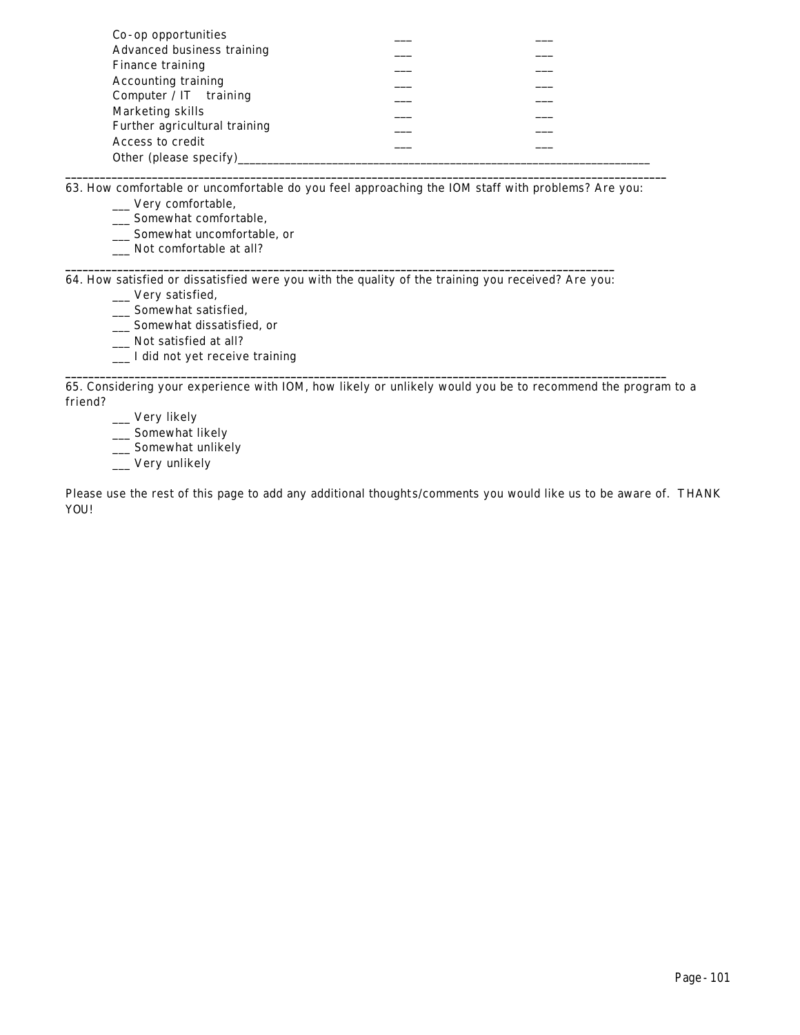| Co-op opportunities           |  |
|-------------------------------|--|
| Advanced business training    |  |
| Finance training              |  |
| <b>Accounting training</b>    |  |
| Computer / $IT$ training      |  |
| Marketing skills              |  |
| Further agricultural training |  |
| Access to credit              |  |
| Other (please specify)        |  |

63. How comfortable or uncomfortable do you feel approaching the IOM staff with problems? Are you:

**\_\_\_\_\_\_\_\_\_\_\_\_\_\_\_\_\_\_\_\_\_\_\_\_\_\_\_\_\_\_\_\_\_\_\_\_\_\_\_\_\_\_\_\_\_\_\_\_\_\_\_\_\_\_\_\_\_\_\_\_\_\_\_\_\_\_\_\_\_\_\_\_\_\_\_\_\_\_\_\_\_\_\_\_\_\_\_\_\_\_\_\_\_\_\_\_\_\_\_\_\_\_\_\_**

- \_\_\_ Very comfortable,
- \_\_\_ Somewhat comfortable,
- \_\_\_ Somewhat uncomfortable, or
- \_\_\_ Not comfortable at all? **\_\_\_\_\_\_\_\_\_\_\_\_\_\_\_\_\_\_\_\_\_\_\_\_\_\_\_\_\_\_\_\_\_\_\_\_\_\_\_\_\_\_\_\_\_\_\_\_\_\_\_\_\_\_\_\_\_\_\_\_\_\_\_\_\_\_\_\_\_\_\_\_\_\_\_\_\_\_\_\_\_\_\_\_\_\_\_\_\_\_\_\_\_\_\_**

64. How satisfied or dissatisfied were you with the quality of the training you received? Are you:

- \_\_\_ Very satisfied, \_\_\_ Somewhat satisfied,
- \_\_\_ Somewhat dissatisfied, or

\_\_\_ Not satisfied at all?

\_\_\_ I did not yet receive training

65. Considering your experience with IOM, how likely or unlikely would you be to recommend the program to a friend?

**\_\_\_\_\_\_\_\_\_\_\_\_\_\_\_\_\_\_\_\_\_\_\_\_\_\_\_\_\_\_\_\_\_\_\_\_\_\_\_\_\_\_\_\_\_\_\_\_\_\_\_\_\_\_\_\_\_\_\_\_\_\_\_\_\_\_\_\_\_\_\_\_\_\_\_\_\_\_\_\_\_\_\_\_\_\_\_\_\_\_\_\_\_\_\_\_\_\_\_\_\_\_\_\_**

\_\_\_ Very likely

\_\_\_ Somewhat likely

\_\_ Somewhat unlikely

\_\_\_ Very unlikely

Please use the rest of this page to add any additional thoughts/comments you would like us to be aware of. THANK YOU!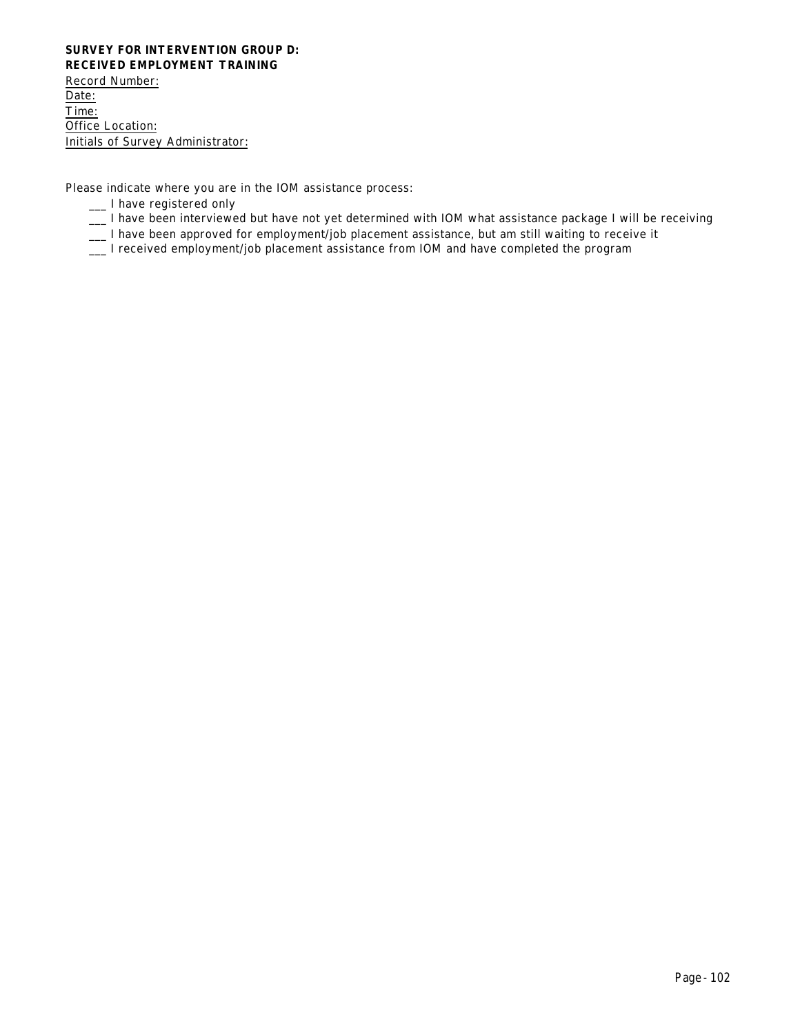### **SURVEY FOR INTERVENTION GROUP D: RECEIVED EMPLOYMENT TRAINING**

Record Number: Date: Time: Office Location: Initials of Survey Administrator:

Please indicate where you are in the IOM assistance process:

- \_\_\_ I have registered only
- \_\_\_ I have been interviewed but have not yet determined with IOM what assistance package I will be receiving
- \_\_\_ I have been approved for employment/job placement assistance, but am still waiting to receive it
- \_\_\_ I received employment/job placement assistance from IOM and have completed the program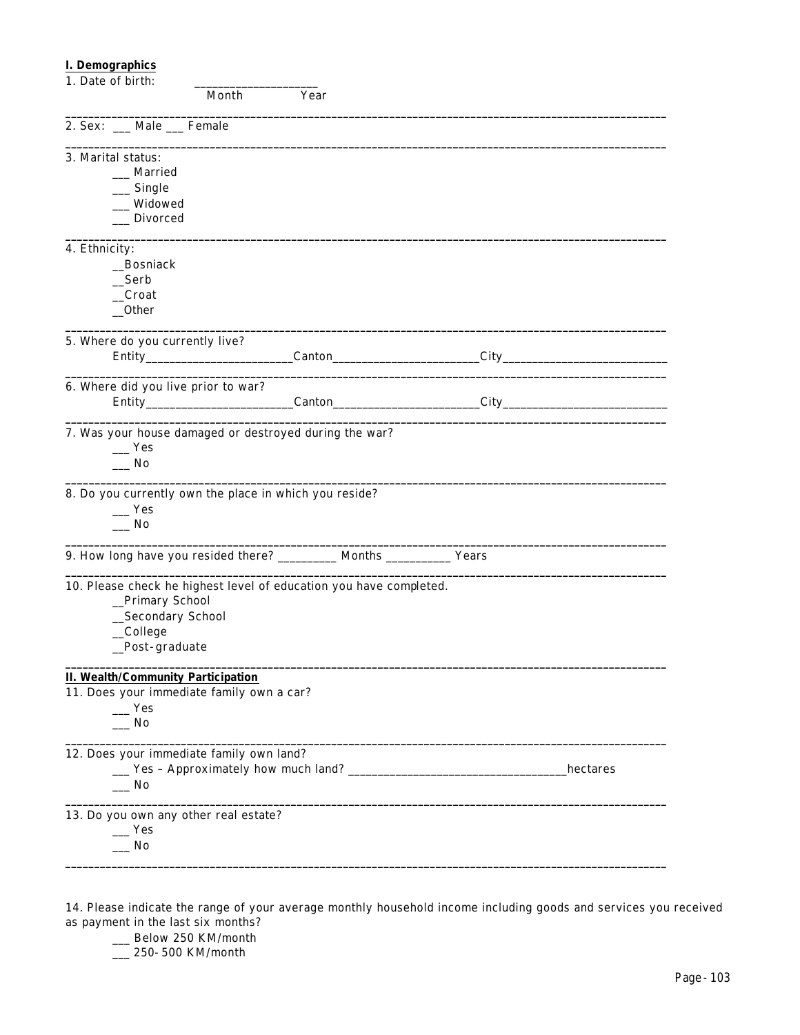# **I. Demographics**

| 1. Date of birth:                                                                      |       |      |           |          |
|----------------------------------------------------------------------------------------|-------|------|-----------|----------|
|                                                                                        | Month | Year |           |          |
| 2. Sex: __ Male __ Female                                                              |       |      |           |          |
| 3. Marital status:                                                                     |       |      |           |          |
| __ Married                                                                             |       |      |           |          |
| Single                                                                                 |       |      |           |          |
| Widowed                                                                                |       |      |           |          |
| <b>Divorced</b>                                                                        |       |      |           |          |
| 4. Ethnicity:                                                                          |       |      |           |          |
| _Bosniack                                                                              |       |      |           |          |
| Serb                                                                                   |       |      |           |          |
| __Croat                                                                                |       |      |           |          |
| $_{\rm -}$ Other                                                                       |       |      |           |          |
| 5. Where do you currently live?                                                        |       |      |           |          |
|                                                                                        |       |      |           |          |
|                                                                                        |       |      |           |          |
| 6. Where did you live prior to war?                                                    |       |      |           |          |
|                                                                                        |       |      | $C$ anton |          |
|                                                                                        |       |      |           |          |
| 7. Was your house damaged or destroyed during the war?                                 |       |      |           |          |
| Yes                                                                                    |       |      |           |          |
| $\sqrt{N}$                                                                             |       |      |           |          |
|                                                                                        |       |      |           |          |
| 8. Do you currently own the place in which you reside?                                 |       |      |           |          |
| $\mathbf{Yes}$                                                                         |       |      |           |          |
| $\sqrt{N}$                                                                             |       |      |           |          |
| 9. How long have you resided there? __________ Months ___________ Years                |       |      |           |          |
| 10. Please check he highest level of education you have completed.                     |       |      |           |          |
| _Primary School                                                                        |       |      |           |          |
| _Secondary School                                                                      |       |      |           |          |
| _College                                                                               |       |      |           |          |
| _Post-graduate                                                                         |       |      |           |          |
|                                                                                        |       |      |           |          |
| <b>II. Wealth/Community Participation</b><br>11. Does your immediate family own a car? |       |      |           |          |
| $\mathbf{I}$ Yes                                                                       |       |      |           |          |
| $\sqrt{N}$                                                                             |       |      |           |          |
|                                                                                        |       |      |           |          |
| 12. Does your immediate family own land?                                               |       |      |           |          |
|                                                                                        |       |      |           | hectares |
| __ No                                                                                  |       |      |           |          |
| 13. Do you own any other real estate?                                                  |       |      |           |          |
| $\mathbf{Yes}$                                                                         |       |      |           |          |
| _ No                                                                                   |       |      |           |          |
|                                                                                        |       |      |           |          |
|                                                                                        |       |      |           |          |

14. Please indicate the range of your average monthly household income including goods and services you received as payment in the last six months?

\_\_ Below 250 KM/month

\_\_\_ 250-500 KM/month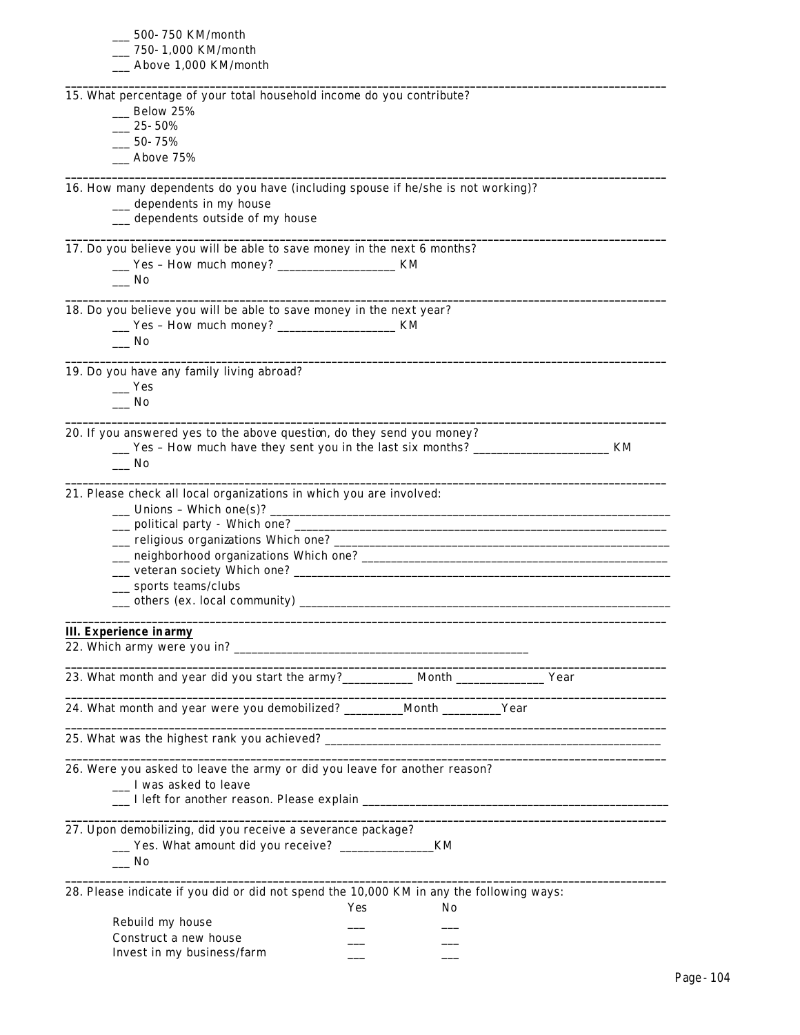| __ 500- 750 KM/month                                                                                                  |  |
|-----------------------------------------------------------------------------------------------------------------------|--|
| __ 750- 1,000 KM/month                                                                                                |  |
| __ Above 1,000 KM/month                                                                                               |  |
| 15. What percentage of your total household income do you contribute?                                                 |  |
| $\_\_\$ Below 25%                                                                                                     |  |
| $-25 - 50\%$                                                                                                          |  |
| $-50 - 75%$                                                                                                           |  |
| $\_\_\$ Above 75%                                                                                                     |  |
|                                                                                                                       |  |
| 16. How many dependents do you have (including spouse if he/she is not working)?                                      |  |
| __ dependents in my house                                                                                             |  |
| __ dependents outside of my house                                                                                     |  |
| 17. Do you believe you will be able to save money in the next 6 months?                                               |  |
| ___ Yes - How much money? ________________________ KM                                                                 |  |
| __ No                                                                                                                 |  |
|                                                                                                                       |  |
| 18. Do you believe you will be able to save money in the next year?                                                   |  |
| ___ Yes - How much money? ________________________ KM                                                                 |  |
| $\overline{\phantom{0}}$ No                                                                                           |  |
| 19. Do you have any family living abroad?                                                                             |  |
| $\equiv$ Yes                                                                                                          |  |
| $\overline{\phantom{0}}$ No                                                                                           |  |
|                                                                                                                       |  |
| 20. If you answered yes to the above question, do they send you money?                                                |  |
| __ Yes - How much have they sent you in the last six months? ____________________<br>KM                               |  |
| $\_\_$ No                                                                                                             |  |
|                                                                                                                       |  |
| 21. Please check all local organizations in which you are involved:                                                   |  |
| $\frac{1}{2}$ Unions - Which one(s)?                                                                                  |  |
|                                                                                                                       |  |
|                                                                                                                       |  |
|                                                                                                                       |  |
|                                                                                                                       |  |
| __ sports teams/clubs                                                                                                 |  |
|                                                                                                                       |  |
|                                                                                                                       |  |
| <b>III.</b> Experience in army                                                                                        |  |
|                                                                                                                       |  |
| 23. What month and year did you start the army?___________ Month _______________ Year                                 |  |
| 24. What month and year were you demobilized? _________Month _________Year                                            |  |
| <u> 1999 - Jan James Barn, mars and de la partie de la partie de la partie de la partie de la partie de la partie</u> |  |
|                                                                                                                       |  |
| 26. Were you asked to leave the army or did you leave for another reason?                                             |  |
| __ I was asked to leave                                                                                               |  |
|                                                                                                                       |  |
|                                                                                                                       |  |
| 27. Upon demobilizing, did you receive a severance package?                                                           |  |
|                                                                                                                       |  |
| $\equiv$ No                                                                                                           |  |
|                                                                                                                       |  |
| 28. Please indicate if you did or did not spend the 10,000 KM in any the following ways:                              |  |
| No<br>Yes                                                                                                             |  |
| Rebuild my house                                                                                                      |  |
| Construct a new house                                                                                                 |  |
| Invest in my business/farm                                                                                            |  |
|                                                                                                                       |  |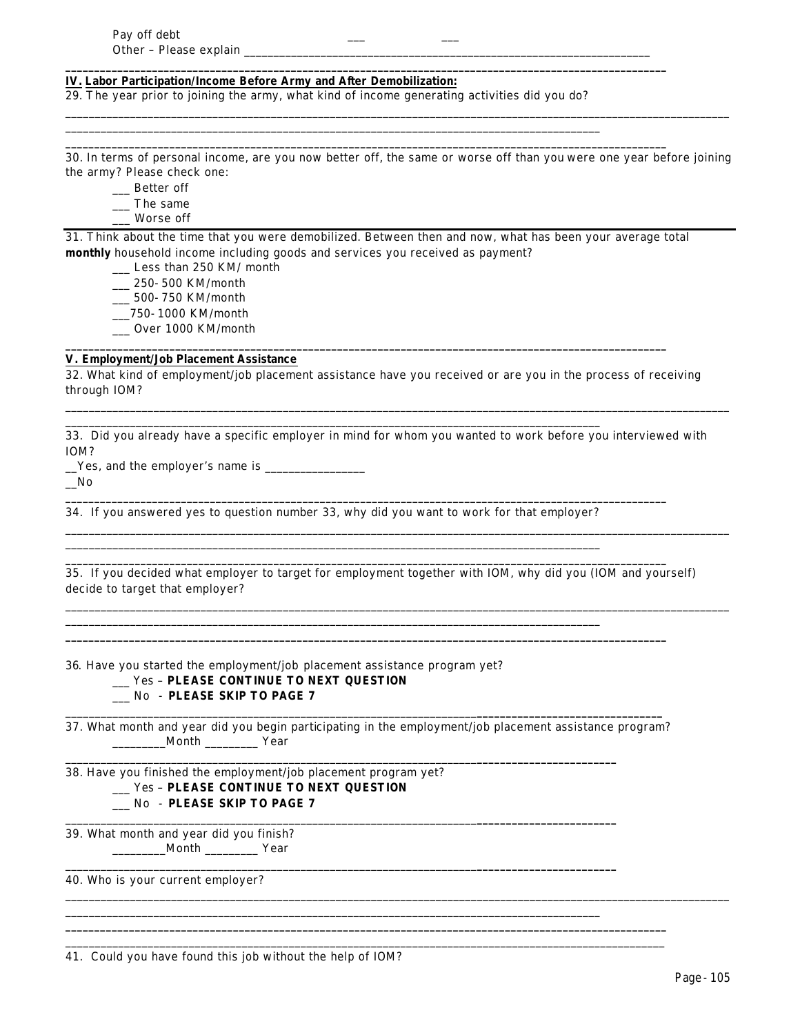#### **IV. Labor Participation/Income Before Army and After Demobilization:**

29. *The year prior to joining the army*, what kind of income generating activities did you do?

\_\_\_\_\_\_\_\_\_\_\_\_\_\_\_\_\_\_\_\_\_\_\_\_\_\_\_\_\_\_\_\_\_\_\_\_\_\_\_\_\_\_\_\_\_\_\_\_\_\_\_\_\_\_\_\_\_\_\_\_\_\_\_\_\_\_\_\_\_\_\_\_\_\_\_\_\_\_\_\_\_\_\_\_\_\_\_\_\_\_\_

**\_\_\_\_\_\_\_\_\_\_\_\_\_\_\_\_\_\_\_\_\_\_\_\_\_\_\_\_\_\_\_\_\_\_\_\_\_\_\_\_\_\_\_\_\_\_\_\_\_\_\_\_\_\_\_\_\_\_\_\_\_\_\_\_\_\_\_\_\_\_\_\_\_\_\_\_\_\_\_\_\_\_\_\_\_\_\_\_\_\_\_\_\_\_\_\_\_\_\_\_\_\_\_\_**

**\_\_\_\_\_\_\_\_\_\_\_\_\_\_\_\_\_\_\_\_\_\_\_\_\_\_\_\_\_\_\_\_\_\_\_\_\_\_\_\_\_\_\_\_\_\_\_\_\_\_\_\_\_\_\_\_\_\_\_\_\_\_\_\_\_\_\_\_\_\_\_\_\_\_\_\_\_\_\_\_\_\_\_\_\_\_\_\_\_\_\_\_\_\_\_\_\_\_\_\_\_\_\_\_**

30. In terms of personal income, are you now better off, the same or worse off than you were one year before joining the army? Please check one:

\_\_\_\_\_\_\_\_\_\_\_\_\_\_\_\_\_\_\_\_\_\_\_\_\_\_\_\_\_\_\_\_\_\_\_\_\_\_\_\_\_\_\_\_\_\_\_\_\_\_\_\_\_\_\_\_\_\_\_\_\_\_\_\_\_\_\_\_\_\_\_\_\_\_\_\_\_\_\_\_\_\_\_\_\_\_\_\_\_\_\_\_\_\_\_\_\_\_\_\_\_\_\_\_\_\_\_\_\_\_\_\_\_

- \_\_\_ Better off
- \_\_\_ The same
- \_\_\_ Worse off

31. Think about the time that you were demobilized. Between then and now, what has been your average total **monthly** household income including goods and services you received as payment?

- \_\_\_ Less than 250 KM/ month
- \_\_\_ 250-500 KM/month
- \_\_\_ 500-750 KM/month
- \_\_\_750-1000 KM/month
- \_\_\_ Over 1000 KM/month

# **V. Employment/Job Placement Assistance**

32. What kind of employment/job placement assistance have you received or are you in the process of receiving through IOM?

\_\_\_\_\_\_\_\_\_\_\_\_\_\_\_\_\_\_\_\_\_\_\_\_\_\_\_\_\_\_\_\_\_\_\_\_\_\_\_\_\_\_\_\_\_\_\_\_\_\_\_\_\_\_\_\_\_\_\_\_\_\_\_\_\_\_\_\_\_\_\_\_\_\_\_\_\_\_\_\_\_\_\_\_\_\_\_\_\_\_\_\_\_\_\_\_\_\_\_\_\_\_\_\_\_\_\_\_\_\_\_\_\_

\_\_\_\_\_\_\_\_\_\_\_\_\_\_\_\_\_\_\_\_\_\_\_\_\_\_\_\_\_\_\_\_\_\_\_\_\_\_\_\_\_\_\_\_\_\_\_\_\_\_\_\_\_\_\_\_\_\_\_\_\_\_\_\_\_\_\_\_\_\_\_\_\_\_\_\_\_\_\_\_\_\_\_\_\_\_\_\_\_\_\_\_\_\_\_\_\_\_\_\_\_\_\_\_\_\_\_\_\_\_\_\_\_

\_\_\_\_\_\_\_\_\_\_\_\_\_\_\_\_\_\_\_\_\_\_\_\_\_\_\_\_\_\_\_\_\_\_\_\_\_\_\_\_\_\_\_\_\_\_\_\_\_\_\_\_\_\_\_\_\_\_\_\_\_\_\_\_\_\_\_\_\_\_\_\_\_\_\_\_\_\_\_\_\_\_\_\_\_\_\_\_\_\_\_\_\_\_\_\_\_\_\_\_\_\_\_\_\_\_\_\_\_\_\_\_\_

\_\_\_\_\_\_\_\_\_\_\_\_\_\_\_\_\_\_\_\_\_\_\_\_\_\_\_\_\_\_\_\_\_\_\_\_\_\_\_\_\_\_\_\_\_\_\_\_\_\_\_\_\_\_\_\_\_\_\_\_\_\_\_\_\_\_\_\_\_\_\_\_\_\_\_\_\_\_\_\_\_\_\_\_\_\_\_\_\_\_\_\_\_\_\_\_\_\_\_\_\_\_\_\_\_\_\_\_\_\_\_\_\_

**\_\_\_\_\_\_\_\_\_\_\_\_\_\_\_\_\_\_\_\_\_\_\_\_\_\_\_\_\_\_\_\_\_\_\_\_\_\_\_\_\_\_\_\_\_\_\_\_\_\_\_\_\_\_\_\_\_\_\_\_\_\_\_\_\_\_\_\_\_\_\_\_\_\_\_\_\_\_\_\_\_\_\_\_\_\_\_\_\_\_\_\_\_\_\_\_\_\_\_\_\_\_\_\_**

33. Did you already have a specific employer in mind for whom you wanted to work before you interviewed with IOM?

\_\_Yes, and the employer's name is \_\_\_\_\_\_\_\_\_\_\_\_\_\_\_\_\_

 $\sqrt{N}$ 

34. If you answered yes to question number 33, why did you want to work for that employer?

\_\_\_\_\_\_\_\_\_\_\_\_\_\_\_\_\_\_\_\_\_\_\_\_\_\_\_\_\_\_\_\_\_\_\_\_\_\_\_\_\_\_\_\_\_\_\_\_\_\_\_\_\_\_\_\_\_\_\_\_\_\_\_\_\_\_\_\_\_\_\_\_\_\_\_\_\_\_\_\_\_\_\_\_\_\_\_\_\_\_\_

\_\_\_\_\_\_\_\_\_\_\_\_\_\_\_\_\_\_\_\_\_\_\_\_\_\_\_\_\_\_\_\_\_\_\_\_\_\_\_\_\_\_\_\_\_\_\_\_\_\_\_\_\_\_\_\_\_\_\_\_\_\_\_\_\_\_\_\_\_\_\_\_\_\_\_\_\_\_\_\_\_\_\_\_\_\_\_\_\_\_\_

\_\_\_\_\_\_\_\_\_\_\_\_\_\_\_\_\_\_\_\_\_\_\_\_\_\_\_\_\_\_\_\_\_\_\_\_\_\_\_\_\_\_\_\_\_\_\_\_\_\_\_\_\_\_\_\_\_\_\_\_\_\_\_\_\_\_\_\_\_\_\_\_\_\_\_\_\_\_\_\_\_\_\_\_\_\_\_\_\_\_\_

| 35. If you decided what employer to target for employment together with IOM, why did you (IOM and yourself) |  |  |  |  |  |
|-------------------------------------------------------------------------------------------------------------|--|--|--|--|--|
| decide to target that employer?                                                                             |  |  |  |  |  |

**\_\_\_\_\_\_\_\_\_\_\_\_\_\_\_\_\_\_\_\_\_\_\_\_\_\_\_\_\_\_\_\_\_\_\_\_\_\_\_\_\_\_\_\_\_\_\_\_\_\_\_\_\_\_\_\_\_\_\_\_\_\_\_\_\_\_\_\_\_\_\_\_\_\_\_\_\_\_\_\_\_\_\_\_\_\_\_\_\_\_\_\_\_\_\_\_\_\_\_\_\_\_\_\_**

**\_\_\_\_\_\_\_\_\_\_\_\_\_\_\_\_\_\_\_\_\_\_\_\_\_\_\_\_\_\_\_\_\_\_\_\_\_\_\_\_\_\_\_\_\_\_\_\_\_\_\_\_\_\_\_\_\_\_\_\_\_\_\_\_\_\_\_\_\_\_\_\_\_\_\_\_\_\_\_\_\_\_\_\_\_\_\_\_\_\_\_\_\_\_\_\_\_\_\_\_\_\_\_\_**

**\_\_\_\_\_\_\_\_\_\_\_\_\_\_\_\_\_\_\_\_\_\_\_\_\_\_\_\_\_\_\_\_\_\_\_\_\_\_\_\_\_\_\_\_\_\_\_\_\_\_\_\_\_\_\_\_\_\_\_\_\_\_\_\_\_\_\_\_\_\_\_\_\_\_\_\_\_\_\_\_\_\_\_\_\_\_\_\_\_\_\_\_\_\_\_\_\_\_\_\_\_\_\_\_**

36*.* Have you started the employment/job placement assistance program yet?

### \_\_\_ Yes – **PLEASE CONTINUE TO NEXT QUESTION**

# \_\_\_ No - **PLEASE SKIP TO PAGE 7**

\_\_\_\_\_\_\_\_\_\_\_\_\_\_\_\_\_\_\_\_\_\_\_\_\_\_\_\_\_\_\_\_\_\_\_\_\_\_\_\_\_\_\_\_\_\_\_\_\_\_\_\_\_\_\_\_\_\_\_\_\_\_\_\_\_\_\_\_\_\_**\_\_\_\_\_\_\_\_\_\_\_\_\_\_\_\_\_\_\_\_\_\_\_\_\_\_\_\_\_\_\_\_** 37. What month and year did you begin participating in the employment/job placement assistance program? \_\_\_\_\_\_\_\_\_Month \_\_\_\_\_\_\_\_\_ Year

\_\_\_\_\_\_\_\_\_\_\_\_\_\_\_\_\_\_\_\_\_\_\_\_\_\_\_\_\_\_\_\_\_\_\_\_\_\_\_\_\_\_\_\_\_\_\_\_\_\_\_\_\_\_\_\_\_\_\_\_\_\_\_\_\_\_\_\_\_\_**\_\_\_\_\_\_\_\_\_\_\_\_\_\_\_\_\_\_\_\_\_\_\_\_**

\_\_\_\_\_\_\_\_\_\_\_\_\_\_\_\_\_\_\_\_\_\_\_\_\_\_\_\_\_\_\_\_\_\_\_\_\_\_\_\_\_\_\_\_\_\_\_\_\_\_\_\_\_\_\_\_\_\_\_\_\_\_\_\_\_\_\_\_\_\_**\_\_\_\_\_\_\_\_\_\_\_\_\_\_\_\_\_\_\_\_\_\_\_\_**

\_\_\_\_\_\_\_\_\_\_\_\_\_\_\_\_\_\_\_\_\_\_\_\_\_\_\_\_\_\_\_\_\_\_\_\_\_\_\_\_\_\_\_\_\_\_\_\_\_\_\_\_\_\_\_\_\_\_\_\_\_\_\_\_\_\_\_\_\_\_**\_\_\_\_\_\_\_\_\_\_\_\_\_\_\_\_\_\_\_\_\_\_\_\_**

\_\_\_\_\_\_\_\_\_\_\_\_\_\_\_\_\_\_\_\_\_\_\_\_\_\_\_\_\_\_\_\_\_\_\_\_\_\_\_\_\_\_\_\_\_\_\_\_\_\_\_\_\_\_\_\_\_\_\_\_\_\_\_\_\_\_\_\_\_\_\_\_\_\_\_\_\_\_\_\_\_\_\_\_\_\_\_\_\_\_\_

**\_\_\_\_\_\_\_\_\_\_\_\_\_\_\_\_\_\_\_\_\_\_\_\_\_\_\_\_\_\_\_\_\_\_\_\_\_\_\_\_\_\_\_\_\_\_\_\_\_\_\_\_\_\_\_\_\_\_\_\_\_\_\_\_\_\_\_\_\_\_\_\_\_\_\_\_\_\_\_\_\_\_\_\_\_\_\_\_\_\_\_\_\_\_\_\_\_\_\_\_\_\_\_\_** \_\_\_\_\_\_\_\_\_\_\_\_\_\_\_\_\_\_\_\_\_\_\_\_\_\_\_\_\_\_\_\_\_\_\_\_\_\_\_\_\_\_\_\_\_\_\_\_\_\_\_\_\_\_\_\_\_\_\_\_\_\_\_\_\_\_\_\_\_\_\_\_\_\_\_\_\_\_\_\_\_\_\_\_\_\_\_\_\_\_\_\_\_\_\_\_\_\_\_\_\_\_

## 38. Have you finished the employment/job placement program yet? \_\_\_ Yes – **PLEASE CONTINUE TO NEXT QUESTION** \_\_\_ No - **PLEASE SKIP TO PAGE 7**

39. What month and year did you finish? \_\_\_\_\_\_\_\_\_Month \_\_\_\_\_\_\_\_\_ Year

40. Who is your current employer?

41. Could you have found this job without the help of IOM?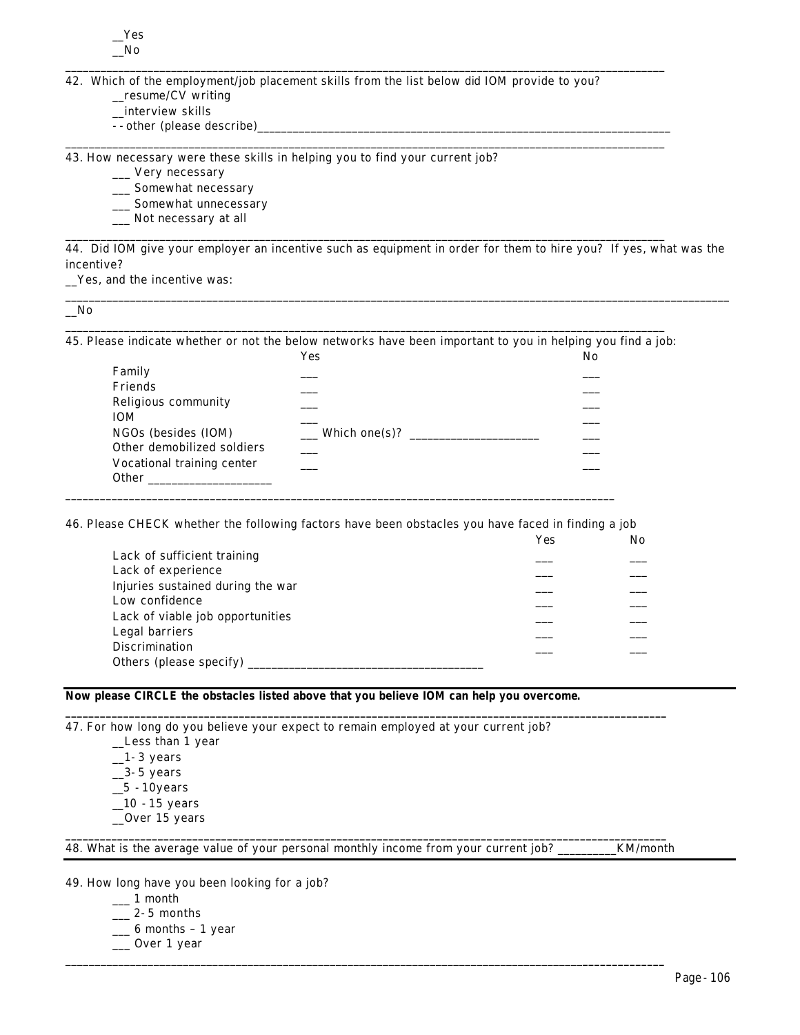42. Which of the employment/job placement skills from the list below did IOM provide to you?

\_\_\_\_\_\_\_\_\_\_\_\_\_\_\_\_\_\_\_\_\_\_\_\_\_\_\_\_\_\_\_\_\_\_\_\_\_\_\_\_\_\_\_\_\_\_\_\_\_\_\_\_\_\_\_\_\_\_\_\_\_\_\_\_\_\_\_\_\_\_\_\_\_\_\_\_\_\_\_\_\_\_\_\_\_\_\_\_\_\_\_\_\_\_\_\_\_\_\_\_\_\_

\_\_\_\_\_\_\_\_\_\_\_\_\_\_\_\_\_\_\_\_\_\_\_\_\_\_\_\_\_\_\_\_\_\_\_\_\_\_\_\_\_\_\_\_\_\_\_\_\_\_\_\_\_\_\_\_\_\_\_\_\_\_\_\_\_\_\_\_\_\_\_\_\_\_\_\_\_\_\_\_\_\_\_\_\_\_\_\_\_\_\_\_\_\_\_\_\_\_\_\_\_\_

\_\_\_\_\_\_\_\_\_\_\_\_\_\_\_\_\_\_\_\_\_\_\_\_\_\_\_\_\_\_\_\_\_\_\_\_\_\_\_\_\_\_\_\_\_\_\_\_\_\_\_\_\_\_\_\_\_\_\_\_\_\_\_\_\_\_\_\_\_\_\_\_\_\_\_\_\_\_\_\_\_\_\_\_\_\_\_\_\_\_\_\_\_\_\_\_\_\_\_\_\_\_

- \_\_resume/CV writing
- \_\_interview skills
- --other (please describe)

43. How necessary were these skills in helping you to find your current job?

- \_\_\_ Very necessary
- \_\_\_ Somewhat necessary
- \_\_\_ Somewhat unnecessary
- \_\_\_ Not necessary at all

44. Did IOM give your employer an incentive such as equipment in order for them to hire you? If yes, what was the incentive?

\_\_\_\_\_\_\_\_\_\_\_\_\_\_\_\_\_\_\_\_\_\_\_\_\_\_\_\_\_\_\_\_\_\_\_\_\_\_\_\_\_\_\_\_\_\_\_\_\_\_\_\_\_\_\_\_\_\_\_\_\_\_\_\_\_\_\_\_\_\_\_\_\_\_\_\_\_\_\_\_\_\_\_\_\_\_\_\_\_\_\_\_\_\_\_\_\_\_\_\_\_\_\_\_\_\_\_\_\_\_\_\_\_

\_\_Yes, and the incentive was:

\_\_No

\_\_\_\_\_\_\_\_\_\_\_\_\_\_\_\_\_\_\_\_\_\_\_\_\_\_\_\_\_\_\_\_\_\_\_\_\_\_\_\_\_\_\_\_\_\_\_\_\_\_\_\_\_\_\_\_\_\_\_\_\_\_\_\_\_\_\_\_\_\_\_\_\_\_\_\_\_\_\_\_\_\_\_\_\_\_\_\_\_\_\_\_\_\_\_\_\_\_\_\_\_\_ 45. Please indicate whether or not the below networks have been important to you in helping you find a job:

|                            | Yes                             | No |
|----------------------------|---------------------------------|----|
| Family                     |                                 |    |
| Friends                    |                                 |    |
| Religious community        |                                 |    |
| <b>IOM</b>                 |                                 |    |
| NGOs (besides (IOM)        | $\equiv$ Which one(s)? $\equiv$ |    |
| Other demobilized soldiers |                                 |    |
| Vocational training center |                                 |    |
| Other                      |                                 |    |

46. Please CHECK whether the following factors have been obstacles you have faced in finding a job

**\_\_\_\_\_\_\_\_\_\_\_\_\_\_\_\_\_\_\_\_\_\_\_\_\_\_\_\_\_\_\_\_\_\_\_\_\_\_\_\_\_\_\_\_\_\_\_\_\_\_\_\_\_\_\_\_\_\_\_\_\_\_\_\_\_\_\_\_\_\_\_\_\_\_\_\_\_\_\_\_\_\_\_\_\_\_\_\_\_\_\_\_\_\_\_**

|                                   | Yes | No |
|-----------------------------------|-----|----|
| Lack of sufficient training       |     |    |
| Lack of experience                |     |    |
| Injuries sustained during the war |     |    |
| Low confidence                    |     |    |
| Lack of viable job opportunities  |     |    |
| Legal barriers                    |     |    |
| <b>Discrimination</b>             |     |    |
| Others (please specify)           |     |    |
|                                   |     |    |

**\_\_\_\_\_\_\_\_\_\_\_\_\_\_\_\_\_\_\_\_\_\_\_\_\_\_\_\_\_\_\_\_\_\_\_\_\_\_\_\_\_\_\_\_\_\_\_\_\_\_\_\_\_\_\_\_\_\_\_\_\_\_\_\_\_\_\_\_\_\_\_\_\_\_\_\_\_\_\_\_\_\_\_\_\_\_\_\_\_\_\_\_\_\_\_\_\_\_\_\_\_\_\_\_**

**\_\_\_\_\_\_\_\_\_\_\_\_\_\_\_\_\_\_\_\_\_\_\_\_\_\_\_\_\_\_\_\_\_\_\_\_\_\_\_\_\_\_\_\_\_\_\_\_\_\_\_\_\_\_\_\_\_\_\_\_\_\_\_\_\_\_\_\_\_\_\_\_\_\_\_\_\_\_\_\_\_\_\_\_\_\_\_\_\_\_\_\_\_\_\_\_\_\_\_\_\_\_\_\_**

\_\_\_\_\_\_\_\_\_\_\_\_\_\_\_\_\_\_\_\_\_\_\_\_\_\_\_\_\_\_\_\_\_\_\_\_\_\_\_\_\_\_\_\_\_\_\_\_\_\_\_\_\_\_\_\_\_\_\_\_\_\_\_\_\_\_\_\_\_\_\_\_\_\_\_\_\_\_\_\_\_\_\_\_\_\_\_\_**\_\_\_\_\_\_\_\_\_\_\_\_\_\_**

### **Now please CIRCLE the obstacles listed above** *that you believe IOM can help you overcome***.**

47. For how long do you believe your expect to remain employed at your current job?

\_\_Less than 1 year  $\_1-3$  years  $\_3-5$  years  $\_5 - 10$ years  $\_10 - 15$  years \_\_Over 15 years

48. What is the average value of your personal monthly income from your current job? \_\_\_\_\_\_\_\_\_\_KM/month

49. How long have you been looking for a job?

- $\frac{1}{2}$  month
- $\_\_\_\$ 2-5 months
- $\_\_$  6 months 1 year
- \_\_\_ Over 1 year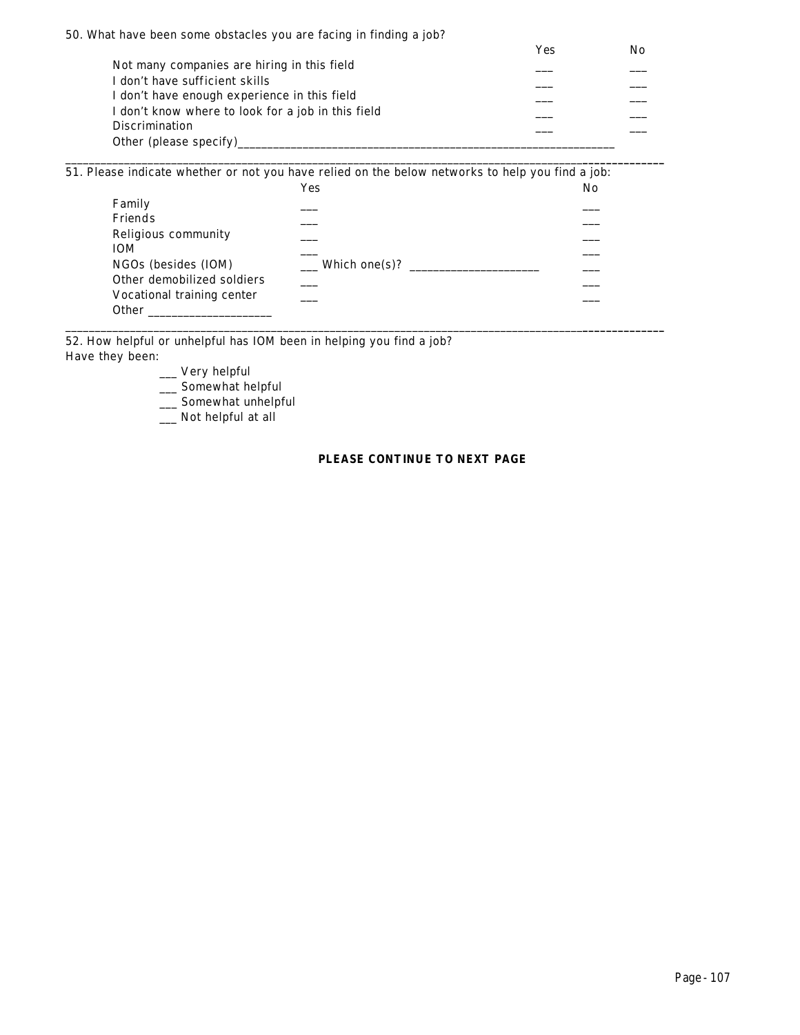| 50. What have been some obstacles you are facing in finding a job? |     |    |
|--------------------------------------------------------------------|-----|----|
|                                                                    | Yes | No |
| Not many companies are hiring in this field                        |     |    |
| I don't have sufficient skills                                     |     |    |
| I don't have enough experience in this field                       |     |    |
| I don't know where to look for a job in this field                 |     |    |
| <b>Discrimination</b>                                              |     |    |
| Other (please specify)                                             |     |    |

\_\_\_\_\_\_\_\_\_\_\_\_\_\_\_\_\_\_\_\_\_\_\_\_\_\_\_\_\_\_\_\_\_\_\_\_\_\_\_\_\_\_\_\_\_\_\_\_\_\_\_\_\_\_\_\_\_\_\_\_\_\_\_\_\_\_\_\_\_\_\_\_\_\_\_\_\_\_\_\_\_\_\_\_\_\_\_\_**\_\_\_\_\_\_\_\_\_\_\_\_\_\_**

51. Please indicate whether or not you have relied on the below networks to help you find a job:

|                            | Yes           | No |
|----------------------------|---------------|----|
| Family                     |               |    |
| Friends                    |               |    |
| Religious community        |               |    |
| <b>IOM</b>                 |               |    |
| NGOs (besides (IOM)        | Which one(s)? |    |
| Other demobilized soldiers |               |    |
| Vocational training center |               |    |
| <b>Other</b>               |               |    |

\_\_\_\_\_\_\_\_\_\_\_\_\_\_\_\_\_\_\_\_\_\_\_\_\_\_\_\_\_\_\_\_\_\_\_\_\_\_\_\_\_\_\_\_\_\_\_\_\_\_\_\_\_\_\_\_\_\_\_\_\_\_\_\_\_\_\_\_\_\_\_\_\_\_\_\_\_\_\_\_\_\_\_\_\_\_\_\_**\_\_\_\_\_\_\_\_\_\_\_\_\_\_**

52. How helpful or unhelpful has IOM been in helping you find a job? Have they been:

\_\_\_ Very helpful

\_\_\_ Somewhat helpful

\_\_\_ Somewhat unhelpful

\_\_\_ Not helpful at all

### **PLEASE CONTINUE TO NEXT PAGE**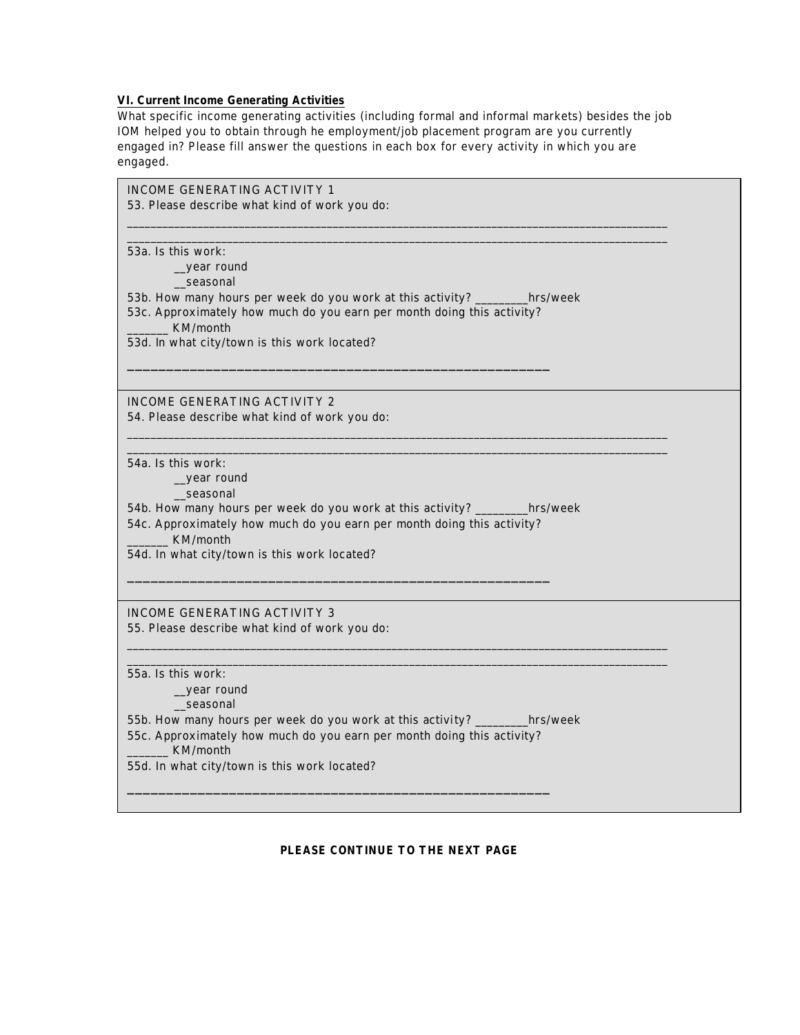# **VI. Current Income Generating Activities**

What specific income generating activities (including formal and informal markets) *besides the job IOM helped you to obtain through he employment/job placement program* are you currently engaged in? Please fill answer the questions in each box for every activity in which you are engaged.

| INCOME GENERATING ACTIVITY 1<br>53. Please describe what kind of work you do:                                                                                                                                                                                       |  |
|---------------------------------------------------------------------------------------------------------------------------------------------------------------------------------------------------------------------------------------------------------------------|--|
| 53a. Is this work:<br>_year round<br>seasonal<br>53b. How many hours per week do you work at this activity? _________hrs/week<br>53c. Approximately how much do you earn per month doing this activity?<br>KM/month<br>53d. In what city/town is this work located? |  |
| <b>INCOME GENERATING ACTIVITY 2</b><br>54. Please describe what kind of work you do:                                                                                                                                                                                |  |
| 54a. Is this work:<br>_year round<br>seasonal<br>54b. How many hours per week do you work at this activity? _________hrs/week<br>54c. Approximately how much do you earn per month doing this activity?<br>KM/month<br>54d. In what city/town is this work located? |  |
| INCOME GENERATING ACTIVITY 3<br>55. Please describe what kind of work you do:                                                                                                                                                                                       |  |
| 55a. Is this work:<br>_year round<br>_seasonal<br>55b. How many hours per week do you work at this activity? ________hrs/week<br>55c. Approximately how much do you earn per month doing this activity?<br>KM/month<br>55d. In what city/town is this work located? |  |

## **PLEASE CONTINUE TO THE NEXT PAGE**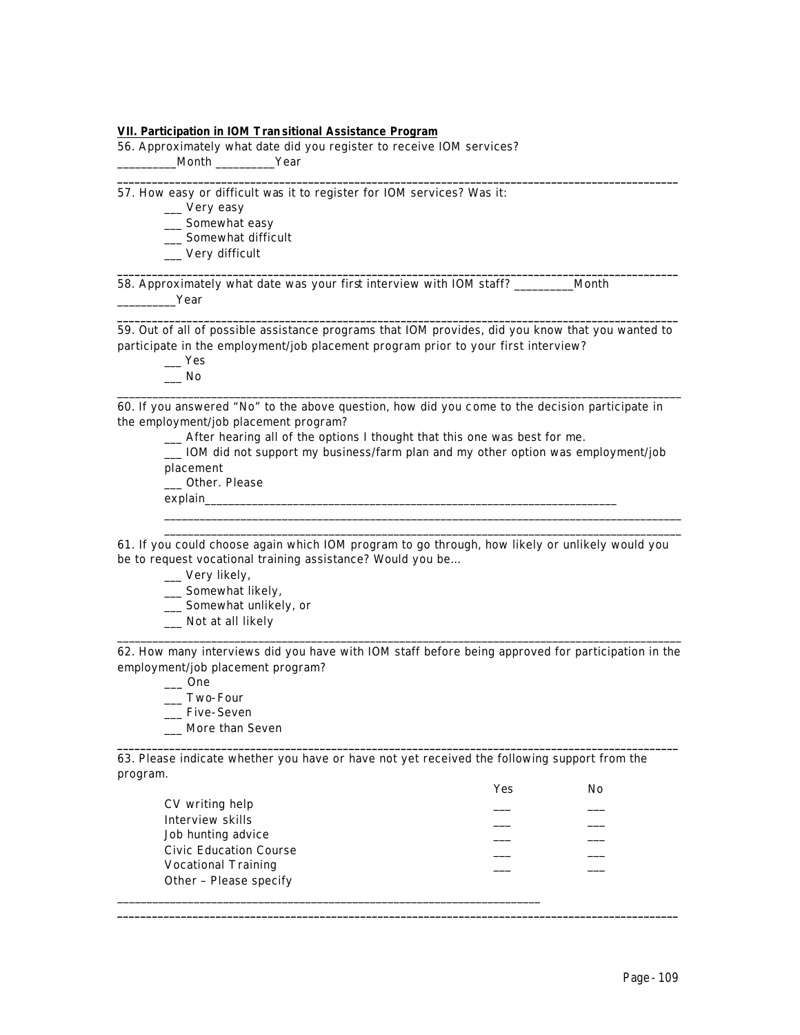#### **VII. Participation in IOM Tran sitional Assistance Program**

56. Approximately what date did you register to receive IOM services? \_\_\_\_\_\_\_\_\_\_Month \_\_\_\_\_\_\_\_\_\_Year

57. How easy or difficult was it to register for IOM services? Was it:

- \_\_\_ Very easy
- \_\_\_ Somewhat easy
- \_\_ Somewhat difficult
- \_\_\_ Very difficult

58. Approximately what date was your first interview with IOM staff? \_\_\_\_\_\_\_\_\_\_Month \_\_\_\_\_\_\_\_\_\_Year

**\_\_\_\_\_\_\_\_\_\_\_\_\_\_\_\_\_\_\_\_\_\_\_\_\_\_\_\_\_\_\_\_\_\_\_\_\_\_\_\_\_\_\_\_\_\_\_\_\_\_\_\_\_\_\_\_\_\_\_\_\_\_\_\_\_\_\_\_\_\_\_\_\_\_\_\_\_\_\_\_\_\_\_\_\_\_\_\_\_\_\_\_\_\_\_\_\_** 59. Out of all of possible assistance programs that IOM provides, did you know that you wanted to participate in the employment/job placement program prior to your first interview?

**\_\_\_\_\_\_\_\_\_\_\_\_\_\_\_\_\_\_\_\_\_\_\_\_\_\_\_\_\_\_\_\_\_\_\_\_\_\_\_\_\_\_\_\_\_\_\_\_\_\_\_\_\_\_\_\_\_\_\_\_\_\_\_\_\_\_\_\_\_\_\_\_\_\_\_\_\_\_\_\_\_\_\_\_\_\_\_\_\_\_\_\_\_\_\_\_\_**

**\_\_\_\_\_\_\_\_\_\_\_\_\_\_\_\_\_\_\_\_\_\_\_\_\_\_\_\_\_\_\_\_\_\_\_\_\_\_\_\_\_\_\_\_\_\_\_\_\_\_\_\_\_\_\_\_\_\_\_\_\_\_\_\_\_\_\_\_\_\_\_\_\_\_\_\_\_\_\_\_\_\_\_\_\_\_\_\_\_\_\_\_\_\_\_\_\_**

 $\_\_\$  Yes

 $\overline{\phantom{0}}$  No  $\_$  ,  $\_$  ,  $\_$  ,  $\_$  ,  $\_$  ,  $\_$  ,  $\_$  ,  $\_$  ,  $\_$  ,  $\_$  ,  $\_$  ,  $\_$  ,  $\_$  ,  $\_$  ,  $\_$  ,  $\_$  ,  $\_$  ,  $\_$  ,  $\_$  ,  $\_$  ,  $\_$  ,  $\_$  ,  $\_$  ,  $\_$  ,  $\_$  ,  $\_$  ,  $\_$  ,  $\_$  ,  $\_$  ,  $\_$  ,  $\_$  ,  $\_$  ,  $\_$  ,  $\_$  ,  $\_$  ,  $\_$  ,  $\_$  ,

60. If you answered "No" to the above question, how did you come to the decision participate in the employment/job placement program?

\_\_\_ After hearing all of the options I thought that this one was best for me.

\_\_\_ IOM did not support my business/farm plan and my other option was employment/job placement

\_\_\_\_\_\_\_\_\_\_\_\_\_\_\_\_\_\_\_\_\_\_\_\_\_\_\_\_\_\_\_\_\_\_\_\_\_\_\_\_\_\_\_\_\_\_\_\_\_\_\_\_\_\_\_\_\_\_\_\_\_\_\_\_\_\_\_\_\_\_\_\_\_\_\_\_\_\_\_\_\_\_\_\_\_\_\_\_ \_\_\_\_\_\_\_\_\_\_\_\_\_\_\_\_\_\_\_\_\_\_\_\_\_\_\_\_\_\_\_\_\_\_\_\_\_\_\_\_\_\_\_\_\_\_\_\_\_\_\_\_\_\_\_\_\_\_\_\_\_\_\_\_\_\_\_\_\_\_\_\_\_\_\_\_\_\_\_\_\_\_\_\_\_\_\_\_

\_\_\_ Other. Please

explain

61. If you could choose again which IOM program to go through, how likely or unlikely would you be to request vocational training assistance? Would you be…

- \_\_\_ Very likely,
- \_\_\_ Somewhat likely,
- \_\_\_ Somewhat unlikely, or
- \_\_\_ Not at all likely

 $\_$  ,  $\_$  ,  $\_$  ,  $\_$  ,  $\_$  ,  $\_$  ,  $\_$  ,  $\_$  ,  $\_$  ,  $\_$  ,  $\_$  ,  $\_$  ,  $\_$  ,  $\_$  ,  $\_$  ,  $\_$  ,  $\_$  ,  $\_$  ,  $\_$  ,  $\_$  ,  $\_$  ,  $\_$  ,  $\_$  ,  $\_$  ,  $\_$  ,  $\_$  ,  $\_$  ,  $\_$  ,  $\_$  ,  $\_$  ,  $\_$  ,  $\_$  ,  $\_$  ,  $\_$  ,  $\_$  ,  $\_$  ,  $\_$  , 62. How many interviews did you have with IOM staff before being approved for participation in the employment/job placement program?

 $\_\_$  One

- \_\_\_ Two-Four
- \_\_\_ Five-Seven
- \_\_\_ More than Seven

63. Please indicate whether you have or have not yet received the following support from the program.

**\_\_\_\_\_\_\_\_\_\_\_\_\_\_\_\_\_\_\_\_\_\_\_\_\_\_\_\_\_\_\_\_\_\_\_\_\_\_\_\_\_\_\_\_\_\_\_\_\_\_\_\_\_\_\_\_\_\_\_\_\_\_\_\_\_\_\_\_\_\_\_\_\_\_\_\_\_\_\_\_\_\_\_\_\_\_\_\_\_\_\_\_\_\_\_\_\_**

|                               | Yes | Nο |
|-------------------------------|-----|----|
| CV writing help               |     |    |
| Interview skills              |     |    |
| Job hunting advice            |     |    |
| <b>Civic Education Course</b> |     |    |
| <b>Vocational Training</b>    |     |    |
| Other - Please specify        |     |    |
|                               |     |    |

**\_\_\_\_\_\_\_\_\_\_\_\_\_\_\_\_\_\_\_\_\_\_\_\_\_\_\_\_\_\_\_\_\_\_\_\_\_\_\_\_\_\_\_\_\_\_\_\_\_\_\_\_\_\_\_\_\_\_\_\_\_\_\_\_\_\_\_\_\_\_\_\_\_\_\_\_\_\_\_\_\_\_\_\_\_\_\_\_\_\_\_\_\_\_\_\_\_**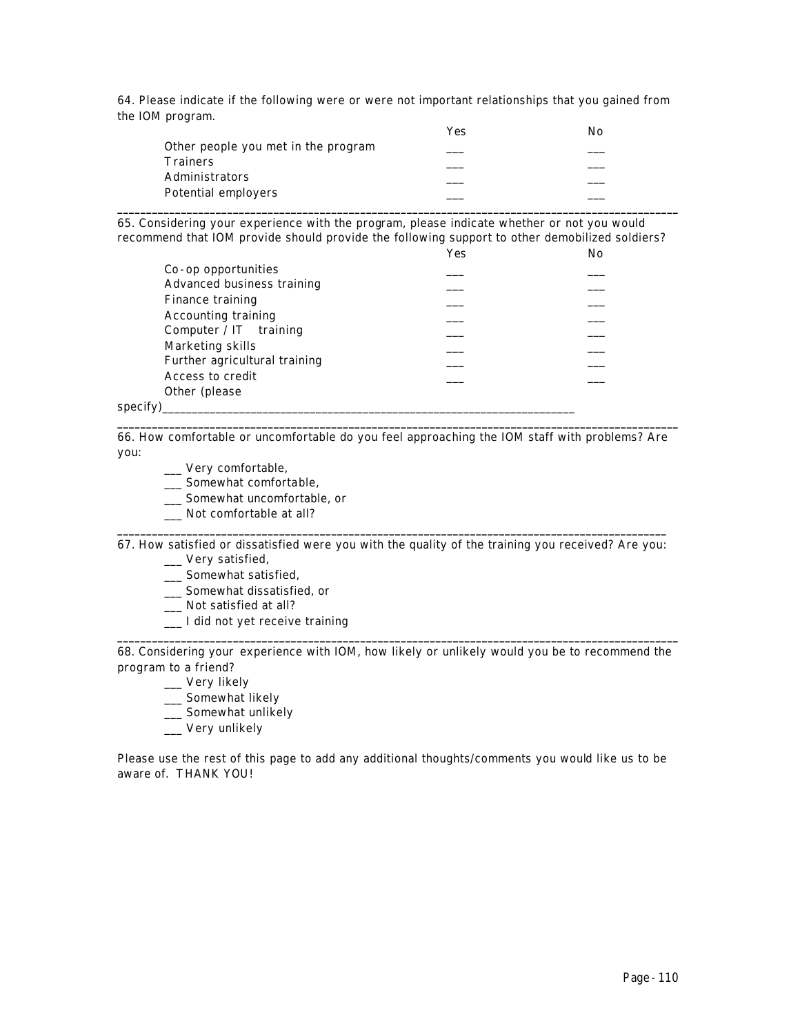64. Please indicate if the following were or were not important relationships that you gained from the IOM program.

|                       |                                     | Yes | No |
|-----------------------|-------------------------------------|-----|----|
|                       | Other people you met in the program |     |    |
| <b>Trainers</b>       |                                     |     |    |
| <b>Administrators</b> |                                     |     |    |
| Potential employers   |                                     |     |    |
|                       |                                     |     |    |

65. Considering your experience with the program, please indicate whether or not you would recommend that IOM provide should provide the following support to other demobilized soldiers?

|          |                               | Yes | No |
|----------|-------------------------------|-----|----|
|          | Co-op opportunities           |     |    |
|          | Advanced business training    |     |    |
|          | Finance training              |     |    |
|          | <b>Accounting training</b>    |     |    |
|          | Computer / $IT$ training      |     |    |
|          | Marketing skills              |     |    |
|          | Further agricultural training |     |    |
|          | Access to credit              |     |    |
|          | Other (please)                |     |    |
| specify) |                               |     |    |

**\_\_\_\_\_\_\_\_\_\_\_\_\_\_\_\_\_\_\_\_\_\_\_\_\_\_\_\_\_\_\_\_\_\_\_\_\_\_\_\_\_\_\_\_\_\_\_\_\_\_\_\_\_\_\_\_\_\_\_\_\_\_\_\_\_\_\_\_\_\_\_\_\_\_\_\_\_\_\_\_\_\_\_\_\_\_\_\_\_\_\_\_\_\_\_\_\_** 66. How comfortable or uncomfortable do you feel approaching the IOM staff with problems? Are you:

- \_\_\_ Very comfortable,
- \_\_\_ Somewhat comfortable,
- \_\_\_ Somewhat uncomfortable, or
- \_\_\_ Not comfortable at all?

**\_\_\_\_\_\_\_\_\_\_\_\_\_\_\_\_\_\_\_\_\_\_\_\_\_\_\_\_\_\_\_\_\_\_\_\_\_\_\_\_\_\_\_\_\_\_\_\_\_\_\_\_\_\_\_\_\_\_\_\_\_\_\_\_\_\_\_\_\_\_\_\_\_\_\_\_\_\_\_\_\_\_\_\_\_\_\_\_\_\_\_\_\_\_\_** 67. How satisfied or dissatisfied were you with the quality of the training you received? Are you:

- \_\_\_ Very satisfied,
- \_\_\_ Somewhat satisfied,
- \_\_\_ Somewhat dissatisfied, or
- \_\_\_ Not satisfied at all?
- \_\_\_ I did not yet receive training

**\_\_\_\_\_\_\_\_\_\_\_\_\_\_\_\_\_\_\_\_\_\_\_\_\_\_\_\_\_\_\_\_\_\_\_\_\_\_\_\_\_\_\_\_\_\_\_\_\_\_\_\_\_\_\_\_\_\_\_\_\_\_\_\_\_\_\_\_\_\_\_\_\_\_\_\_\_\_\_\_\_\_\_\_\_\_\_\_\_\_\_\_\_\_\_\_\_** 68. Considering your experience with IOM, how likely or unlikely would you be to recommend the program to a friend?

- \_\_\_ Very likely
- \_\_\_ Somewhat likely
- \_\_ Somewhat unlikely
- \_\_\_ Very unlikely

Please use the rest of this page to add any additional thoughts/comments you would like us to be aware of. THANK YOU!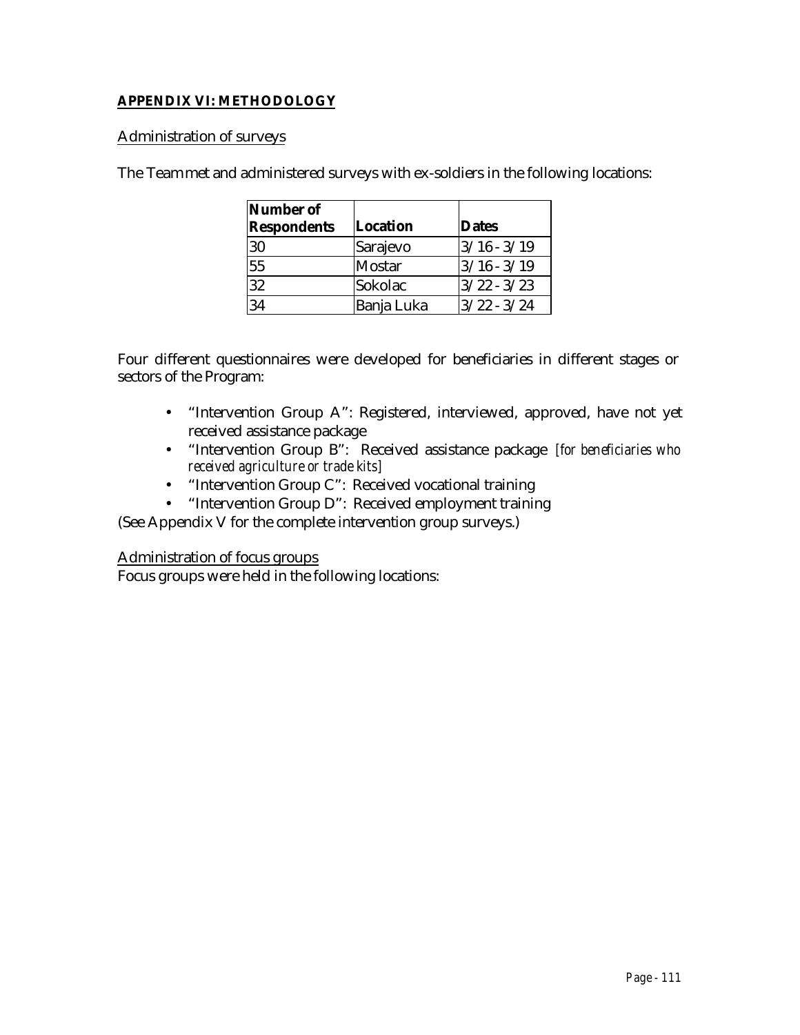# **APPENDIX VI: METHODOLOGY**

## Administration of surveys

The Team met and administered surveys with ex-soldiers in the following locations:

| Number of<br><b>Respondents</b> | <b>Location</b> | <b>Dates</b>  |
|---------------------------------|-----------------|---------------|
| 30                              | Sarajevo        | $3/16 - 3/19$ |
| 55                              | <b>Mostar</b>   | $3/16 - 3/19$ |
| 32                              | Sokolac         | $3/22 - 3/23$ |
| 34                              | Banja Luka      | $3/22 - 3/24$ |

Four different questionnaires were developed for beneficiaries in different stages or sectors of the Program:

- "Intervention Group A": Registered, interviewed, approved, have not yet received assistance package
- "Intervention Group B": Received assistance package *[for beneficiaries who received agriculture or trade kits]*
- "Intervention Group C": Received vocational training
- "Intervention Group D": Received employment training

(See Appendix V for the complete intervention group surveys.)

## Administration of focus groups

Focus groups were held in the following locations: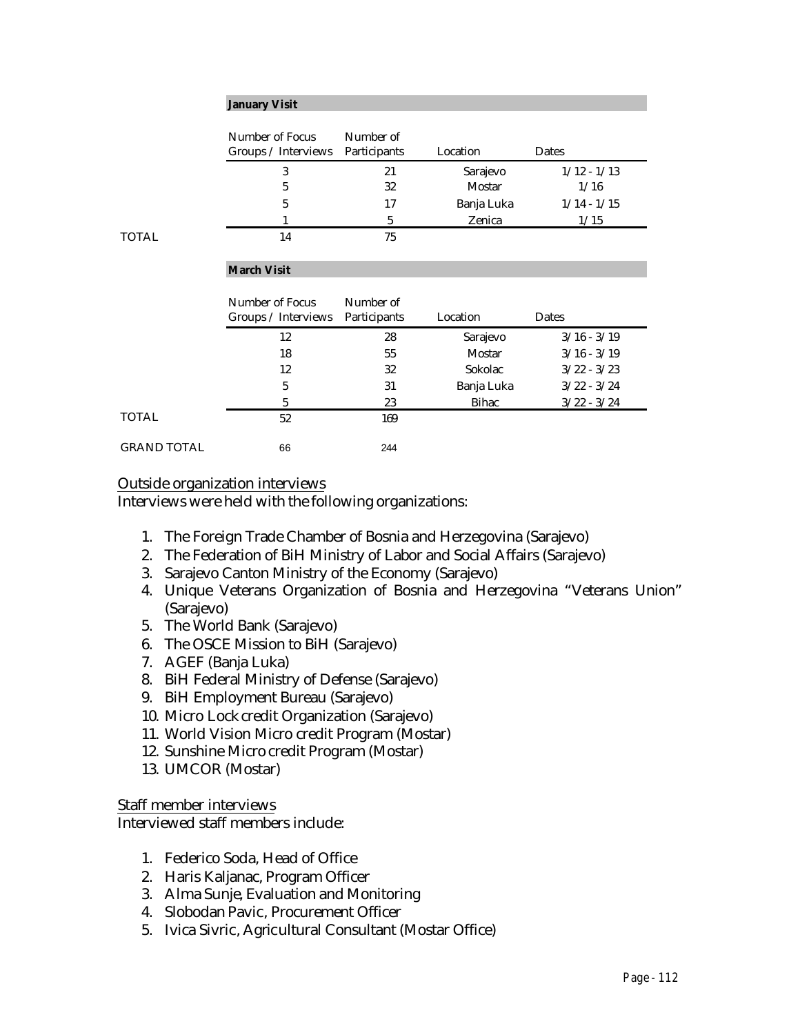#### **January Visit**

|              | Number of Focus<br>Groups / Interviews | Number of<br>Participants | Location   | Dates         |  |
|--------------|----------------------------------------|---------------------------|------------|---------------|--|
|              |                                        | 21                        | Sarajevo   | $1/12 - 1/13$ |  |
|              | 5                                      | 32                        | Mostar     | 1/16          |  |
|              | 5                                      | 17                        | Banja Luka | $1/14 - 1/15$ |  |
|              |                                        | 5                         | Zenica     | 1/15          |  |
| <b>TOTAL</b> | 14                                     | 75                        |            |               |  |

#### **March Visit**

|             | Number of Focus<br>Groups / Interviews | Number of<br>Participants | Location   | Dates         |  |
|-------------|----------------------------------------|---------------------------|------------|---------------|--|
|             | 12                                     | 28                        | Sarajevo   | $3/16 - 3/19$ |  |
|             | 18                                     | 55                        | Mostar     | $3/16 - 3/19$ |  |
|             | 12                                     | 32                        | Sokolac    | $3/22 - 3/23$ |  |
|             | 5                                      | 31                        | Banja Luka | $3/22 - 3/24$ |  |
|             | 5                                      | 23                        | Bihac      | $3/22 - 3/24$ |  |
| TOTAL       | 52                                     | 169                       |            |               |  |
| GRAND TOTAL | 66                                     | 244                       |            |               |  |

#### Outside organization interviews

Interviews were held with the following organizations:

- 1. The Foreign Trade Chamber of Bosnia and Herzegovina (Sarajevo)
- 2. The Federation of BiH Ministry of Labor and Social Affairs (Sarajevo)
- 3. Sarajevo Canton Ministry of the Economy (Sarajevo)
- 4. Unique Veterans Organization of Bosnia and Herzegovina "Veterans Union" (Sarajevo)
- 5. The World Bank (Sarajevo)
- 6. The OSCE Mission to BiH (Sarajevo)
- 7. AGEF (Banja Luka)
- 8. BiH Federal Ministry of Defense (Sarajevo)
- 9. BiH Employment Bureau (Sarajevo)
- 10. Micro Lock credit Organization (Sarajevo)
- 11. World Vision Micro credit Program (Mostar)
- 12. Sunshine Micro credit Program (Mostar)
- 13. UMCOR (Mostar)

Staff member interviews

Interviewed staff members include:

- 1. Federico Soda, Head of Office
- 2. Haris Kaljanac, Program Officer
- 3. Alma Sunje, Evaluation and Monitoring
- 4. Slobodan Pavic, Procurement Officer
- 5. Ivica Sivric, Agricultural Consultant (Mostar Office)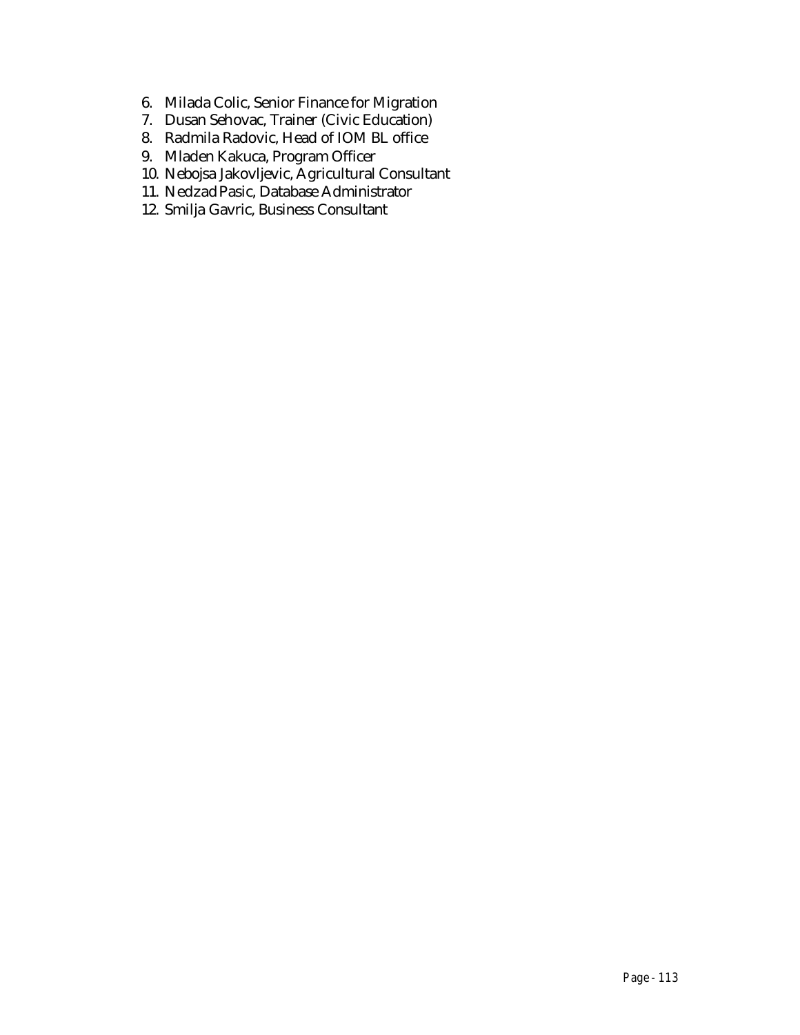- 6. Milada Colic, Senior Finance for Migration
- 7. Dusan Sehovac, Trainer (Civic Education)
- 8. Radmila Radovic, Head of IOM BL office
- 9. Mladen Kakuca, Program Officer
- 10. Nebojsa Jakovljevic, Agricultural Consultant
- 11. Nedzad Pasic, Database Administrator
- 12. Smilja Gavric, Business Consultant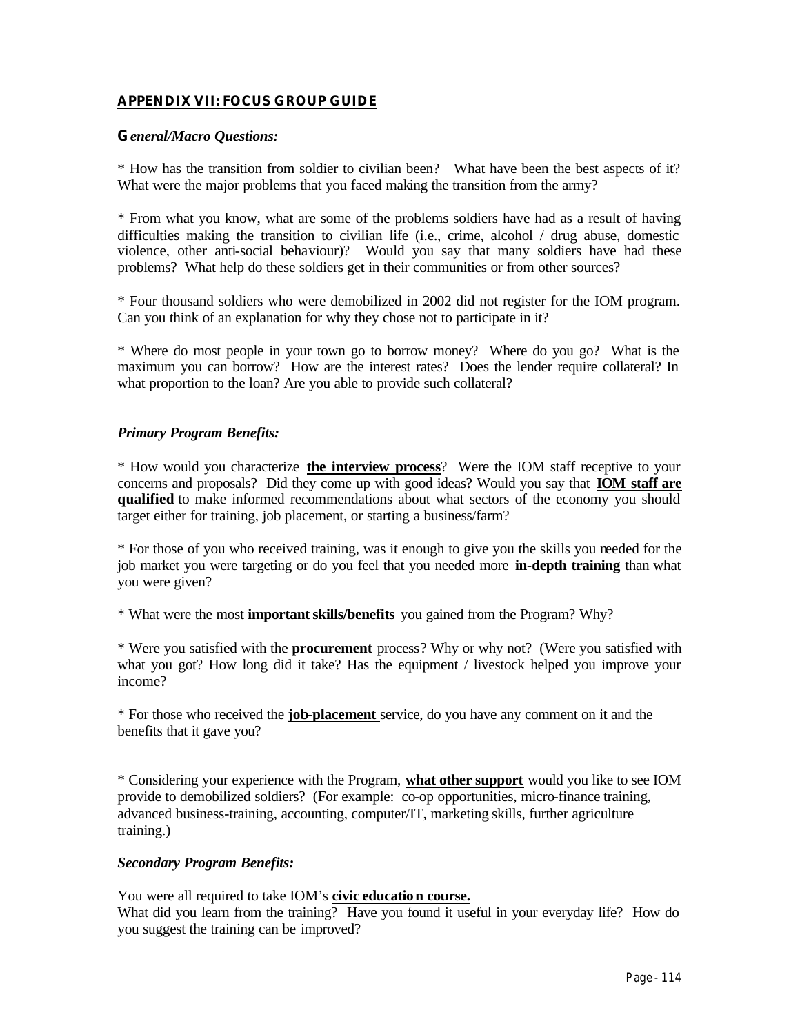## **APPENDIX VII: FOCUS GROUP GUIDE**

## **G***eneral/Macro Questions:*

\* How has the transition from soldier to civilian been? What have been the best aspects of it? What were the major problems that you faced making the transition from the army?

\* From what you know, what are some of the problems soldiers have had as a result of having difficulties making the transition to civilian life (i.e., crime, alcohol / drug abuse, domestic violence, other anti-social behaviour)? Would you say that many soldiers have had these problems? What help do these soldiers get in their communities or from other sources?

\* Four thousand soldiers who were demobilized in 2002 did not register for the IOM program. Can you think of an explanation for why they chose not to participate in it?

\* Where do most people in your town go to borrow money? Where do you go? What is the maximum you can borrow? How are the interest rates? Does the lender require collateral? In what proportion to the loan? Are you able to provide such collateral?

## *Primary Program Benefits:*

\* How would you characterize **the interview process**? Were the IOM staff receptive to your concerns and proposals? Did they come up with good ideas? Would you say that **IOM staff are qualified** to make informed recommendations about what sectors of the economy you should target either for training, job placement, or starting a business/farm?

\* For those of you who received training, was it enough to give you the skills you needed for the job market you were targeting or do you feel that you needed more **in-depth training** than what you were given?

\* What were the most **important skills/benefits** you gained from the Program? Why?

\* Were you satisfied with the **procurement** process? Why or why not? (Were you satisfied with what you got? How long did it take? Has the equipment / livestock helped you improve your income?

\* For those who received the **job-placement** service, do you have any comment on it and the benefits that it gave you?

\* Considering your experience with the Program, **what other support** would you like to see IOM provide to demobilized soldiers? (For example: co-op opportunities, micro-finance training, advanced business-training, accounting, computer/IT, marketing skills, further agriculture training.)

## *Secondary Program Benefits:*

You were all required to take IOM's **civic education course.**

What did you learn from the training? Have you found it useful in your everyday life? How do you suggest the training can be improved?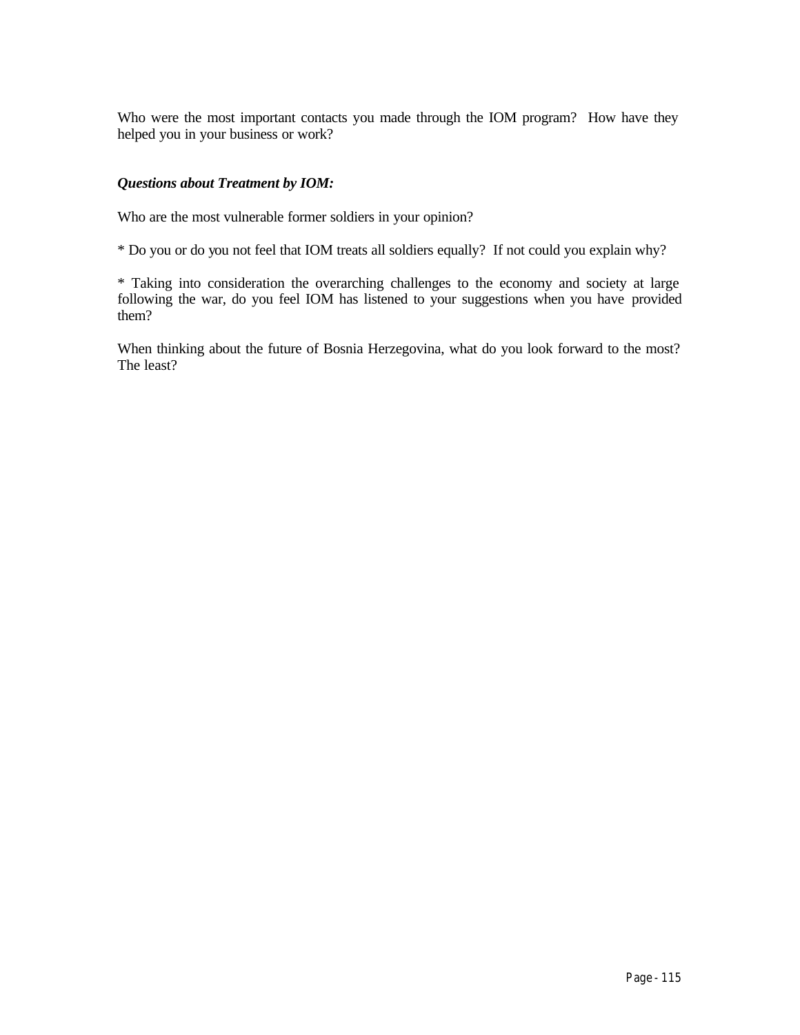Who were the most important contacts you made through the IOM program? How have they helped you in your business or work?

## *Questions about Treatment by IOM:*

Who are the most vulnerable former soldiers in your opinion?

\* Do you or do you not feel that IOM treats all soldiers equally? If not could you explain why?

\* Taking into consideration the overarching challenges to the economy and society at large following the war, do you feel IOM has listened to your suggestions when you have provided them?

When thinking about the future of Bosnia Herzegovina, what do you look forward to the most? The least?